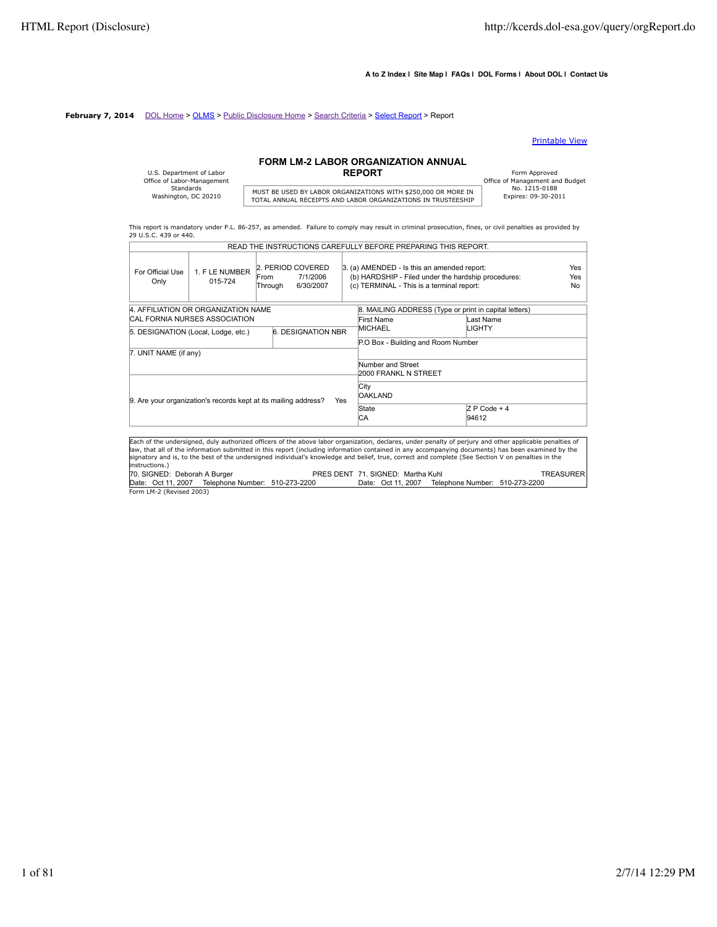$\overline{a}$ 

#### **A to Z Index | Site Map | FAQs | DOL Forms | About DOL | Contact Us**

#### **February 7, 2014** DOL Home > OLMS > Public Disclosure Home > Search Criteria > Select Report > Report

#### Printable View

## **FORM LM-2 LABOR ORGANIZATION ANNUAL**

| U.S. Department of Labor   |                    |
|----------------------------|--------------------|
| Office of Labor-Management |                    |
| Standards                  | MUST BE USED BY LA |
| Washington, DC 20210       | TOTAL ANIMIAL BECE |

# MUST BE USED BY LABOR ORGANIZATIONS WITH \$250,000 OR MORE IN THISTORIC TO THE TOTAL ANNUAL RECEIPTS AND LABOR ORGANIZATIONS IN TRUSTEESHIP

Form Approved<br>
Office of Management and Budget<br>
No. 1215-0188

This report is mandatory under P.L. 86-257, as amended. Failure to comply may result in criminal prosecution, fines, or civil penalties as provided by 29 U.S.C. 439 or 440. READ THE INSTRUCTIONS CAREFULLY BEFORE PREPARING THIS REPORT.

|                                                                                                                                                                                                                                                                                                                                                                                                                                                                                      |                                                                 |                 |                                            |                                    | READ THE INSTRUCTIONS CAREFULLY BEFORE PREPARING THIS REPORT.                                                                                   |                         |                                |                   |
|--------------------------------------------------------------------------------------------------------------------------------------------------------------------------------------------------------------------------------------------------------------------------------------------------------------------------------------------------------------------------------------------------------------------------------------------------------------------------------------|-----------------------------------------------------------------|-----------------|--------------------------------------------|------------------------------------|-------------------------------------------------------------------------------------------------------------------------------------------------|-------------------------|--------------------------------|-------------------|
| For Official Use<br>Only                                                                                                                                                                                                                                                                                                                                                                                                                                                             | 1. F LE NUMBER<br>015-724                                       | From<br>Through | 2. PERIOD COVERED<br>7/1/2006<br>6/30/2007 |                                    | 3. (a) AMENDED - Is this an amended report:<br>(b) HARDSHIP - Filed under the hardship procedures:<br>(c) TERMINAL - This is a terminal report: |                         |                                | Yes<br>Yes<br>No. |
|                                                                                                                                                                                                                                                                                                                                                                                                                                                                                      | 4. AFFILIATION OR ORGANIZATION NAME                             |                 |                                            |                                    | 8. MAILING ADDRESS (Type or print in capital letters)                                                                                           |                         |                                |                   |
|                                                                                                                                                                                                                                                                                                                                                                                                                                                                                      | CAL FORNIA NURSES ASSOCIATION                                   |                 |                                            |                                    | First Name                                                                                                                                      | Last Name               |                                |                   |
|                                                                                                                                                                                                                                                                                                                                                                                                                                                                                      |                                                                 |                 | 6. DESIGNATION NBR                         |                                    | MICHAEL                                                                                                                                         | LIGHTY                  |                                |                   |
|                                                                                                                                                                                                                                                                                                                                                                                                                                                                                      | 5. DESIGNATION (Local, Lodge, etc.)                             |                 |                                            | P.O Box - Building and Room Number |                                                                                                                                                 |                         |                                |                   |
| 7. UNIT NAME (if any)                                                                                                                                                                                                                                                                                                                                                                                                                                                                |                                                                 |                 |                                            |                                    |                                                                                                                                                 |                         |                                |                   |
|                                                                                                                                                                                                                                                                                                                                                                                                                                                                                      |                                                                 |                 |                                            |                                    | Number and Street<br>2000 FRANKL N STREET                                                                                                       |                         |                                |                   |
|                                                                                                                                                                                                                                                                                                                                                                                                                                                                                      | 9. Are your organization's records kept at its mailing address? |                 | Yes                                        |                                    | City<br><b>OAKLAND</b>                                                                                                                          |                         |                                |                   |
|                                                                                                                                                                                                                                                                                                                                                                                                                                                                                      |                                                                 |                 |                                            |                                    | State<br>ICA.                                                                                                                                   | $Z P$ Code + 4<br>94612 |                                |                   |
| Each of the undersigned, duly authorized officers of the above labor organization, declares, under penalty of perjury and other applicable penalties of<br>law, that all of the information submitted in this report (including information contained in any accompanying documents) has been examined by the<br>signatory and is, to the best of the undersigned individual's knowledge and belief, true, correct and complete (See Section V on penalties in the<br>instructions.) |                                                                 |                 |                                            |                                    |                                                                                                                                                 |                         |                                |                   |
| 70. SIGNED: Deborah A Burger                                                                                                                                                                                                                                                                                                                                                                                                                                                         |                                                                 |                 |                                            |                                    | PRES DENT 71, SIGNED: Martha Kuhl                                                                                                               |                         |                                | <b>TREASURER</b>  |
| Date: Oct 11, 2007                                                                                                                                                                                                                                                                                                                                                                                                                                                                   | Telephone Number: 510-273-2200                                  |                 |                                            |                                    | Date: Oct 11, 2007                                                                                                                              |                         | Telephone Number: 510-273-2200 |                   |
| Form LM-2 (Revised 2003)                                                                                                                                                                                                                                                                                                                                                                                                                                                             |                                                                 |                 |                                            |                                    |                                                                                                                                                 |                         |                                |                   |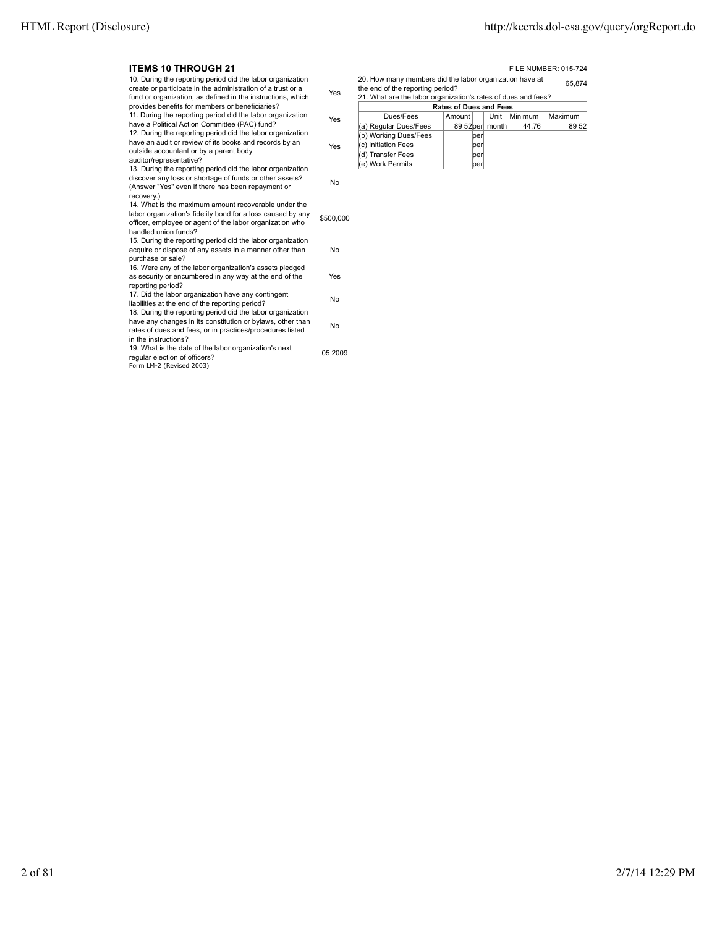#### **ITEMS 10 THROUGH 21 FLE NUMBER: 015-724**

| ווטטטערווויטו טוובווו                                                                                                                                                                                                                       |           |
|---------------------------------------------------------------------------------------------------------------------------------------------------------------------------------------------------------------------------------------------|-----------|
| 10. During the reporting period did the labor organization<br>create or participate in the administration of a trust or a<br>fund or organization, as defined in the instructions, which<br>provides benefits for members or beneficiaries? | Yes       |
| 11. During the reporting period did the labor organization<br>have a Political Action Committee (PAC) fund?<br>12. During the reporting period did the labor organization                                                                   | Yes       |
| have an audit or review of its books and records by an<br>outside accountant or by a parent body<br>auditor/representative?                                                                                                                 | Yes       |
| 13. During the reporting period did the labor organization<br>discover any loss or shortage of funds or other assets?<br>(Answer "Yes" even if there has been repayment or<br>recovery.)                                                    | No        |
| 14. What is the maximum amount recoverable under the<br>labor organization's fidelity bond for a loss caused by any<br>officer, employee or agent of the labor organization who<br>handled union funds?                                     | \$500,000 |
| 15. During the reporting period did the labor organization<br>acquire or dispose of any assets in a manner other than<br>purchase or sale?                                                                                                  | No        |
| 16. Were any of the labor organization's assets pledged<br>as security or encumbered in any way at the end of the<br>reporting period?                                                                                                      | Yes       |
| 17. Did the labor organization have any contingent<br>liabilities at the end of the reporting period?<br>18. During the reporting period did the labor organization                                                                         | No        |
| have any changes in its constitution or bylaws, other than<br>rates of dues and fees, or in practices/procedures listed<br>in the instructions?                                                                                             | No        |
| 19. What is the date of the labor organization's next<br>regular election of officers?<br>Form LM-2 (Revised 2003)                                                                                                                          | 05 2009   |
|                                                                                                                                                                                                                                             |           |

20. How many members did the labor organization have at the end of the reporting period? 65,874 21. What are the labor organization's rates of dues and fees?

| [21. What are the labor organization's rates of dues and fees?] |        |     |                 |         |         |  |  |
|-----------------------------------------------------------------|--------|-----|-----------------|---------|---------|--|--|
| <b>Rates of Dues and Fees</b>                                   |        |     |                 |         |         |  |  |
| Dues/Fees                                                       | Amount |     | Unit            | Minimum | Maximum |  |  |
| (a) Regular Dues/Fees                                           |        |     | 89 52 per month | 44.76   | 89 52   |  |  |
| (b) Working Dues/Fees                                           |        | per |                 |         |         |  |  |
| (c) Initiation Fees                                             |        | per |                 |         |         |  |  |
| (d) Transfer Fees                                               |        | ber |                 |         |         |  |  |
| (e) Work Permits                                                |        | ber |                 |         |         |  |  |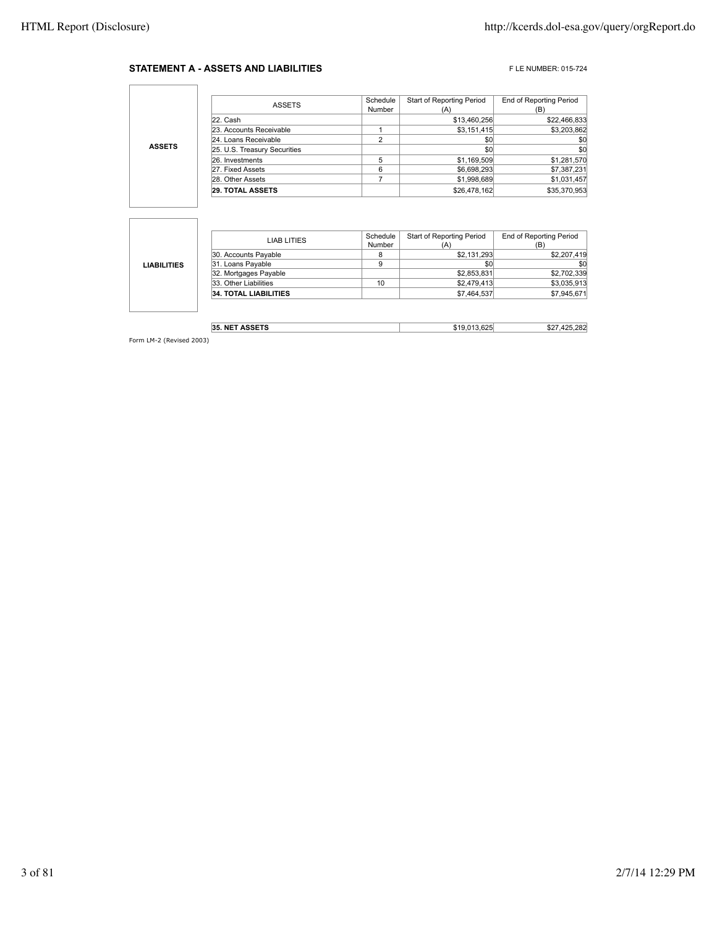#### **STATEMENT A - ASSETS AND LIABILITIES** FLE NUMBER: 015-724

٦

|               | <b>ASSETS</b>                | Schedule<br>Number | Start of Reporting Period | <b>End of Reporting Period</b><br>(Β |
|---------------|------------------------------|--------------------|---------------------------|--------------------------------------|
|               | 22. Cash                     |                    | \$13,460,256              | \$22,466,833                         |
| <b>ASSETS</b> | 23. Accounts Receivable      |                    | \$3,151,415               | \$3,203,862                          |
|               | 24. Loans Receivable         | ົ                  | \$0                       | \$0                                  |
|               | 25. U.S. Treasury Securities |                    | \$0                       | \$0                                  |
|               | 26. Investments              |                    | \$1,169,509               | \$1,281,570                          |
|               | 27. Fixed Assets             | 6                  | \$6,698,293               | \$7,387,231                          |
|               | 28. Other Assets             |                    | \$1,998,689               | \$1,031,457                          |
|               | <b>29. TOTAL ASSETS</b>      |                    | \$26,478,162              | \$35,370,953                         |

|                    | LIAB LITIES                  | Schedule | <b>Start of Reporting Period</b> | <b>End of Reporting Period</b> |
|--------------------|------------------------------|----------|----------------------------------|--------------------------------|
|                    |                              | Number   | (A)                              | (B)                            |
|                    | 30. Accounts Payable         | 8        | \$2,131,293                      | \$2,207,419                    |
| <b>LIABILITIES</b> | 31. Loans Payable            | 9        | \$0                              | \$0                            |
|                    | 32. Mortgages Payable        |          | \$2,853,831                      | \$2,702,339                    |
|                    | 33. Other Liabilities        | 10       | \$2,479,413                      | \$3,035,913                    |
|                    | <b>34. TOTAL LIABILITIES</b> |          | \$7,464,537                      | \$7,945,671                    |
|                    |                              |          |                                  |                                |

| . NET ASSETS<br>35. | $\sim$<br> | 00 <sup>o</sup><br>∠ت<br>n, |
|---------------------|------------|-----------------------------|
|                     |            |                             |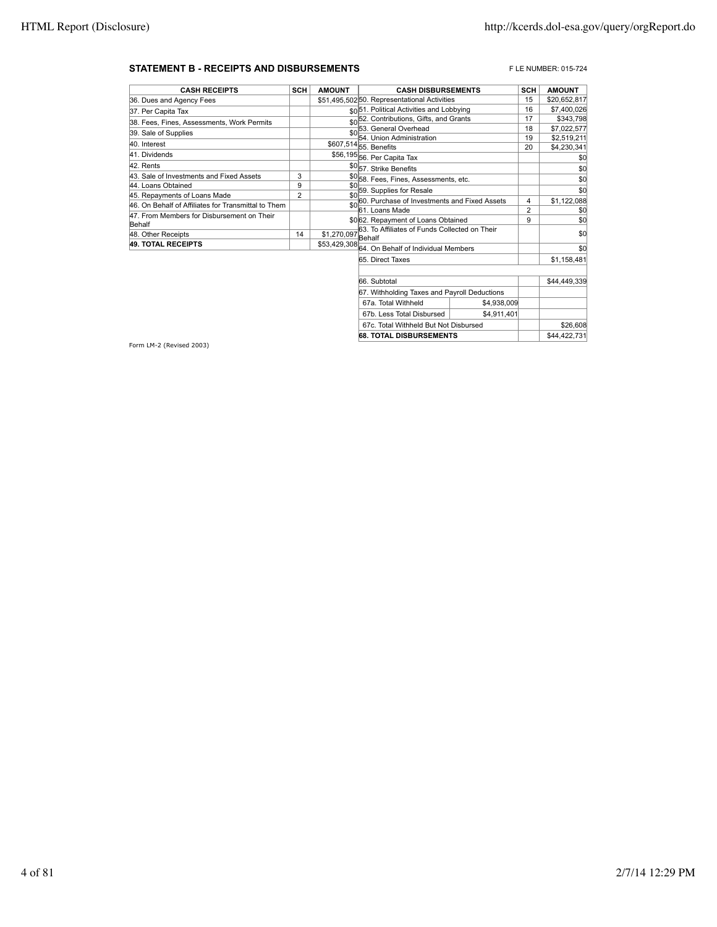#### **STATEMENT B - RECEIPTS AND DISBURSEMENTS** FLE NUMBER: 015-724

| <b>CASH RECEIPTS</b>                                | <b>SCH</b>     | <b>AMOUNT</b>       | <b>CASH DISBURSEMENTS</b>                            | <b>SCH</b>     | <b>AMOUNT</b> |
|-----------------------------------------------------|----------------|---------------------|------------------------------------------------------|----------------|---------------|
| 36. Dues and Agency Fees                            |                |                     | \$51,495,50250. Representational Activities          | 15             | \$20,652,817  |
| 37. Per Capita Tax                                  |                |                     | sol51. Political Activities and Lobbying             | 16             | \$7,400,026   |
| 38. Fees, Fines, Assessments, Work Permits          |                |                     | \$0 <sup>52</sup> . Contributions, Gifts, and Grants | 17             | \$343,798     |
| 39. Sale of Supplies                                |                | \$0                 | 53. General Overhead                                 | 18             | \$7,022,577   |
|                                                     |                |                     | 54. Union Administration                             | 19             | \$2,519,211   |
| 40. Interest                                        |                |                     | \$607,514 55. Benefits                               | 20             | \$4,230,341   |
| 41. Dividends                                       |                |                     | \$56,195 56. Per Capita Tax                          |                | \$0           |
| 42. Rents                                           |                |                     | \$0 <sub>57.</sub> Strike Benefits                   |                | \$0           |
| 43. Sale of Investments and Fixed Assets            | 3              |                     | \$0 <sub>58</sub> . Fees, Fines, Assessments, etc.   |                | \$0           |
| 44. Loans Obtained                                  | 9              | \$0                 | 59. Supplies for Resale                              |                | \$0           |
| 45. Repayments of Loans Made                        | $\overline{2}$ | \$0                 |                                                      |                |               |
| 46. On Behalf of Affiliates for Transmittal to Them |                | \$0                 | 60. Purchase of Investments and Fixed Assets         | 4              | \$1,122,088   |
| 47. From Members for Disbursement on Their          |                |                     | 61. Loans Made                                       | $\overline{2}$ | \$0           |
| Behalf                                              |                |                     | \$0 62. Repayment of Loans Obtained                  | 9              | \$0           |
| 48. Other Receipts                                  | 14             | $$1,270,097$ Behalf | 63. To Affiliates of Funds Collected on Their        |                | \$0           |
| <b>49. TOTAL RECEIPTS</b>                           |                |                     | \$53,429,308 64. On Behalf of Individual Members     |                | \$0           |
|                                                     |                |                     | 65. Direct Taxes                                     |                | \$1,158,481   |
|                                                     |                |                     |                                                      |                |               |
|                                                     |                |                     | 66. Subtotal                                         |                | \$44,449,339  |
|                                                     |                |                     | 67. Withholding Taxes and Payroll Deductions         |                |               |
|                                                     |                |                     |                                                      |                |               |

67a. Total Withheld \$4,938,009 67b. Less Total Disbursed | \$4,911,401 67c. Total Withheld But Not Disbursed \$26,608 **68. TOTAL DISBURSEMENTS**  $\begin{array}{|c|c|c|c|c|} \hline \text{ $68. TOTAL DISBURSEMENTS} \hline \end{array}$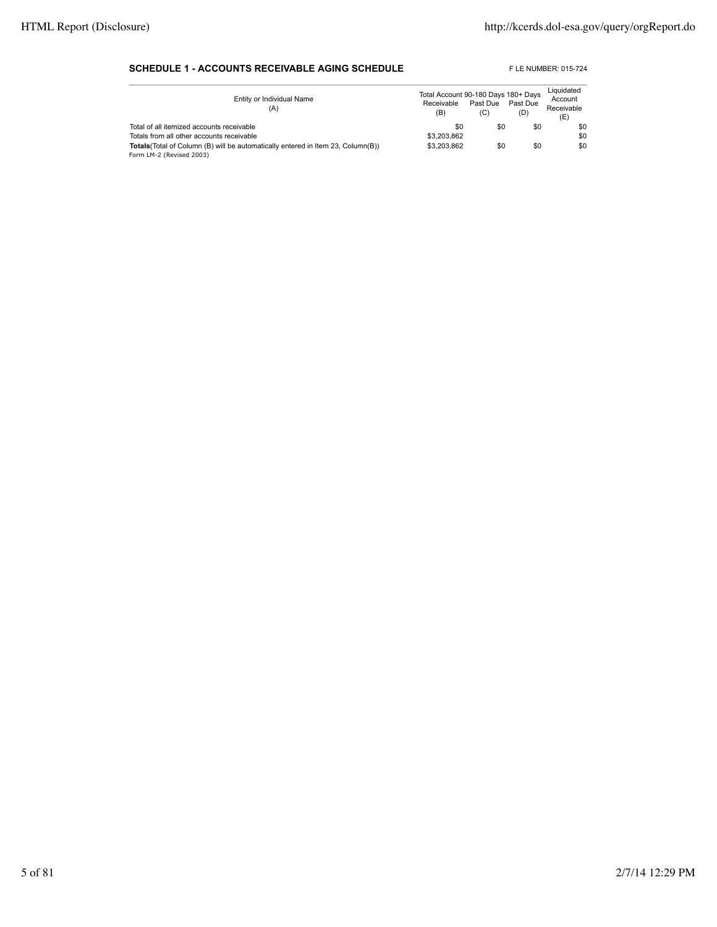#### **SCHEDULE 1 - ACCOUNTS RECEIVABLE AGING SCHEDULE** FLE NUMBER: 015-724

| Entity or Individual Name<br>(A)                                                        | Total Account 90-180 Days 180+ Days<br>Receivable<br>(B) | Past Due<br>(C) | Past Due<br>(D) | Liquidated<br>Account<br>Receivable<br>(E) |
|-----------------------------------------------------------------------------------------|----------------------------------------------------------|-----------------|-----------------|--------------------------------------------|
| Total of all itemized accounts receivable                                               | \$0                                                      | \$0             | \$0             | \$0                                        |
| Totals from all other accounts receivable                                               | \$3.203.862                                              |                 |                 | \$0                                        |
| <b>Totals</b> (Total of Column (B) will be automatically entered in Item 23, Column(B)) | \$3.203.862                                              | \$0             | \$0             | \$0                                        |
| Form LM-2 (Revised 2003)                                                                |                                                          |                 |                 |                                            |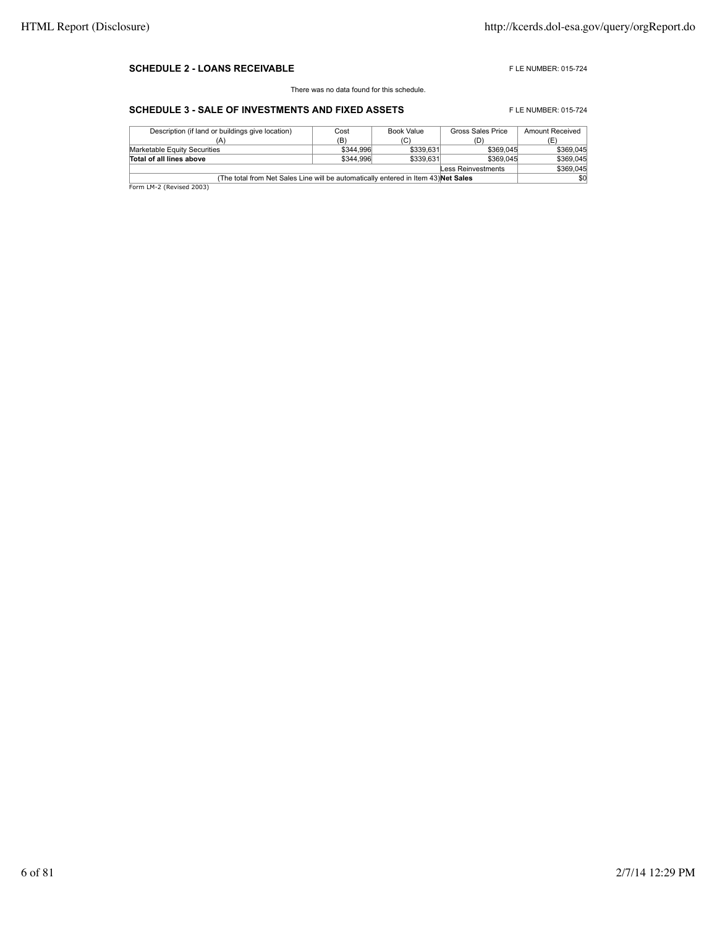#### **SCHEDULE 2 - LOANS RECEIVABLE EXECUTE AND RECEIVABLE F** LE NUMBER: 015-724

There was no data found for this schedule.

### **SCHEDULE 3 - SALE OF INVESTMENTS AND FIXED ASSETS** FLE NUMBER: 015-724

| Description (if land or buildings give location)                                          | Cost      | Book Value | Gross Sales Price | <b>Amount Received</b> |  |
|-------------------------------------------------------------------------------------------|-----------|------------|-------------------|------------------------|--|
|                                                                                           | (B)       | (C)        | (D)               |                        |  |
| Marketable Equity Securities                                                              | \$344,996 | \$339,631  | \$369,045         | \$369.045              |  |
| Total of all lines above                                                                  | \$344,996 | \$339,631  | \$369,045         | \$369.045              |  |
| Less Reinvestments                                                                        |           |            |                   |                        |  |
| (The total from Net Sales Line will be automatically entered in Item 43) <b>Net Sales</b> | \$0       |            |                   |                        |  |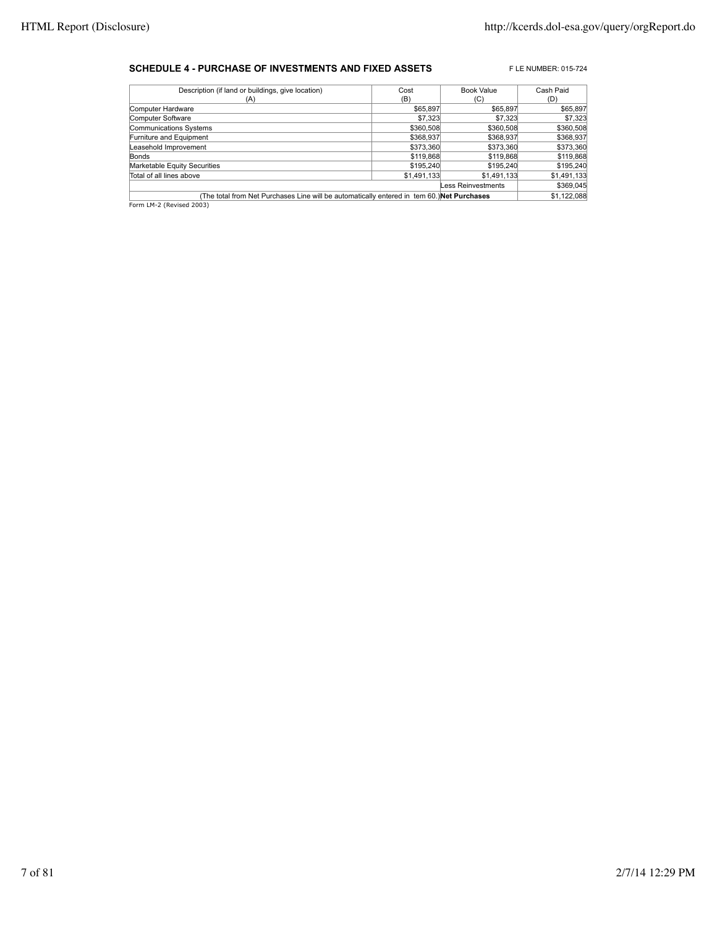#### **SCHEDULE 4 - PURCHASE OF INVESTMENTS AND FIXED ASSETS** FLE NUMBER: 015-724

| Description (if land or buildings, give location)                                          | Cost        | <b>Book Value</b> | Cash Paid   |  |  |
|--------------------------------------------------------------------------------------------|-------------|-------------------|-------------|--|--|
| (A)                                                                                        | (B)         | (C)               | (D)         |  |  |
| Computer Hardware                                                                          | \$65,897    | \$65,897          | \$65,897    |  |  |
| Computer Software                                                                          | \$7,323     | \$7,323           | \$7,323     |  |  |
| Communications Systems                                                                     | \$360,508   | \$360,508         | \$360,508   |  |  |
| Furniture and Equipment                                                                    | \$368,937   | \$368,937         | \$368,937   |  |  |
| Leasehold Improvement                                                                      | \$373,360   | \$373,360         | \$373,360   |  |  |
| <b>Bonds</b>                                                                               | \$119,868   | \$119,868         | \$119,868   |  |  |
| Marketable Equity Securities                                                               | \$195,240   | \$195,240         | \$195,240   |  |  |
| Total of all lines above                                                                   | \$1,491,133 | \$1,491,133       | \$1,491,133 |  |  |
| Less Reinvestments                                                                         |             |                   |             |  |  |
| (The total from Net Purchases Line will be automatically entered in tem 60.) Net Purchases |             |                   |             |  |  |
| Form LM-2 (Revised 2003)                                                                   |             |                   |             |  |  |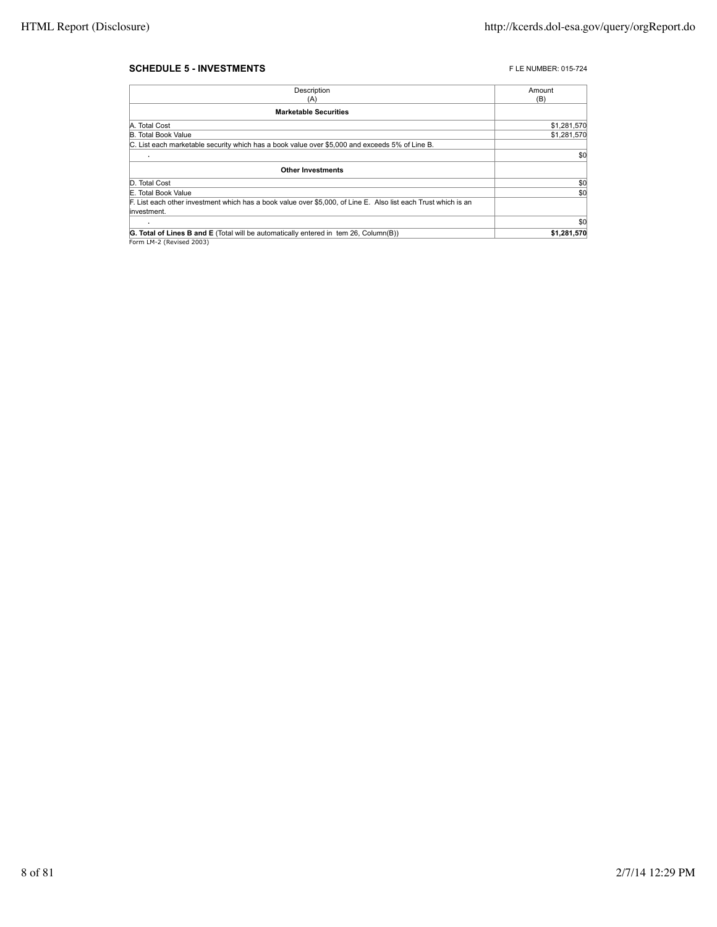#### **SCHEDULE 5 - INVESTMENTS FLE NUMBER: 015-724**

| Description                                                                                                                   | Amount      |
|-------------------------------------------------------------------------------------------------------------------------------|-------------|
| (A)                                                                                                                           | (B)         |
| <b>Marketable Securities</b>                                                                                                  |             |
| A. Total Cost                                                                                                                 | \$1,281,570 |
| <b>B. Total Book Value</b>                                                                                                    | \$1,281,570 |
| C. List each marketable security which has a book value over \$5,000 and exceeds 5% of Line B.                                |             |
|                                                                                                                               | \$0         |
| <b>Other Investments</b>                                                                                                      |             |
| D. Total Cost                                                                                                                 | \$0         |
| E. Total Book Value                                                                                                           | \$0         |
| F. List each other investment which has a book value over \$5,000, of Line E. Also list each Trust which is an<br>investment. |             |
|                                                                                                                               | \$0         |
| G. Total of Lines B and E (Total will be automatically entered in tem 26, Column(B))                                          | \$1,281,570 |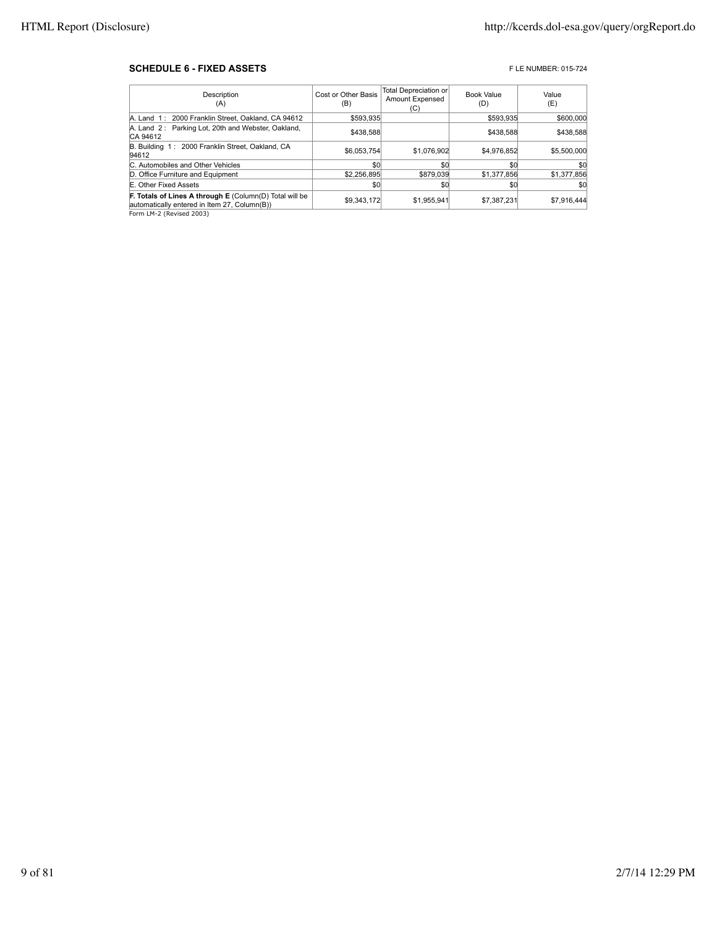#### **SCHEDULE 6 - FIXED ASSETS FIXED ASSETS FIXED ASSETS**

| Description<br>(A)                                                                                                                                        | Cost or Other Basis<br>(B) | <b>Total Depreciation or</b><br>Amount Expensed<br>(C) | Book Value<br>(D) | Value<br>(E) |
|-----------------------------------------------------------------------------------------------------------------------------------------------------------|----------------------------|--------------------------------------------------------|-------------------|--------------|
| A. Land 1: 2000 Franklin Street, Oakland, CA 94612                                                                                                        | \$593.935                  |                                                        | \$593.935         | \$600,000    |
| A. Land 2: Parking Lot, 20th and Webster, Oakland,<br>CA 94612                                                                                            | \$438,588                  |                                                        | \$438,588         | \$438,588    |
| B. Building 1: 2000 Franklin Street, Oakland, CA<br>94612                                                                                                 | \$6.053.754                | \$1,076,902                                            | \$4,976,852       | \$5,500,000  |
| C. Automobiles and Other Vehicles                                                                                                                         | \$0                        | \$0                                                    | \$0               | \$0          |
| D. Office Furniture and Equipment                                                                                                                         | \$2,256,895                | \$879,039                                              | \$1,377,856       | \$1,377,856  |
| E. Other Fixed Assets                                                                                                                                     | \$0                        | \$0                                                    | \$C               | \$0          |
| F. Totals of Lines A through E (Column(D) Total will be<br>automatically entered in Item 27, Column(B))<br>$ \cdots$ $\sim$ $\cdots$ $\sim$ $\sim$ $\sim$ | \$9,343,172                | \$1.955.941                                            | \$7,387,231       | \$7.916.444  |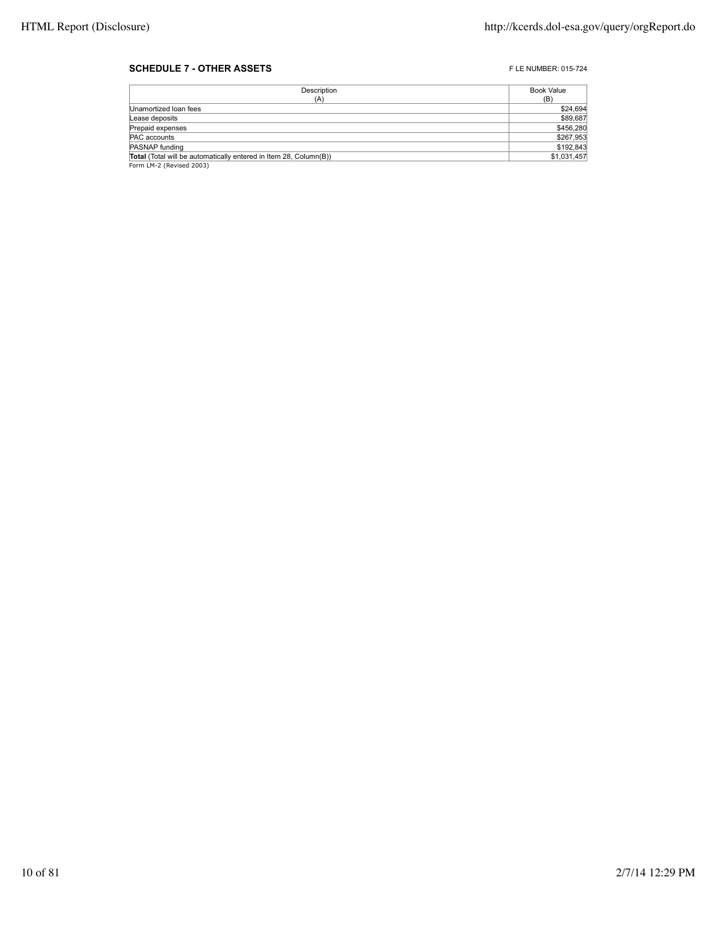#### **SCHEDULE 7 - OTHER ASSETS FLE NUMBER: 015-724**

| Description                                                       | Book Value  |
|-------------------------------------------------------------------|-------------|
| (A)                                                               | (B)         |
| Unamortized Ioan fees                                             | \$24,694    |
| Lease deposits                                                    | \$89,687    |
| Prepaid expenses                                                  | \$456,280   |
| PAC accounts                                                      | \$267,953   |
| PASNAP funding                                                    | \$192,843   |
| Total (Total will be automatically entered in Item 28, Column(B)) | \$1,031,457 |
| Form LM-2 (Revised 2003)                                          |             |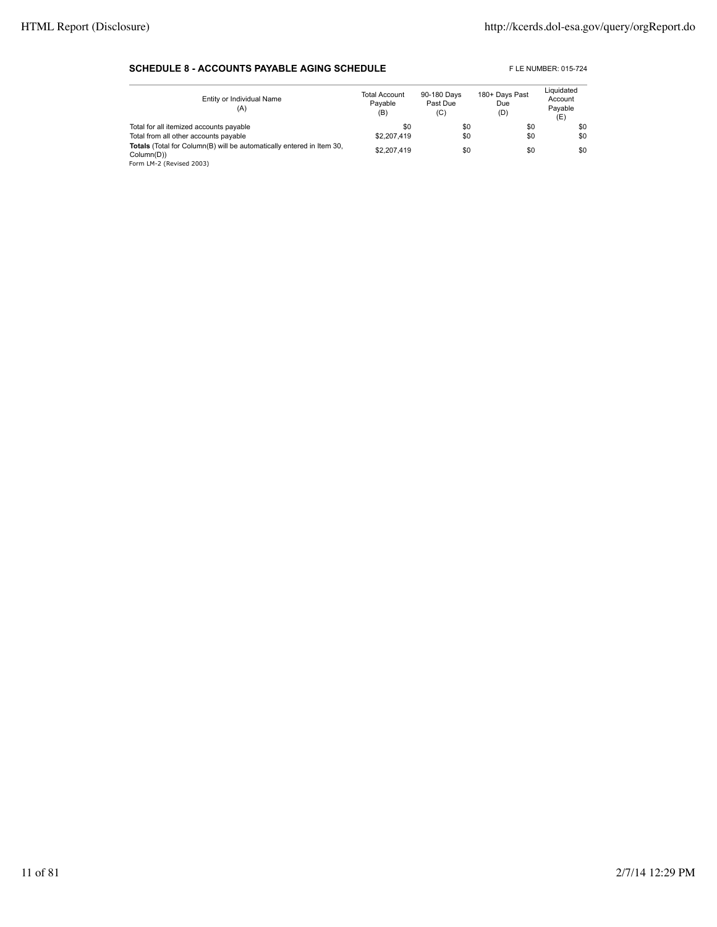#### **SCHEDULE 8 - ACCOUNTS PAYABLE AGING SCHEDULE** FLE NUMBER: 015-724

| Entity or Individual Name<br>(A)                                                                                | <b>Total Account</b><br>Pavable<br>(B) | 90-180 Days<br>Past Due<br>(C) | 180+ Days Past<br>Due<br>(D) | Liquidated<br>Account<br>Pavable<br>(E) |
|-----------------------------------------------------------------------------------------------------------------|----------------------------------------|--------------------------------|------------------------------|-----------------------------------------|
| Total for all itemized accounts payable                                                                         | \$0                                    | \$0                            | \$0                          | \$0                                     |
| Total from all other accounts payable                                                                           | \$2,207,419                            | \$0                            | \$0                          | \$0                                     |
| Totals (Total for Column(B) will be automatically entered in Item 30,<br>Column(D))<br>Form LM-2 (Revised 2003) | \$2,207,419                            | \$0                            | \$0                          | \$0                                     |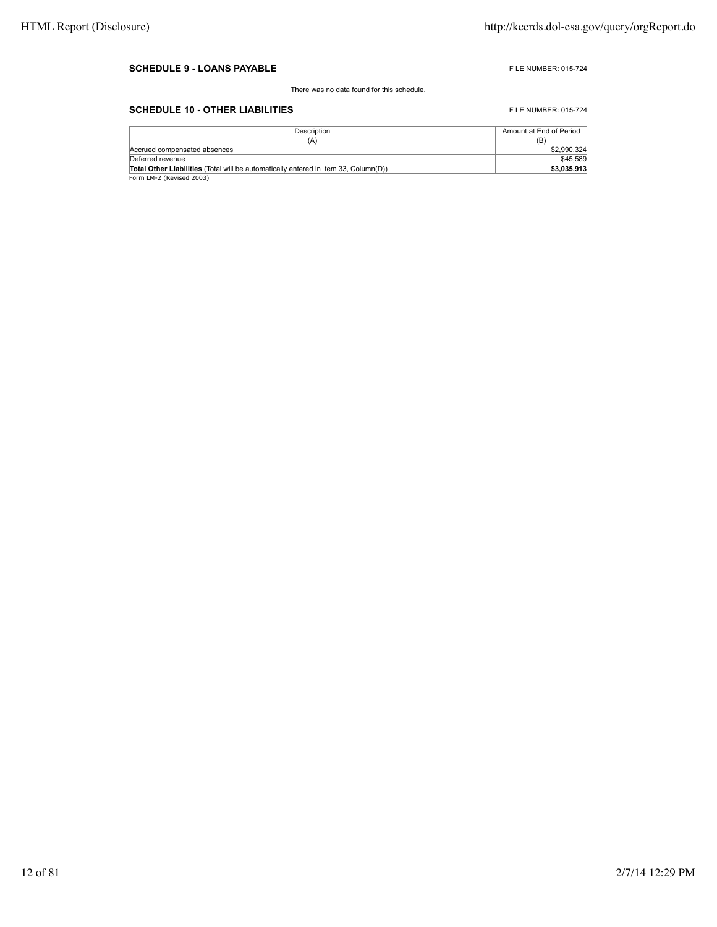#### **SCHEDULE 9 - LOANS PAYABLE FLE NUMBER: 015-724**

There was no data found for this schedule.

### **SCHEDULE 10 - OTHER LIABILITIES** FLE NUMBER: 015-724

| Description                                                                               | Amount at End of Period |
|-------------------------------------------------------------------------------------------|-------------------------|
| (A)                                                                                       | (B)                     |
| Accrued compensated absences                                                              | \$2,990.324             |
| Deferred revenue                                                                          | \$45,589                |
| <b>Total Other Liabilities</b> (Total will be automatically entered in tem 33. Column(D)) | \$3.035.913             |
| Form LM-2 (Revised 2003)                                                                  |                         |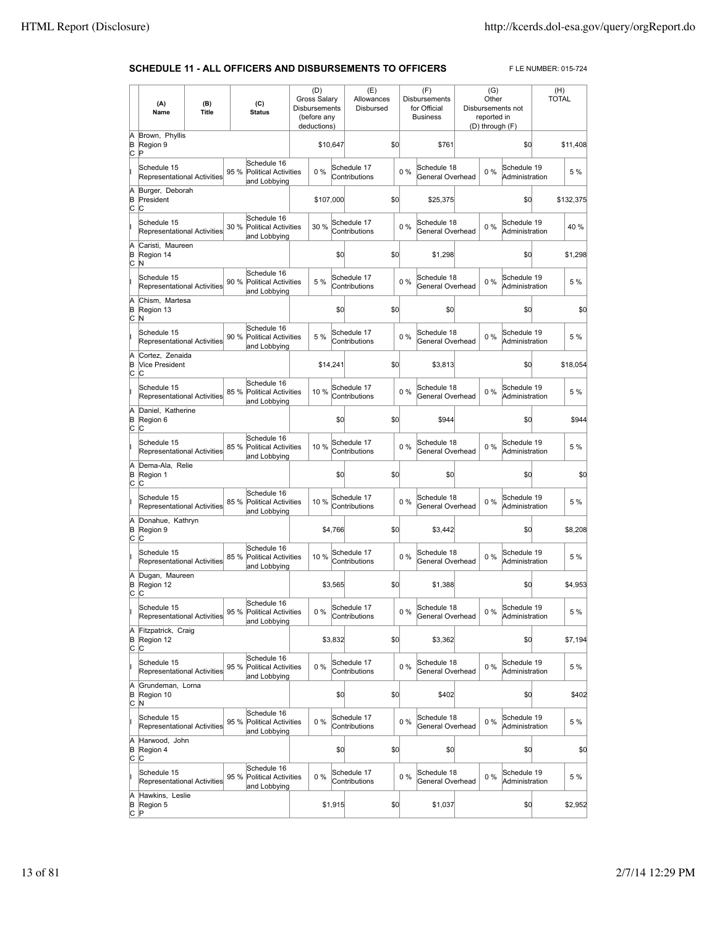#### **SCHEDULE 11 - ALL OFFICERS AND DISBURSEMENTS TO OFFICERS** FLE NUMBER: 015-724

|                          | (A)<br>Name                                             | (B)<br>Title |      | (C)<br><b>Status</b>                                       | (D)<br><b>Gross Salary</b><br>Disbursements<br>(before any<br>deductions) |         | (E)<br>Allowances<br>Disbursed |     |       | (F)<br><b>Disbursements</b><br>for Official<br><b>Business</b> | (G)<br>Other<br>reported in<br>(D) through (F) | Disbursements not             | (H)<br><b>TOTAL</b> |           |
|--------------------------|---------------------------------------------------------|--------------|------|------------------------------------------------------------|---------------------------------------------------------------------------|---------|--------------------------------|-----|-------|----------------------------------------------------------------|------------------------------------------------|-------------------------------|---------------------|-----------|
| A<br>B<br>C              | Brown, Phyllis<br>Region 9<br>Þ                         |              |      |                                                            | \$10,647                                                                  |         |                                | \$0 |       | \$761                                                          |                                                | \$0                           |                     | \$11,408  |
|                          | Schedule 15<br>Representational Activities              |              | 95 % | Schedule 16<br><b>Political Activities</b>                 | $0\%$                                                                     |         | Schedule 17<br>Contributions   |     | $0\%$ | Schedule 18<br>General Overhead                                | 0%                                             | Schedule 19<br>Administration |                     | 5 %       |
| A<br>B                   | Burger, Deborah<br>President                            |              |      | and Lobbying                                               | \$107,000                                                                 |         |                                | \$0 |       | \$25,375                                                       |                                                | \$0                           |                     | \$132,375 |
| c                        | C<br>Schedule 15<br>Representational Activities         |              | 30 % | Schedule 16<br><b>Political Activities</b>                 | 30 %                                                                      |         | Schedule 17<br>Contributions   |     | 0%    | Schedule 18<br>General Overhead                                | 0%                                             | Schedule 19<br>Administration |                     | 40 %      |
| A<br>B<br>c              | Caristi, Maureen<br>Region 14                           |              |      | and Lobbying                                               |                                                                           | \$0     |                                | \$0 |       | \$1,298                                                        |                                                | \$0                           |                     | \$1,298   |
|                          | N<br>Schedule 15<br>Representational Activities         |              | 90 % | Schedule 16<br><b>Political Activities</b>                 | 5 %                                                                       |         | Schedule 17<br>Contributions   |     | 0%    | Schedule 18<br>General Overhead                                | $0\%$                                          | Schedule 19<br>Administration |                     | 5 %       |
| A<br>B                   | Chism, Martesa<br>Region 13                             |              |      | and Lobbying                                               |                                                                           | \$0     |                                | \$0 |       | \$0                                                            |                                                | \$0                           |                     | \$0       |
| c                        | N<br>Schedule 15<br>Representational Activities         |              | 90 % | Schedule 16<br>Political Activities                        | 5 %                                                                       |         | Schedule 17<br>Contributions   |     | $0\%$ | Schedule 18<br>General Overhead                                | $0\%$                                          | Schedule 19<br>Administration |                     | 5 %       |
| A<br>B                   | Cortez. Zenaida<br>Vice President                       |              |      | and Lobbying                                               | \$14,241                                                                  |         |                                | \$0 |       | \$3,813                                                        |                                                | \$O                           |                     | \$18.054  |
| c                        | IС<br>Schedule 15<br><b>Representational Activities</b> |              | 85 % | Schedule 16<br><b>Political Activities</b>                 | 10%                                                                       |         | Schedule 17<br>Contributions   |     | $0\%$ | Schedule 18<br>General Overhead                                | $0\%$                                          | Schedule 19<br>Administration |                     | 5 %       |
| A<br>B<br>C              | Daniel, Katherine<br>Region 6                           |              |      | and Lobbying                                               |                                                                           | \$0     |                                | \$0 |       | \$944                                                          |                                                | \$0                           |                     | \$944     |
|                          | C<br>Schedule 15<br>Representational Activities         |              | 85 % | Schedule 16<br><b>Political Activities</b><br>and Lobbying | 10 %                                                                      |         | Schedule 17<br>Contributions   |     | $0\%$ | Schedule 18<br>General Overhead                                | $0\%$                                          | Schedule 19<br>Administration |                     | 5 %       |
| A<br>B<br>$\circ$        | Dema-Ala, Relie<br>Region 1<br>C                        |              |      |                                                            |                                                                           | \$0     |                                | \$0 |       | \$0                                                            |                                                | \$0                           |                     | \$0       |
|                          | Schedule 15<br>Representational Activities              |              | 85 % | Schedule 16<br>Political Activities<br>and Lobbying        | 10 %                                                                      |         | Schedule 17<br>Contributions   |     | $0\%$ | Schedule 18<br>General Overhead                                | 0%                                             | Schedule 19<br>Administration |                     | 5 %       |
| A<br>B<br>c              | Donahue, Kathryn<br>Region 9<br>IС                      |              |      |                                                            |                                                                           | \$4,766 |                                | \$0 |       | \$3,442                                                        |                                                | \$O                           |                     | \$8,208   |
|                          | Schedule 15<br>Representational Activities              |              | 85%  | Schedule 16<br>Political Activities<br>and Lobbying        | 10 %                                                                      |         | Schedule 17<br>Contributions   |     | $0\%$ | Schedule 18<br>General Overhead                                | 0%                                             | Schedule 19<br>Administration |                     | 5 %       |
| A<br>B<br>c              | Dugan, Maureen<br>Region 12<br>C                        |              |      |                                                            |                                                                           | \$3,565 |                                | \$0 |       | \$1,388                                                        |                                                | \$0                           |                     | \$4,953   |
| I                        | Schedule 15<br>Representational Activities              |              |      | Schedule 16<br>95 % Political Activities<br>and Lobbying   | $0\%$                                                                     |         | Schedule 17<br>Contributions   |     | $0\%$ | Schedule 18<br>General Overhead                                | $0\%$                                          | Schedule 19<br>Administration |                     | 5 %       |
| A<br>B<br>$\overline{c}$ | Fitzpatrick, Craig<br>Region 12<br>C                    |              |      |                                                            |                                                                           | \$3,832 |                                | \$0 |       | \$3,362                                                        |                                                | \$0                           |                     | \$7,194   |
|                          | Schedule 15<br>Representational Activities              |              | 95 % | Schedule 16<br>Political Activities<br>and Lobbying        | $0\%$                                                                     |         | Schedule 17<br>Contributions   |     | $0\%$ | Schedule 18<br>General Overhead                                | $0\%$                                          | Schedule 19<br>Administration |                     | 5 %       |
| A<br>B<br>c              | Grundeman, Lorna<br>Region 10<br>N                      |              |      |                                                            |                                                                           | \$0     |                                | \$0 |       | \$402                                                          |                                                | \$O                           |                     | \$402     |
| lı                       | Schedule 15<br>Representational Activities              |              | 95 % | Schedule 16<br>Political Activities<br>and Lobbying        | $0\%$                                                                     |         | Schedule 17<br>Contributions   |     | $0\%$ | Schedule 18<br>General Overhead                                | $0\%$                                          | Schedule 19<br>Administration |                     | 5 %       |
| A<br>B<br>C              | Harwood, John<br>Region 4<br>C                          |              |      |                                                            |                                                                           | \$0     |                                | \$0 |       | \$0                                                            |                                                | \$0                           |                     | \$0       |
|                          | Schedule 15<br>Representational Activities              |              | 95 % | Schedule 16<br>Political Activities<br>and Lobbying        | 0%                                                                        |         | Schedule 17<br>Contributions   |     | 0%    | Schedule 18<br>General Overhead                                | 0%                                             | Schedule 19<br>Administration |                     | 5 %       |
| A<br>B<br>lc.            | Hawkins, Leslie<br>Region 5<br>P                        |              |      |                                                            |                                                                           | \$1,915 |                                | \$0 |       | \$1,037                                                        |                                                | \$0                           |                     | \$2,952   |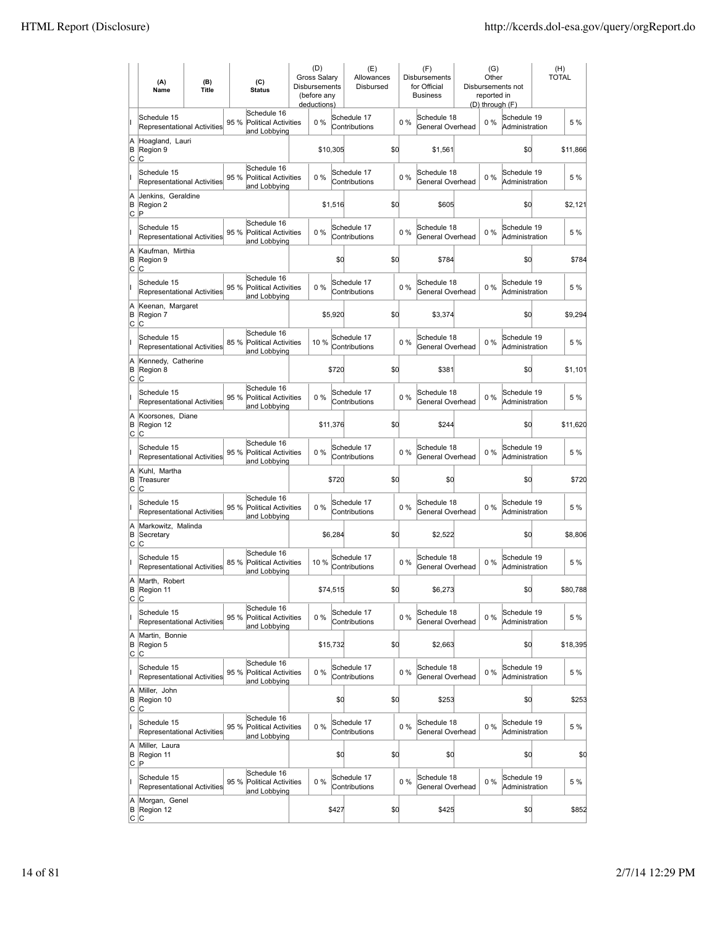|               | (A)<br>Name                                       | (B)<br><b>Title</b> |      | (C)<br><b>Status</b>                                       | (D)<br>Gross Salary<br><b>Disbursements</b><br>(before any<br>deductions) |          | (E)<br>Allowances<br>Disbursed |     |       | (F)<br><b>Disbursements</b><br>for Official<br><b>Business</b> | (G)<br>Other<br>reported in<br>(D) through (F) | Disbursements not             | (H)<br><b>TOTAL</b> |
|---------------|---------------------------------------------------|---------------------|------|------------------------------------------------------------|---------------------------------------------------------------------------|----------|--------------------------------|-----|-------|----------------------------------------------------------------|------------------------------------------------|-------------------------------|---------------------|
| II            | Schedule 15<br>Representational Activities        |                     | 95 % | Schedule 16<br><b>Political Activities</b><br>and Lobbying | 0%                                                                        |          | Schedule 17<br>Contributions   |     | 0%    | Schedule 18<br>General Overhead                                | $0\%$                                          | Schedule 19<br>Administration | 5 %                 |
| A<br>B<br>C   | Hoagland, Lauri<br>Region 9<br>C                  |                     |      |                                                            |                                                                           | \$10,305 |                                | \$0 |       | \$1,561                                                        |                                                | \$0                           | \$11,866            |
| II            | Schedule 15<br>Representational Activities        |                     | 95 % | Schedule 16<br><b>Political Activities</b><br>and Lobbying | 0%                                                                        |          | Schedule 17<br>Contributions   |     | 0%    | Schedule 18<br>General Overhead                                | $0\%$                                          | Schedule 19<br>Administration | 5 %                 |
| A<br>B<br>C   | Jenkins, Geraldine<br>Region 2<br>ΙP              |                     |      |                                                            |                                                                           | \$1,516  |                                | \$0 |       | \$605                                                          |                                                | \$0                           | \$2,121             |
| ı             | Schedule 15<br><b>Representational Activities</b> |                     | 95 % | Schedule 16<br><b>Political Activities</b><br>and Lobbying | $0\%$                                                                     |          | Schedule 17<br>Contributions   |     | 0%    | Schedule 18<br>General Overhead                                | $0\%$                                          | Schedule 19<br>Administration | 5 %                 |
| A<br>B<br>lc. | Kaufman, Mirthia<br>Region 9<br>C                 |                     |      |                                                            |                                                                           | \$O      |                                | \$d |       | \$784                                                          |                                                | \$0                           | \$784               |
| II            | Schedule 15<br><b>Representational Activities</b> |                     | 95 % | Schedule 16<br><b>Political Activities</b><br>and Lobbying | 0%                                                                        |          | Schedule 17<br>Contributions   |     | 0%    | Schedule 18<br>General Overhead                                | $0\%$                                          | Schedule 19<br>Administration | 5 %                 |
| A<br>B<br>C   | Keenan, Margaret<br>Region 7<br>С                 |                     |      |                                                            |                                                                           | \$5,920  |                                | \$0 |       | \$3,374                                                        |                                                | \$0                           | \$9,294             |
| lı.           | Schedule 15<br>Representational Activities        |                     | 85 % | Schedule 16<br><b>Political Activities</b><br>and Lobbying | 10%                                                                       |          | Schedule 17<br>Contributions   |     | 0%    | Schedule 18<br>General Overhead                                | $0\%$                                          | Schedule 19<br>Administration | 5 %                 |
| A<br>B<br>C   | Kennedy, Catherine<br>Region 8<br>Iс              |                     |      |                                                            |                                                                           | \$720    |                                | \$d |       | \$381                                                          |                                                | \$d                           | \$1,101             |
| lı.           | Schedule 15<br><b>Representational Activities</b> |                     | 95 % | Schedule 16<br><b>Political Activities</b><br>and Lobbying | 0%                                                                        |          | Schedule 17<br>Contributions   |     | $0\%$ | Schedule 18<br>General Overhead                                | $0\%$                                          | Schedule 19<br>Administration | 5 %                 |
| A<br>B<br>lc. | Koorsones, Diane<br>Region 12<br>lC.              |                     |      |                                                            |                                                                           | \$11,376 |                                | \$d |       | \$244                                                          |                                                | \$d                           | \$11,620            |
| lı.           | Schedule 15<br>Representational Activities        |                     | 95 % | Schedule 16<br><b>Political Activities</b><br>and Lobbying | 0%                                                                        |          | Schedule 17<br>Contributions   |     | $0\%$ | Schedule 18<br>General Overhead                                | $0\%$                                          | Schedule 19<br>Administration | 5 %                 |
| A<br>B<br>C   | Kuhl, Martha<br>Treasurer<br>C                    |                     |      |                                                            |                                                                           | \$720    |                                | \$d |       | \$0                                                            |                                                | \$d                           | \$720               |
| lı.           | Schedule 15<br>Representational Activities        |                     | 95 % | Schedule 16<br><b>Political Activities</b><br>and Lobbying | 0%                                                                        |          | Schedule 17<br>Contributions   |     | $0\%$ | Schedule 18<br>General Overhead                                | 0%                                             | Schedule 19<br>Administration | 5 %                 |
| A<br>B<br>C   | Markowitz, Malinda<br>Secretary<br>C              |                     |      |                                                            |                                                                           | \$6,284  |                                | \$d |       | \$2,522                                                        |                                                | \$d                           | \$8,806             |
|               | Schedule 15<br>Representational Activities        |                     | 85 % | Schedule 16<br>Political Activities<br>and Lobbying        | 10 %                                                                      |          | Schedule 17<br>Contributions   |     | $0\%$ | Schedule 18<br>General Overhead                                | 0%                                             | Schedule 19<br>Administration | 5 %                 |
| A             | Marth, Robert<br>B Region 11<br> C C              |                     |      |                                                            |                                                                           | \$74,515 |                                | \$Q |       | \$6,273                                                        |                                                | \$0                           | \$80,788            |
| lı.           | Schedule 15<br><b>Representational Activities</b> |                     | 95 % | Schedule 16<br>Political Activities<br>and Lobbying        | $0\%$                                                                     |          | Schedule 17<br>Contributions   |     | $0\%$ | Schedule 18<br>General Overhead                                | 0%                                             | Schedule 19<br>Administration | 5 %                 |
| A<br>B<br>C   | Martin, Bonnie<br>Region 5<br>C                   |                     |      |                                                            |                                                                           | \$15,732 |                                | \$0 |       | \$2,663                                                        |                                                | \$d                           | \$18,395            |
| lı.           | Schedule 15<br><b>Representational Activities</b> |                     | 95 % | Schedule 16<br><b>Political Activities</b><br>and Lobbying | 0%                                                                        |          | Schedule 17<br>Contributions   |     | 0%    | Schedule 18<br>General Overhead                                | 0%                                             | Schedule 19<br>Administration | 5 %                 |
| A<br>B<br>C   | Miller, John<br>Region 10<br>lc.                  |                     |      |                                                            |                                                                           | \$d      |                                | \$d |       | \$253                                                          |                                                | \$0                           | \$253               |
| lı.           | Schedule 15<br><b>Representational Activities</b> |                     | 95 % | Schedule 16<br>Political Activities<br>and Lobbying        | 0%                                                                        |          | Schedule 17<br>Contributions   |     | $0\%$ | Schedule 18<br>General Overhead                                | 0%                                             | Schedule 19<br>Administration | 5 %                 |
| A<br>B<br>Iс  | Miller, Laura<br>Region 11<br>$\mathsf P$         |                     |      |                                                            |                                                                           | \$d      |                                | \$d |       | \$0                                                            |                                                | \$d                           | \$0                 |
| lL.           | Schedule 15<br>Representational Activities        |                     | 95 % | Schedule 16<br>Political Activities<br>and Lobbying        | $0\%$                                                                     |          | Schedule 17<br>Contributions   |     | 0%    | Schedule 18<br>General Overhead                                | 0%                                             | Schedule 19<br>Administration | 5 %                 |
| A<br>В        | Morgan, Genel<br>Region 12<br> C C                |                     |      |                                                            |                                                                           | \$427    |                                | \$d |       | \$425                                                          |                                                | \$0                           | \$852               |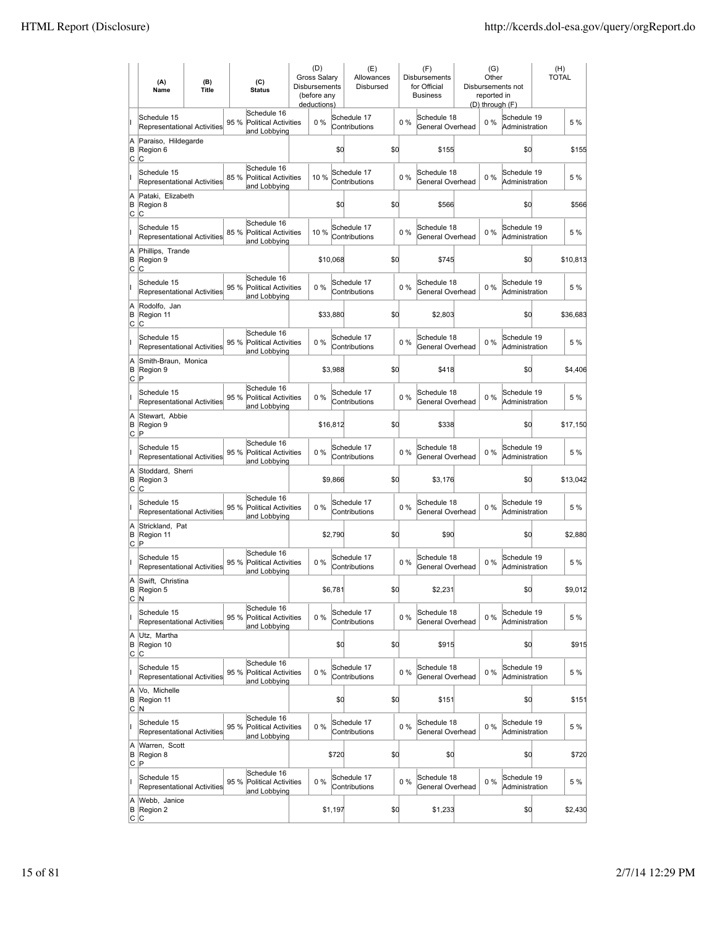|                     | (A)<br>Name                                       | (B)<br><b>Title</b> |      | (C)<br><b>Status</b>                                       | (D)<br><b>Gross Salary</b><br><b>Disbursements</b><br>(before any<br>deductions) |          |         | (E)<br>Allowances<br><b>Disbursed</b> |     |       | (F)<br>Disbursements<br>for Official<br><b>Business</b> | (G)<br>Other<br>reported in<br>(D) through (F) | Disbursements not             | (H)<br><b>TOTAL</b> |
|---------------------|---------------------------------------------------|---------------------|------|------------------------------------------------------------|----------------------------------------------------------------------------------|----------|---------|---------------------------------------|-----|-------|---------------------------------------------------------|------------------------------------------------|-------------------------------|---------------------|
| lı.                 | Schedule 15<br><b>Representational Activities</b> |                     | 95 % | Schedule 16<br><b>Political Activities</b><br>and Lobbying |                                                                                  | 0%       |         | Schedule 17<br>Contributions          |     | 0%    | Schedule 18<br>General Overhead                         | $0\%$                                          | Schedule 19<br>Administration | 5 %                 |
| A<br>B<br>C         | Paraiso, Hildegarde<br>Region 6<br>lC.            |                     |      |                                                            |                                                                                  |          | \$0     |                                       | \$d |       | \$155                                                   |                                                | \$0                           | \$155               |
| II                  | Schedule 15<br>Representational Activities        |                     | 85%  | Schedule 16<br><b>Political Activities</b><br>and Lobbying |                                                                                  | 10 %     |         | Schedule 17<br>Contributions          |     | 0%    | Schedule 18<br>General Overhead                         | $0\%$                                          | Schedule 19<br>Administration | 5 %                 |
| A<br>B<br>lc.       | Pataki, Elizabeth<br>Region 8<br>IС               |                     |      |                                                            |                                                                                  |          | \$0     |                                       | \$d |       | \$566                                                   |                                                | \$d                           | \$566               |
| II                  | Schedule 15<br>Representational Activities        |                     | 85 % | Schedule 16<br><b>Political Activities</b><br>and Lobbying |                                                                                  | 10 %     |         | Schedule 17<br>Contributions          |     | $0\%$ | Schedule 18<br>General Overhead                         | $0\%$                                          | Schedule 19<br>Administration | 5 %                 |
| A<br>B<br>lc.       | Phillips, Trande<br>Region 9<br>C                 |                     |      |                                                            |                                                                                  | \$10,068 |         |                                       | \$d |       | \$745                                                   |                                                | \$d                           | \$10,813            |
| ı                   | Schedule 15<br><b>Representational Activities</b> |                     | 95 % | Schedule 16<br><b>Political Activities</b><br>and Lobbying |                                                                                  | 0%       |         | Schedule 17<br>Contributions          |     | 0%    | Schedule 18<br>General Overhead                         | $0\%$                                          | Schedule 19<br>Administration | 5 %                 |
| A<br>B<br>C         | Rodolfo, Jan<br>Region 11<br>C                    |                     |      |                                                            |                                                                                  | \$33,880 |         |                                       | \$d |       | \$2,803                                                 |                                                | \$d                           | \$36,683            |
| lı.                 | Schedule 15<br>Representational Activities        |                     | 95 % | Schedule 16<br><b>Political Activities</b><br>and Lobbying |                                                                                  | 0%       |         | Schedule 17<br>Contributions          |     | $0\%$ | Schedule 18<br>General Overhead                         | 0%                                             | Schedule 19<br>Administration | 5 %                 |
| A<br>B<br>lc.       | Smith-Braun, Monica<br>Region 9<br> P             |                     |      |                                                            |                                                                                  |          | \$3,988 |                                       | \$d |       | \$418                                                   |                                                | \$d                           | \$4,406             |
| lı.                 | Schedule 15<br>Representational Activities        |                     | 95 % | Schedule 16<br><b>Political Activities</b><br>and Lobbying |                                                                                  | 0%       |         | Schedule 17<br>Contributions          |     | $0\%$ | Schedule 18<br>General Overhead                         | $0\%$                                          | Schedule 19<br>Administration | 5 %                 |
| A<br>B<br>lc.       | Stewart, Abbie<br>Region 9<br>P                   |                     |      |                                                            |                                                                                  | \$16,812 |         |                                       | \$d |       | \$338                                                   |                                                | \$d                           | \$17,150            |
| lı.                 | Schedule 15<br><b>Representational Activities</b> |                     | 95 % | Schedule 16<br><b>Political Activities</b><br>and Lobbying |                                                                                  | 0%       |         | Schedule 17<br>Contributions          |     | $0\%$ | Schedule 18<br>General Overhead                         | $0\%$                                          | Schedule 19<br>Administration | 5 %                 |
| A<br>B<br>C         | Stoddard, Sherri<br>Region 3<br>lC.               |                     |      |                                                            |                                                                                  |          | \$9,866 |                                       | \$d |       | \$3,176                                                 |                                                | \$d                           | \$13,042            |
| II                  | Schedule 15<br><b>Representational Activities</b> |                     | 95 % | Schedule 16<br><b>Political Activities</b><br>and Lobbying |                                                                                  | 0%       |         | Schedule 17<br>Contributions          |     | $0\%$ | Schedule 18<br>General Overhead                         | $0\%$                                          | Schedule 19<br>Administration | 5 %                 |
| A<br>B<br>lc.       | Strickland, Pat<br>Region 11<br>ΙP                |                     |      |                                                            |                                                                                  |          | \$2,790 |                                       | \$d |       | \$90                                                    |                                                | \$d                           | \$2,880             |
| lı.                 | Schedule 15<br><b>Representational Activities</b> |                     | 95 % | Schedule 16<br>Political Activities<br>and Lobbying        |                                                                                  | $0\%$    |         | Schedule 17<br>Contributions          |     | $0\%$ | Schedule 18<br>General Overhead                         | $0\%$                                          | Schedule 19<br>Administration | 5 %                 |
| A<br>C              | Swift, Christina<br>B Region 5<br>N.              |                     |      |                                                            |                                                                                  |          | \$6,781 |                                       | \$d |       | \$2,231                                                 |                                                | \$d                           | \$9,012             |
| lı.                 | Schedule 15<br>Representational Activities        |                     | 95 % | Schedule 16<br><b>Political Activities</b><br>and Lobbying |                                                                                  | $0\%$    |         | Schedule 17<br>Contributions          |     | $0\%$ | Schedule 18<br>General Overhead                         | $0\%$                                          | Schedule 19<br>Administration | 5 %                 |
| A<br>B<br><u>lc</u> | Utz, Martha<br>Region 10<br> C                    |                     |      |                                                            |                                                                                  |          | \$0     |                                       | \$d |       | \$915                                                   |                                                | \$d                           | \$915               |
| lı.                 | Schedule 15<br><b>Representational Activities</b> |                     | 95 % | Schedule 16<br>Political Activities<br>and Lobbying        |                                                                                  | $0\%$    |         | Schedule 17<br>Contributions          |     | $0\%$ | Schedule 18<br>General Overhead                         | $0\%$                                          | Schedule 19<br>Administration | 5 %                 |
| A<br>B<br>lc.       | Vo, Michelle<br>Region 11<br>N                    |                     |      |                                                            |                                                                                  |          | \$0     |                                       | \$d |       | \$151                                                   |                                                | \$0                           | \$151               |
| lı.                 | Schedule 15<br><b>Representational Activities</b> |                     | 95 % | Schedule 16<br>Political Activities<br>and Lobbying        |                                                                                  | 0%       |         | Schedule 17<br>Contributions          |     | 0%    | Schedule 18<br>General Overhead                         | 0%                                             | Schedule 19<br>Administration | 5 %                 |
| A<br>B<br>C         | Warren, Scott<br>Region 8<br>P                    |                     |      |                                                            |                                                                                  |          | \$720   |                                       | \$d |       | \$d                                                     |                                                | \$d                           | \$720               |
| lı.                 | Schedule 15<br><b>Representational Activities</b> |                     | 95 % | Schedule 16<br>Political Activities<br>and Lobbying        |                                                                                  | 0%       |         | Schedule 17<br>Contributions          |     | 0%    | Schedule 18<br>General Overhead                         | $0\%$                                          | Schedule 19<br>Administration | 5 %                 |
| A<br>B<br> C C      | Webb, Janice<br>Region 2                          |                     |      |                                                            |                                                                                  |          | \$1,197 |                                       | \$q |       | \$1,233                                                 |                                                | \$0                           | \$2,430             |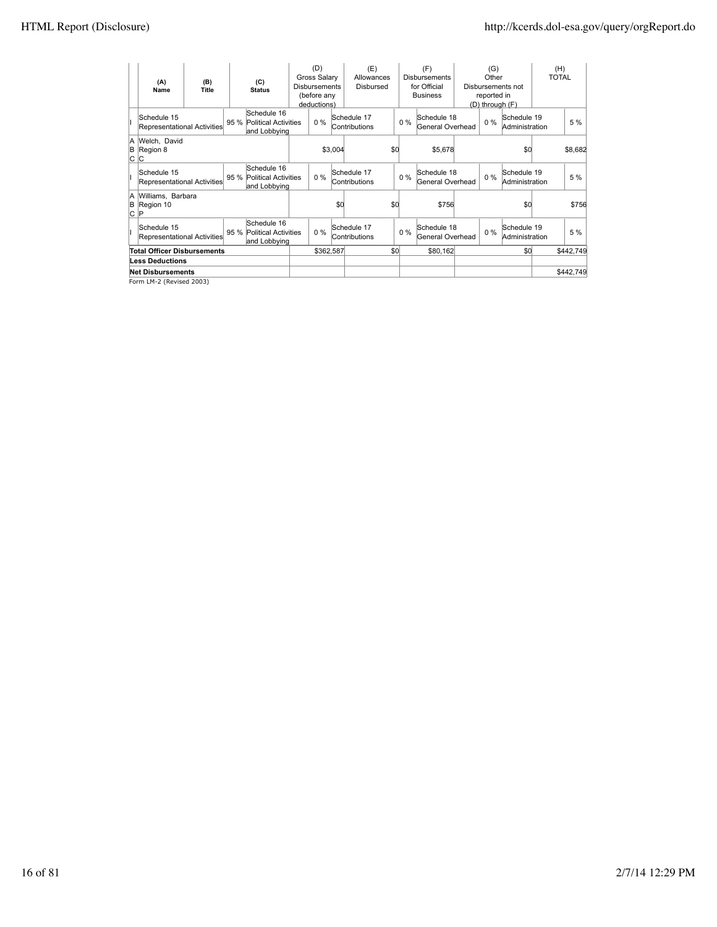| (A)<br>Name                                 | (B)<br><b>Title</b>      | (C)<br><b>Status</b>                                     |  | (D)<br><b>Gross Salary</b><br><b>Disbursements</b><br>(before any<br>deductions) |         | (E)<br>Allowances<br>Disbursed |     | (F)<br><b>Disbursements</b><br>for Official<br><b>Business</b> |                                 | (G)<br>Other<br>reported in<br>(D) through (F) | Disbursements not             | (H)<br><b>TOTAL</b> |           |
|---------------------------------------------|--------------------------|----------------------------------------------------------|--|----------------------------------------------------------------------------------|---------|--------------------------------|-----|----------------------------------------------------------------|---------------------------------|------------------------------------------------|-------------------------------|---------------------|-----------|
| Schedule 15<br>Representational Activities  |                          | Schedule 16<br>95 % Political Activities<br>and Lobbying |  | $0\%$                                                                            |         | Schedule 17<br>Contributions   |     | $0\%$                                                          | Schedule 18<br>General Overhead | $0\%$                                          | Schedule 19<br>Administration |                     | 5 %       |
| A Welch, David<br>B Region 8<br> C C        |                          |                                                          |  |                                                                                  | \$3,004 |                                | \$0 |                                                                | \$5,678                         |                                                | \$0                           |                     | \$8,682   |
| Schedule 15<br>Representational Activities  |                          | Schedule 16<br>95 % Political Activities<br>and Lobbying |  | $0\%$                                                                            |         | Schedule 17<br>Contributions   |     | $0\%$                                                          | Schedule 18<br>General Overhead | $0\%$                                          | Schedule 19<br>Administration |                     | 5 %       |
| A Williams, Barbara<br>B Region 10<br>∣C ∣P |                          |                                                          |  |                                                                                  | \$0     |                                | \$0 |                                                                | \$756                           |                                                | \$0                           |                     | \$756     |
| Schedule 15<br>Representational Activities  |                          | Schedule 16<br>95 % Political Activities<br>and Lobbying |  | 0%                                                                               |         | Schedule 17<br>Contributions   |     | $0\%$                                                          | Schedule 18<br>General Overhead | $0\%$                                          | Schedule 19<br>Administration |                     | 5 %       |
| <b>Total Officer Disbursements</b>          |                          |                                                          |  | \$362,587                                                                        |         |                                | \$0 |                                                                | \$80,162                        |                                                | \$0                           |                     | \$442.749 |
| <b>Less Deductions</b>                      |                          |                                                          |  |                                                                                  |         |                                |     |                                                                |                                 |                                                |                               |                     |           |
|                                             | <b>Net Disbursements</b> |                                                          |  |                                                                                  |         |                                |     |                                                                |                                 |                                                |                               |                     | \$442.749 |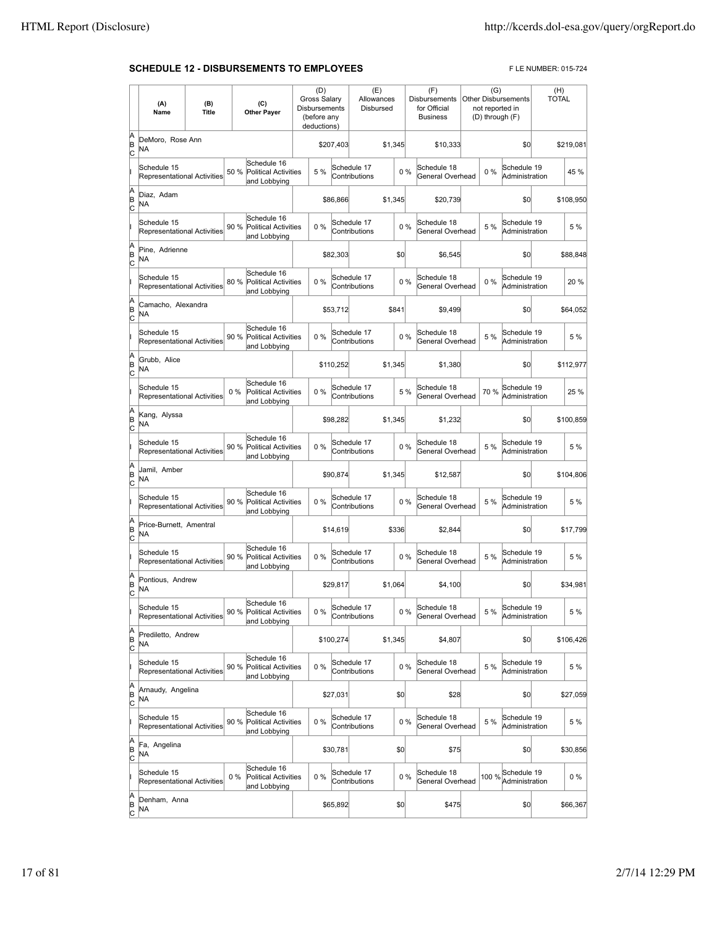#### **SCHEDULE 12 - DISBURSEMENTS TO EMPLOYEES** FLE NUMBER: 015-724

|                          | (A)<br>Name                                       | (B)<br><b>Title</b> | (C)<br><b>Other Payer</b>                                           | (D)<br>Gross Salarv<br>Disbursements<br>(before any<br>deductions) |           | (E)<br>Allowances<br>Disbursed |         |       | (F)<br><b>Disbursements</b><br>for Official<br><b>Business</b> | (G)   | <b>Other Disbursements</b><br>not reported in<br>(D) through (F) | (H)<br><b>TOTAL</b> |           |
|--------------------------|---------------------------------------------------|---------------------|---------------------------------------------------------------------|--------------------------------------------------------------------|-----------|--------------------------------|---------|-------|----------------------------------------------------------------|-------|------------------------------------------------------------------|---------------------|-----------|
| A<br>B<br>c              | DeMoro, Rose Ann<br>ΝA                            |                     |                                                                     |                                                                    | \$207,403 |                                | \$1,345 |       | \$10.333                                                       |       | \$0                                                              |                     | \$219.081 |
|                          | Schedule 15<br>Representational Activities        |                     | Schedule 16<br>50 %<br><b>Political Activities</b><br>and Lobbying  | 5 %                                                                |           | Schedule 17<br>Contributions   |         | 0%    | Schedule 18<br>General Overhead                                | $0\%$ | Schedule 19<br>Administration                                    |                     | 45 %      |
| A<br>B<br>C              | Diaz, Adam<br>NA                                  |                     |                                                                     |                                                                    | \$86,866  |                                | \$1,345 |       | \$20,739                                                       |       | \$0                                                              |                     | \$108,950 |
|                          | Schedule 15<br><b>Representational Activities</b> |                     | Schedule 16<br>90 %<br><b>Political Activities</b><br>and Lobbying  | $0\%$                                                              |           | Schedule 17<br>Contributions   |         | 0%    | Schedule 18<br>General Overhead                                | 5 %   | Schedule 19<br>Administration                                    |                     | 5 %       |
| A<br>B<br>C              | Pine, Adrienne<br><b>NA</b>                       |                     |                                                                     |                                                                    | \$82,303  |                                | \$0     |       | \$6,545                                                        |       | \$0                                                              |                     | \$88,848  |
|                          | Schedule 15<br>Representational Activities        |                     | Schedule 16<br>80%<br><b>Political Activities</b><br>and Lobbying   | 0%                                                                 |           | Schedule 17<br>Contributions   |         | 0%    | Schedule 18<br>General Overhead                                | 0%    | Schedule 19<br>Administration                                    |                     | 20%       |
| A<br>B<br>c              | Camacho, Alexandra<br>ΝA                          |                     |                                                                     |                                                                    | \$53,712  |                                | \$841   |       | \$9,499                                                        |       | \$0                                                              |                     | \$64,052  |
|                          | Schedule 15<br><b>Representational Activities</b> |                     | Schedule 16<br>90 %<br><b>Political Activities</b><br>and Lobbying  | 0%                                                                 |           | Schedule 17<br>Contributions   |         | 0%    | Schedule 18<br>General Overhead                                | 5 %   | Schedule 19<br>Administration                                    |                     | 5 %       |
| A<br>B<br>C              | Grubb, Alice<br>NA                                |                     |                                                                     |                                                                    | \$110,252 |                                | \$1,345 |       | \$1,380                                                        |       | \$0                                                              |                     | \$112,977 |
|                          | Schedule 15<br><b>Representational Activities</b> |                     | Schedule 16<br>$0\%$<br><b>Political Activities</b><br>and Lobbying | 0%                                                                 |           | Schedule 17<br>Contributions   |         | 5 %   | Schedule 18<br>General Overhead                                | 70 %  | Schedule 19<br>Administration                                    |                     | 25 %      |
| A<br>B<br>C              | Kang, Alyssa<br>NA                                |                     |                                                                     |                                                                    | \$98,282  |                                | \$1,345 |       | \$1,232                                                        |       | \$0                                                              |                     | \$100,859 |
|                          | Schedule 15<br>Representational Activities        |                     | Schedule 16<br>90 %<br>Political Activities<br>and Lobbying         | 0%                                                                 |           | Schedule 17<br>Contributions   |         | 0%    | Schedule 18<br>General Overhead                                | 5 %   | Schedule 19<br>Administration                                    |                     | 5 %       |
| A<br>B<br>c              | Jamil, Amber<br>NA                                |                     |                                                                     |                                                                    | \$90,874  |                                | \$1,345 |       | \$12,587                                                       |       | \$0                                                              |                     | \$104,806 |
|                          | Schedule 15<br>Representational Activities        |                     | Schedule 16<br>Political Activities<br>90 %<br>and Lobbying         | 0%                                                                 |           | Schedule 17<br>Contributions   |         | 0%    | Schedule 18<br>General Overhead                                | 5 %   | Schedule 19<br>Administration                                    |                     | 5 %       |
| A<br>B<br>C              | Price-Burnett, Amentral<br>NA                     |                     |                                                                     |                                                                    | \$14,619  |                                | \$336   |       | \$2,844                                                        |       | \$0                                                              |                     | \$17,799  |
|                          | Schedule 15<br><b>Representational Activities</b> |                     | Schedule 16<br>90 %<br><b>Political Activities</b><br>and Lobbying  | $0\%$                                                              |           | Schedule 17<br>Contributions   |         | 0%    | Schedule 18<br>General Overhead                                | 5 %   | Schedule 19<br>Administration                                    |                     | 5 %       |
| A<br>B<br>C              | Pontious, Andrew<br><b>NA</b>                     |                     |                                                                     |                                                                    | \$29,817  |                                | \$1,064 |       | \$4,100                                                        |       | \$0                                                              |                     | \$34.981  |
|                          | Schedule 15<br>Representational Activities        |                     | Schedule 16<br>90 % Political Activities<br>and Lobbying            | $0\%$                                                              |           | Schedule 17<br>Contributions   |         | $0\%$ | Schedule 18<br>General Overhead                                | 5 %   | Schedule 19<br>Administration                                    |                     | 5 %       |
| A<br>B<br>$\overline{c}$ | Prediletto, Andrew<br>NA                          |                     |                                                                     |                                                                    | \$100,274 |                                | \$1,345 |       | \$4,807                                                        |       | \$0                                                              |                     | \$106,426 |
|                          | Schedule 15<br>Representational Activities        |                     | Schedule 16<br><b>Political Activities</b><br>90 %<br>and Lobbying  | 0%                                                                 |           | Schedule 17<br>Contributions   |         | 0%    | Schedule 18<br>General Overhead                                | 5 %   | Schedule 19<br>Administration                                    |                     | 5 %       |
| A<br>B<br>C              | Arnaudy, Angelina<br>NA                           |                     |                                                                     |                                                                    | \$27,031  |                                | \$0     |       | \$28                                                           |       | \$0                                                              |                     | \$27,059  |
|                          | Schedule 15<br>Representational Activities        |                     | Schedule 16<br>90 %<br><b>Political Activities</b><br>and Lobbying  | 0%                                                                 |           | Schedule 17<br>Contributions   |         | $0\%$ | Schedule 18<br>General Overhead                                | 5 %   | Schedule 19<br>Administration                                    |                     | 5 %       |
| A<br>B<br>C              | Fa, Angelina<br>NA                                |                     |                                                                     |                                                                    | \$30,781  |                                | \$0     |       | \$75                                                           |       | \$0                                                              |                     | \$30,856  |
|                          | Schedule 15<br>Representational Activities        |                     | Schedule 16<br>$0\%$<br><b>Political Activities</b><br>and Lobbying | 0%                                                                 |           | Schedule 17<br>Contributions   |         | 0%    | Schedule 18<br>General Overhead                                | 100 % | Schedule 19<br>Administration                                    |                     | $0\%$     |
| A<br>B<br>C              | Denham, Anna<br>NA                                |                     |                                                                     |                                                                    | \$65,892  |                                | \$0     |       | \$475                                                          |       | \$0                                                              |                     | \$66,367  |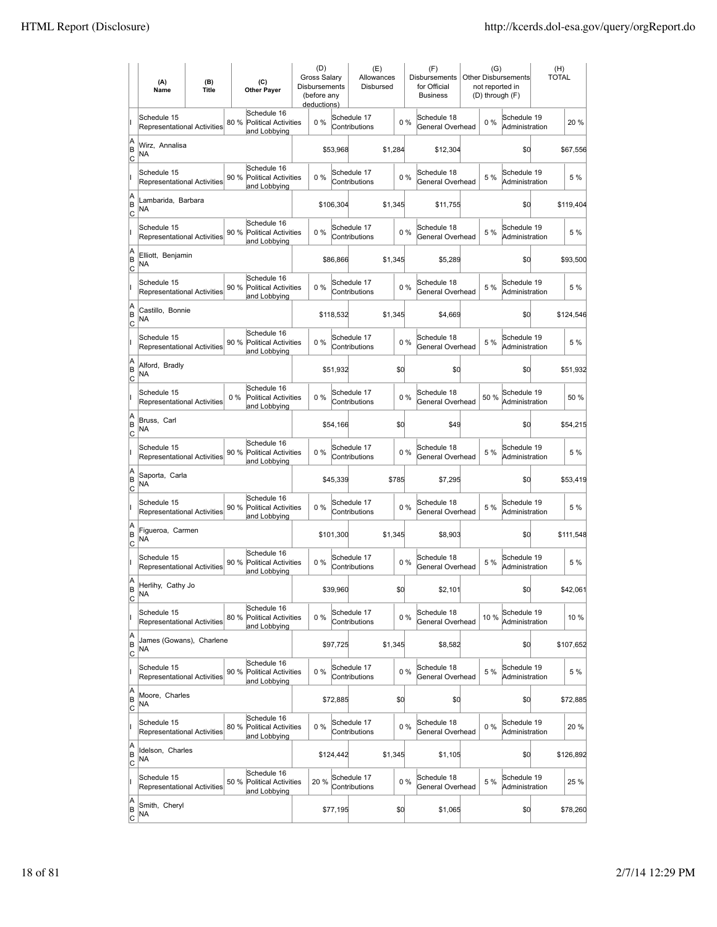|                           | (A)<br>Name                                       | (B)<br><b>Title</b> | (C)<br><b>Other Payer</b>                                           | (D)<br><b>Gross Salarv</b><br><b>Disbursements</b><br>(before any<br>deductions) |           | (E)<br>Allowances<br>Disbursed |         |       | (F)<br><b>Disbursements</b><br>for Official<br><b>Business</b> | (G)   | <b>Other Disbursements</b><br>not reported in<br>(D) through (F) | (H)<br><b>TOTAL</b> |
|---------------------------|---------------------------------------------------|---------------------|---------------------------------------------------------------------|----------------------------------------------------------------------------------|-----------|--------------------------------|---------|-------|----------------------------------------------------------------|-------|------------------------------------------------------------------|---------------------|
|                           | Schedule 15<br><b>Representational Activities</b> |                     | Schedule 16<br>80%<br><b>Political Activities</b><br>and Lobbying   | 0%                                                                               |           | Schedule 17<br>Contributions   |         | 0%    | Schedule 18<br>General Overhead                                | 0%    | Schedule 19<br>Administration                                    | 20%                 |
| A<br>B<br> c              | Wirz, Annalisa<br>ΝA                              |                     |                                                                     |                                                                                  | \$53,968  |                                | \$1,284 |       | \$12,304                                                       |       | \$0                                                              | \$67,556            |
|                           | Schedule 15<br>Representational Activities        |                     | Schedule 16<br>90 %<br><b>Political Activities</b><br>and Lobbying  | 0%                                                                               |           | Schedule 17<br>Contributions   |         | 0%    | Schedule 18<br>General Overhead                                | 5 %   | Schedule 19<br>Administration                                    | 5 %                 |
| A<br>B<br>C               | Lambarida, Barbara<br>ΝA                          |                     |                                                                     |                                                                                  | \$106,304 |                                | \$1,345 |       | \$11,755                                                       |       | \$0                                                              | \$119,404           |
|                           | Schedule 15<br>Representational Activities        |                     | Schedule 16<br>90 %<br><b>Political Activities</b><br>and Lobbying  | 0%                                                                               |           | Schedule 17<br>Contributions   |         | 0%    | Schedule 18<br>General Overhead                                | 5 %   | Schedule 19<br>Administration                                    | 5 %                 |
| A<br>B<br> c              | Elliott, Benjamin<br>NA                           |                     |                                                                     |                                                                                  | \$86,866  |                                | \$1,345 |       | \$5,289                                                        |       | \$0                                                              | \$93,500            |
|                           | Schedule 15<br><b>Representational Activities</b> |                     | Schedule 16<br>90%<br><b>Political Activities</b><br>and Lobbying   | $0\%$                                                                            |           | Schedule 17<br>Contributions   |         | 0%    | Schedule 18<br>General Overhead                                | 5 %   | Schedule 19<br>Administration                                    | 5 %                 |
| A<br>B<br> c              | Castillo, Bonnie<br>NA                            |                     |                                                                     |                                                                                  | \$118,532 |                                | \$1,345 |       | \$4,669                                                        |       | \$0                                                              | \$124,546           |
|                           | Schedule 15<br><b>Representational Activities</b> |                     | Schedule 16<br>90 %<br><b>Political Activities</b><br>and Lobbying  | 0%                                                                               |           | Schedule 17<br>Contributions   |         | 0%    | Schedule 18<br>General Overhead                                | 5 %   | Schedule 19<br>Administration                                    | 5 %                 |
| A<br>B<br>C               | Alford, Bradly<br>NA                              |                     |                                                                     |                                                                                  | \$51,932  |                                | \$0     |       | \$0                                                            |       | \$0                                                              | \$51,932            |
|                           | Schedule 15<br>Representational Activities        |                     | Schedule 16<br>$0\%$<br><b>Political Activities</b><br>and Lobbying | 0%                                                                               |           | Schedule 17<br>Contributions   |         | 0%    | Schedule 18<br>General Overhead                                | 50%   | Schedule 19<br>Administration                                    | 50 %                |
| A<br>B<br>C               | Bruss, Carl<br>NA                                 |                     |                                                                     |                                                                                  | \$54,166  |                                | \$0     |       | \$49                                                           |       | \$0                                                              | \$54,215            |
|                           | Schedule 15<br><b>Representational Activities</b> |                     | Schedule 16<br>90%<br><b>Political Activities</b><br>and Lobbying   | $0\%$                                                                            |           | Schedule 17<br>Contributions   |         | $0\%$ | Schedule 18<br>General Overhead                                | 5 %   | Schedule 19<br>Administration                                    | 5 %                 |
| A<br>B<br> c              | Saporta, Carla<br>NA                              |                     |                                                                     |                                                                                  | \$45,339  |                                | \$785   |       | \$7,295                                                        |       | \$d                                                              | \$53,419            |
|                           | Schedule 15<br>Representational Activities        |                     | Schedule 16<br>90 %<br><b>Political Activities</b><br>and Lobbying  | 0%                                                                               |           | Schedule 17<br>Contributions   |         | 0%    | Schedule 18<br>General Overhead                                | 5 %   | Schedule 19<br>Administration                                    | 5 %                 |
| A<br>B<br>C               | Figueroa, Carmen<br>ΝA                            |                     |                                                                     |                                                                                  | \$101,300 |                                | \$1,345 |       | \$8,903                                                        |       | \$0                                                              | \$111,548           |
|                           | Schedule 15<br>Representational Activities        |                     | Schedule 16<br>90%<br>Political Activities<br>and Lobbying          | 0%                                                                               |           | Schedule 17<br>Contributions   |         | 0%    | Schedule 18<br>General Overhead                                | 5 %   | Schedule 19<br>Administration                                    | 5 %                 |
| A<br>B<br>$\overline{c}$  | Herlihy, Cathy Jo<br>NA                           |                     |                                                                     |                                                                                  | \$39,960  |                                | \$d     |       | \$2,101                                                        |       | \$0                                                              | \$42,061            |
|                           | Schedule 15<br>Representational Activities        |                     | Schedule 16<br>80%<br>Political Activities<br>and Lobbying          | 0%                                                                               |           | Schedule 17<br>Contributions   |         | 0%    | Schedule 18<br>General Overhead                                | 10 %  | Schedule 19<br>Administration                                    | 10 %                |
| A<br>B<br><u>lc</u>       | James (Gowans), Charlene<br>NA                    |                     |                                                                     |                                                                                  | \$97,725  |                                | \$1,345 |       | \$8,582                                                        |       | \$d                                                              | \$107,652           |
|                           | Schedule 15<br>Representational Activities        |                     | Schedule 16<br>90 %<br><b>Political Activities</b><br>and Lobbying  | 0%                                                                               |           | Schedule 17<br>Contributions   |         | 0%    | Schedule 18<br>General Overhead                                | 5 %   | Schedule 19<br>Administration                                    | 5 %                 |
| A<br>B<br>$\mathsf{C}$    | Moore, Charles<br>NA                              |                     |                                                                     |                                                                                  | \$72,885  |                                | \$0     |       | \$0                                                            |       | \$0                                                              | \$72,885            |
|                           | Schedule 15<br>Representational Activities        |                     | Schedule 16<br><b>Political Activities</b><br>80 %<br>and Lobbying  | 0%                                                                               |           | Schedule 17<br>Contributions   |         | $0\%$ | Schedule 18<br>General Overhead                                | $0\%$ | Schedule 19<br>Administration                                    | 20 %                |
| A<br>B<br> c              | Idelson, Charles<br>NA                            |                     |                                                                     |                                                                                  | \$124,442 |                                | \$1,345 |       | \$1,105                                                        |       | \$0                                                              | \$126,892           |
|                           | Schedule 15<br>Representational Activities        |                     | Schedule 16<br>50 %<br>Political Activities<br>and Lobbying         | 20%                                                                              |           | Schedule 17<br>Contributions   |         | 0%    | Schedule 18<br>General Overhead                                | 5 %   | Schedule 19<br>Administration                                    | 25 %                |
| A<br> B<br>$\overline{c}$ | Smith, Cheryl<br>NA                               |                     |                                                                     |                                                                                  | \$77,195  |                                | \$0     |       | \$1,065                                                        |       | \$0                                                              | \$78,260            |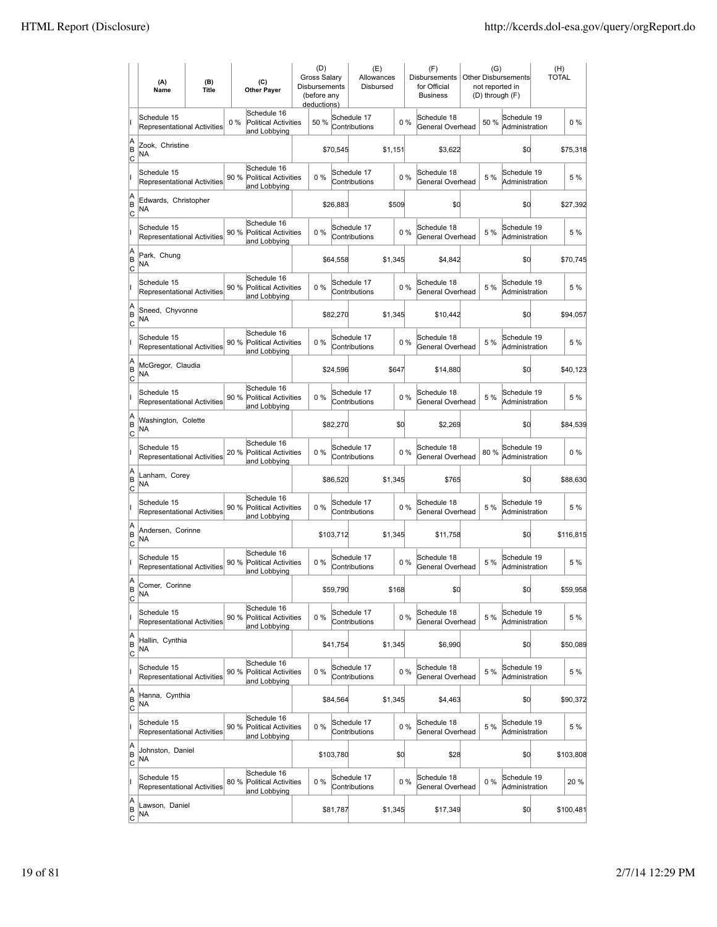|                            | (A)<br>Name                                       | (B)<br><b>Title</b> |      | (C)<br><b>Other Payer</b>                                  | (D)<br><b>Gross Salarv</b><br><b>Disbursements</b><br>(before any<br>deductions) |           | (E)<br>Allowances<br>Disbursed |         |       | (F)<br><b>Disbursements</b><br>for Official<br><b>Business</b> | (G)<br>not reported in<br>(D) through (F) | <b>Other Disbursements</b>    | (H)<br><b>TOTAL</b> |           |
|----------------------------|---------------------------------------------------|---------------------|------|------------------------------------------------------------|----------------------------------------------------------------------------------|-----------|--------------------------------|---------|-------|----------------------------------------------------------------|-------------------------------------------|-------------------------------|---------------------|-----------|
|                            | Schedule 15<br>Representational Activities        |                     | 0%   | Schedule 16<br>Political Activities<br>and Lobbying        | 50 %                                                                             |           | Schedule 17<br>Contributions   |         | 0%    | Schedule 18<br>General Overhead                                | 50%                                       | Schedule 19<br>Administration |                     | $0\%$     |
| A<br>B<br>c                | Zook, Christine<br>NA                             |                     |      |                                                            |                                                                                  | \$70,545  |                                | \$1,151 |       | \$3,622                                                        |                                           | \$0                           |                     | \$75,318  |
|                            | Schedule 15<br><b>Representational Activities</b> |                     | 90 % | Schedule 16<br>Political Activities<br>and Lobbying        | 0%                                                                               |           | Schedule 17<br>Contributions   |         | 0%    | Schedule 18<br>General Overhead                                | 5 %                                       | Schedule 19<br>Administration |                     | 5 %       |
| A<br>B<br>Iс               | Edwards, Christopher<br>NA                        |                     |      |                                                            |                                                                                  | \$26,883  |                                | \$509   |       | \$O                                                            |                                           | \$0                           |                     | \$27,392  |
|                            | Schedule 15<br><b>Representational Activities</b> |                     | 90 % | Schedule 16<br><b>Political Activities</b><br>and Lobbying | 0%                                                                               |           | Schedule 17<br>Contributions   |         | 0%    | Schedule 18<br>General Overhead                                | 5 %                                       | Schedule 19<br>Administration |                     | 5 %       |
| A<br>B<br> c               | Park, Chung<br>NA                                 |                     |      |                                                            |                                                                                  | \$64,558  |                                | \$1,345 |       | \$4,842                                                        |                                           | \$O                           |                     | \$70,745  |
|                            | Schedule 15<br>Representational Activities        |                     | 90%  | Schedule 16<br>Political Activities<br>and Lobbying        | 0%                                                                               |           | Schedule 17<br>Contributions   |         | 0%    | Schedule 18<br>General Overhead                                | 5 %                                       | Schedule 19<br>Administration |                     | 5 %       |
| A<br>B<br> c               | Sneed, Chyvonne<br>NA                             |                     |      |                                                            |                                                                                  | \$82,270  |                                | \$1,345 |       | \$10,442                                                       |                                           | \$0                           |                     | \$94,057  |
|                            | Schedule 15<br>Representational Activities        |                     | 90 % | Schedule 16<br><b>Political Activities</b><br>and Lobbying | 0%                                                                               |           | Schedule 17<br>Contributions   |         | 0%    | Schedule 18<br>General Overhead                                | 5 %                                       | Schedule 19<br>Administration |                     | 5 %       |
| A<br>B<br>Iс               | McGregor, Claudia<br>NA                           |                     |      |                                                            |                                                                                  | \$24,596  |                                | \$647   |       | \$14,880                                                       |                                           | \$0                           |                     | \$40,123  |
|                            | Schedule 15<br>Representational Activities        |                     |      | Schedule 16<br>90 % Political Activities<br>and Lobbying   | 0%                                                                               |           | Schedule 17<br>Contributions   |         | 0%    | Schedule 18<br>General Overhead                                | 5 %                                       | Schedule 19<br>Administration |                     | 5 %       |
| A<br>B<br>C                | Washington, Colette<br>NA                         |                     |      |                                                            |                                                                                  | \$82,270  |                                |         | \$0   | \$2,269                                                        |                                           | \$0                           |                     | \$84,539  |
|                            | Schedule 15<br>Representational Activities        |                     | 20 % | Schedule 16<br><b>Political Activities</b><br>and Lobbying | 0%                                                                               |           | Schedule 17<br>Contributions   |         | 0%    | Schedule 18<br>General Overhead                                | 80%                                       | Schedule 19<br>Administration |                     | $0\%$     |
| A<br>B<br>lc               | Lanham, Corey<br>NA                               |                     |      |                                                            |                                                                                  | \$86,520  |                                | \$1,345 |       | \$765                                                          |                                           | \$0                           |                     | \$88,630  |
|                            | Schedule 15<br>Representational Activities        |                     | 90%  | Schedule 16<br><b>Political Activities</b><br>and Lobbying | 0%                                                                               |           | Schedule 17<br>Contributions   |         | 0%    | Schedule 18<br>General Overhead                                | 5 %                                       | Schedule 19<br>Administration |                     | 5 %       |
| A<br>B<br>Iс               | Andersen, Corinne<br>ΝA                           |                     |      |                                                            |                                                                                  | \$103,712 |                                | \$1,345 |       | \$11,758                                                       |                                           | \$0                           |                     | \$116,815 |
|                            | Schedule 15<br>Representational Activities        |                     | 90 % | Schedule 16<br><b>Political Activities</b><br>and Lobbying | 0%                                                                               |           | Schedule 17<br>Contributions   |         | 0%    | Schedule 18<br>General Overhead                                | 5 %                                       | Schedule 19<br>Administration |                     | 5 %       |
| ΙA<br> B<br>$\overline{c}$ | Comer, Corinne<br>NA                              |                     |      |                                                            |                                                                                  | \$59,790  |                                | \$168   |       | \$0                                                            |                                           | \$0                           |                     | \$59,958  |
|                            | Schedule 15<br>Representational Activities        |                     | 90%  | Schedule 16<br>Political Activities<br>and Lobbying        | 0%                                                                               |           | Schedule 17<br>Contributions   |         | 0%    | Schedule 18<br>General Overhead                                | 5 %                                       | Schedule 19<br>Administration |                     | 5 %       |
| A<br>B<br> c               | Hallin, Cynthia<br>NA                             |                     |      |                                                            |                                                                                  | \$41,754  |                                | \$1,345 |       | \$6,990                                                        |                                           | \$0                           |                     | \$50,089  |
|                            | Schedule 15<br>Representational Activities        |                     | 90 % | Schedule 16<br><b>Political Activities</b><br>and Lobbying | 0%                                                                               |           | Schedule 17<br>Contributions   |         | $0\%$ | Schedule 18<br>General Overhead                                | 5 %                                       | Schedule 19<br>Administration |                     | 5 %       |
| A<br>B<br><u>lc</u>        | Hanna, Cynthia<br>NA                              |                     |      |                                                            |                                                                                  | \$84,564  |                                | \$1,345 |       | \$4,463                                                        |                                           | \$0                           |                     | \$90,372  |
|                            | Schedule 15<br>Representational Activities        |                     |      | Schedule 16<br>90 % Political Activities<br>and Lobbying   | 0%                                                                               |           | Schedule 17<br>Contributions   |         | 0%    | Schedule 18<br>General Overhead                                | 5 %                                       | Schedule 19<br>Administration |                     | 5 %       |
| A<br>B<br>$\circ$          | Johnston, Daniel<br>NA                            |                     |      |                                                            |                                                                                  | \$103,780 |                                |         | \$0   | \$28                                                           |                                           | \$0                           |                     | \$103,808 |
|                            | Schedule 15<br>Representational Activities        |                     | 80%  | Schedule 16<br>Political Activities<br>and Lobbying        | 0%                                                                               |           | Schedule 17<br>Contributions   |         | $0\%$ | Schedule 18<br>General Overhead                                | 0%                                        | Schedule 19<br>Administration |                     | 20 %      |
| A<br>B<br>$\overline{c}$   | Lawson, Daniel<br>ΝA                              |                     |      |                                                            |                                                                                  | \$81,787  |                                | \$1,345 |       | \$17,349                                                       |                                           | \$0                           |                     | \$100,481 |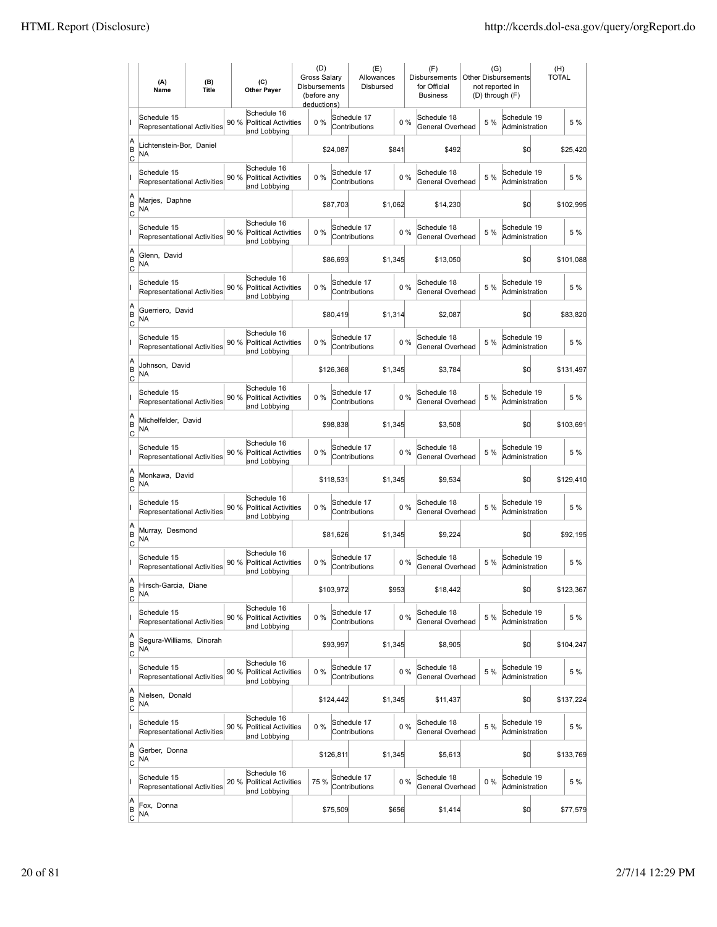|                                    | (A)<br>Name                                       | (B)<br><b>Title</b> | (C)<br><b>Other Payer</b>                                          | (D)<br>Gross Salary<br>Disbursements<br>(before any<br>deductions) |           | (E)<br>Allowances<br>Disbursed |         |       | (F)<br>Disbursements<br>for Official<br><b>Business</b> | (G)   | <b>Other Disbursements</b><br>not reported in<br>(D) through (F) | (H)<br>TOTAL |           |
|------------------------------------|---------------------------------------------------|---------------------|--------------------------------------------------------------------|--------------------------------------------------------------------|-----------|--------------------------------|---------|-------|---------------------------------------------------------|-------|------------------------------------------------------------------|--------------|-----------|
|                                    | Schedule 15<br>Representational Activities        |                     | Schedule 16<br>90 %<br><b>Political Activities</b><br>and Lobbying | $0\%$                                                              |           | Schedule 17<br>Contributions   |         | 0%    | Schedule 18<br>General Overhead                         | 5 %   | Schedule 19<br>Administration                                    |              | 5 %       |
| A<br>B<br>c                        | Lichtenstein-Bor, Daniel<br>NA                    |                     |                                                                    |                                                                    | \$24,087  |                                | \$841   |       | \$492                                                   |       | \$0                                                              |              | \$25,420  |
|                                    | Schedule 15<br>Representational Activities        |                     | Schedule 16<br>90 %<br>Political Activities<br>and Lobbying        | 0%                                                                 |           | Schedule 17<br>Contributions   |         | 0%    | Schedule 18<br>General Overhead                         | 5 %   | Schedule 19<br>Administration                                    |              | 5 %       |
| A<br>B<br>Iс                       | Marjes, Daphne<br>NA                              |                     |                                                                    |                                                                    | \$87,703  |                                | \$1.062 |       | \$14,230                                                |       | \$0                                                              |              | \$102,995 |
|                                    | Schedule 15<br><b>Representational Activities</b> |                     | Schedule 16<br>90 %<br><b>Political Activities</b><br>and Lobbying | 0%                                                                 |           | Schedule 17<br>Contributions   |         | 0%    | Schedule 18<br>General Overhead                         | 5 %   | Schedule 19<br>Administration                                    |              | 5 %       |
| A<br>B<br> c                       | Glenn, David<br>ΝA                                |                     |                                                                    |                                                                    | \$86,693  |                                | \$1,345 |       | \$13,050                                                |       | \$0                                                              |              | \$101,088 |
|                                    | Schedule 15<br><b>Representational Activities</b> |                     | Schedule 16<br>90 %<br><b>Political Activities</b><br>and Lobbying | 0%                                                                 |           | Schedule 17<br>Contributions   |         | 0%    | Schedule 18<br>General Overhead                         | 5 %   | Schedule 19<br>Administration                                    |              | 5 %       |
| A<br>B<br> c                       | Guerriero, David<br>NA                            |                     |                                                                    |                                                                    | \$80,419  |                                | \$1,314 |       | \$2,087                                                 |       | \$0                                                              |              | \$83,820  |
|                                    | Schedule 15<br>Representational Activities        |                     | Schedule 16<br>90 %<br><b>Political Activities</b><br>and Lobbying | 0%                                                                 |           | Schedule 17<br>Contributions   |         | 0%    | Schedule 18<br>General Overhead                         | 5 %   | Schedule 19<br>Administration                                    |              | 5 %       |
| A<br>B<br>Iс                       | Johnson, David<br>NA                              |                     |                                                                    |                                                                    | \$126,368 |                                | \$1,345 |       | \$3,784                                                 |       | \$0                                                              |              | \$131,497 |
|                                    | Schedule 15<br>Representational Activities        |                     | Schedule 16<br>90 % Political Activities<br>and Lobbying           | 0%                                                                 |           | Schedule 17<br>Contributions   |         | 0%    | Schedule 18<br>General Overhead                         | 5 %   | Schedule 19<br>Administration                                    |              | 5 %       |
| A<br>B<br>C                        | Michelfelder, David<br>NA                         |                     |                                                                    |                                                                    | \$98,838  |                                | \$1,345 |       | \$3,508                                                 |       | \$0                                                              |              | \$103,691 |
|                                    | Schedule 15<br>Representational Activities        |                     | Schedule 16<br>90 %<br><b>Political Activities</b><br>and Lobbying | 0%                                                                 |           | Schedule 17<br>Contributions   |         | 0%    | Schedule 18<br>General Overhead                         | 5 %   | Schedule 19<br>Administration                                    |              | 5 %       |
| A<br>B<br>lc                       | Monkawa, David<br>NA                              |                     |                                                                    |                                                                    | \$118,531 |                                | \$1,345 |       | \$9,534                                                 |       | \$0                                                              |              | \$129,410 |
|                                    | Schedule 15<br>Representational Activities        |                     | Schedule 16<br><b>Political Activities</b><br>90 %<br>and Lobbying | 0%                                                                 |           | Schedule 17<br>Contributions   |         | 0%    | Schedule 18<br>General Overhead                         | 5 %   | Schedule 19<br>Administration                                    |              | 5 %       |
| A<br>B<br>Iс                       | Murray, Desmond<br>NA                             |                     |                                                                    |                                                                    | \$81,626  |                                | \$1,345 |       | \$9,224                                                 |       | \$0                                                              |              | \$92,195  |
|                                    | Schedule 15<br>Representational Activities        |                     | Schedule 16<br>90 %<br><b>Political Activities</b><br>and Lobbying | 0%                                                                 |           | Schedule 17<br>Contributions   |         | 0%    | Schedule 18<br>General Overhead                         | 5 %   | Schedule 19<br>Administration                                    |              | 5 %       |
| lA<br>B<br>$\overline{c}$          | Hirsch-Garcia, Diane<br>ΝA                        |                     |                                                                    |                                                                    | \$103,972 |                                | \$953   |       | \$18,442                                                |       | \$0                                                              |              | \$123,367 |
|                                    | Schedule 15<br>Representational Activities        |                     | Schedule 16<br>90 %<br>Political Activities<br>and Lobbying        | 0%                                                                 |           | Schedule 17<br>Contributions   |         | 0%    | Schedule 18<br>General Overhead                         | 5 %   | Schedule 19<br>Administration                                    |              | 5 %       |
| A<br> B<br>c                       | Segura-Williams, Dinorah<br>NA                    |                     |                                                                    |                                                                    | \$93,997  |                                | \$1,345 |       | \$8,905                                                 |       | \$0                                                              |              | \$104,247 |
|                                    | Schedule 15<br>Representational Activities        |                     | Schedule 16<br>90 %<br><b>Political Activities</b><br>and Lobbying | 0%                                                                 |           | Schedule 17<br>Contributions   |         | $0\%$ | Schedule 18<br>General Overhead                         | 5 %   | Schedule 19<br>Administration                                    |              | 5 %       |
| A<br>B<br><u>lc</u>                | Nielsen, Donald<br>NA                             |                     |                                                                    |                                                                    | \$124,442 |                                | \$1,345 |       | \$11,437                                                |       | \$0                                                              |              | \$137,224 |
|                                    | Schedule 15<br>Representational Activities        |                     | Schedule 16<br>90 % Political Activities<br>and Lobbying           | $0\%$                                                              |           | Schedule 17<br>Contributions   |         | $0\%$ | Schedule 18<br>General Overhead                         | 5 %   | Schedule 19<br>Administration                                    |              | 5 %       |
| A<br>B<br>$\overline{c}$           | Gerber, Donna<br>NA                               |                     |                                                                    |                                                                    | \$126,811 |                                | \$1,345 |       | \$5,613                                                 |       | \$0                                                              |              | \$133,769 |
|                                    | Schedule 15<br>Representational Activities        |                     | Schedule 16<br>20 %<br><b>Political Activities</b><br>and Lobbying | 75 %                                                               |           | Schedule 17<br>Contributions   |         | $0\%$ | Schedule 18<br>General Overhead                         | $0\%$ | Schedule 19<br>Administration                                    |              | 5 %       |
| A<br> B<br>$\overline{\mathsf{c}}$ | Fox, Donna<br>NA                                  |                     |                                                                    |                                                                    | \$75,509  |                                | \$656   |       | \$1,414                                                 |       | \$0                                                              |              | \$77,579  |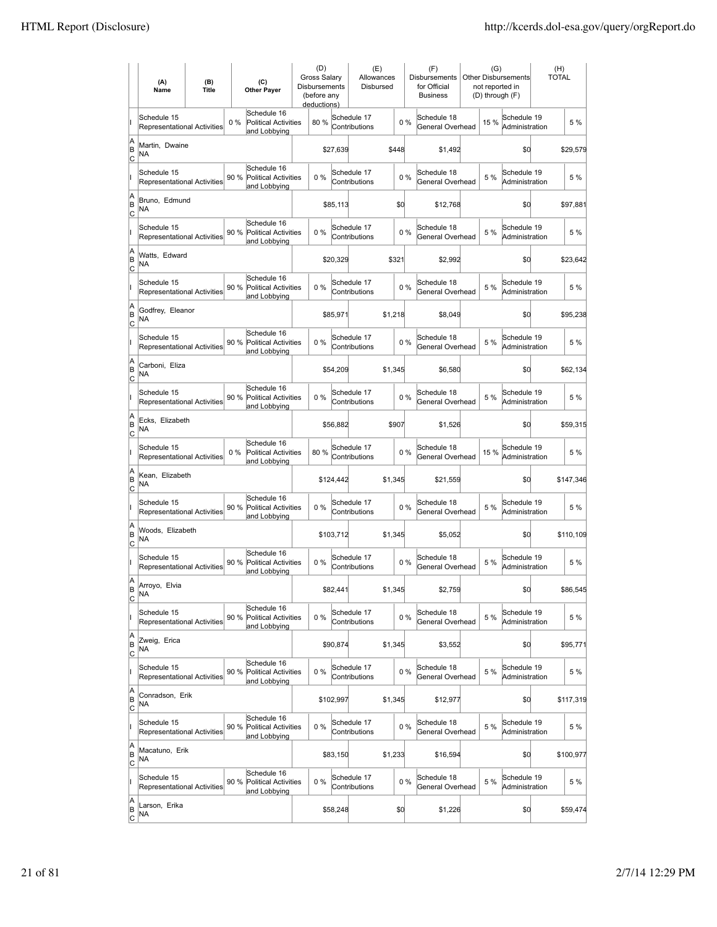|                          | (A)<br>Name                                       | (B)<br><b>Title</b> |      | (C)<br><b>Other Payer</b>                                  | (D)<br><b>Gross Salarv</b><br><b>Disbursements</b><br>(before any<br>deductions) |           | (E)<br>Allowances<br>Disbursed |         |       | (F)<br><b>Disbursements</b><br>for Official<br><b>Business</b> | (G)<br>not reported in<br>(D) through (F) | <b>Other Disbursements</b>    | (H)<br><b>TOTAL</b> |           |
|--------------------------|---------------------------------------------------|---------------------|------|------------------------------------------------------------|----------------------------------------------------------------------------------|-----------|--------------------------------|---------|-------|----------------------------------------------------------------|-------------------------------------------|-------------------------------|---------------------|-----------|
|                          | Schedule 15<br>Representational Activities        |                     | 0%   | Schedule 16<br><b>Political Activities</b><br>and Lobbying | 80 %                                                                             |           | Schedule 17<br>Contributions   |         | 0%    | Schedule 18<br>General Overhead                                | 15 %                                      | Schedule 19<br>Administration |                     | 5 %       |
| A<br>B<br> c             | Martin, Dwaine<br><b>NA</b>                       |                     |      |                                                            |                                                                                  | \$27,639  |                                | \$448   |       | \$1,492                                                        |                                           | \$0                           |                     | \$29,579  |
|                          | Schedule 15<br><b>Representational Activities</b> |                     | 90 % | Schedule 16<br><b>Political Activities</b><br>and Lobbying | 0%                                                                               |           | Schedule 17<br>Contributions   |         | 0%    | Schedule 18<br>General Overhead                                | 5 %                                       | Schedule 19<br>Administration |                     | 5 %       |
| A<br>B<br>C              | Bruno, Edmund<br>NA                               |                     |      |                                                            |                                                                                  | \$85,113  |                                |         | \$0   | \$12,768                                                       |                                           | \$0                           |                     | \$97,881  |
|                          | Schedule 15<br>Representational Activities        |                     | 90 % | Schedule 16<br><b>Political Activities</b><br>and Lobbying | 0%                                                                               |           | Schedule 17<br>Contributions   |         | 0%    | Schedule 18<br>General Overhead                                | 5 %                                       | Schedule 19<br>Administration |                     | 5 %       |
| A<br>B<br> c             | Watts, Edward<br>NA                               |                     |      |                                                            |                                                                                  | \$20,329  |                                | \$321   |       | \$2,992                                                        |                                           | \$0                           |                     | \$23,642  |
|                          | Schedule 15<br><b>Representational Activities</b> |                     | 90%  | Schedule 16<br>Political Activities<br>and Lobbying        | $0\%$                                                                            |           | Schedule 17<br>Contributions   |         | 0%    | Schedule 18<br>General Overhead                                | 5 %                                       | Schedule 19<br>Administration |                     | 5 %       |
| A<br>B<br> c             | Godfrey, Eleanor<br>NA                            |                     |      |                                                            |                                                                                  | \$85,971  |                                | \$1,218 |       | \$8,049                                                        |                                           | \$0                           |                     | \$95,238  |
|                          | Schedule 15<br>Representational Activities        |                     | 90 % | Schedule 16<br><b>Political Activities</b><br>and Lobbying | 0%                                                                               |           | Schedule 17<br>Contributions   |         | 0%    | Schedule 18<br>General Overhead                                | 5 %                                       | Schedule 19<br>Administration |                     | 5 %       |
| A<br>B<br>C              | Carboni. Eliza<br>ΝA                              |                     |      |                                                            |                                                                                  | \$54,209  |                                | \$1,345 |       | \$6,580                                                        |                                           | \$0                           |                     | \$62,134  |
|                          | Schedule 15<br>Representational Activities        |                     |      | Schedule 16<br>90 % Political Activities<br>and Lobbying   | 0%                                                                               |           | Schedule 17<br>Contributions   |         | 0%    | Schedule 18<br>General Overhead                                | 5 %                                       | Schedule 19<br>Administration |                     | 5 %       |
| A<br>B<br>C              | Ecks, Elizabeth<br>NA                             |                     |      |                                                            |                                                                                  | \$56,882  |                                | \$907   |       | \$1,526                                                        |                                           | \$0                           |                     | \$59,315  |
|                          | Schedule 15<br>Representational Activities        |                     | 0%   | Schedule 16<br>Political Activities<br>and Lobbying        | 80%                                                                              |           | Schedule 17<br>Contributions   |         | $0\%$ | Schedule 18<br>General Overhead                                | 15%                                       | Schedule 19<br>Administration |                     | 5 %       |
| A<br>B<br> c             | Kean, Elizabeth<br>ΝA                             |                     |      |                                                            |                                                                                  | \$124,442 |                                | \$1,345 |       | \$21,559                                                       |                                           | \$d                           |                     | \$147,346 |
|                          | Schedule 15<br>Representational Activities        |                     | 90 % | Schedule 16<br><b>Political Activities</b><br>and Lobbying | 0%                                                                               |           | Schedule 17<br>Contributions   |         | 0%    | Schedule 18<br>General Overhead                                | 5 %                                       | Schedule 19<br>Administration |                     | 5 %       |
| A<br>B<br> c             | Woods, Elizabeth<br>NA                            |                     |      |                                                            |                                                                                  | \$103,712 |                                | \$1,345 |       | \$5,052                                                        |                                           | \$0                           |                     | \$110,109 |
|                          | Schedule 15<br>Representational Activities        |                     | 90%  | Schedule 16<br>Political Activities<br>and Lobbying        | 0%                                                                               |           | Schedule 17<br>Contributions   |         | 0%    | Schedule 18<br>General Overhead                                | 5 %                                       | Schedule 19<br>Administration |                     | 5 %       |
| A<br> B<br> c            | Arroyo, Elvia<br><b>NA</b>                        |                     |      |                                                            |                                                                                  | \$82,441  |                                | \$1,345 |       | \$2,759                                                        |                                           | \$0                           |                     | \$86,545  |
|                          | Schedule 15<br>Representational Activities        |                     | 90%  | Schedule 16<br>Political Activities<br>and Lobbying        | 0%                                                                               |           | Schedule 17<br>Contributions   |         | 0%    | Schedule 18<br>General Overhead                                | 5 %                                       | Schedule 19<br>Administration |                     | 5 %       |
| A<br>B<br><u>lc</u>      | Zweig, Erica<br>NA                                |                     |      |                                                            |                                                                                  | \$90,874  |                                | \$1,345 |       | \$3,552                                                        |                                           | \$0                           |                     | \$95,771  |
|                          | Schedule 15<br>Representational Activities        |                     | 90 % | Schedule 16<br><b>Political Activities</b><br>and Lobbying | 0%                                                                               |           | Schedule 17<br>Contributions   |         | 0%    | Schedule 18<br>General Overhead                                | 5 %                                       | Schedule 19<br>Administration |                     | 5 %       |
| A<br>B<br>$\mathsf{C}$   | Conradson, Erik<br>NA                             |                     |      |                                                            |                                                                                  | \$102,997 |                                | \$1,345 |       | \$12,977                                                       |                                           | \$0                           |                     | \$117,319 |
|                          | Schedule 15<br>Representational Activities        |                     |      | Schedule 16<br>90 % Political Activities<br>and Lobbying   | 0%                                                                               |           | Schedule 17<br>Contributions   |         | 0%    | Schedule 18<br>General Overhead                                | 5 %                                       | Schedule 19<br>Administration |                     | 5 %       |
| A<br>B<br> c             | Macatuno, Erik<br>NA                              |                     |      |                                                            |                                                                                  | \$83,150  |                                | \$1,233 |       | \$16,594                                                       |                                           | \$0                           |                     | \$100,977 |
|                          | Schedule 15<br>Representational Activities        |                     | 90%  | Schedule 16<br>Political Activities<br>and Lobbying        | 0%                                                                               |           | Schedule 17<br>Contributions   |         | 0%    | Schedule 18<br>General Overhead                                | 5 %                                       | Schedule 19<br>Administration |                     | 5 %       |
| A<br>B<br>$\overline{c}$ | Larson, Erika<br>NA                               |                     |      |                                                            |                                                                                  | \$58,248  |                                |         | \$0   | \$1,226                                                        |                                           | \$0                           |                     | \$59,474  |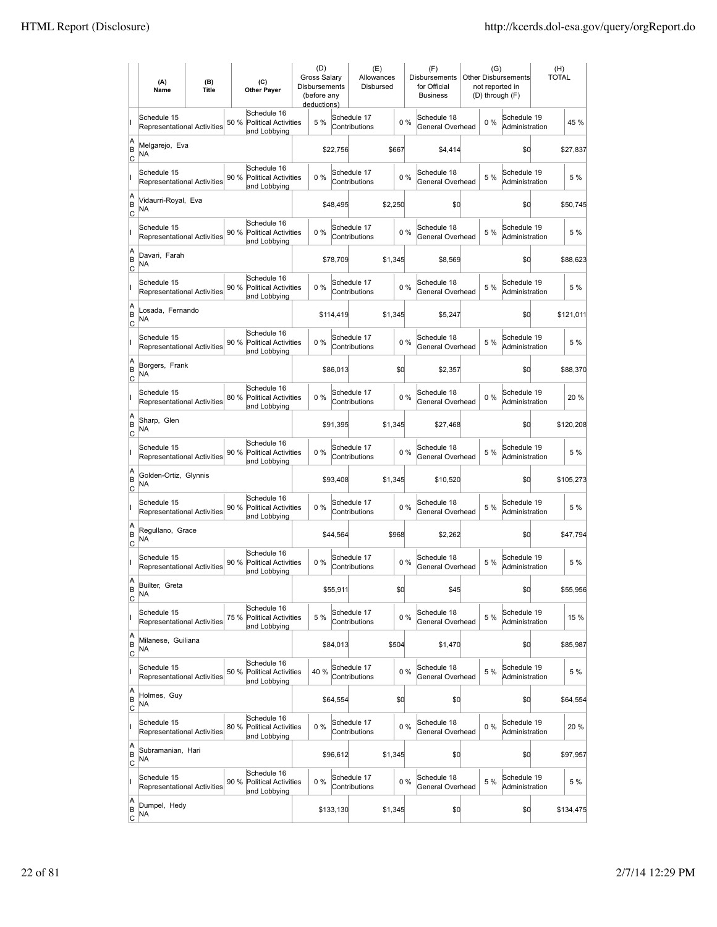|                           | (A)<br>Name                                       | (B)<br><b>Title</b> | (C)<br><b>Other Payer</b>                                          | (D)<br>Gross Salary<br>Disbursements<br>(before any<br>deductions) |           | (E)<br>Allowances<br>Disbursed |         |       | (F)<br><b>Disbursements</b><br>for Official<br><b>Business</b> | (G)   | <b>Other Disbursements</b><br>not reported in<br>(D) through (F) | (H)<br><b>TOTAL</b> |           |
|---------------------------|---------------------------------------------------|---------------------|--------------------------------------------------------------------|--------------------------------------------------------------------|-----------|--------------------------------|---------|-------|----------------------------------------------------------------|-------|------------------------------------------------------------------|---------------------|-----------|
|                           | Schedule 15<br>Representational Activities        |                     | Schedule 16<br>50 %<br><b>Political Activities</b><br>and Lobbying | 5 %                                                                |           | Schedule 17<br>Contributions   |         | 0%    | Schedule 18<br>General Overhead                                | $0\%$ | Schedule 19<br>Administration                                    |                     | 45 %      |
| A<br>B<br>C               | Melgarejo, Eva<br>NA                              |                     |                                                                    |                                                                    | \$22,756  |                                | \$667   |       | \$4,414                                                        |       | \$0                                                              |                     | \$27,837  |
|                           | Schedule 15<br>Representational Activities        |                     | Schedule 16<br>90 %<br><b>Political Activities</b><br>and Lobbying | 0%                                                                 |           | Schedule 17<br>Contributions   |         | 0%    | Schedule 18<br>General Overhead                                | 5 %   | Schedule 19<br>Administration                                    |                     | 5 %       |
| A<br>B<br>Iс              | Vidaurri-Royal, Eva<br>ΝA                         |                     |                                                                    |                                                                    | \$48,495  |                                | \$2,250 |       | \$0                                                            |       | \$0                                                              |                     | \$50,745  |
|                           | Schedule 15<br>Representational Activities        |                     | Schedule 16<br>90 %<br><b>Political Activities</b><br>and Lobbying | 0%                                                                 |           | Schedule 17<br>Contributions   |         | 0%    | Schedule 18<br>General Overhead                                | 5 %   | Schedule 19<br>Administration                                    |                     | 5 %       |
| A<br>B<br> c              | Davari, Farah<br>ΝA                               |                     |                                                                    |                                                                    | \$78,709  |                                | \$1,345 |       | \$8,569                                                        |       | \$0                                                              |                     | \$88,623  |
|                           | Schedule 15<br>Representational Activities        |                     | Schedule 16<br>90 %<br><b>Political Activities</b><br>and Lobbying | 0%                                                                 |           | Schedule 17<br>Contributions   |         | 0%    | Schedule 18<br>General Overhead                                | 5 %   | Schedule 19<br>Administration                                    |                     | 5 %       |
| A<br>B<br> c              | Losada, Fernando<br>NA                            |                     |                                                                    |                                                                    | \$114,419 |                                | \$1,345 |       | \$5,247                                                        |       | \$0                                                              |                     | \$121,011 |
|                           | Schedule 15<br>Representational Activities        |                     | Schedule 16<br>90 %<br><b>Political Activities</b><br>and Lobbying | 0%                                                                 |           | Schedule 17<br>Contributions   |         | 0%    | Schedule 18<br>General Overhead                                | 5 %   | Schedule 19<br>Administration                                    |                     | 5 %       |
| A<br>B<br>Iс              | Borgers, Frank<br>ΝA                              |                     |                                                                    |                                                                    | \$86,013  |                                | \$d     |       | \$2,357                                                        |       | \$0                                                              |                     | \$88,370  |
|                           | Schedule 15<br><b>Representational Activities</b> |                     | Schedule 16<br>80 % Political Activities<br>and Lobbying           | 0%                                                                 |           | Schedule 17<br>Contributions   |         | $0\%$ | Schedule 18<br>General Overhead                                | $0\%$ | Schedule 19<br>Administration                                    |                     | 20 %      |
| A<br>B<br>C               | Sharp, Glen<br>ΝA                                 |                     |                                                                    |                                                                    | \$91,395  |                                | \$1,345 |       | \$27,468                                                       |       | \$0                                                              |                     | \$120,208 |
|                           | Schedule 15<br>Representational Activities        |                     | Schedule 16<br>90 % Political Activities<br>and Lobbying           | 0%                                                                 |           | Schedule 17<br>Contributions   |         | 0%    | Schedule 18<br>General Overhead                                | 5 %   | Schedule 19<br>Administration                                    |                     | 5 %       |
| A<br>B<br>lc              | Golden-Ortiz, Glynnis<br>NA                       |                     |                                                                    |                                                                    | \$93,408  |                                | \$1,345 |       | \$10,520                                                       |       | \$0                                                              |                     | \$105,273 |
|                           | Schedule 15<br>Representational Activities        |                     | Schedule 16<br><b>Political Activities</b><br>90 %<br>and Lobbying | 0%                                                                 |           | Schedule 17<br>Contributions   |         | 0%    | Schedule 18<br>General Overhead                                | 5 %   | Schedule 19<br>Administration                                    |                     | 5 %       |
| A<br>B<br>Iс              | Regullano, Grace<br>NA                            |                     |                                                                    |                                                                    | \$44,564  |                                | \$968   |       | \$2,262                                                        |       | \$0                                                              |                     | \$47,794  |
|                           | Schedule 15<br>Representational Activities        |                     | Schedule 16<br>90 %<br><b>Political Activities</b><br>and Lobbying | 0%                                                                 |           | Schedule 17<br>Contributions   |         | 0%    | Schedule 18<br>General Overhead                                | 5 %   | Schedule 19<br>Administration                                    |                     | 5 %       |
| ΙA<br>B<br>$\overline{c}$ | Builter, Greta<br>ΝA                              |                     |                                                                    |                                                                    | \$55,911  |                                | \$d     |       | \$45                                                           |       | \$0                                                              |                     | \$55,956  |
|                           | Schedule 15<br>Representational Activities        |                     | Schedule 16<br>75 %<br>Political Activities<br>and Lobbying        | 5 %                                                                |           | Schedule 17<br>Contributions   |         | 0%    | Schedule 18<br>General Overhead                                | 5 %   | Schedule 19<br>Administration                                    |                     | 15 %      |
| A<br>B<br> c              | Milanese, Guiliana<br>NA                          |                     |                                                                    |                                                                    | \$84,013  |                                | \$504   |       | \$1,470                                                        |       | \$0                                                              |                     | \$85,987  |
|                           | Schedule 15<br>Representational Activities        |                     | Schedule 16<br><b>Political Activities</b><br>50 %<br>and Lobbying | 40 %                                                               |           | Schedule 17<br>Contributions   |         | $0\%$ | Schedule 18<br>General Overhead                                | 5 %   | Schedule 19<br>Administration                                    |                     | 5 %       |
| A<br>B<br><u>lc</u>       | Holmes, Guy<br>NA                                 |                     |                                                                    |                                                                    | \$64,554  |                                | \$d     |       | \$0                                                            |       | \$0                                                              |                     | \$64,554  |
|                           | Schedule 15<br>Representational Activities        |                     | Schedule 16<br>80 % Political Activities<br>and Lobbying           | 0%                                                                 |           | Schedule 17<br>Contributions   |         | $0\%$ | Schedule 18<br>General Overhead                                | $0\%$ | Schedule 19<br>Administration                                    |                     | 20 %      |
| A<br>B<br>$\circ$         | Subramanian, Hari<br>NA                           |                     |                                                                    |                                                                    | \$96,612  |                                | \$1,345 |       | \$0                                                            |       | \$0                                                              |                     | \$97,957  |
|                           | Schedule 15<br>Representational Activities        |                     | Schedule 16<br>90 %<br><b>Political Activities</b><br>and Lobbying | 0%                                                                 |           | Schedule 17<br>Contributions   |         | $0\%$ | Schedule 18<br>General Overhead                                | 5 %   | Schedule 19<br>Administration                                    |                     | 5 %       |
| A<br>B<br>$\overline{c}$  | Dumpel, Hedy<br>NA                                |                     |                                                                    |                                                                    | \$133,130 |                                | \$1,345 |       | \$0                                                            |       | \$0                                                              |                     | \$134,475 |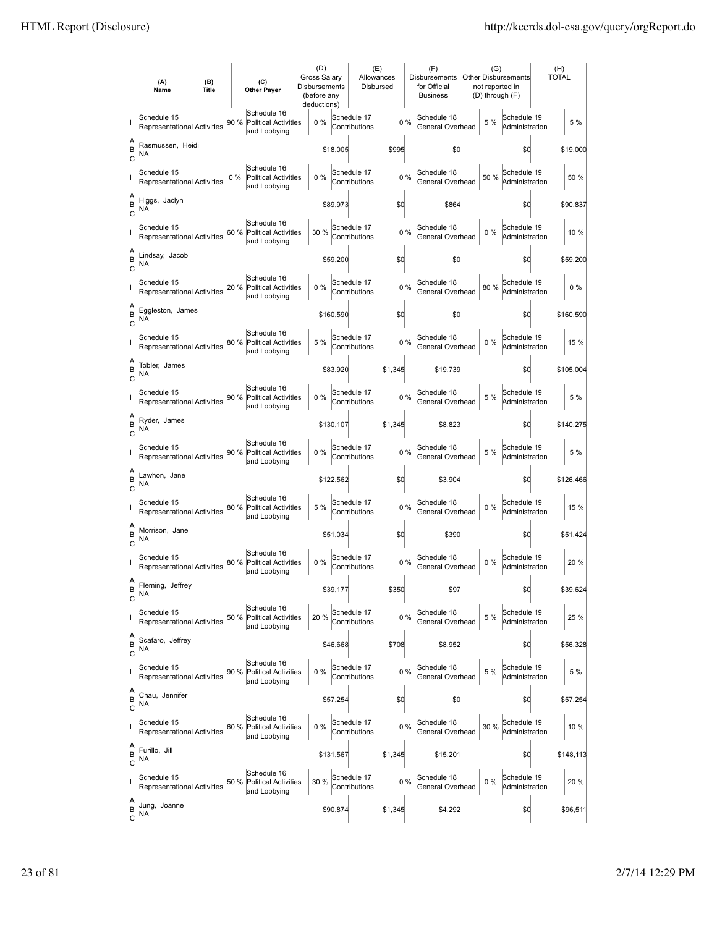|                           | (A)<br>Name                                       | (B)<br><b>Title</b> |      | (C)<br><b>Other Payer</b>                                  | (D)<br><b>Gross Salarv</b><br>Disbursements<br>(before any<br>deductions) |           | (E)<br>Allowances<br>Disbursed |         |       | (F)<br>Disbursements<br>for Official<br><b>Business</b> | (G)   | <b>Other Disbursements</b><br>not reported in<br>(D) through (F) | (H)<br><b>TOTAL</b> |           |
|---------------------------|---------------------------------------------------|---------------------|------|------------------------------------------------------------|---------------------------------------------------------------------------|-----------|--------------------------------|---------|-------|---------------------------------------------------------|-------|------------------------------------------------------------------|---------------------|-----------|
|                           | Schedule 15<br>Representational Activities        |                     | 90 % | Schedule 16<br><b>Political Activities</b><br>and Lobbying | $0\%$                                                                     |           | Schedule 17<br>Contributions   |         | 0%    | Schedule 18<br>General Overhead                         | 5 %   | Schedule 19<br>Administration                                    |                     | 5 %       |
| A<br>B<br>lc              | Rasmussen, Heidi<br>NA                            |                     |      |                                                            |                                                                           | \$18,005  |                                | \$995   |       | \$0                                                     |       | \$d                                                              |                     | \$19,000  |
|                           | Schedule 15<br>Representational Activities        |                     | 0%   | Schedule 16<br><b>Political Activities</b><br>and Lobbying | 0%                                                                        |           | Schedule 17<br>Contributions   |         | 0%    | Schedule 18<br>General Overhead                         | 50 %  | Schedule 19<br>Administration                                    |                     | 50 %      |
| A<br>B<br>C               | Higgs, Jaclyn<br>NA                               |                     |      |                                                            |                                                                           | \$89,973  |                                | \$0     |       | \$864                                                   |       | \$d                                                              |                     | \$90,837  |
|                           | Schedule 15<br>Representational Activities        |                     | 60 % | Schedule 16<br><b>Political Activities</b><br>and Lobbying | 30 %                                                                      |           | Schedule 17<br>Contributions   |         | 0%    | Schedule 18<br>General Overhead                         | $0\%$ | Schedule 19<br>Administration                                    |                     | 10 %      |
| A<br>B<br>C               | Lindsay, Jacob<br>NA                              |                     |      |                                                            |                                                                           | \$59,200  |                                | \$0     |       | \$0                                                     |       | \$0                                                              |                     | \$59,200  |
|                           | Schedule 15<br><b>Representational Activities</b> |                     | 20 % | Schedule 16<br><b>Political Activities</b><br>and Lobbying | 0%                                                                        |           | Schedule 17<br>Contributions   |         | 0%    | Schedule 18<br>General Overhead                         | 80%   | Schedule 19<br>Administration                                    |                     | $0\%$     |
| A<br>B<br> c              | Eggleston, James<br>NA                            |                     |      |                                                            |                                                                           | \$160,590 |                                |         | \$d   | \$0                                                     |       | \$0                                                              |                     | \$160,590 |
|                           | Schedule 15<br><b>Representational Activities</b> |                     |      | Schedule 16<br>80 % Political Activities<br>and Lobbying   | 5 %                                                                       |           | Schedule 17<br>Contributions   |         | 0%    | Schedule 18<br>General Overhead                         | $0\%$ | Schedule 19<br>Administration                                    |                     | 15 %      |
| A<br>B<br>C               | Tobler, James<br><b>NA</b>                        |                     |      |                                                            |                                                                           | \$83,920  |                                | \$1,345 |       | \$19,739                                                |       | \$0                                                              |                     | \$105,004 |
|                           | Schedule 15<br>Representational Activities        |                     |      | Schedule 16<br>90 % Political Activities<br>and Lobbying   | 0%                                                                        |           | Schedule 17<br>Contributions   |         | 0%    | Schedule 18<br>General Overhead                         | 5 %   | Schedule 19<br>Administration                                    |                     | 5 %       |
| A<br>B<br>C               | Ryder, James<br>NA                                |                     |      |                                                            |                                                                           | \$130,107 |                                | \$1,345 |       | \$8,823                                                 |       | \$d                                                              |                     | \$140,275 |
|                           | Schedule 15<br>Representational Activities        |                     | 90 % | Schedule 16<br><b>Political Activities</b><br>and Lobbying | $0\%$                                                                     |           | Schedule 17<br>Contributions   |         | 0%    | Schedule 18<br>General Overhead                         | 5 %   | Schedule 19<br>Administration                                    |                     | 5 %       |
| A<br>B<br> c              | Lawhon, Jane<br><b>NA</b>                         |                     |      |                                                            |                                                                           | \$122,562 |                                |         | \$0   | \$3,904                                                 |       | \$d                                                              |                     | \$126,466 |
|                           | Schedule 15<br>Representational Activities        |                     | 80 % | Schedule 16<br><b>Political Activities</b><br>and Lobbying | 5 %                                                                       |           | Schedule 17<br>Contributions   |         | 0%    | Schedule 18<br>General Overhead                         | $0\%$ | Schedule 19<br>Administration                                    |                     | 15 %      |
| A<br>B<br>C               | Morrison, Jane<br><b>NA</b>                       |                     |      |                                                            |                                                                           | \$51,034  |                                | \$0     |       | \$390                                                   |       | \$0                                                              |                     | \$51,424  |
|                           | Schedule 15<br>Representational Activities        |                     | 80 % | Schedule 16<br><b>Political Activities</b><br>and Lobbying | 0%                                                                        |           | Schedule 17<br>Contributions   |         | 0%    | Schedule 18<br>General Overhead                         | $0\%$ | Schedule 19<br>Administration                                    |                     | 20%       |
| A<br>B<br>$\overline{c}$  | Fleming, Jeffrey<br><b>NA</b>                     |                     |      |                                                            |                                                                           | \$39,177  |                                | \$350   |       | \$97                                                    |       | \$d                                                              |                     | \$39,624  |
|                           | Schedule 15<br>Representational Activities        |                     | 50 % | Schedule 16<br><b>Political Activities</b><br>and Lobbying | 20%                                                                       |           | Schedule 17<br>Contributions   |         | 0%    | Schedule 18<br>General Overhead                         | 5 %   | Schedule 19<br>Administration                                    |                     | 25 %      |
| A<br>B<br><u>lc</u>       | Scafaro, Jeffrey<br>NA                            |                     |      |                                                            |                                                                           | \$46,668  |                                | \$708   |       | \$8,952                                                 |       | \$d                                                              |                     | \$56,328  |
|                           | Schedule 15<br>Representational Activities        |                     | 90 % | Schedule 16<br><b>Political Activities</b><br>and Lobbying | 0%                                                                        |           | Schedule 17<br>Contributions   |         | 0%    | Schedule 18<br>General Overhead                         | 5 %   | Schedule 19<br>Administration                                    |                     | 5 %       |
| A<br>B<br>$\mathsf{C}$    | Chau, Jennifer<br>NA                              |                     |      |                                                            |                                                                           | \$57,254  |                                | \$0     |       | \$0                                                     |       | \$0                                                              |                     | \$57,254  |
|                           | Schedule 15<br>Representational Activities        |                     |      | Schedule 16<br>60 % Political Activities<br>and Lobbying   | 0%                                                                        |           | Schedule 17<br>Contributions   |         | $0\%$ | Schedule 18<br>General Overhead                         | 30 %  | Schedule 19<br>Administration                                    |                     | 10%       |
| A<br>B<br> c              | Furillo, Jill<br>NA                               |                     |      |                                                            |                                                                           | \$131,567 |                                | \$1,345 |       | \$15,201                                                |       | \$d                                                              |                     | \$148,113 |
|                           | Schedule 15<br>Representational Activities        |                     | 50 % | Schedule 16<br><b>Political Activities</b><br>and Lobbying | 30 %                                                                      |           | Schedule 17<br>Contributions   |         | 0%    | Schedule 18<br>General Overhead                         | $0\%$ | Schedule 19<br>Administration                                    |                     | 20%       |
| A<br> B<br>$\overline{c}$ | Jung, Joanne<br>NA                                |                     |      |                                                            |                                                                           | \$90,874  |                                | \$1,345 |       | \$4,292                                                 |       | \$d                                                              |                     | \$96,511  |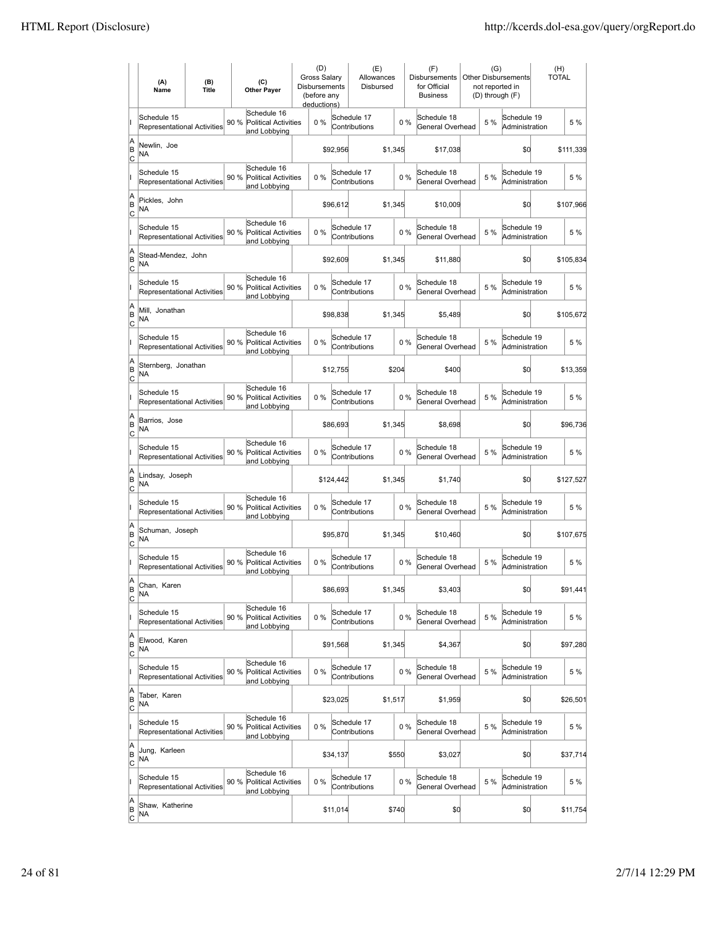|                           | (A)<br>Name                                       | (B)<br><b>Title</b> |                           | (C)<br><b>Other Payer</b>                                  | (D)<br><b>Gross Salarv</b><br>Disbursements<br>(before any<br>deductions) |           | (E)<br>Allowances<br>Disbursed |         |       | (F)<br><b>Disbursements</b><br>for Official<br><b>Business</b> |     | (G)<br><b>Other Disbursements</b><br>not reported in<br>(D) through (F) | (H)<br><b>TOTAL</b> |
|---------------------------|---------------------------------------------------|---------------------|---------------------------|------------------------------------------------------------|---------------------------------------------------------------------------|-----------|--------------------------------|---------|-------|----------------------------------------------------------------|-----|-------------------------------------------------------------------------|---------------------|
|                           | Schedule 15<br><b>Representational Activities</b> |                     | 90 %                      | Schedule 16<br><b>Political Activities</b><br>and Lobbying | $0\%$                                                                     |           | Schedule 17<br>Contributions   |         | $0\%$ | Schedule 18<br>General Overhead                                | 5 % | Schedule 19<br>Administration                                           | 5 %                 |
| A<br>B<br>lc              | Newlin, Joe<br>NA                                 |                     |                           |                                                            |                                                                           | \$92,956  |                                | \$1,345 |       | \$17,038                                                       |     | \$d                                                                     | \$111,339           |
|                           | Schedule 15<br><b>Representational Activities</b> |                     | 90 %                      | Schedule 16<br><b>Political Activities</b><br>and Lobbying | 0%                                                                        |           | Schedule 17<br>Contributions   |         | 0%    | Schedule 18<br>General Overhead                                | 5 % | Schedule 19<br>Administration                                           | 5 %                 |
| A<br>B<br>C               | Pickles, John<br>NA                               |                     |                           |                                                            |                                                                           | \$96,612  |                                | \$1,345 |       | \$10,009                                                       |     | \$d                                                                     | \$107,966           |
|                           | Schedule 15<br>Representational Activities        |                     | 90 %                      | Schedule 16<br><b>Political Activities</b><br>and Lobbying | 0%                                                                        |           | Schedule 17<br>Contributions   |         | 0%    | Schedule 18<br>General Overhead                                | 5 % | Schedule 19<br>Administration                                           | 5 %                 |
| A<br>B<br>C               | Stead-Mendez, John<br>NA                          |                     |                           |                                                            |                                                                           | \$92,609  |                                | \$1,345 |       | \$11,880                                                       |     | \$0                                                                     | \$105,834           |
|                           | Schedule 15<br><b>Representational Activities</b> |                     | 90 %                      | Schedule 16<br><b>Political Activities</b><br>and Lobbying | $0\%$                                                                     |           | Schedule 17<br>Contributions   |         | 0%    | Schedule 18<br>General Overhead                                | 5 % | Schedule 19<br>Administration                                           | 5 %                 |
| A<br>B<br>lc              | Mill, Jonathan<br>ΝA                              |                     |                           |                                                            |                                                                           | \$98,838  |                                | \$1,345 |       | \$5,489                                                        |     | \$0                                                                     | \$105,672           |
|                           | Schedule 15<br>Representational Activities        |                     | 90 % Political Activities | Schedule 16<br>and Lobbying                                | 0%                                                                        |           | Schedule 17<br>Contributions   |         | 0%    | Schedule 18<br>General Overhead                                | 5 % | Schedule 19<br>Administration                                           | 5 %                 |
| A<br>B<br>C               | Sternberg, Jonathan<br>ΝA                         |                     |                           |                                                            |                                                                           | \$12,755  |                                | \$204   |       | \$400                                                          |     | \$0                                                                     | \$13,359            |
|                           | Schedule 15<br>Representational Activities        |                     | 90 % Political Activities | Schedule 16<br>and Lobbying                                | 0%                                                                        |           | Schedule 17<br>Contributions   |         | 0%    | Schedule 18<br>General Overhead                                | 5 % | Schedule 19<br>Administration                                           | 5 %                 |
| A<br>B<br>C               | Barrios, Jose<br>NA                               |                     |                           |                                                            |                                                                           | \$86,693  |                                | \$1,345 |       | \$8,698                                                        |     | \$0                                                                     | \$96,736            |
|                           | Schedule 15<br><b>Representational Activities</b> |                     | 90 %                      | Schedule 16<br><b>Political Activities</b><br>and Lobbying | $0\%$                                                                     |           | Schedule 17<br>Contributions   |         | 0%    | Schedule 18<br>General Overhead                                | 5 % | Schedule 19<br>Administration                                           | 5 %                 |
| A<br>B<br> c              | Lindsay, Joseph<br>NA                             |                     |                           |                                                            |                                                                           | \$124,442 |                                | \$1,345 |       | \$1,740                                                        |     | \$d                                                                     | \$127,527           |
|                           | Schedule 15<br>Representational Activities        |                     | 90 %                      | Schedule 16<br><b>Political Activities</b><br>and Lobbying | 0%                                                                        |           | Schedule 17<br>Contributions   |         | 0%    | Schedule 18<br>General Overhead                                | 5 % | Schedule 19<br>Administration                                           | 5 %                 |
| A<br>B<br> c              | Schuman, Joseph<br>NA                             |                     |                           |                                                            |                                                                           | \$95,870  |                                | \$1,345 |       | \$10,460                                                       |     | \$0                                                                     | \$107,675           |
|                           | Schedule 15<br>Representational Activities        |                     | 90 %                      | Schedule 16<br><b>Political Activities</b><br>and Lobbying | 0%                                                                        |           | Schedule 17<br>Contributions   |         | 0%    | Schedule 18<br>General Overhead                                | 5 % | Schedule 19<br>Administration                                           | 5 %                 |
| A<br> B<br>Iс             | Chan, Karen<br>NA                                 |                     |                           |                                                            |                                                                           | \$86,693  |                                | \$1,345 |       | \$3,403                                                        |     | \$d                                                                     | \$91,441            |
|                           | Schedule 15<br>Representational Activities        |                     | 90 %                      | Schedule 16<br><b>Political Activities</b><br>and Lobbying | 0%                                                                        |           | Schedule 17<br>Contributions   |         | 0%    | Schedule 18<br>General Overhead                                | 5 % | Schedule 19<br>Administration                                           | 5 %                 |
| A<br> B<br>$\overline{c}$ | Elwood, Karen<br>NA                               |                     |                           |                                                            |                                                                           | \$91,568  |                                | \$1,345 |       | \$4,367                                                        |     | \$0                                                                     | \$97,280            |
|                           | Schedule 15<br>Representational Activities        |                     | 90 %                      | Schedule 16<br><b>Political Activities</b><br>and Lobbying | 0%                                                                        |           | Schedule 17<br>Contributions   |         | 0%    | Schedule 18<br>General Overhead                                | 5 % | Schedule 19<br>Administration                                           | 5 %                 |
| A<br> B<br>$\overline{c}$ | Taber, Karen<br>NA                                |                     |                           |                                                            |                                                                           | \$23,025  |                                | \$1,517 |       | \$1,959                                                        |     | \$0                                                                     | \$26,501            |
|                           | Schedule 15<br>Representational Activities        |                     | 90 % Political Activities | Schedule 16<br>and Lobbying                                | $0\%$                                                                     |           | Schedule 17<br>Contributions   |         | $0\%$ | Schedule 18<br>General Overhead                                | 5 % | Schedule 19<br>Administration                                           | 5 %                 |
| A<br>B<br> c              | Jung, Karleen<br>NA                               |                     |                           |                                                            |                                                                           | \$34,137  |                                | \$550   |       | \$3,027                                                        |     | \$d                                                                     | \$37,714            |
|                           | Schedule 15<br>Representational Activities        |                     | 90 %                      | Schedule 16<br><b>Political Activities</b><br>and Lobbying | 0%                                                                        |           | Schedule 17<br>Contributions   |         | 0%    | Schedule 18<br>General Overhead                                | 5 % | Schedule 19<br>Administration                                           | 5 %                 |
| A<br> B<br>$\overline{c}$ | Shaw, Katherine<br>NA                             |                     |                           |                                                            |                                                                           | \$11,014  |                                | \$740   |       | \$0                                                            |     | \$d                                                                     | \$11,754            |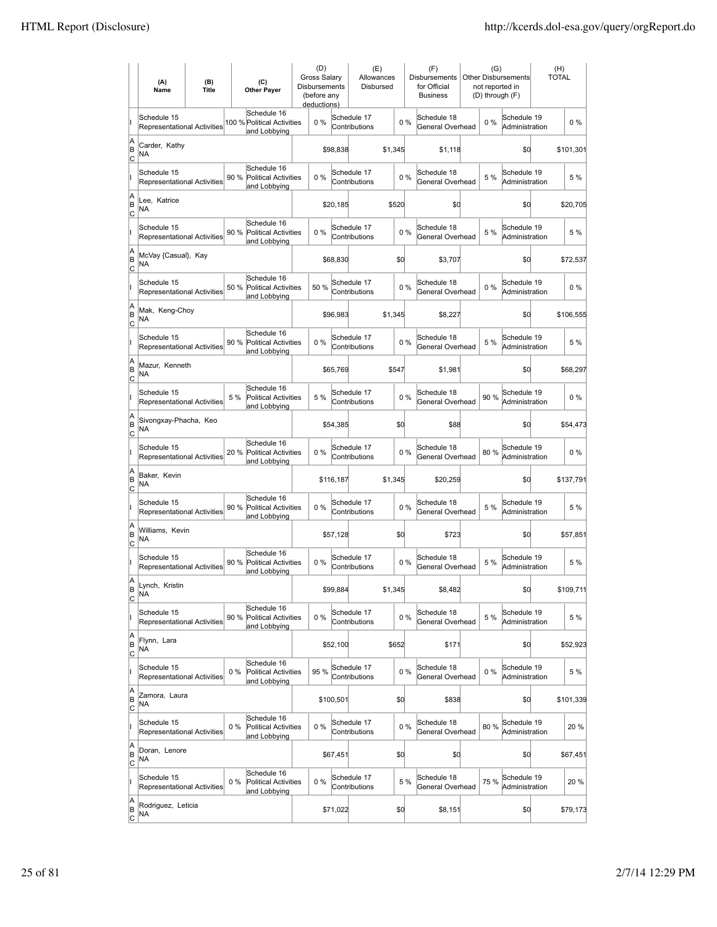|                          | (A)<br>Name                                       | (B)<br><b>Title</b> |       | (C)<br><b>Other Paver</b>                                  | (D)<br><b>Gross Salarv</b><br>Disbursements<br>(before any<br>deductions) |           | (E)<br>Allowances<br>Disbursed |         |       | (F)<br>Disbursements<br>for Official<br><b>Business</b> | (G)<br><b>Other Disbursements</b><br>not reported in<br>(D) through (F) |                               | (H)<br><b>TOTAL</b> |           |
|--------------------------|---------------------------------------------------|---------------------|-------|------------------------------------------------------------|---------------------------------------------------------------------------|-----------|--------------------------------|---------|-------|---------------------------------------------------------|-------------------------------------------------------------------------|-------------------------------|---------------------|-----------|
|                          | Schedule 15<br><b>Representational Activities</b> |                     |       | Schedule 16<br>100 % Political Activities<br>and Lobbying  | $0\%$                                                                     |           | Schedule 17<br>Contributions   |         | $0\%$ | Schedule 18<br>General Overhead                         | 0%                                                                      | Schedule 19<br>Administration |                     | $0\%$     |
| A<br>B<br>lc             | Carder, Kathy<br>NA                               |                     |       |                                                            |                                                                           | \$98,838  |                                | \$1,345 |       | \$1,118                                                 |                                                                         | \$d                           |                     | \$101,301 |
|                          | Schedule 15<br>Representational Activities        |                     | 90 %  | Schedule 16<br><b>Political Activities</b><br>and Lobbying | 0%                                                                        |           | Schedule 17<br>Contributions   |         | 0%    | Schedule 18<br>General Overhead                         | 5 %                                                                     | Schedule 19<br>Administration |                     | 5 %       |
| A<br>B<br>C              | Lee. Katrice<br>NA                                |                     |       |                                                            |                                                                           | \$20,185  |                                | \$520   |       | \$0                                                     |                                                                         | \$d                           |                     | \$20,705  |
|                          | Schedule 15<br>Representational Activities        |                     | 90 %  | Schedule 16<br><b>Political Activities</b><br>and Lobbying | 0%                                                                        |           | Schedule 17<br>Contributions   |         | 0%    | Schedule 18<br>General Overhead                         | 5 %                                                                     | Schedule 19<br>Administration |                     | 5 %       |
| A<br>B<br> c             | McVay {Casual}, Kay<br>NA                         |                     |       |                                                            |                                                                           | \$68,830  |                                | \$0     |       | \$3,707                                                 |                                                                         | \$0                           |                     | \$72,537  |
|                          | Schedule 15<br><b>Representational Activities</b> |                     | 50 %  | Schedule 16<br><b>Political Activities</b><br>and Lobbying | 50 %                                                                      |           | Schedule 17<br>Contributions   |         | 0%    | Schedule 18<br>General Overhead                         | 0%                                                                      | Schedule 19<br>Administration |                     | $0\%$     |
| A<br>B<br>lc             | Mak, Keng-Choy<br>NA                              |                     |       |                                                            |                                                                           | \$96,983  |                                | \$1.345 |       | \$8,227                                                 |                                                                         | \$0                           |                     | \$106,555 |
|                          | Schedule 15<br>Representational Activities        |                     | 90 %  | Schedule 16<br><b>Political Activities</b><br>and Lobbying | 0%                                                                        |           | Schedule 17<br>Contributions   |         | 0%    | Schedule 18<br>General Overhead                         | 5 %                                                                     | Schedule 19<br>Administration |                     | 5 %       |
| A<br>B<br>C              | Mazur, Kenneth<br>ΝA                              |                     |       |                                                            |                                                                           | \$65,769  |                                | \$547   |       | \$1,981                                                 |                                                                         | \$0                           |                     | \$68,297  |
|                          | Schedule 15<br>Representational Activities        |                     | 5 %   | Schedule 16<br>Political Activities<br>and Lobbying        | 5 %                                                                       |           | Schedule 17<br>Contributions   |         | 0%    | Schedule 18<br>General Overhead                         | 90%                                                                     | Schedule 19<br>Administration |                     | $0\%$     |
| A<br>B<br>C              | Sivongxay-Phacha, Keo<br>NA                       |                     |       |                                                            |                                                                           | \$54,385  |                                | \$0     |       | \$88                                                    |                                                                         | \$d                           |                     | \$54,473  |
|                          | Schedule 15<br>Representational Activities        |                     | 20 %  | Schedule 16<br><b>Political Activities</b><br>and Lobbying | $0\%$                                                                     |           | Schedule 17<br>Contributions   |         | 0%    | Schedule 18<br>General Overhead                         | 80%                                                                     | Schedule 19<br>Administration |                     | $0\%$     |
| A<br>B<br> c             | Baker, Kevin<br><b>NA</b>                         |                     |       |                                                            |                                                                           | \$116,187 |                                | \$1,345 |       | \$20,259                                                |                                                                         | \$d                           |                     | \$137,791 |
|                          | Schedule 15<br>Representational Activities        |                     | 90 %  | Schedule 16<br><b>Political Activities</b><br>and Lobbying | 0%                                                                        |           | Schedule 17<br>Contributions   |         | 0%    | Schedule 18<br>General Overhead                         | 5 %                                                                     | Schedule 19<br>Administration |                     | 5 %       |
| A<br>B<br>C              | Williams, Kevin<br><b>NA</b>                      |                     |       |                                                            |                                                                           | \$57,128  |                                | \$0     |       | \$723                                                   |                                                                         | \$0                           |                     | \$57,851  |
|                          | Schedule 15<br><b>Representational Activities</b> |                     | 90 %  | Schedule 16<br>Political Activities<br>and Lobbying        | 0%                                                                        |           | Schedule 17<br>Contributions   |         | 0%    | Schedule 18<br>General Overhead                         | 5 %                                                                     | Schedule 19<br>Administration |                     | 5 %       |
| A<br> B<br> c            | Lynch, Kristin<br><b>NA</b>                       |                     |       |                                                            |                                                                           | \$99,884  |                                | \$1,345 |       | \$8,482                                                 |                                                                         | \$d                           |                     | \$109,711 |
|                          | Schedule 15<br>Representational Activities        |                     | 90 %  | Schedule 16<br><b>Political Activities</b><br>and Lobbying | 0%                                                                        |           | Schedule 17<br>Contributions   |         | 0%    | Schedule 18<br>General Overhead                         | 5 %                                                                     | Schedule 19<br>Administration |                     | 5 %       |
| A<br>B<br><u>lc</u>      | Flynn, Lara<br>NA                                 |                     |       |                                                            |                                                                           | \$52,100  |                                | \$652   |       | \$171                                                   |                                                                         | \$0                           |                     | \$52,923  |
|                          | Schedule 15<br>Representational Activities        |                     | $0\%$ | Schedule 16<br><b>Political Activities</b><br>and Lobbying | 95 %                                                                      |           | Schedule 17<br>Contributions   |         | 0%    | Schedule 18<br>General Overhead                         | $0\%$                                                                   | Schedule 19<br>Administration |                     | 5 %       |
| A<br>B<br>$\mathsf{C}$   | Zamora, Laura<br>NA                               |                     |       |                                                            |                                                                           | \$100,501 |                                | \$0     |       | \$838                                                   |                                                                         | \$0                           |                     | \$101,339 |
|                          | Schedule 15<br>Representational Activities        |                     | $0\%$ | Schedule 16<br>Political Activities<br>and Lobbying        | 0%                                                                        |           | Schedule 17<br>Contributions   |         | $0\%$ | Schedule 18<br>General Overhead                         | 80%                                                                     | Schedule 19<br>Administration |                     | 20 %      |
| A<br>B<br> c             | Doran, Lenore<br>NA                               |                     |       |                                                            |                                                                           | \$67,451  |                                | \$0     |       | \$0                                                     |                                                                         | \$d                           |                     | \$67,451  |
|                          | Schedule 15<br>Representational Activities        |                     | $0\%$ | Schedule 16<br>Political Activities<br>and Lobbying        | 0%                                                                        |           | Schedule 17<br>Contributions   |         | 5 %   | Schedule 18<br>General Overhead                         | 75 %                                                                    | Schedule 19<br>Administration |                     | 20 %      |
| A<br>B<br>$\overline{c}$ | Rodriguez, Leticia<br>NA                          |                     |       |                                                            |                                                                           | \$71,022  |                                | \$0     |       | \$8,151                                                 |                                                                         | \$d                           |                     | \$79,173  |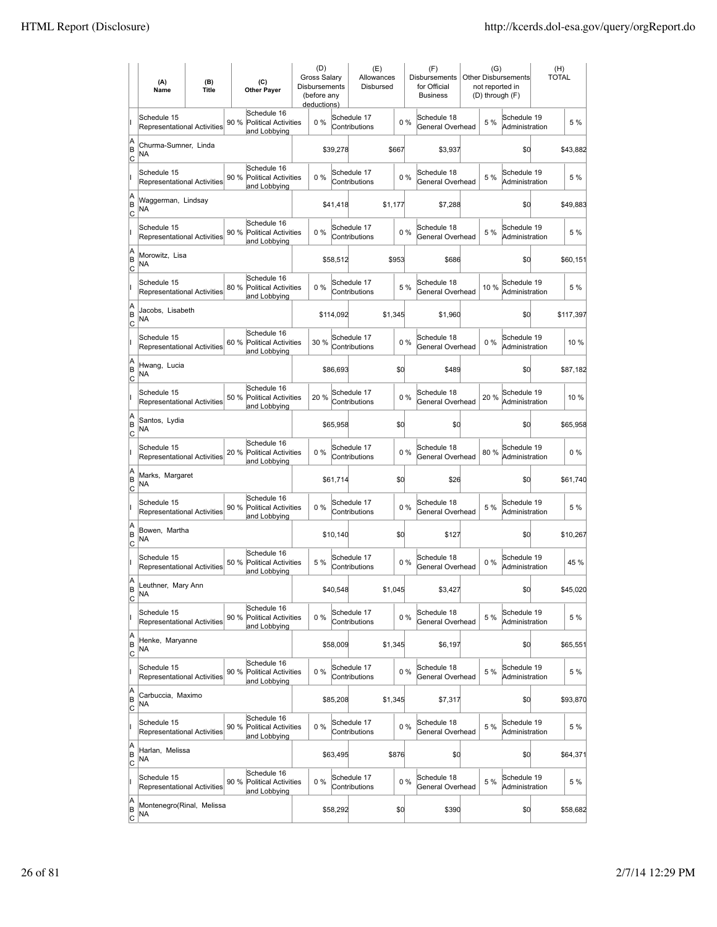|                                   | (A)<br>Name                                       | (B)<br><b>Title</b> | (C)<br><b>Other Payer</b>                                          | (D)<br>Gross Salary<br><b>Disbursements</b><br>(before any<br>deductions) |           | (E)<br>Allowances<br>Disbursed |         |       | (F)<br><b>Disbursements</b><br>for Official<br><b>Business</b> |       | (G)<br><b>Other Disbursements</b><br>not reported in<br>(D) through (F) | (H)<br><b>TOTAL</b> |           |
|-----------------------------------|---------------------------------------------------|---------------------|--------------------------------------------------------------------|---------------------------------------------------------------------------|-----------|--------------------------------|---------|-------|----------------------------------------------------------------|-------|-------------------------------------------------------------------------|---------------------|-----------|
|                                   | Schedule 15<br>Representational Activities        |                     | Schedule 16<br>90%<br><b>Political Activities</b><br>and Lobbying  | 0%                                                                        |           | Schedule 17<br>Contributions   |         | 0%    | Schedule 18<br>General Overhead                                | 5 %   | Schedule 19<br>Administration                                           |                     | 5 %       |
| A<br>B<br>C                       | Churma-Sumner, Linda<br>NA                        |                     |                                                                    |                                                                           | \$39,278  |                                | \$667   |       | \$3,937                                                        |       | \$0                                                                     |                     | \$43,882  |
|                                   | Schedule 15<br>Representational Activities        |                     | Schedule 16<br>90 %<br>Political Activities<br>and Lobbying        | 0%                                                                        |           | Schedule 17<br>Contributions   |         | 0%    | Schedule 18<br>General Overhead                                | 5 %   | Schedule 19<br>Administration                                           |                     | 5 %       |
| A<br>B<br>Iс                      | Waggerman, Lindsay<br>NA                          |                     |                                                                    |                                                                           | \$41,418  |                                | \$1,177 |       | \$7,288                                                        |       | \$0                                                                     |                     | \$49,883  |
|                                   | Schedule 15<br><b>Representational Activities</b> |                     | Schedule 16<br>90 %<br><b>Political Activities</b><br>and Lobbying | 0%                                                                        |           | Schedule 17<br>Contributions   |         | 0%    | Schedule 18<br>General Overhead                                | 5 %   | Schedule 19<br>Administration                                           |                     | 5 %       |
| A<br>B<br> c                      | Morowitz, Lisa<br>ΝA                              |                     |                                                                    |                                                                           | \$58,512  |                                | \$953   |       | \$686                                                          |       | \$0                                                                     |                     | \$60,151  |
|                                   | Schedule 15<br><b>Representational Activities</b> |                     | Schedule 16<br>80%<br>Political Activities<br>and Lobbying         | 0%                                                                        |           | Schedule 17<br>Contributions   |         | 5 %   | Schedule 18<br>General Overhead                                | 10%   | Schedule 19<br>Administration                                           |                     | 5 %       |
| A<br>B<br> c                      | Jacobs. Lisabeth<br>NA                            |                     |                                                                    |                                                                           | \$114,092 |                                | \$1,345 |       | \$1,960                                                        |       | \$0                                                                     |                     | \$117,397 |
|                                   | Schedule 15<br>Representational Activities        |                     | Schedule 16<br>60%<br><b>Political Activities</b><br>and Lobbying  | 30 %                                                                      |           | Schedule 17<br>Contributions   |         | 0%    | Schedule 18<br>General Overhead                                | $0\%$ | Schedule 19<br>Administration                                           |                     | 10 %      |
| A<br>B<br>C                       | Hwang, Lucia<br>ΝA                                |                     |                                                                    |                                                                           | \$86,693  |                                | \$0     |       | \$489                                                          |       | \$0                                                                     |                     | \$87,182  |
|                                   | Schedule 15<br><b>Representational Activities</b> |                     | Schedule 16<br>50 % Political Activities<br>and Lobbying           | 20 %                                                                      |           | Schedule 17<br>Contributions   |         | 0%    | Schedule 18<br>General Overhead                                | 20 %  | Schedule 19<br>Administration                                           |                     | 10 %      |
| A<br>B<br>C                       | Santos, Lydia<br>ΝA                               |                     |                                                                    |                                                                           | \$65,958  |                                | \$0     |       | \$0                                                            |       | \$0                                                                     |                     | \$65,958  |
|                                   | Schedule 15<br>Representational Activities        |                     | Schedule 16<br>20 %<br><b>Political Activities</b><br>and Lobbying | 0%                                                                        |           | Schedule 17<br>Contributions   |         | 0%    | Schedule 18<br>General Overhead                                | 80%   | Schedule 19<br>Administration                                           |                     | $0\%$     |
| A<br>B<br>lc                      | Marks, Margaret<br>NA                             |                     |                                                                    |                                                                           | \$61,714  |                                | \$0     |       | \$26                                                           |       | \$0                                                                     |                     | \$61,740  |
|                                   | Schedule 15<br><b>Representational Activities</b> |                     | Schedule 16<br><b>Political Activities</b><br>90 %<br>and Lobbying | 0%                                                                        |           | Schedule 17<br>Contributions   |         | 0%    | Schedule 18<br>General Overhead                                | 5 %   | Schedule 19<br>Administration                                           |                     | 5 %       |
| A<br>B<br>Iс                      | Bowen, Martha<br>NA                               |                     |                                                                    |                                                                           | \$10,140  |                                | \$0     |       | \$127                                                          |       | \$0                                                                     |                     | \$10,267  |
|                                   | Schedule 15<br><b>Representational Activities</b> |                     | Schedule 16<br>50 %<br><b>Political Activities</b><br>and Lobbying | 5 %                                                                       |           | Schedule 17<br>Contributions   |         | 0%    | Schedule 18<br>General Overhead                                | 0%    | Schedule 19<br>Administration                                           |                     | 45 %      |
| ΙA<br>B<br>$\overline{c}$         | Leuthner, Mary Ann<br>ΝA                          |                     |                                                                    |                                                                           | \$40,548  |                                | \$1,045 |       | \$3,427                                                        |       | \$0                                                                     |                     | \$45,020  |
|                                   | Schedule 15<br>Representational Activities        |                     | Schedule 16<br>90%<br>Political Activities<br>and Lobbying         | 0%                                                                        |           | Schedule 17<br>Contributions   |         | 0%    | Schedule 18<br>General Overhead                                | 5 %   | Schedule 19<br>Administration                                           |                     | 5 %       |
| A<br>B<br> c                      | Henke, Maryanne<br>NA                             |                     |                                                                    |                                                                           | \$58,009  |                                | \$1,345 |       | \$6,197                                                        |       | \$0                                                                     |                     | \$65,551  |
|                                   | Schedule 15<br>Representational Activities        |                     | Schedule 16<br><b>Political Activities</b><br>90 %<br>and Lobbying | 0%                                                                        |           | Schedule 17<br>Contributions   |         | $0\%$ | Schedule 18<br>General Overhead                                | 5 %   | Schedule 19<br>Administration                                           |                     | 5 %       |
| A<br>B<br><u>lc</u>               | Carbuccia, Maximo<br>NA                           |                     |                                                                    |                                                                           | \$85,208  |                                | \$1,345 |       | \$7,317                                                        |       | \$0                                                                     |                     | \$93,870  |
|                                   | Schedule 15<br>Representational Activities        |                     | Schedule 16<br>90 % Political Activities<br>and Lobbying           | $0\%$                                                                     |           | Schedule 17<br>Contributions   |         | $0\%$ | Schedule 18<br>General Overhead                                | 5 %   | Schedule 19<br>Administration                                           |                     | 5 %       |
| A<br>B<br>$\overline{c}$          | Harlan, Melissa<br>NA                             |                     |                                                                    |                                                                           | \$63,495  |                                | \$876   |       | \$0                                                            |       | \$0                                                                     |                     | \$64,371  |
|                                   | Schedule 15<br>Representational Activities        |                     | Schedule 16<br>90 %<br>Political Activities<br>and Lobbying        | 0%                                                                        |           | Schedule 17<br>Contributions   |         | 0%    | Schedule 18<br>General Overhead                                | 5 %   | Schedule 19<br>Administration                                           |                     | 5 %       |
| A<br>B<br>$\overline{\mathsf{c}}$ | Montenegro(Rinal, Melissa<br>NA                   |                     |                                                                    |                                                                           | \$58,292  |                                | \$0     |       | \$390                                                          |       | \$0                                                                     |                     | \$58,682  |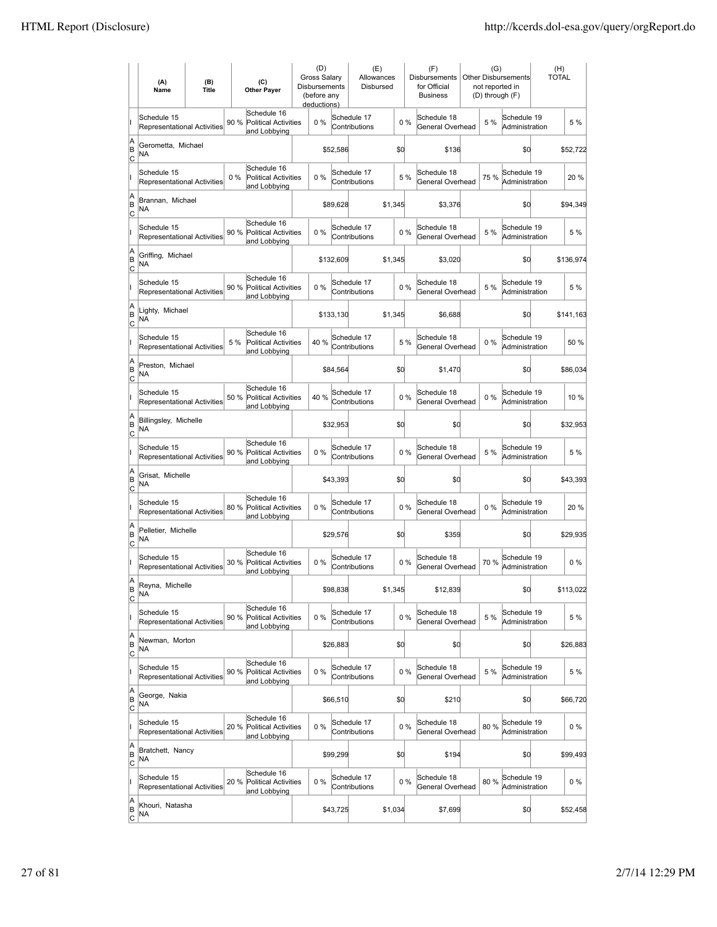|                          | (A)<br>Name                                       | (B)<br><b>Title</b> |       | (C)<br><b>Other Payer</b>                                  | (D)<br><b>Gross Salarv</b><br>Disbursements<br>(before any<br>deductions) |           | (E)<br>Allowances<br>Disbursed |         |       | (F)<br><b>Disbursements</b><br>for Official<br><b>Business</b> | (G)<br>not reported in<br>(D) through (F) | Other Disbursements           | (H)<br><b>TOTAL</b> |
|--------------------------|---------------------------------------------------|---------------------|-------|------------------------------------------------------------|---------------------------------------------------------------------------|-----------|--------------------------------|---------|-------|----------------------------------------------------------------|-------------------------------------------|-------------------------------|---------------------|
|                          | Schedule 15<br><b>Representational Activities</b> |                     | 90%   | Schedule 16<br><b>Political Activities</b><br>and Lobbying | 0%                                                                        |           | Schedule 17<br>Contributions   |         | 0%    | Schedule 18<br>General Overhead                                | 5 %                                       | Schedule 19<br>Administration | 5 %                 |
| A<br>B<br>lc             | Gerometta, Michael<br>NA                          |                     |       |                                                            |                                                                           | \$52,586  |                                |         | \$d   | \$136                                                          |                                           | \$0                           | \$52,722            |
|                          | Schedule 15<br><b>Representational Activities</b> |                     | $0\%$ | Schedule 16<br><b>Political Activities</b><br>and Lobbying | 0%                                                                        |           | Schedule 17<br>Contributions   |         | 5 %   | Schedule 18<br>General Overhead                                | 75%                                       | Schedule 19<br>Administration | 20%                 |
| A<br>B<br>C              | Brannan, Michael<br>NA                            |                     |       |                                                            |                                                                           | \$89,628  |                                | \$1,345 |       | \$3,376                                                        |                                           | \$0                           | \$94,349            |
|                          | Schedule 15<br>Representational Activities        |                     | 90 %  | Schedule 16<br><b>Political Activities</b><br>and Lobbying | 0%                                                                        |           | Schedule 17<br>Contributions   |         | 0%    | Schedule 18<br>General Overhead                                | 5 %                                       | Schedule 19<br>Administration | 5 %                 |
| A<br>B<br> c             | Griffing, Michael<br>NA                           |                     |       |                                                            |                                                                           | \$132,609 |                                | \$1,345 |       | \$3,020                                                        |                                           | \$0                           | \$136,974           |
|                          | Schedule 15<br><b>Representational Activities</b> |                     | 90 %  | Schedule 16<br><b>Political Activities</b><br>and Lobbying | $0\%$                                                                     |           | Schedule 17<br>Contributions   |         | 0%    | Schedule 18<br>General Overhead                                | 5 %                                       | Schedule 19<br>Administration | 5 %                 |
| A<br>B<br>lc             | Lighty, Michael<br>NA                             |                     |       |                                                            |                                                                           | \$133,130 |                                | \$1,345 |       | \$6,688                                                        |                                           | \$0                           | \$141,163           |
|                          | Schedule 15<br>Representational Activities        |                     | 5 %   | Schedule 16<br><b>Political Activities</b><br>and Lobbying | 40%                                                                       |           | Schedule 17<br>Contributions   |         | 5 %   | Schedule 18<br>General Overhead                                | $0\%$                                     | Schedule 19<br>Administration | 50 %                |
| A<br>B<br>C              | Preston, Michael<br>NA                            |                     |       |                                                            |                                                                           | \$84,564  |                                |         | \$d   | \$1,470                                                        |                                           | \$0                           | \$86,034            |
|                          | Schedule 15<br>Representational Activities        |                     | 50 %  | Schedule 16<br><b>Political Activities</b><br>and Lobbying | 40 %                                                                      |           | Schedule 17<br>Contributions   |         | 0%    | Schedule 18<br>General Overhead                                | $0\%$                                     | Schedule 19<br>Administration | 10%                 |
| A<br>B<br>C              | Billingsley, Michelle<br>NA                       |                     |       |                                                            |                                                                           | \$32,953  |                                |         | \$d   | \$0                                                            |                                           | \$0                           | \$32,953            |
|                          | Schedule 15<br>Representational Activities        |                     | 90 %  | Schedule 16<br><b>Political Activities</b><br>and Lobbying | $0\%$                                                                     |           | Schedule 17<br>Contributions   |         | 0%    | Schedule 18<br>General Overhead                                | 5 %                                       | Schedule 19<br>Administration | 5 %                 |
| A<br>B<br> c             | Grisat, Michelle<br><b>NA</b>                     |                     |       |                                                            |                                                                           | \$43,393  |                                |         | \$d   | \$0                                                            |                                           | \$0                           | \$43,393            |
|                          | Schedule 15<br>Representational Activities        |                     | 80 %  | Schedule 16<br><b>Political Activities</b><br>and Lobbying | 0%                                                                        |           | Schedule 17<br>Contributions   |         | 0%    | Schedule 18<br>General Overhead                                | 0%                                        | Schedule 19<br>Administration | 20%                 |
| A<br>B<br>C              | Pelletier, Michelle<br>NA                         |                     |       |                                                            |                                                                           | \$29,576  |                                |         | \$0   | \$359                                                          |                                           | \$0                           | \$29,935            |
|                          | Schedule 15<br>Representational Activities        |                     | 30 %  | Schedule 16<br><b>Political Activities</b><br>and Lobbying | 0%                                                                        |           | Schedule 17<br>Contributions   |         | 0%    | Schedule 18<br>General Overhead                                | 70%                                       | Schedule 19<br>Administration | $0\%$               |
| A<br>B<br>C              | Reyna, Michelle<br>ΝA                             |                     |       |                                                            |                                                                           | \$98,838  |                                | \$1,345 |       | \$12,839                                                       |                                           | \$0                           | \$113,022           |
|                          | Schedule 15<br>Representational Activities        |                     | 90 %  | Schedule 16<br>Political Activities<br>and Lobbying        | $0\%$                                                                     |           | Schedule 17<br>Contributions   |         | 0%    | Schedule 18<br>General Overhead                                | 5 %                                       | Schedule 19<br>Administration | 5 %                 |
| A<br>B<br><u>lc</u>      | Newman, Morton<br>NA                              |                     |       |                                                            |                                                                           | \$26,883  |                                |         | \$d   | \$0                                                            |                                           | \$0                           | \$26,883            |
|                          | Schedule 15<br>Representational Activities        |                     | 90%   | Schedule 16<br><b>Political Activities</b><br>and Lobbying | $0\%$                                                                     |           | Schedule 17<br>Contributions   |         | 0%    | Schedule 18<br>General Overhead                                | 5 %                                       | Schedule 19<br>Administration | 5 %                 |
| A<br>B<br>$\mathsf{C}$   | George, Nakia<br>NA                               |                     |       |                                                            |                                                                           | \$66,510  |                                |         | \$0   | \$210                                                          |                                           | \$0                           | \$66,720            |
|                          | Schedule 15<br>Representational Activities        |                     | 20%   | Schedule 16<br><b>Political Activities</b><br>and Lobbying | $0\%$                                                                     |           | Schedule 17<br>Contributions   |         | $0\%$ | Schedule 18<br>General Overhead                                | 80%                                       | Schedule 19<br>Administration | $0\%$               |
| A<br>B<br> c             | Bratchett, Nancy<br>NA                            |                     |       |                                                            |                                                                           | \$99,299  |                                |         | \$d   | \$194                                                          |                                           | \$0                           | \$99,493            |
|                          | Schedule 15<br>Representational Activities        |                     | 20 %  | Schedule 16<br>Political Activities<br>and Lobbying        | $0\%$                                                                     |           | Schedule 17<br>Contributions   |         | 0%    | Schedule 18<br>General Overhead                                | 80%                                       | Schedule 19<br>Administration | $0\%$               |
| A<br>B<br>$\overline{c}$ | Khouri, Natasha<br>NA                             |                     |       |                                                            |                                                                           | \$43,725  |                                | \$1,034 |       | \$7,699                                                        |                                           | \$0                           | \$52,458            |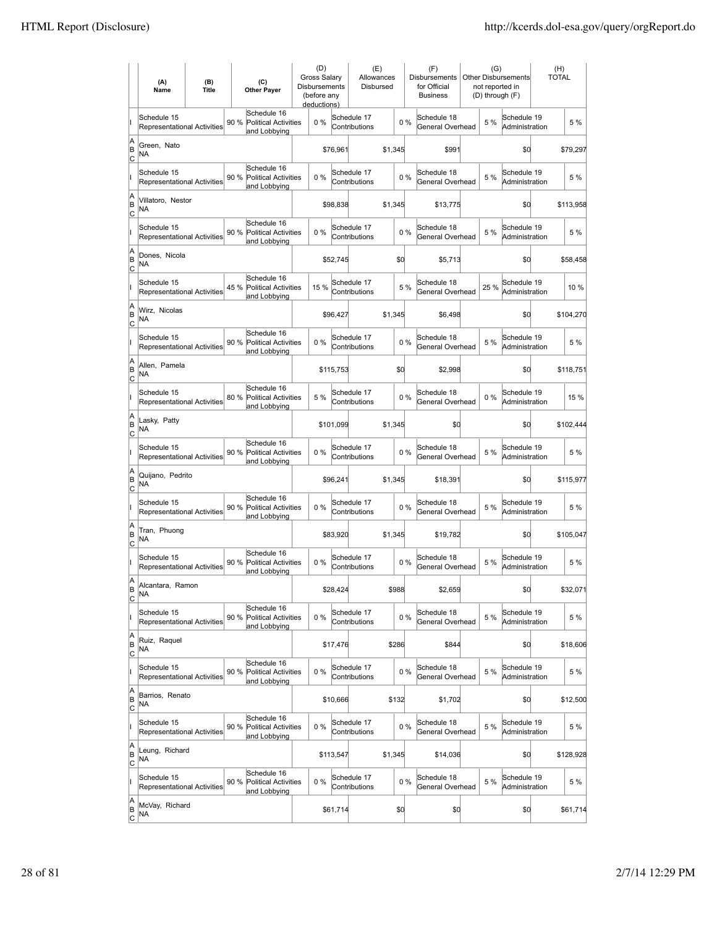|                           | (A)<br>Name                                       | (B)<br><b>Title</b> |      | (C)<br><b>Other Payer</b>                                  | (D)<br><b>Gross Salarv</b><br>Disbursements<br>(before any<br>deductions) |           | (E)<br>Allowances<br>Disbursed |         |     | (F)<br>Disbursements<br>for Official<br><b>Business</b> |       | (G)<br><b>Other Disbursements</b><br>not reported in<br>(D) through (F) | (H)<br><b>TOTAL</b> |
|---------------------------|---------------------------------------------------|---------------------|------|------------------------------------------------------------|---------------------------------------------------------------------------|-----------|--------------------------------|---------|-----|---------------------------------------------------------|-------|-------------------------------------------------------------------------|---------------------|
|                           | Schedule 15<br>Representational Activities        |                     | 90 % | Schedule 16<br><b>Political Activities</b><br>and Lobbying | $0\%$                                                                     |           | Schedule 17<br>Contributions   |         | 0%  | Schedule 18<br>General Overhead                         | 5 %   | Schedule 19<br>Administration                                           | 5 %                 |
| A<br>B<br> c              | Green, Nato<br>ΝA                                 |                     |      |                                                            |                                                                           | \$76,961  |                                | \$1,345 |     | \$991                                                   |       | \$0                                                                     | \$79,297            |
|                           | Schedule 15<br><b>Representational Activities</b> |                     | 90 % | Schedule 16<br><b>Political Activities</b><br>and Lobbying | 0%                                                                        |           | Schedule 17<br>Contributions   |         | 0%  | Schedule 18<br>General Overhead                         | 5 %   | Schedule 19<br>Administration                                           | 5 %                 |
| A<br>B<br>C               | Villatoro, Nestor<br>NA                           |                     |      |                                                            |                                                                           | \$98,838  |                                | \$1,345 |     | \$13,775                                                |       | \$d                                                                     | \$113,958           |
|                           | Schedule 15<br>Representational Activities        |                     | 90 % | Schedule 16<br><b>Political Activities</b><br>and Lobbying | 0%                                                                        |           | Schedule 17<br>Contributions   |         | 0%  | Schedule 18<br>General Overhead                         | 5 %   | Schedule 19<br>Administration                                           | 5 %                 |
| A<br>B<br>C               | Dones, Nicola<br>ΝA                               |                     |      |                                                            |                                                                           | \$52,745  |                                | \$0     |     | \$5,713                                                 |       | \$0                                                                     | \$58,458            |
|                           | Schedule 15<br><b>Representational Activities</b> |                     | 45 % | Schedule 16<br><b>Political Activities</b><br>and Lobbying | 15 %                                                                      |           | Schedule 17<br>Contributions   |         | 5 % | Schedule 18<br>General Overhead                         | 25 %  | Schedule 19<br>Administration                                           | 10 %                |
| A<br>B<br> c              | Wirz, Nicolas<br>ΝA                               |                     |      |                                                            |                                                                           | \$96.427  |                                | \$1,345 |     | \$6,498                                                 |       | \$0                                                                     | \$104,270           |
|                           | Schedule 15<br><b>Representational Activities</b> |                     | 90 % | Schedule 16<br><b>Political Activities</b><br>and Lobbying | 0%                                                                        |           | Schedule 17<br>Contributions   |         | 0%  | Schedule 18<br>General Overhead                         | 5 %   | Schedule 19<br>Administration                                           | 5 %                 |
| A<br>B<br>C               | Allen, Pamela<br>ΝA                               |                     |      |                                                            |                                                                           | \$115,753 |                                | \$0     |     | \$2,998                                                 |       | \$0                                                                     | \$118,751           |
|                           | Schedule 15<br>Representational Activities        |                     |      | Schedule 16<br>80 % Political Activities<br>and Lobbying   | 5 %                                                                       |           | Schedule 17<br>Contributions   |         | 0%  | Schedule 18<br>General Overhead                         | $0\%$ | Schedule 19<br>Administration                                           | 15 %                |
| A<br>B<br>C               | Lasky, Patty<br>NA                                |                     |      |                                                            |                                                                           | \$101,099 |                                | \$1,345 |     | \$0                                                     |       | \$0                                                                     | \$102,444           |
|                           | Schedule 15<br><b>Representational Activities</b> |                     | 90 % | Schedule 16<br><b>Political Activities</b><br>and Lobbying | $0\%$                                                                     |           | Schedule 17<br>Contributions   |         | 0%  | Schedule 18<br>General Overhead                         | 5 %   | Schedule 19<br>Administration                                           | 5 %                 |
| A<br>B<br> c              | Quijano, Pedrito<br>NA                            |                     |      |                                                            |                                                                           | \$96,241  |                                | \$1,345 |     | \$18,391                                                |       | \$d                                                                     | \$115,977           |
|                           | Schedule 15<br>Representational Activities        |                     | 90 % | Schedule 16<br><b>Political Activities</b><br>and Lobbying | 0%                                                                        |           | Schedule 17<br>Contributions   |         | 0%  | Schedule 18<br>General Overhead                         | 5 %   | Schedule 19<br>Administration                                           | 5 %                 |
| A<br>B<br>C               | Tran, Phuong<br>ΝA                                |                     |      |                                                            |                                                                           | \$83,920  |                                | \$1,345 |     | \$19,782                                                |       | \$0                                                                     | \$105,047           |
|                           | Schedule 15<br>Representational Activities        |                     | 90 % | Schedule 16<br>Political Activities<br>and Lobbying        | 0%                                                                        |           | Schedule 17<br>Contributions   |         | 0%  | Schedule 18<br>General Overhead                         | 5 %   | Schedule 19<br>Administration                                           | 5 %                 |
| A<br>B<br>C               | Alcantara, Ramon<br>NA                            |                     |      |                                                            |                                                                           | \$28,424  |                                | \$988   |     | \$2,659                                                 |       | \$d                                                                     | \$32,071            |
|                           | Schedule 15<br>Representational Activities        |                     | 90 % | Schedule 16<br><b>Political Activities</b><br>and Lobbying | 0%                                                                        |           | Schedule 17<br>Contributions   |         | 0%  | Schedule 18<br>General Overhead                         | 5 %   | Schedule 19<br>Administration                                           | 5 %                 |
| A<br>B<br><u>lc</u>       | Ruiz, Raquel<br>NA                                |                     |      |                                                            |                                                                           | \$17,476  |                                | \$286   |     | \$844                                                   |       | \$0                                                                     | \$18,606            |
|                           | Schedule 15<br>Representational Activities        |                     | 90 % | Schedule 16<br><b>Political Activities</b><br>and Lobbying | 0%                                                                        |           | Schedule 17<br>Contributions   |         | 0%  | Schedule 18<br>General Overhead                         | 5 %   | Schedule 19<br>Administration                                           | 5 %                 |
| A<br>B<br>$\mathsf{C}$    | Barrios, Renato<br>NA                             |                     |      |                                                            |                                                                           | \$10,666  |                                | \$132   |     | \$1,702                                                 |       | \$0                                                                     | \$12,500            |
|                           | Schedule 15<br>Representational Activities        |                     |      | Schedule 16<br>90 % Political Activities<br>and Lobbying   | 0%                                                                        |           | Schedule 17<br>Contributions   |         | 0%  | Schedule 18<br>General Overhead                         | 5 %   | Schedule 19<br>Administration                                           | 5 %                 |
| A<br>B<br> c              | Leung, Richard<br>NA                              |                     |      |                                                            |                                                                           | \$113,547 |                                | \$1,345 |     | \$14,036                                                |       | \$0                                                                     | \$128,928           |
|                           | Schedule 15<br>Representational Activities        |                     | 90 % | Schedule 16<br><b>Political Activities</b><br>and Lobbying | 0%                                                                        |           | Schedule 17<br>Contributions   |         | 0%  | Schedule 18<br>General Overhead                         | 5 %   | Schedule 19<br>Administration                                           | 5 %                 |
| A<br> B<br>$\overline{c}$ | McVay, Richard<br>NA                              |                     |      |                                                            |                                                                           | \$61,714  |                                | \$0     |     | \$0                                                     |       | \$d                                                                     | \$61,714            |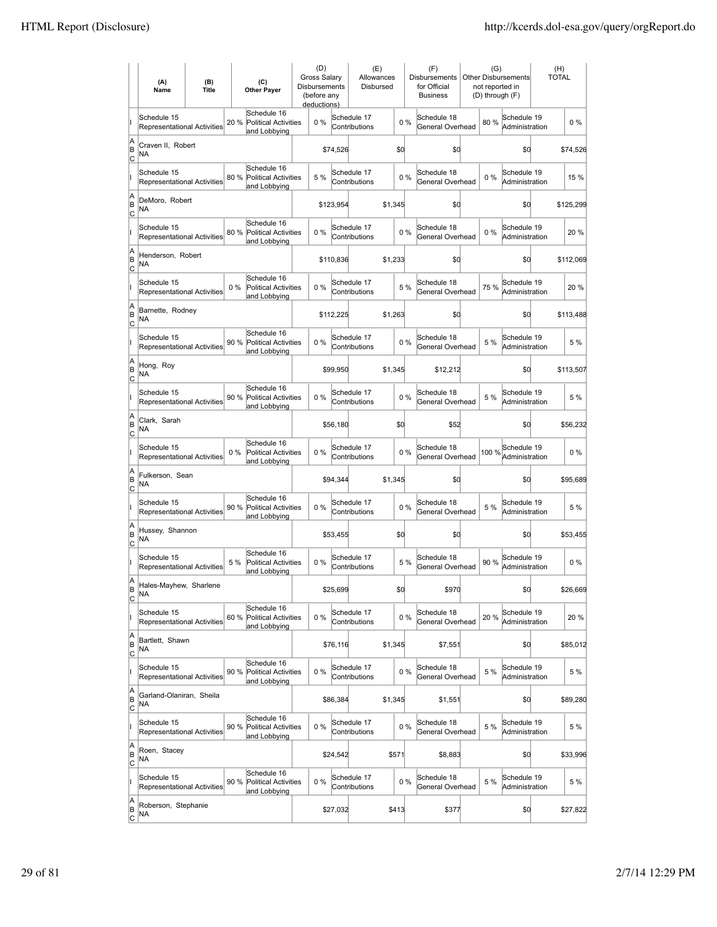|                           | (A)<br>Name                                       | (B)<br><b>Title</b> | (C)<br><b>Other Payer</b>                                           | (D)<br>Gross Salarv<br><b>Disbursements</b><br>(before any<br>deductions) |           | (E)<br>Allowances<br>Disbursed |         |       | (F)<br><b>Disbursements</b><br>for Official<br><b>Business</b> | <b>Other Disbursements</b><br>not reported in<br>(D) through (F) | (G)                                            | (H)<br><b>TOTAL</b> |           |
|---------------------------|---------------------------------------------------|---------------------|---------------------------------------------------------------------|---------------------------------------------------------------------------|-----------|--------------------------------|---------|-------|----------------------------------------------------------------|------------------------------------------------------------------|------------------------------------------------|---------------------|-----------|
|                           | Schedule 15<br><b>Representational Activities</b> |                     | Schedule 16<br>20 %<br><b>Political Activities</b><br>and Lobbying  | 0%                                                                        |           | Schedule 17<br>Contributions   |         | $0\%$ | Schedule 18<br>General Overhead                                | 80%                                                              | Schedule 19<br>Administration                  |                     | $0\%$     |
| A<br>ΙB<br> c             | Craven II, Robert<br>NA                           |                     |                                                                     |                                                                           | \$74,526  |                                | \$0     |       | \$d                                                            |                                                                  | \$0                                            |                     | \$74,526  |
|                           | Schedule 15<br>Representational Activities        |                     | Schedule 16<br>80 %<br><b>Political Activities</b><br>and Lobbying  | 5 %                                                                       |           | Schedule 17<br>Contributions   |         | 0%    | Schedule 18<br>General Overhead                                | $0\%$                                                            | Schedule 19<br>Administration                  |                     | 15 %      |
| A<br>B<br>C               | DeMoro, Robert<br>ΝA                              |                     |                                                                     |                                                                           | \$123,954 |                                | \$1,345 |       | \$0                                                            |                                                                  | \$0                                            |                     | \$125,299 |
|                           | Schedule 15<br><b>Representational Activities</b> |                     | Schedule 16<br>80 %<br><b>Political Activities</b><br>and Lobbying  | 0%                                                                        |           | Schedule 17<br>Contributions   | 0%      |       | Schedule 18<br>General Overhead                                | $0\%$                                                            | Schedule 19<br>Administration                  |                     | 20%       |
| A<br>B<br> c              | Henderson, Robert<br>NA                           |                     |                                                                     |                                                                           | \$110,836 |                                | \$1,233 |       | \$0                                                            |                                                                  | \$0                                            |                     | \$112,069 |
|                           | Schedule 15<br><b>Representational Activities</b> |                     | Schedule 16<br>$0\%$<br><b>Political Activities</b><br>and Lobbying | 0%                                                                        |           | Schedule 17<br>Contributions   |         | 5 %   | Schedule 18<br>General Overhead                                | 75 %                                                             | Schedule 19<br>Administration                  |                     | 20%       |
| A<br>ΙB<br> c             | Barnette, Rodney<br>NA                            |                     |                                                                     |                                                                           | \$112,225 |                                | \$1,263 |       | \$0                                                            |                                                                  | \$0                                            |                     | \$113,488 |
|                           | Schedule 15<br><b>Representational Activities</b> |                     | Schedule 16<br>90 % Political Activities<br>and Lobbying            | $0\%$                                                                     |           | Schedule 17<br>Contributions   |         | 0%    | Schedule 18<br>General Overhead                                | 5 %                                                              | Schedule 19<br>Administration                  |                     | 5 %       |
| A<br>B<br>C               | Hong, Roy<br><b>NA</b>                            |                     |                                                                     |                                                                           | \$99,950  |                                | \$1,345 |       | \$12,212                                                       |                                                                  | \$0                                            |                     | \$113,507 |
|                           | Schedule 15<br>Representational Activities        |                     | Schedule 16<br>90 % Political Activities<br>and Lobbying            | 0%                                                                        |           | Schedule 17<br>Contributions   |         | 0%    | Schedule 18<br>General Overhead                                | 5 %                                                              | Schedule 19<br>Administration                  |                     | 5 %       |
| A<br>B<br>C               | Clark, Sarah<br><b>NA</b>                         |                     |                                                                     |                                                                           | \$56,180  |                                | \$0     |       | \$52                                                           |                                                                  | \$d                                            |                     | \$56,232  |
|                           | Schedule 15<br><b>Representational Activities</b> |                     | Schedule 16<br>0%<br><b>Political Activities</b><br>and Lobbying    | 0%                                                                        |           | Schedule 17<br>Contributions   |         | 0%    | Schedule 18<br>General Overhead                                |                                                                  | 100 % <sup>Schedule</sup> 19<br>Administration |                     | $0\%$     |
| A<br>B<br>Iс              | Fulkerson, Sean<br>NA                             |                     |                                                                     |                                                                           | \$94,344  |                                | \$1,345 |       | \$0                                                            |                                                                  | \$d                                            |                     | \$95,689  |
|                           | Schedule 15<br>Representational Activities        |                     | Schedule 16<br>90 %<br><b>Political Activities</b><br>and Lobbying  | 0%                                                                        |           | Schedule 17<br>Contributions   |         | $0\%$ | Schedule 18<br>General Overhead                                | 5 %                                                              | Schedule 19<br>Administration                  |                     | 5 %       |
| A<br>B<br>C               | Hussey, Shannon<br>NA                             |                     |                                                                     |                                                                           | \$53,455  |                                | \$0     |       | \$0                                                            |                                                                  | \$0                                            |                     | \$53,455  |
|                           | Schedule 15<br>Representational Activities        |                     | Schedule 16<br>5 %<br>Political Activities<br>and Lobbying          | 0%                                                                        |           | Schedule 17<br>Contributions   |         | 5 %   | Schedule 18<br>General Overhead                                | 90 %                                                             | Schedule 19<br>Administration                  |                     | $0\%$     |
| A<br>B<br>$\overline{c}$  | Hales-Mayhew, Sharlene<br>ΝA                      |                     |                                                                     |                                                                           | \$25,699  |                                | \$0     |       | \$970                                                          |                                                                  | \$d                                            |                     | \$26,669  |
|                           | Schedule 15<br>Representational Activities        |                     | Schedule 16<br>60%<br><b>Political Activities</b><br>and Lobbying   | 0%                                                                        |           | Schedule 17<br>Contributions   |         | $0\%$ | Schedule 18<br>General Overhead                                | 20%                                                              | Schedule 19<br>Administration                  |                     | 20%       |
| A<br>B<br><u>lc</u>       | Bartlett, Shawn<br>NA                             |                     |                                                                     |                                                                           | \$76,116  |                                | \$1,345 |       | \$7,551                                                        |                                                                  | \$d                                            |                     | \$85,012  |
|                           | Schedule 15<br><b>Representational Activities</b> |                     | Schedule 16<br>90 % Political Activities<br>and Lobbying            | $0\%$                                                                     |           | Schedule 17<br>Contributions   |         | 0%    | Schedule 18<br>General Overhead                                | 5 %                                                              | Schedule 19<br>Administration                  |                     | 5 %       |
| A<br>B<br>$\circ$         | Garland-Olaniran, Sheila<br>NA                    |                     |                                                                     |                                                                           | \$86,384  |                                | \$1,345 |       | \$1,551                                                        |                                                                  | \$d                                            |                     | \$89,280  |
|                           | Schedule 15<br>Representational Activities        |                     | Schedule 16<br>90 %<br><b>Political Activities</b><br>and Lobbying  | 0%                                                                        |           | Schedule 17<br>Contributions   |         | 0%    | Schedule 18<br>General Overhead                                | 5 %                                                              | Schedule 19<br>Administration                  |                     | 5 %       |
| A<br>B<br>C               | Roen, Stacey<br>NA.                               |                     |                                                                     |                                                                           | \$24,542  |                                | \$571   |       | \$8,883                                                        |                                                                  | \$d                                            |                     | \$33,996  |
|                           | Schedule 15<br>Representational Activities        |                     | Schedule 16<br>90 %<br>Political Activities<br>and Lobbying         | 0%                                                                        |           | Schedule 17<br>Contributions   |         | 0%    | Schedule 18<br>General Overhead                                | 5 %                                                              | Schedule 19<br>Administration                  |                     | 5 %       |
| A<br> B<br>$\overline{c}$ | Roberson, Stephanie<br><b>NA</b>                  |                     |                                                                     |                                                                           | \$27,032  |                                | \$413   |       | \$377                                                          |                                                                  | \$d                                            |                     | \$27,822  |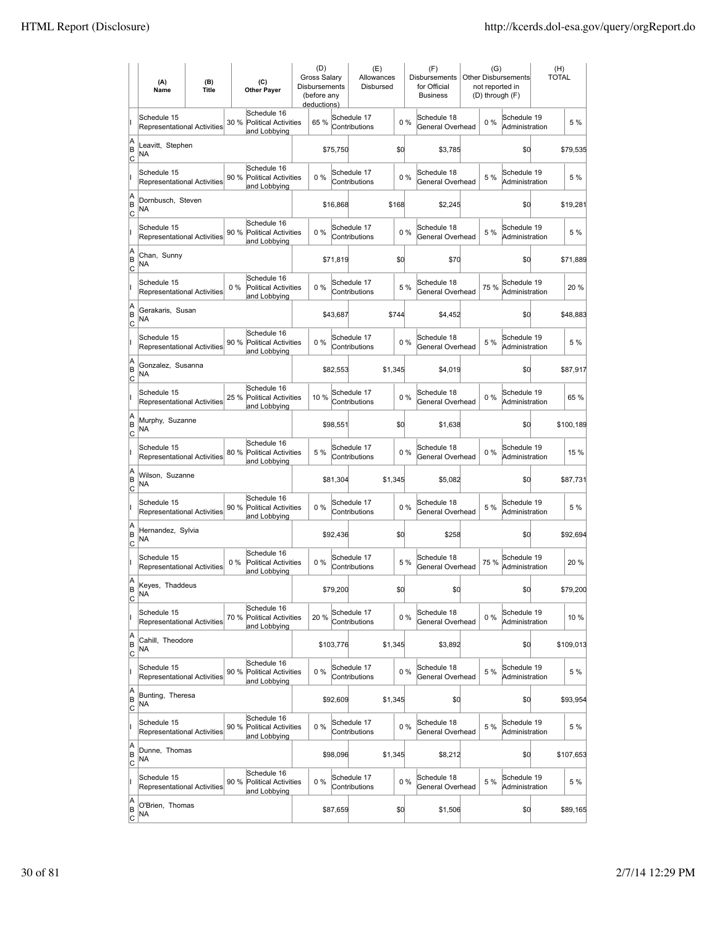|                            | (A)<br>Name                                       | (B)<br><b>Title</b> | (C)<br><b>Other Payer</b>                                           | <b>Disbursements</b> | (D)<br><b>Gross Salarv</b><br>(before any<br>deductions) |           | (E)<br>Allowances<br>Disbursed |         |     | (F)<br><b>Disbursements</b><br>for Official<br><b>Business</b> | (G)<br>not reported in | <b>Other Disbursements</b><br>(D) through (F) | (H)<br><b>TOTAL</b> |
|----------------------------|---------------------------------------------------|---------------------|---------------------------------------------------------------------|----------------------|----------------------------------------------------------|-----------|--------------------------------|---------|-----|----------------------------------------------------------------|------------------------|-----------------------------------------------|---------------------|
|                            | Schedule 15<br>Representational Activities        |                     | Schedule 16<br>30 %<br><b>Political Activities</b><br>and Lobbying  |                      | 65 %                                                     |           | Schedule 17<br>Contributions   |         | 0%  | Schedule 18<br>General Overhead                                | $0\%$                  | Schedule 19<br>Administration                 | 5 %                 |
| A<br>B<br>c                | Leavitt, Stephen<br>NA                            |                     |                                                                     |                      |                                                          | \$75,750  |                                | \$0     |     | \$3,785                                                        |                        | \$0                                           | \$79,535            |
|                            | Schedule 15<br>Representational Activities        |                     | Schedule 16<br>90%<br><b>Political Activities</b><br>and Lobbying   |                      | 0%                                                       |           | Schedule 17<br>Contributions   |         | 0%  | Schedule 18<br>General Overhead                                | 5 %                    | Schedule 19<br>Administration                 | 5 %                 |
| A<br>B<br>Iс               | Dornbusch, Steven<br>NA                           |                     |                                                                     |                      |                                                          | \$16,868  |                                | \$168   |     | \$2,245                                                        |                        | \$0                                           | \$19,281            |
|                            | Schedule 15<br><b>Representational Activities</b> |                     | Schedule 16<br>90 %<br><b>Political Activities</b><br>and Lobbying  |                      | 0%                                                       |           | Schedule 17<br>Contributions   |         | 0%  | Schedule 18<br>General Overhead                                | 5 %                    | Schedule 19<br>Administration                 | 5 %                 |
| A<br>B<br> c               | Chan, Sunny<br>NA                                 |                     |                                                                     |                      |                                                          | \$71,819  |                                | \$0     |     | \$70                                                           |                        | \$0                                           | \$71,889            |
|                            | Schedule 15<br><b>Representational Activities</b> |                     | Schedule 16<br>$0\%$<br><b>Political Activities</b><br>and Lobbying |                      | 0%                                                       |           | Schedule 17<br>Contributions   |         | 5 % | Schedule 18<br>General Overhead                                | 75 %                   | Schedule 19<br>Administration                 | 20%                 |
| A<br>B<br> c               | Gerakaris, Susan<br>NA                            |                     |                                                                     |                      |                                                          | \$43,687  |                                | \$744   |     | \$4,452                                                        |                        | \$0                                           | \$48,883            |
|                            | Schedule 15<br><b>Representational Activities</b> |                     | Schedule 16<br>90 %<br><b>Political Activities</b><br>and Lobbying  |                      | 0%                                                       |           | Schedule 17<br>Contributions   |         | 0%  | Schedule 18<br>General Overhead                                | 5 %                    | Schedule 19<br>Administration                 | 5 %                 |
| A<br>B<br>Iс               | Gonzalez, Susanna<br>NA                           |                     |                                                                     |                      |                                                          | \$82,553  |                                | \$1,345 |     | \$4,019                                                        |                        | \$0                                           | \$87,917            |
|                            | Schedule 15<br>Representational Activities        |                     | Schedule 16<br>25 % Political Activities<br>and Lobbying            |                      | 10 %                                                     |           | Schedule 17<br>Contributions   |         | 0%  | Schedule 18<br>General Overhead                                | $0\%$                  | Schedule 19<br>Administration                 | 65 %                |
| A<br>B<br>C                | Murphy, Suzanne<br>NA                             |                     |                                                                     |                      |                                                          | \$98,551  |                                | \$0     |     | \$1,638                                                        |                        | \$0                                           | \$100,189           |
|                            | Schedule 15<br>Representational Activities        |                     | Schedule 16<br>80%<br><b>Political Activities</b><br>and Lobbying   |                      | 5 %                                                      |           | Schedule 17<br>Contributions   |         | 0%  | Schedule 18<br>General Overhead                                | $0\%$                  | Schedule 19<br>Administration                 | 15 %                |
| A<br>B<br>lc               | Wilson, Suzanne<br>NA                             |                     |                                                                     |                      |                                                          | \$81,304  |                                | \$1,345 |     | \$5,082                                                        |                        | \$0                                           | \$87,731            |
|                            | Schedule 15<br><b>Representational Activities</b> |                     | Schedule 16<br>Political Activities<br>90 %<br>and Lobbying         |                      | 0%                                                       |           | Schedule 17<br>Contributions   |         | 0%  | Schedule 18<br>General Overhead                                | 5 %                    | Schedule 19<br>Administration                 | 5 %                 |
| A<br>B<br>Iс               | Hernandez, Sylvia<br>NA                           |                     |                                                                     |                      |                                                          | \$92,436  |                                | \$0     |     | \$258                                                          |                        | \$0                                           | \$92,694            |
|                            | Schedule 15<br>Representational Activities        |                     | Schedule 16<br>0%<br><b>Political Activities</b><br>and Lobbying    |                      | 0%                                                       |           | Schedule 17<br>Contributions   |         | 5 % | Schedule 18<br>General Overhead                                | 75%                    | Schedule 19<br>Administration                 | 20 %                |
| ΙA<br> B<br>$\overline{c}$ | Keyes, Inaddeus<br>ΝA                             |                     |                                                                     |                      |                                                          | \$79,200  |                                | \$d     |     | \$0                                                            |                        | \$0                                           | \$79,200            |
|                            | Schedule 15<br>Representational Activities        |                     | Schedule 16<br>70 %<br>Political Activities<br>and Lobbying         |                      | 20%                                                      |           | Schedule 17<br>Contributions   |         | 0%  | Schedule 18<br>General Overhead                                | $0\%$                  | Schedule 19<br>Administration                 | 10 %                |
| A<br>B<br> c               | Cahill. Theodore<br>NA                            |                     |                                                                     |                      |                                                          | \$103,776 |                                | \$1,345 |     | \$3,892                                                        |                        | \$0                                           | \$109,013           |
|                            | Schedule 15<br>Representational Activities        |                     | Schedule 16<br>90%<br><b>Political Activities</b><br>and Lobbying   |                      | 0%                                                       |           | Schedule 17<br>Contributions   |         | 0%  | Schedule 18<br>General Overhead                                | 5 %                    | Schedule 19<br>Administration                 | 5 %                 |
| A<br>B<br><u>lc</u>        | Bunting, Theresa<br>NA                            |                     |                                                                     |                      |                                                          | \$92,609  |                                | \$1,345 |     | \$0                                                            |                        | \$0                                           | \$93,954            |
|                            | Schedule 15<br>Representational Activities        |                     | Schedule 16<br>90 % Political Activities<br>and Lobbying            |                      | 0%                                                       |           | Schedule 17<br>Contributions   |         | 0%  | Schedule 18<br>General Overhead                                | 5 %                    | Schedule 19<br>Administration                 | 5 %                 |
| A<br>B<br>$\circ$          | Dunne, Thomas<br>NA                               |                     |                                                                     |                      |                                                          | \$98,096  |                                | \$1,345 |     | \$8,212                                                        |                        | \$0                                           | \$107,653           |
|                            | Schedule 15<br>Representational Activities        |                     | Schedule 16<br>90 %<br>Political Activities<br>and Lobbying         |                      | 0%                                                       |           | Schedule 17<br>Contributions   |         | 0%  | Schedule 18<br>General Overhead                                | 5 %                    | Schedule 19<br>Administration                 | 5 %                 |
| A<br>B<br>$\overline{c}$   | O'Brien, Thomas<br>NA                             |                     |                                                                     |                      |                                                          | \$87,659  |                                | \$0     |     | \$1,506                                                        |                        | \$0                                           | \$89,165            |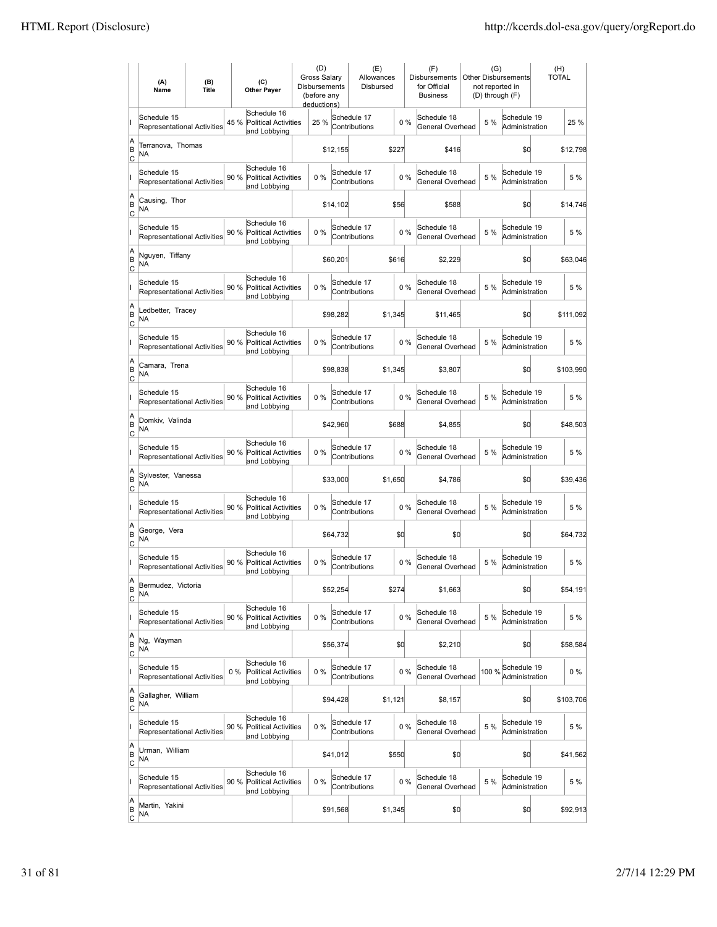|                           | (A)<br>Name                                       | (B)<br><b>Title</b> | (C)<br><b>Other Payer</b>                                           | <b>Disbursements</b> | (D)<br><b>Gross Salarv</b><br>(before any<br>deductions) |                              | (E)<br>Allowances<br>Disbursed |       | (F)<br><b>Disbursements</b><br>for Official<br><b>Business</b> | (G)<br>not reported in | <b>Other Disbursements</b><br>(D) through (F) | (H)<br><b>TOTAL</b> |
|---------------------------|---------------------------------------------------|---------------------|---------------------------------------------------------------------|----------------------|----------------------------------------------------------|------------------------------|--------------------------------|-------|----------------------------------------------------------------|------------------------|-----------------------------------------------|---------------------|
|                           | Schedule 15<br><b>Representational Activities</b> |                     | Schedule 16<br>45 %<br><b>Political Activities</b><br>and Lobbying  |                      | 25 %                                                     | Schedule 17<br>Contributions |                                | 0%    | Schedule 18<br>General Overhead                                | 5 %                    | Schedule 19<br>Administration                 | 25 %                |
| A<br>B<br> c              | Terranova, Thomas<br>ΝA                           |                     |                                                                     |                      | \$12,155                                                 |                              | \$227                          |       | \$416                                                          |                        | \$0                                           | \$12,798            |
|                           | Schedule 15<br><b>Representational Activities</b> |                     | Schedule 16<br>90 %<br><b>Political Activities</b><br>and Lobbying  |                      | 0%                                                       | Schedule 17<br>Contributions |                                | 0%    | Schedule 18<br>General Overhead                                | 5 %                    | Schedule 19<br>Administration                 | 5 %                 |
| A<br>B<br>C               | Causing, Thor<br>NA                               |                     |                                                                     |                      | \$14,102                                                 |                              | \$56                           |       | \$588                                                          |                        | \$0                                           | \$14,746            |
|                           | Schedule 15<br>Representational Activities        |                     | Schedule 16<br>90 %<br><b>Political Activities</b><br>and Lobbying  |                      | 0%                                                       | Schedule 17<br>Contributions |                                | 0%    | Schedule 18<br>General Overhead                                | 5 %                    | Schedule 19<br>Administration                 | 5 %                 |
| A<br>B<br> c              | Nguyen, Tiffany<br>NA                             |                     |                                                                     |                      | \$60,201                                                 |                              | \$616                          |       | \$2,229                                                        |                        | \$0                                           | \$63,046            |
|                           | Schedule 15<br><b>Representational Activities</b> |                     | Schedule 16<br>90%<br>Political Activities<br>and Lobbying          |                      | $0\%$                                                    | Schedule 17<br>Contributions |                                | $0\%$ | Schedule 18<br>General Overhead                                | 5 %                    | Schedule 19<br>Administration                 | 5 %                 |
| A<br>B<br>lc              | Ledbetter, Tracey<br>NA                           |                     |                                                                     |                      | \$98,282                                                 |                              | \$1,345                        |       | \$11,465                                                       |                        | \$0                                           | \$111,092           |
|                           | Schedule 15<br>Representational Activities        |                     | Schedule 16<br>90 %<br><b>Political Activities</b><br>and Lobbying  |                      | 0%                                                       | Schedule 17<br>Contributions |                                | 0%    | Schedule 18<br>General Overhead                                | 5 %                    | Schedule 19<br>Administration                 | 5 %                 |
| A<br>B<br>C               | Camara, Trena<br>ΝA                               |                     |                                                                     |                      | \$98,838                                                 |                              | \$1,345                        |       | \$3,807                                                        |                        | \$0                                           | \$103,990           |
|                           | Schedule 15<br>Representational Activities        |                     | Schedule 16<br>90 % Political Activities<br>and Lobbying            |                      | 0%                                                       | Schedule 17<br>Contributions |                                | 0%    | Schedule 18<br>General Overhead                                | 5 %                    | Schedule 19<br>Administration                 | 5 %                 |
| A<br>B<br>C               | Domkiv, Valinda<br>NA                             |                     |                                                                     |                      | \$42,960                                                 |                              | \$688                          |       | \$4,855                                                        |                        | \$0                                           | \$48,503            |
|                           | Schedule 15<br><b>Representational Activities</b> |                     | Schedule 16<br>90%<br><b>Political Activities</b><br>and Lobbying   |                      | $0\%$                                                    | Schedule 17<br>Contributions |                                | $0\%$ | Schedule 18<br>General Overhead                                | 5 %                    | Schedule 19<br>Administration                 | 5 %                 |
| A<br>B<br> c              | Sylvester, Vanessa<br>NA                          |                     |                                                                     |                      | \$33,000                                                 |                              | \$1,650                        |       | \$4,786                                                        |                        | \$d                                           | \$39,436            |
|                           | Schedule 15<br>Representational Activities        |                     | Schedule 16<br>90 %<br><b>Political Activities</b><br>and Lobbying  |                      | 0%                                                       | Schedule 17<br>Contributions |                                | 0%    | Schedule 18<br>General Overhead                                | 5 %                    | Schedule 19<br>Administration                 | 5 %                 |
| A<br>B<br> c              | George, Vera<br>ΝA                                |                     |                                                                     |                      | \$64,732                                                 |                              | \$0                            |       | \$0                                                            |                        | \$0                                           | \$64,732            |
|                           | Schedule 15<br>Representational Activities        |                     | Schedule 16<br>90%<br>Political Activities<br>and Lobbying          |                      | 0%                                                       | Schedule 17<br>Contributions |                                | 0%    | Schedule 18<br>General Overhead                                | 5 %                    | Schedule 19<br>Administration                 | 5 %                 |
| A<br>B<br>Iс              | Bermudez, Victoria<br>NA                          |                     |                                                                     |                      | \$52,254                                                 |                              | \$274                          |       | \$1,663                                                        |                        | \$0                                           | \$54,191            |
|                           | Schedule 15<br>Representational Activities        |                     | Schedule 16<br>90%<br>Political Activities<br>and Lobbying          |                      | 0%                                                       | Schedule 17<br>Contributions |                                | 0%    | Schedule 18<br>General Overhead                                | 5 %                    | Schedule 19<br>Administration                 | 5 %                 |
| A<br> B<br><u>lc</u>      | Ng, Wayman<br>NA                                  |                     |                                                                     |                      | \$56,374                                                 |                              | \$0                            |       | \$2,210                                                        |                        | \$0                                           | \$58,584            |
|                           | Schedule 15<br>Representational Activities        |                     | Schedule 16<br><b>Political Activities</b><br>$0\%$<br>and Lobbying |                      | 0%                                                       | Schedule 17<br>Contributions |                                | 0%    | Schedule 18<br>General Overhead                                | 100 %                  | Schedule 19<br>Administration                 | $0\%$               |
| A<br>B<br>$\mathsf{C}$    | Gallagher, William<br>NA                          |                     |                                                                     |                      | \$94,428                                                 |                              | \$1,121                        |       | \$8,157                                                        |                        | \$0                                           | \$103,706           |
|                           | Schedule 15<br>Representational Activities        |                     | Schedule 16<br>90 % Political Activities<br>and Lobbying            |                      | 0%                                                       | Schedule 17<br>Contributions |                                | $0\%$ | Schedule 18<br>General Overhead                                | 5 %                    | Schedule 19<br>Administration                 | 5 %                 |
| A<br>B<br> c              | Urman, William<br>NA                              |                     |                                                                     |                      | \$41,012                                                 |                              | \$550                          |       | \$0                                                            |                        | \$0                                           | \$41,562            |
|                           | Schedule 15<br>Representational Activities        |                     | Schedule 16<br>90 %<br>Political Activities<br>and Lobbying         |                      | 0%                                                       | Schedule 17<br>Contributions |                                | 0%    | Schedule 18<br>General Overhead                                | 5 %                    | Schedule 19<br>Administration                 | 5 %                 |
| A<br> B<br>$\overline{c}$ | Martin, Yakini<br>NA                              |                     |                                                                     |                      | \$91,568                                                 |                              | \$1,345                        |       | \$0                                                            |                        | \$0                                           | \$92,913            |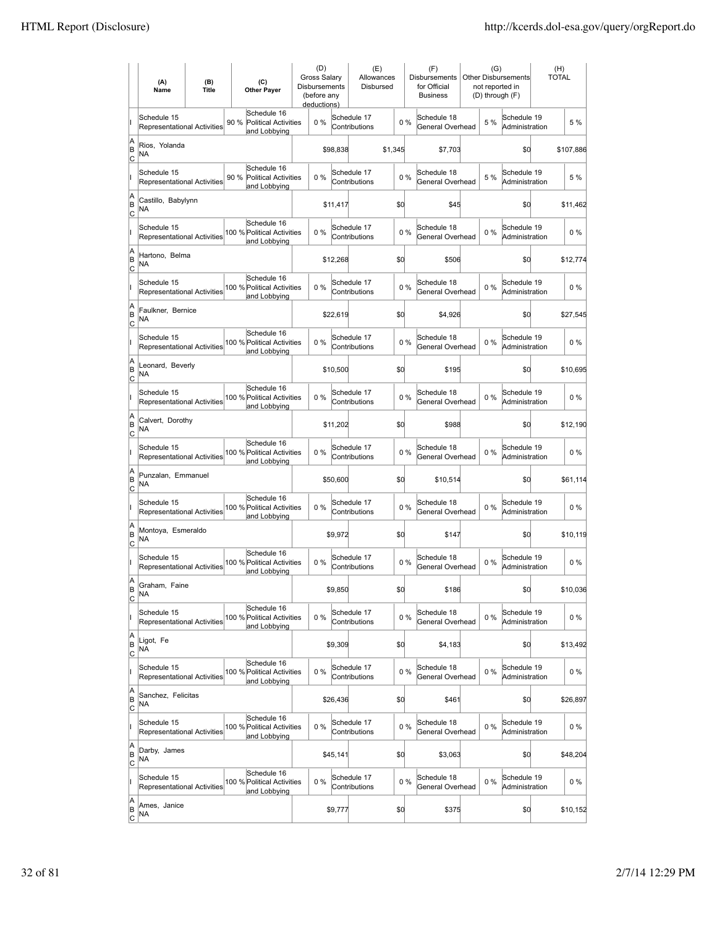|                           | (A)<br>Name                                       | (B)<br><b>Title</b> | (C)<br><b>Other Payer</b>                                          | (D)<br><b>Gross Salary</b><br><b>Disbursements</b><br>(before any<br>deductions) |          | (E)<br>Allowances<br>Disbursed |       | (F)<br><b>Disbursements</b><br>for Official<br><b>Business</b> | (G)<br>not reported in<br>(D) through (F) | <b>Other Disbursements</b>    | (H)<br><b>TOTAL</b> |
|---------------------------|---------------------------------------------------|---------------------|--------------------------------------------------------------------|----------------------------------------------------------------------------------|----------|--------------------------------|-------|----------------------------------------------------------------|-------------------------------------------|-------------------------------|---------------------|
|                           | Schedule 15<br>Representational Activities        |                     | Schedule 16<br>90%<br><b>Political Activities</b><br>and Lobbying  | 0%                                                                               |          | Schedule 17<br>Contributions   | $0\%$ | Schedule 18<br>General Overhead                                | 5 %                                       | Schedule 19<br>Administration | 5 %                 |
| A<br>ΙB<br> c             | Rios, Yolanda<br>ΝA                               |                     |                                                                    |                                                                                  | \$98,838 | \$1,345                        |       | \$7,703                                                        |                                           | \$0                           | \$107,886           |
|                           | Schedule 15<br>Representational Activities        |                     | Schedule 16<br>90 %<br><b>Political Activities</b><br>and Lobbying | 0%                                                                               |          | Schedule 17<br>Contributions   | 0%    | Schedule 18<br>General Overhead                                | 5 %                                       | Schedule 19<br>Administration | 5 %                 |
| A<br>B<br>C               | Castillo, Babylynn<br>NA                          |                     |                                                                    |                                                                                  | \$11,417 |                                | \$0   | \$45                                                           |                                           | \$0                           | \$11,462            |
|                           | Schedule 15<br>Representational Activities        |                     | Schedule 16<br>100 % Political Activities<br>and Lobbying          | 0%                                                                               |          | Schedule 17<br>Contributions   | 0%    | Schedule 18<br>General Overhead                                | 0%                                        | Schedule 19<br>Administration | $0\%$               |
| A<br>B<br> c              | Hartono, Belma<br>NA                              |                     |                                                                    |                                                                                  | \$12,268 |                                | \$0   | \$506                                                          |                                           | \$0                           | \$12,774            |
|                           | Schedule 15<br><b>Representational Activities</b> |                     | Schedule 16<br>100 % Political Activities<br>and Lobbying          | 0%                                                                               |          | Schedule 17<br>Contributions   | 0%    | Schedule 18<br>General Overhead                                | $0\%$                                     | Schedule 19<br>Administration | $0\%$               |
| A<br>ΙB<br> c             | Faulkner, Bernice<br>NA                           |                     |                                                                    |                                                                                  | \$22,619 |                                | \$0   | \$4,926                                                        |                                           | \$0                           | \$27,545            |
|                           | Schedule 15<br>Representational Activities        |                     | Schedule 16<br>100 % Political Activities<br>and Lobbying          | 0%                                                                               |          | Schedule 17<br>Contributions   | 0%    | Schedule 18<br>General Overhead                                | $0\%$                                     | Schedule 19<br>Administration | $0\%$               |
| A<br>B<br>C               | Leonard, Beverly<br>NA                            |                     |                                                                    |                                                                                  | \$10,500 |                                | \$0   | \$195                                                          |                                           | \$0                           | \$10,695            |
|                           | Schedule 15<br>Representational Activities        |                     | Schedule 16<br>100 % Political Activities<br>and Lobbying          | 0%                                                                               |          | Schedule 17<br>Contributions   | 0%    | Schedule 18<br>General Overhead                                | $0\%$                                     | Schedule 19<br>Administration | $0\%$               |
| A<br>B<br>c               | Calvert, Dorothy<br><b>NA</b>                     |                     |                                                                    |                                                                                  | \$11,202 |                                | \$0   | \$988                                                          |                                           | \$0                           | \$12,190            |
|                           | Schedule 15<br><b>Representational Activities</b> |                     | Schedule 16<br>100 % Political Activities<br>and Lobbying          | 0%                                                                               |          | Schedule 17<br>Contributions   | 0%    | Schedule 18<br>General Overhead                                | 0%                                        | Schedule 19<br>Administration | $0\%$               |
| A<br>B<br>Iс              | Punzalan, Emmanuel<br>NA                          |                     |                                                                    |                                                                                  | \$50,600 |                                | \$0   | \$10,514                                                       |                                           | \$0                           | \$61,114            |
|                           | Schedule 15<br>Representational Activities        |                     | Schedule 16<br>100 % Political Activities<br>and Lobbying          | 0%                                                                               |          | Schedule 17<br>Contributions   | 0%    | Schedule 18<br>General Overhead                                | 0%                                        | Schedule 19<br>Administration | $0\%$               |
| A<br>B<br> c              | Montoya, Esmeraldo<br>NA                          |                     |                                                                    |                                                                                  | \$9,972  |                                | \$0   | \$147                                                          |                                           | \$0                           | \$10.119            |
|                           | Schedule 15<br>Representational Activities        |                     | Schedule 16<br>100 % Political Activities<br>and Lobbying          | 0%                                                                               |          | Schedule 17<br>Contributions   | 0%    | Schedule 18<br>General Overhead                                | 0%                                        | Schedule 19<br>Administration | $0\%$               |
| A<br>ΙB<br>$\overline{c}$ | Graham, Faine<br>ΝA                               |                     |                                                                    |                                                                                  | \$9,850  |                                | \$d   | \$186                                                          |                                           | \$0                           | \$10,036            |
|                           | Schedule 15<br>Representational Activities        |                     | Schedule 16<br>100 % Political Activities<br>and Lobbying          | 0%                                                                               |          | Schedule 17<br>Contributions   | 0%    | Schedule 18<br>General Overhead                                | $0\%$                                     | Schedule 19<br>Administration | $0\%$               |
| A<br>B<br><u>lc</u>       | Ligot, Fe<br>NA                                   |                     |                                                                    |                                                                                  | \$9,309  |                                | \$0   | \$4,183                                                        |                                           | \$d                           | \$13,492            |
|                           | Schedule 15<br>Representational Activities        |                     | Schedule 16<br>100 % Political Activities<br>and Lobbying          | $0\%$                                                                            |          | Schedule 17<br>Contributions   | 0%    | Schedule 18<br>General Overhead                                | $0\%$                                     | Schedule 19<br>Administration | $0\%$               |
| A<br>B<br>$\circ$         | Sanchez, Felicitas<br>NA                          |                     |                                                                    |                                                                                  | \$26,436 |                                | \$0   | \$461                                                          |                                           | \$0                           | \$26,897            |
|                           | Schedule 15<br>Representational Activities        |                     | Schedule 16<br>100 % Political Activities<br>and Lobbying          | 0%                                                                               |          | Schedule 17<br>Contributions   | 0%    | Schedule 18<br>General Overhead                                | $0\%$                                     | Schedule 19<br>Administration | $0\%$               |
| A<br>B<br> c              | Darby, James<br>NA.                               |                     |                                                                    |                                                                                  | \$45,141 |                                | \$0   | \$3,063                                                        |                                           | \$0                           | \$48,204            |
|                           | Schedule 15<br>Representational Activities        |                     | Schedule 16<br>100 % Political Activities<br>and Lobbying          | 0%                                                                               |          | Schedule 17<br>Contributions   | 0%    | Schedule 18<br>General Overhead                                | 0%                                        | Schedule 19<br>Administration | $0\%$               |
| A<br>B<br>$\overline{c}$  | Ames, Janice<br><b>NA</b>                         |                     |                                                                    |                                                                                  | \$9,777  |                                | \$0   | \$375                                                          |                                           | \$0                           | \$10,152            |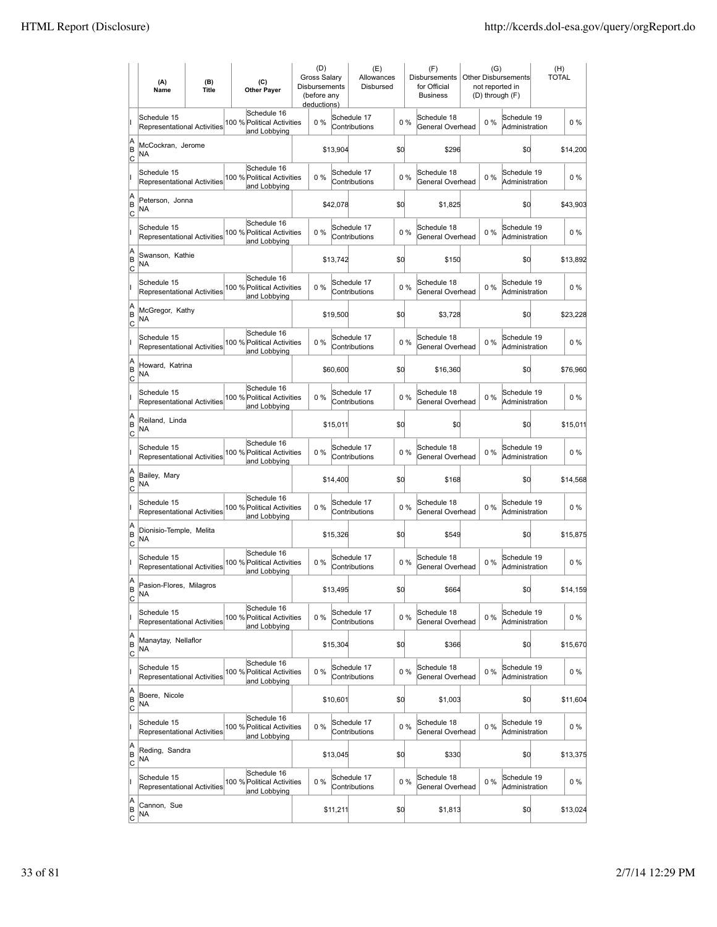|                           | (A)<br>Name                                       | (B)<br><b>Title</b> | (C)<br><b>Other Payer</b>                                 | (D)<br>Gross Salary<br>Disbursements<br>(before any<br>deductions) |          | (E)<br>Allowances<br>Disbursed |       | (F)<br><b>Disbursements</b><br>for Official<br><b>Business</b> | (G)<br>not reported in<br>(D) through (F) | Other Disbursements           | <b>TOTAL</b> | (H)      |
|---------------------------|---------------------------------------------------|---------------------|-----------------------------------------------------------|--------------------------------------------------------------------|----------|--------------------------------|-------|----------------------------------------------------------------|-------------------------------------------|-------------------------------|--------------|----------|
|                           | Schedule 15<br>Representational Activities        |                     | Schedule 16<br>100 % Political Activities<br>and Lobbying | $0\%$                                                              |          | Schedule 17<br>Contributions   | $0\%$ | Schedule 18<br>General Overhead                                | 0%                                        | Schedule 19<br>Administration |              | $0\%$    |
| A<br>ΙB<br> c             | McCockran, Jerome<br>NA                           |                     |                                                           |                                                                    | \$13,904 |                                | \$d   | \$296                                                          |                                           | \$0                           |              | \$14,200 |
|                           | Schedule 15<br>Representational Activities        |                     | Schedule 16<br>100 % Political Activities<br>and Lobbying | 0%                                                                 |          | Schedule 17<br>Contributions   | 0%    | Schedule 18<br>General Overhead                                | $0\%$                                     | Schedule 19<br>Administration |              | $0\%$    |
| A<br>B<br>c               | Peterson, Jonna<br>NA                             |                     |                                                           |                                                                    | \$42,078 |                                | \$d   | \$1,825                                                        |                                           | \$0                           |              | \$43,903 |
|                           | Schedule 15<br>Representational Activities        |                     | Schedule 16<br>100 % Political Activities<br>and Lobbying | 0%                                                                 |          | Schedule 17<br>Contributions   | 0%    | Schedule 18<br>General Overhead                                | 0%                                        | Schedule 19<br>Administration |              | $0\%$    |
| A<br>B<br> c              | Swanson, Kathie<br>NA                             |                     |                                                           |                                                                    | \$13,742 |                                | \$0   | \$150                                                          |                                           | \$0                           |              | \$13,892 |
|                           | Schedule 15<br><b>Representational Activities</b> |                     | Schedule 16<br>100 % Political Activities<br>and Lobbying | 0%                                                                 |          | Schedule 17<br>Contributions   | 0%    | Schedule 18<br>General Overhead                                | 0%                                        | Schedule 19<br>Administration |              | $0\%$    |
| A<br>B<br> c              | McGregor, Kathy<br>NA                             |                     |                                                           |                                                                    | \$19,500 |                                | \$0   | \$3,728                                                        |                                           | \$0                           |              | \$23,228 |
|                           | Schedule 15<br><b>Representational Activities</b> |                     | Schedule 16<br>100 % Political Activities<br>and Lobbying | $0\%$                                                              |          | Schedule 17<br>Contributions   | 0%    | Schedule 18<br>General Overhead                                | $0\%$                                     | Schedule 19<br>Administration |              | $0\%$    |
| A<br>B<br>c               | Howard, Katrina<br>NA                             |                     |                                                           |                                                                    | \$60,600 |                                | \$d   | \$16,360                                                       |                                           | \$0                           |              | \$76,960 |
|                           | Schedule 15<br>Representational Activities        |                     | Schedule 16<br>100 % Political Activities<br>and Lobbying | 0%                                                                 |          | Schedule 17<br>Contributions   | 0%    | Schedule 18<br>General Overhead                                | 0%                                        | Schedule 19<br>Administration |              | $0\%$    |
| A<br>B<br>C               | Reiland, Linda<br><b>NA</b>                       |                     |                                                           |                                                                    | \$15,011 |                                | \$0   | \$0                                                            |                                           | \$0                           |              | \$15,011 |
|                           | Schedule 15<br><b>Representational Activities</b> |                     | Schedule 16<br>100 % Political Activities<br>and Lobbying | 0%                                                                 |          | Schedule 17<br>Contributions   | 0%    | Schedule 18<br>General Overhead                                | 0%                                        | Schedule 19<br>Administration |              | $0\%$    |
| A<br>B<br>Iс              | Bailey, Mary<br><b>NA</b>                         |                     |                                                           |                                                                    | \$14,400 |                                | \$d   | \$168                                                          |                                           | \$d                           |              | \$14,568 |
|                           | Schedule 15<br><b>Representational Activities</b> |                     | Schedule 16<br>100 % Political Activities<br>and Lobbying | 0%                                                                 |          | Schedule 17<br>Contributions   | 0%    | Schedule 18<br>General Overhead                                | $0\%$                                     | Schedule 19<br>Administration |              | $0\%$    |
| A<br>B<br> c              | Dionisio-Temple, Melita<br>NA                     |                     |                                                           |                                                                    | \$15,326 |                                | \$d   | \$549                                                          |                                           | \$0                           |              | \$15,875 |
|                           | Schedule 15<br>Representational Activities        |                     | Schedule 16<br>100 % Political Activities<br>and Lobbying | 0%                                                                 |          | Schedule 17<br>Contributions   | 0%    | Schedule 18<br>General Overhead                                | 0%                                        | Schedule 19<br>Administration |              | $0\%$    |
| A<br>ΙB<br>$\overline{c}$ | Pasion-Flores, Milagros<br>ΝA                     |                     |                                                           |                                                                    | \$13,495 |                                | \$d   | \$664                                                          |                                           | \$0                           |              | \$14,159 |
|                           | Schedule 15<br><b>Representational Activities</b> |                     | Schedule 16<br>100 % Political Activities<br>and Lobbying | $0\%$                                                              |          | Schedule 17<br>Contributions   | $0\%$ | Schedule 18<br>General Overhead                                | $0\%$                                     | Schedule 19<br>Administration |              | $0\%$    |
| A<br>B<br>$\overline{c}$  | Manaytay, Nellaflor<br>NA                         |                     |                                                           |                                                                    | \$15,304 |                                | \$0   | \$366                                                          |                                           | \$d                           |              | \$15,670 |
|                           | Schedule 15<br>Representational Activities        |                     | Schedule 16<br>100 % Political Activities<br>and Lobbying | $0\%$                                                              |          | Schedule 17<br>Contributions   | $0\%$ | Schedule 18<br>General Overhead                                | $0\%$                                     | Schedule 19<br>Administration |              | 0%       |
| A<br>B<br>$\circ$         | Boere, Nicole<br><b>NA</b>                        |                     |                                                           |                                                                    | \$10,601 |                                | \$d   | \$1,003                                                        |                                           | \$q                           |              | \$11,604 |
|                           | Schedule 15<br><b>Representational Activities</b> |                     | Schedule 16<br>100 % Political Activities<br>and Lobbying | 0%                                                                 |          | Schedule 17<br>Contributions   | 0%    | Schedule 18<br>General Overhead                                | $0\%$                                     | Schedule 19<br>Administration |              | $0\%$    |
| A<br>B<br>C               | Reding, Sandra<br>NA                              |                     |                                                           |                                                                    | \$13,045 |                                | \$d   | \$330                                                          |                                           | \$d                           |              | \$13,375 |
|                           | Schedule 15<br>Representational Activities        |                     | Schedule 16<br>100 % Political Activities<br>and Lobbying | 0%                                                                 |          | Schedule 17<br>Contributions   | 0%    | Schedule 18<br>General Overhead                                | 0%                                        | Schedule 19<br>Administration |              | $0\%$    |
| A<br>B<br>$\overline{c}$  | Cannon, Sue<br>NA                                 |                     |                                                           |                                                                    | \$11,211 |                                | \$0   | \$1,813                                                        |                                           | \$q                           |              | \$13,024 |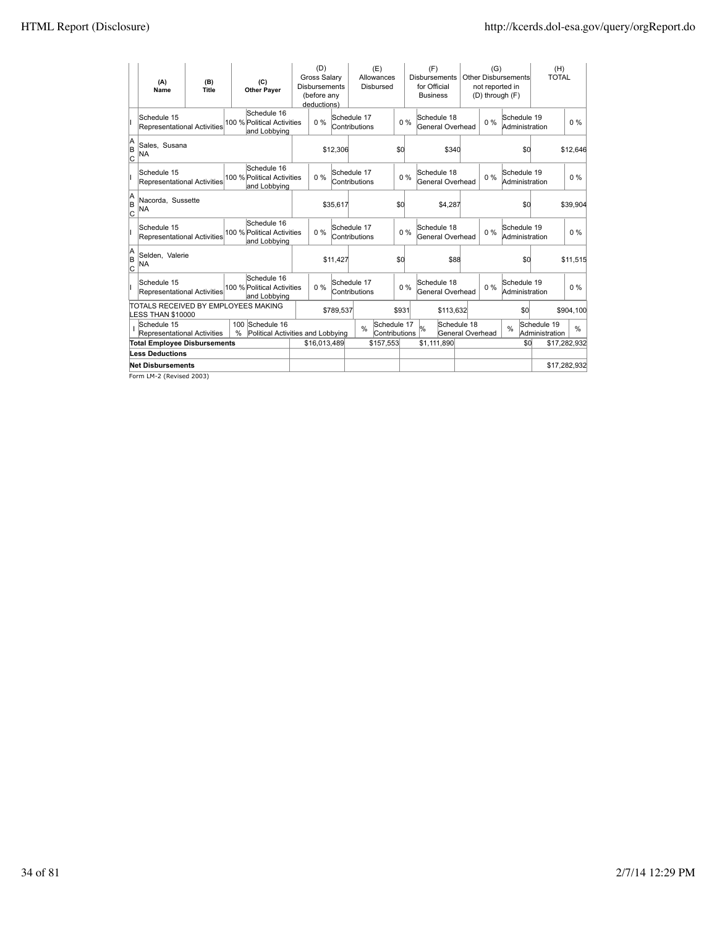|               | (A)<br>Name                                              | (B)<br>Title |   | (C)<br><b>Other Payer</b>                                 | (D)<br><b>Gross Salary</b><br><b>Disbursements</b><br>(before any<br>deductions) |           |                              | (E)<br>Allowances<br><b>Disbursed</b> |       | (F)<br><b>Disbursements</b><br>for Official<br><b>Business</b> |                                 | (G)<br>not reported in<br>(D) through (F) | <b>Other Disbursements</b>    |     | (H)<br><b>TOTAL</b>           |              |
|---------------|----------------------------------------------------------|--------------|---|-----------------------------------------------------------|----------------------------------------------------------------------------------|-----------|------------------------------|---------------------------------------|-------|----------------------------------------------------------------|---------------------------------|-------------------------------------------|-------------------------------|-----|-------------------------------|--------------|
|               | Schedule 15<br>Representational Activities               |              |   | Schedule 16<br>100 % Political Activities<br>and Lobbying | $0\%$                                                                            |           | Schedule 17<br>Contributions |                                       | 0%    | Schedule 18<br>General Overhead                                |                                 | 0%                                        | Schedule 19<br>Administration |     |                               | $0\%$        |
| $A_B$<br>lc   | Sales, Susana<br>NA                                      |              |   |                                                           |                                                                                  | \$12,306  |                              |                                       | \$0   | \$340                                                          |                                 |                                           |                               | \$0 |                               | \$12,646     |
|               | Schedule 15<br>Representational Activities               |              |   | Schedule 16<br>100 % Political Activities<br>and Lobbying | $0\%$                                                                            |           | Schedule 17<br>Contributions |                                       | 0%    | Schedule 18<br>General Overhead                                |                                 | $0\%$                                     | Schedule 19<br>Administration |     |                               | $0\%$        |
| A<br>B<br>C   | Nacorda, Sussette<br>NA                                  |              |   |                                                           |                                                                                  | \$35,617  |                              |                                       | \$d   | \$4,287                                                        |                                 |                                           |                               | \$d |                               | \$39,904     |
|               | Schedule 15<br>Representational Activities               |              |   | Schedule 16<br>100 % Political Activities<br>and Lobbying | $0\%$                                                                            |           | Schedule 17<br>Contributions |                                       | 0%    | Schedule 18<br>General Overhead                                |                                 | $0\%$                                     | Schedule 19<br>Administration |     |                               | $0\%$        |
| A<br>lв<br>lc | Selden, Valerie<br><b>NA</b>                             |              |   |                                                           |                                                                                  | \$11,427  |                              |                                       | \$d   | \$88                                                           |                                 |                                           |                               | \$d |                               | \$11,515     |
|               | Schedule 15<br>Representational Activities               |              |   | Schedule 16<br>100 % Political Activities<br>and Lobbying | $0\%$                                                                            |           | Schedule 17<br>Contributions |                                       | $0\%$ | Schedule 18<br>General Overhead                                |                                 | $0\%$                                     | Schedule 19<br>Administration |     |                               | $0\%$        |
|               | TOTALS RECEIVED BY EMPLOYEES MAKING<br>LESS THAN \$10000 |              |   |                                                           |                                                                                  | \$789,537 |                              |                                       | \$931 | \$113,632                                                      |                                 |                                           |                               | \$0 |                               | \$904,100    |
|               | Schedule 15<br>Representational Activities               |              | % | 100 Schedule 16<br>Political Activities and Lobbying      |                                                                                  |           | $\frac{0}{0}$                | Schedule 17<br>Contributions          |       | %                                                              | Schedule 18<br>General Overhead |                                           | $\frac{0}{0}$                 |     | Schedule 19<br>Administration | %            |
|               | <b>Total Employee Disbursements</b>                      |              |   |                                                           | \$16.013.489                                                                     |           |                              | \$157,553                             |       | \$1,111,890                                                    |                                 |                                           |                               | \$0 |                               | \$17,282,932 |
|               | <b>Less Deductions</b>                                   |              |   |                                                           |                                                                                  |           |                              |                                       |       |                                                                |                                 |                                           |                               |     |                               |              |
|               | <b>Net Disbursements</b>                                 |              |   |                                                           |                                                                                  |           |                              |                                       |       |                                                                |                                 |                                           |                               |     |                               | \$17,282,932 |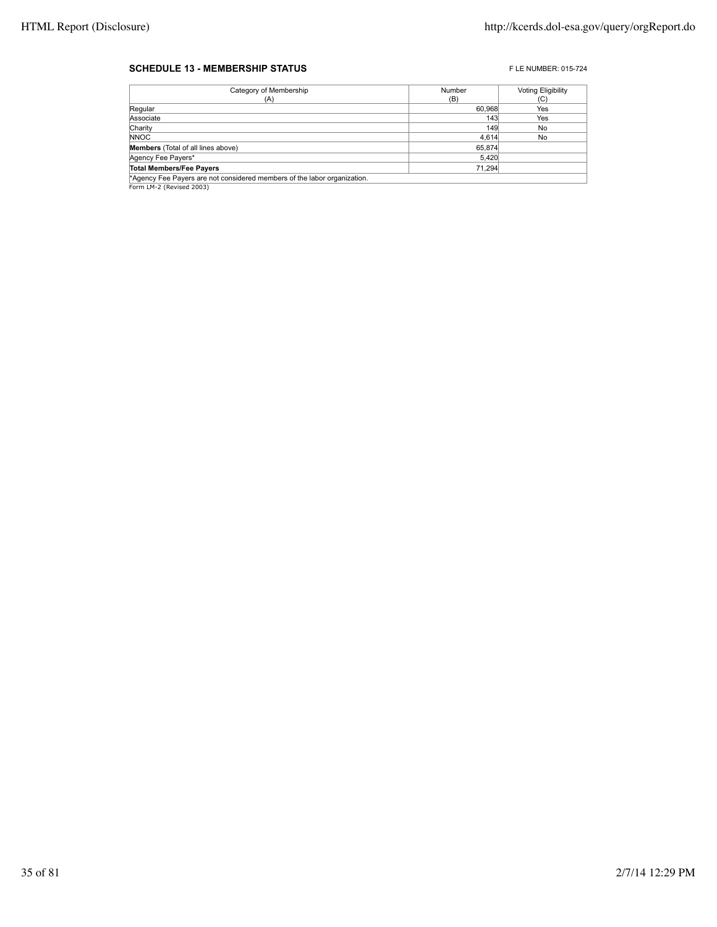#### **SCHEDULE 13 - MEMBERSHIP STATUS EXECUTE 2015-724** FLE NUMBER: 015-724

| Category of Membership                                                   | Number | <b>Voting Eligibility</b> |
|--------------------------------------------------------------------------|--------|---------------------------|
| (A)                                                                      | (B)    | (C)                       |
| Regular                                                                  | 60,968 | Yes                       |
| Associate                                                                | 143    | Yes                       |
| Charity                                                                  | 149    | No                        |
| <b>NNOC</b>                                                              | 4.614  | No                        |
| <b>Members</b> (Total of all lines above)                                | 65,874 |                           |
| Agency Fee Payers*                                                       | 5,420  |                           |
| <b>Total Members/Fee Payers</b>                                          | 71.294 |                           |
| *Agency Fee Payers are not considered members of the labor organization. |        |                           |

**Agency Fee Payers are r\***<br>Form LM-2 (Revised 2003)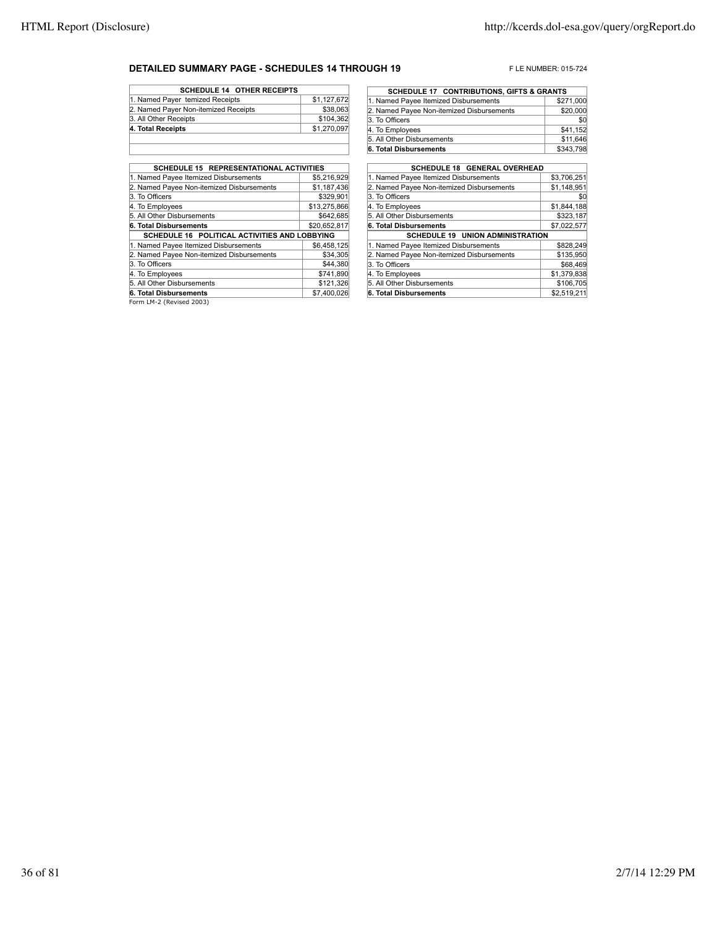#### **DETAILED SUMMARY PAGE - SCHEDULES 14 THROUGH 19** FLE NUMBER: 015-724

| <b>SCHEDULE 14 OTHER RECEIPTS</b>    |             |
|--------------------------------------|-------------|
| 1. Named Payer temized Receipts      | \$1,127,672 |
| 2. Named Payer Non-itemized Receipts | \$38,063    |
| 3. All Other Receipts                | \$104,362   |
| 4. Total Receipts                    | \$1,270,097 |
|                                      |             |

| SCHEDULE 15 REPRESENTATIONAL ACTIVITIES                  |              |
|----------------------------------------------------------|--------------|
| 1. Named Payee Itemized Disbursements                    | \$5.216.929  |
| 2. Named Payee Non-itemized Disbursements                | \$1,187,436  |
| 3. To Officers                                           | \$329.901    |
| 4. To Employees                                          | \$13,275,866 |
| 5. All Other Disbursements                               | \$642,685    |
| 6. Total Disbursements                                   | \$20,652,817 |
| SCHEDULE 16 POLITICAL ACTIVITIES AND LOBBYING            |              |
| 1. Named Payee Itemized Disbursements                    | \$6.458.125  |
| 2. Named Payee Non-itemized Disbursements                | \$34,305     |
| 3. To Officers                                           | \$44,380     |
| 4. To Employees                                          | \$741.890    |
| 5. All Other Disbursements                               | \$121,326    |
| 6. Total Disbursements                                   | \$7,400,026  |
| $F_{\text{current}}$ $\mid M \mid \gamma$ (Berlead 2002) |              |

| <b>SCHEDULE 17 CONTRIBUTIONS, GIFTS &amp; GRANTS</b> |           |  |  |  |  |  |
|------------------------------------------------------|-----------|--|--|--|--|--|
| 1. Named Payee Itemized Disbursements                | \$271,000 |  |  |  |  |  |
| 2. Named Payee Non-itemized Disbursements            | \$20,000  |  |  |  |  |  |
| 3. To Officers                                       | \$0       |  |  |  |  |  |
| 4. To Employees                                      | \$41,152  |  |  |  |  |  |
| 5. All Other Disbursements                           | \$11,646  |  |  |  |  |  |
| 6. Total Disbursements                               | \$343,798 |  |  |  |  |  |

| <b>SCHEDULE 18 GENERAL OVERHEAD</b>       |             |  |  |  |  |  |
|-------------------------------------------|-------------|--|--|--|--|--|
| 1. Named Payee Itemized Disbursements     | \$3,706,251 |  |  |  |  |  |
| 2. Named Payee Non-itemized Disbursements | \$1,148,951 |  |  |  |  |  |
| 3. To Officers                            | \$C         |  |  |  |  |  |
| 4. To Employees                           | \$1,844,188 |  |  |  |  |  |
| 5. All Other Disbursements                | \$323,187   |  |  |  |  |  |
| 6. Total Disbursements                    | \$7,022,577 |  |  |  |  |  |
| <b>SCHEDULE 19 UNION ADMINISTRATION</b>   |             |  |  |  |  |  |
| 1. Named Payee Itemized Disbursements     | \$828.249   |  |  |  |  |  |
| 2. Named Payee Non-itemized Disbursements | \$135.950   |  |  |  |  |  |
| 3. To Officers                            | \$68,469    |  |  |  |  |  |
| 4. To Employees                           | \$1,379,838 |  |  |  |  |  |
| 5. All Other Disbursements                | \$106,705   |  |  |  |  |  |
| 6. Total Disbursements                    | \$2,519,211 |  |  |  |  |  |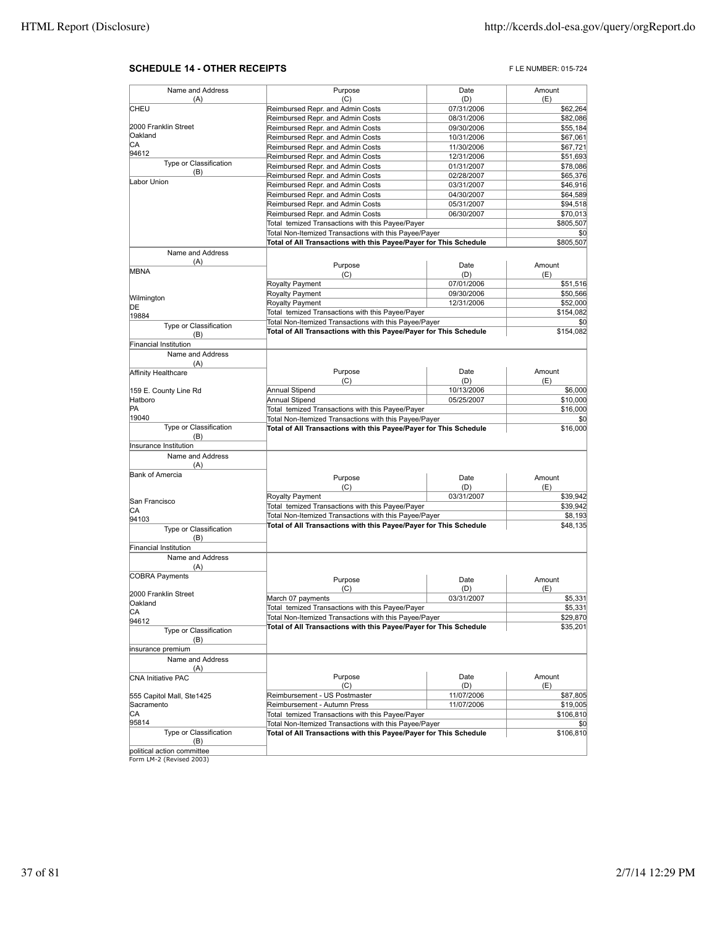#### **SCHEDULE 14 - OTHER RECEIPTS FLE NUMBER: 015-724**

| Name and Address             | Purpose                                                           | Date       | Amount    |
|------------------------------|-------------------------------------------------------------------|------------|-----------|
| (A)                          | (C)                                                               | (D)        | (E)       |
| <b>CHEU</b>                  | Reimbursed Repr. and Admin Costs                                  | 07/31/2006 | \$62,264  |
|                              | Reimbursed Repr. and Admin Costs                                  | 08/31/2006 | \$82,086  |
| 2000 Franklin Street         | Reimbursed Repr. and Admin Costs                                  | 09/30/2006 | \$55,184  |
| Oakland                      | Reimbursed Repr. and Admin Costs                                  | 10/31/2006 | \$67,061  |
| CА                           | Reimbursed Repr. and Admin Costs                                  | 11/30/2006 | \$67,721  |
| 94612                        | Reimbursed Repr. and Admin Costs                                  | 12/31/2006 | \$51,693  |
| Type or Classification       | Reimbursed Repr. and Admin Costs                                  | 01/31/2007 | \$78,086  |
| (B)                          | Reimbursed Repr. and Admin Costs                                  | 02/28/2007 | \$65,376  |
| Labor Union                  | Reimbursed Repr. and Admin Costs                                  | 03/31/2007 | \$46,916  |
|                              | Reimbursed Repr. and Admin Costs                                  | 04/30/2007 | \$64,589  |
|                              | Reimbursed Repr. and Admin Costs                                  |            |           |
|                              |                                                                   | 05/31/2007 | \$94,518  |
|                              | Reimbursed Repr. and Admin Costs                                  | 06/30/2007 | \$70,013  |
|                              | Total temized Transactions with this Payee/Payer                  |            | \$805,507 |
|                              | Total Non-Itemized Transactions with this Payee/Payer             |            | \$0       |
|                              | Total of All Transactions with this Payee/Payer for This Schedule |            | \$805,507 |
| Name and Address             |                                                                   |            |           |
| (A)                          | Purpose                                                           | Date       | Amount    |
| <b>MBNA</b>                  | (C)                                                               | (D)        | (E)       |
|                              |                                                                   | 07/01/2006 |           |
|                              | Royalty Payment                                                   |            | \$51,516  |
| Wilmington                   | Royalty Payment                                                   | 09/30/2006 | \$50,566  |
| DE                           | Royalty Payment                                                   | 12/31/2006 | \$52,000  |
| 19884                        | Total temized Transactions with this Payee/Payer                  |            | \$154,082 |
| Type or Classification       | Total Non-Itemized Transactions with this Payee/Payer             |            | \$0       |
| (B)                          | Total of All Transactions with this Payee/Payer for This Schedule |            | \$154,082 |
| <b>Financial Institution</b> |                                                                   |            |           |
|                              |                                                                   |            |           |
| Name and Address             |                                                                   |            |           |
| (A)                          |                                                                   |            |           |
| Affinity Healthcare          | Purpose                                                           | Date       | Amount    |
|                              | (C)                                                               | (D)        | (E)       |
| 159 E. County Line Rd        | Annual Stipend                                                    | 10/13/2006 | \$6,000   |
| Hatboro                      | Annual Stipend                                                    | 05/25/2007 | \$10,000  |
| PA                           | Total temized Transactions with this Payee/Payer                  |            | \$16,000  |
| 19040                        | Total Non-Itemized Transactions with this Payee/Payer             |            | \$0       |
| Type or Classification       | Total of All Transactions with this Payee/Payer for This Schedule |            | \$16,000  |
| (B)                          |                                                                   |            |           |
| Insurance Institution        |                                                                   |            |           |
| Name and Address             |                                                                   |            |           |
| (A)                          |                                                                   |            |           |
| Bank of Amercia              | Purpose                                                           | Date       | Amount    |
|                              |                                                                   |            |           |
|                              | (C)                                                               | (D)        | (E)       |
| San Francisco                | Royalty Payment                                                   | 03/31/2007 | \$39,942  |
| IСA                          | Total temized Transactions with this Payee/Payer                  |            | \$39,942  |
| 94103                        | Total Non-Itemized Transactions with this Payee/Payer             |            | \$8,193   |
| Type or Classification       | Total of All Transactions with this Payee/Payer for This Schedule |            | \$48,135  |
| (B)                          |                                                                   |            |           |
| Financial Institution        |                                                                   |            |           |
| Name and Address             |                                                                   |            |           |
|                              |                                                                   |            |           |
| (A)                          |                                                                   |            |           |
| <b>COBRA Payments</b>        | Purpose                                                           | Date       | Amount    |
|                              | (C)                                                               | (D)        | (E)       |
| 2000 Franklin Street         | March 07 payments                                                 | 03/31/2007 | \$5,331   |
| Oakland                      | Total temized Transactions with this Payee/Payer                  |            | \$5,331   |
| CA                           | Total Non-Itemized Transactions with this Payee/Payer             |            | \$29,870  |
| 94612                        | Total of All Transactions with this Payee/Payer for This Schedule |            | \$35,201  |
| Type or Classification       |                                                                   |            |           |
| (B)                          |                                                                   |            |           |
| insurance premium            |                                                                   |            |           |
| Name and Address             |                                                                   |            |           |
| (A)                          |                                                                   |            |           |
| <b>CNA Initiative PAC</b>    | Purpose                                                           | Date       | Amount    |
|                              | (C)                                                               | (D)        | (E)       |
| 555 Capitol Mall, Ste1425    | Reimbursement - US Postmaster                                     | 11/07/2006 | \$87,805  |
| Sacramento                   | Reimbursement - Autumn Press                                      | 11/07/2006 | \$19,005  |
| IСA                          | Total temized Transactions with this Payee/Payer                  |            |           |
| 95814                        |                                                                   |            | \$106,810 |
|                              | Total Non-Itemized Transactions with this Payee/Payer             |            | \$0       |
| Type or Classification       | Total of All Transactions with this Payee/Payer for This Schedule |            | \$106,810 |
| (B)                          |                                                                   |            |           |
| political action committee   |                                                                   |            |           |
| Form LM-2 (Revised 2003)     |                                                                   |            |           |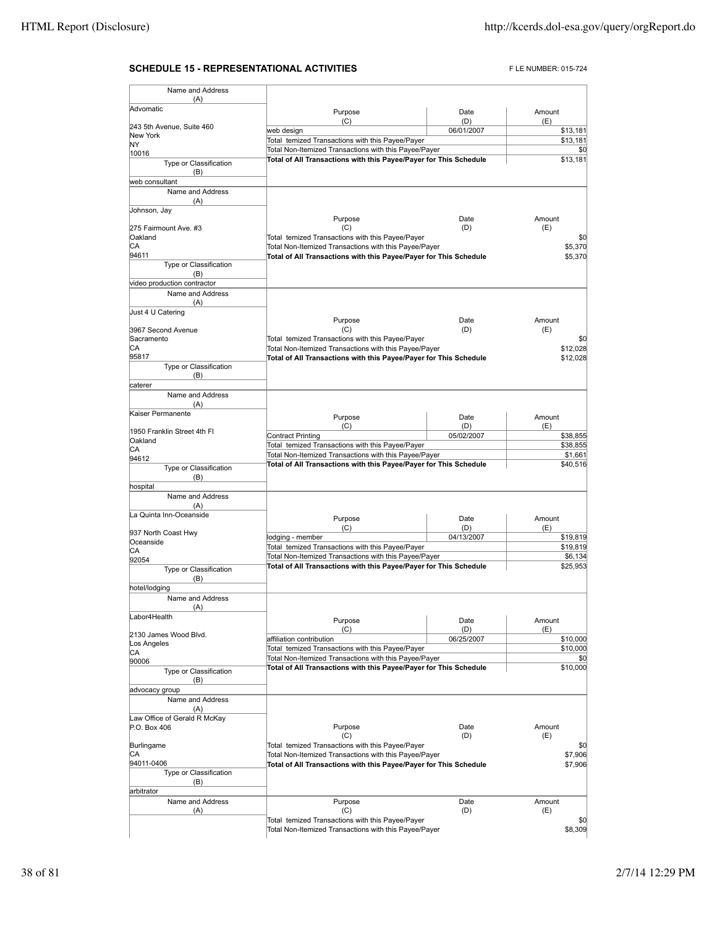## **SCHEDULE 15 - REPRESENTATIONAL ACTIVITIES** FLE NUMBER: 015-724

| Name and Address                 |                                                                                                           |                   |               |                |
|----------------------------------|-----------------------------------------------------------------------------------------------------------|-------------------|---------------|----------------|
| (A)<br>Advomatic                 |                                                                                                           |                   |               |                |
|                                  | Purpose<br>(C)                                                                                            | Date<br>(D)       | Amount<br>(E) |                |
| 243 5th Avenue, Suite 460        | web design                                                                                                | 06/01/2007        |               | \$13,181       |
| New York                         | Total temized Transactions with this Payee/Payer                                                          |                   |               | \$13,181       |
| NY.<br>10016                     | Total Non-Itemized Transactions with this Payee/Payer                                                     |                   |               | \$0            |
| Type or Classification           | Total of All Transactions with this Payee/Payer for This Schedule                                         |                   |               | \$13,181       |
| (B)                              |                                                                                                           |                   |               |                |
| web consultant                   |                                                                                                           |                   |               |                |
| Name and Address                 |                                                                                                           |                   |               |                |
| (A)<br>Johnson, Jay              |                                                                                                           |                   |               |                |
|                                  | Purpose                                                                                                   | Date              | Amount        |                |
| 275 Fairmount Ave. #3            | (C)                                                                                                       | (D)               | (E)           |                |
| Oakland                          | Total temized Transactions with this Payee/Payer                                                          |                   |               | \$0            |
| СA                               | Total Non-Itemized Transactions with this Payee/Payer                                                     |                   |               | \$5,370        |
| 94611<br>Type or Classification  | Total of All Transactions with this Payee/Payer for This Schedule                                         |                   |               | \$5,370        |
| (B)                              |                                                                                                           |                   |               |                |
| video production contractor      |                                                                                                           |                   |               |                |
| Name and Address                 |                                                                                                           |                   |               |                |
| (A)                              |                                                                                                           |                   |               |                |
| Just 4 U Catering                |                                                                                                           |                   |               |                |
|                                  | Purpose                                                                                                   | Date              | Amount        |                |
| 3967 Second Avenue<br>Sacramento | (C)<br>Total temized Transactions with this Payee/Payer                                                   | (D)               | (E)           | \$0            |
| СA                               | Total Non-Itemized Transactions with this Payee/Payer                                                     |                   |               | \$12,028       |
| 95817                            | Total of All Transactions with this Payee/Payer for This Schedule                                         |                   |               | \$12,028       |
| Type or Classification           |                                                                                                           |                   |               |                |
| (B)                              |                                                                                                           |                   |               |                |
| caterer                          |                                                                                                           |                   |               |                |
| Name and Address<br>(A)          |                                                                                                           |                   |               |                |
| Kaiser Permanente                |                                                                                                           |                   |               |                |
|                                  | Purpose                                                                                                   | Date              | Amount        |                |
| 1950 Franklin Street 4th Fl      | (C)<br><b>Contract Printing</b>                                                                           | (D)<br>05/02/2007 | (E)           | \$38,855       |
| Oakland                          | Total temized Transactions with this Payee/Payer                                                          |                   |               | \$38,855       |
| СA                               | Total Non-Itemized Transactions with this Payee/Payer                                                     |                   |               | \$1,661        |
| 94612<br>Type or Classification  | Total of All Transactions with this Payee/Payer for This Schedule                                         |                   |               | \$40,516       |
| (B)                              |                                                                                                           |                   |               |                |
| hospital                         |                                                                                                           |                   |               |                |
| Name and Address                 |                                                                                                           |                   |               |                |
| (A)                              |                                                                                                           |                   |               |                |
| La Quinta Inn-Oceanside          | Purpose                                                                                                   | Date              | Amount        |                |
| 937 North Coast Hwy              | (C)                                                                                                       | (D)               | (E)           |                |
| Oceanside                        | lodging - member                                                                                          | 04/13/2007        |               | \$19,819       |
| IСA                              | Total temized Transactions with this Payee/Payer                                                          |                   |               | \$19,819       |
| 92054                            | Total Non-Itemized Transactions with this Payee/Payer                                                     |                   |               | \$6,134        |
| Type or Classification           | Total of All Transactions with this Payee/Payer for This Schedule                                         |                   |               | \$25,953       |
| (B)                              |                                                                                                           |                   |               |                |
| hotel/lodging                    |                                                                                                           |                   |               |                |
| Name and Address                 |                                                                                                           |                   |               |                |
| (A)<br>Labor4Health              |                                                                                                           |                   |               |                |
|                                  | Purpose<br>(C)                                                                                            | Date              | Amount        |                |
| 2130 James Wood Blvd.            | affiliation contribution                                                                                  | (D)<br>06/25/2007 | (E)           | \$10,000       |
| Los Angeles                      | Total temized Transactions with this Payee/Payer                                                          |                   |               | \$10,000       |
| CА<br>90006                      | Total Non-Itemized Transactions with this Payee/Payer                                                     |                   |               | \$0            |
| Type or Classification           | Total of All Transactions with this Payee/Payer for This Schedule                                         |                   |               | \$10,000       |
| (B)                              |                                                                                                           |                   |               |                |
| advocacy group                   |                                                                                                           |                   |               |                |
| Name and Address                 |                                                                                                           |                   |               |                |
| (A)                              |                                                                                                           |                   |               |                |
| Law Office of Gerald R McKay     |                                                                                                           |                   |               |                |
| P.O. Box 406                     | Purpose                                                                                                   | Date              | Amount        |                |
| Burlingame                       | (C)<br>Total temized Transactions with this Payee/Payer                                                   | (D)               | (E)           | \$0            |
| CА                               | Total Non-Itemized Transactions with this Payee/Payer                                                     |                   |               | \$7,906        |
| 94011-0406                       | Total of All Transactions with this Payee/Payer for This Schedule                                         |                   |               | \$7,906        |
| Type or Classification           |                                                                                                           |                   |               |                |
| (B)                              |                                                                                                           |                   |               |                |
| arbitrator                       |                                                                                                           |                   |               |                |
| Name and Address                 | Purpose                                                                                                   | Date              | Amount        |                |
| (A)                              | (C)                                                                                                       | (D)               | (E)           |                |
|                                  | Total temized Transactions with this Payee/Payer<br>Total Non-Itemized Transactions with this Payee/Payer |                   |               | \$0<br>\$8,309 |
|                                  |                                                                                                           |                   |               |                |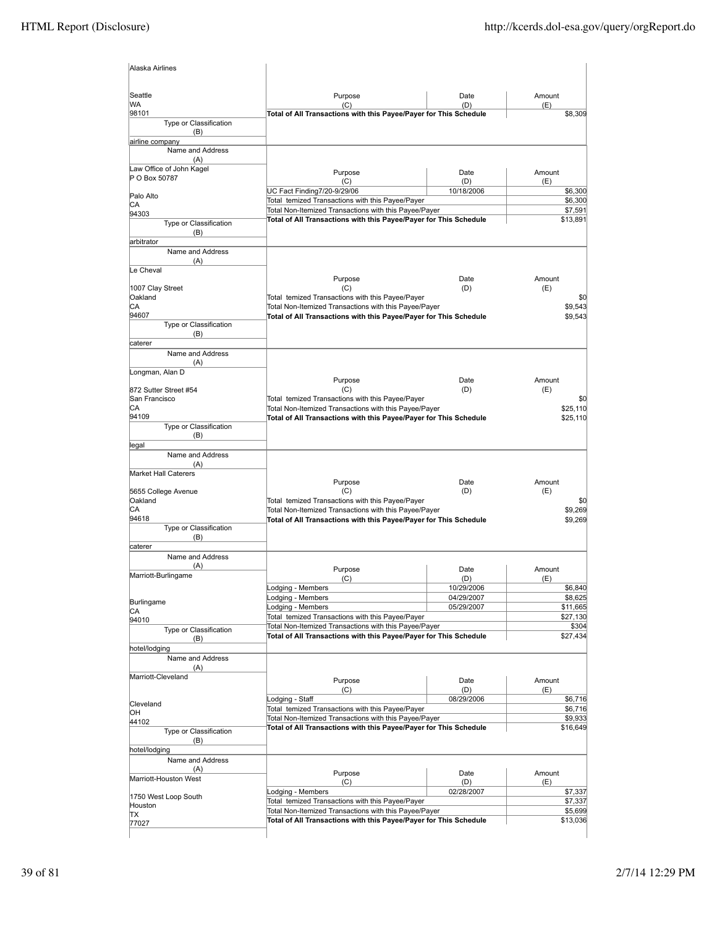| Alaska Airlines                    |                                                                                                           |                    |                    |
|------------------------------------|-----------------------------------------------------------------------------------------------------------|--------------------|--------------------|
| Seattle                            | Purpose                                                                                                   | Date               | Amount             |
| WA                                 | (C)                                                                                                       | (D)                | (E)                |
| 98101                              | Total of All Transactions with this Payee/Payer for This Schedule                                         |                    | \$8,309            |
| Type or Classification<br>(B)      |                                                                                                           |                    |                    |
| airline company                    |                                                                                                           |                    |                    |
| Name and Address                   |                                                                                                           |                    |                    |
| (A)<br>Law Office of John Kagel    |                                                                                                           |                    |                    |
| P O Box 50787                      | Purpose                                                                                                   | Date               | Amount             |
|                                    | (C)                                                                                                       | (D)                | (E)                |
| Palo Alto                          | UC Fact Finding7/20-9/29/06<br>Total temized Transactions with this Payee/Payer                           | 10/18/2006         | \$6,300<br>\$6,300 |
| CА                                 | Total Non-Itemized Transactions with this Payee/Payer                                                     |                    | \$7,591            |
| 94303                              | Total of All Transactions with this Payee/Payer for This Schedule                                         |                    | \$13,891           |
| Type or Classification             |                                                                                                           |                    |                    |
| (B)<br>arbitrator                  |                                                                                                           |                    |                    |
| Name and Address                   |                                                                                                           |                    |                    |
| (A)                                |                                                                                                           |                    |                    |
| Le Cheval                          |                                                                                                           |                    |                    |
|                                    | Purpose                                                                                                   | Date               | Amount             |
| 1007 Clay Street                   | (C)                                                                                                       | (D)                | (E)                |
| Oakland<br>СA                      | Total temized Transactions with this Payee/Payer<br>Total Non-Itemized Transactions with this Payee/Payer |                    | \$0<br>\$9,543     |
| 94607                              | Total of All Transactions with this Payee/Payer for This Schedule                                         |                    | \$9,543            |
| Type or Classification             |                                                                                                           |                    |                    |
| (B)                                |                                                                                                           |                    |                    |
| caterer                            |                                                                                                           |                    |                    |
| Name and Address                   |                                                                                                           |                    |                    |
| (A)                                |                                                                                                           |                    |                    |
| Longman, Alan D                    |                                                                                                           |                    | Amount             |
| 872 Sutter Street #54              | Purpose<br>(C)                                                                                            | Date<br>(D)        | (E)                |
| San Francisco                      | Total temized Transactions with this Payee/Payer                                                          |                    | \$0                |
| СA                                 | Total Non-Itemized Transactions with this Payee/Payer                                                     |                    | \$25,110           |
| 94109                              | Total of All Transactions with this Payee/Payer for This Schedule                                         |                    | \$25,110           |
| Type or Classification             |                                                                                                           |                    |                    |
| (B)                                |                                                                                                           |                    |                    |
| legal                              |                                                                                                           |                    |                    |
| Name and Address                   |                                                                                                           |                    |                    |
| (A)<br><b>Market Hall Caterers</b> |                                                                                                           |                    |                    |
|                                    | Purpose                                                                                                   | Date               | Amount             |
| 5655 College Avenue                | (C)                                                                                                       | (D)                | (E)                |
| Oakland                            | Total temized Transactions with this Payee/Payer                                                          |                    | \$0                |
| СA                                 | Total Non-Itemized Transactions with this Payee/Payer                                                     |                    | \$9,269            |
| 94618<br>Type or Classification    | Total of All Transactions with this Payee/Payer for This Schedule                                         |                    | \$9,269            |
| (B)                                |                                                                                                           |                    |                    |
| caterer                            |                                                                                                           |                    |                    |
| Name and Address                   |                                                                                                           |                    |                    |
| (A)                                | Purpose                                                                                                   | Date               | Amount             |
| Marriott-Burlingame                | (C)                                                                                                       | (D)                | (E)                |
|                                    | Lodging - Members                                                                                         | 10/2 <u>9/2006</u> | \$6,840            |
| Burlingame                         | Lodging - Members                                                                                         | 04/29/2007         | \$8,625            |
| СA                                 | Lodging - Members                                                                                         | 05/29/2007         | \$11,665           |
| 94010                              | Total temized Transactions with this Payee/Payer                                                          |                    | \$27,130           |
| Type or Classification             | Total Non-Itemized Transactions with this Payee/Payer                                                     |                    | \$304<br>\$27,434  |
| (B)                                | Total of All Transactions with this Payee/Payer for This Schedule                                         |                    |                    |
| hotel/lodging                      |                                                                                                           |                    |                    |
| Name and Address                   |                                                                                                           |                    |                    |
| (A)<br>Marriott-Cleveland          |                                                                                                           |                    |                    |
|                                    | Purpose                                                                                                   | Date               | Amount             |
|                                    | (C)                                                                                                       | (D)                | (E)<br>\$6,716     |
| Cleveland                          | odging - Staff<br>Total temized Transactions with this Payee/Payer                                        | 08/29/2006         | \$6,716            |
| ЮH                                 | Total Non-Itemized Transactions with this Payee/Payer                                                     |                    | \$9,933            |
| 44102                              | Total of All Transactions with this Payee/Payer for This Schedule                                         |                    | \$16,649           |
| Type or Classification<br>(B)      |                                                                                                           |                    |                    |
| hotel/lodging                      |                                                                                                           |                    |                    |
| Name and Address                   |                                                                                                           |                    |                    |
| (A)                                |                                                                                                           |                    |                    |
| Marriott-Houston West              | Purpose<br>(C)                                                                                            | Date<br>(D)        | Amount<br>(E)      |
|                                    | Lodging - Members                                                                                         | 02/28/2007         | \$7,337            |
| 1750 West Loop South               | Total temized Transactions with this Payee/Payer                                                          |                    | \$7,337            |
| Houston<br>TΧ                      | Total Non-Itemized Transactions with this Payee/Payer                                                     |                    | \$5,699            |
| 77027                              | Total of All Transactions with this Payee/Payer for This Schedule                                         |                    | \$13,036           |
|                                    |                                                                                                           |                    |                    |
|                                    |                                                                                                           |                    |                    |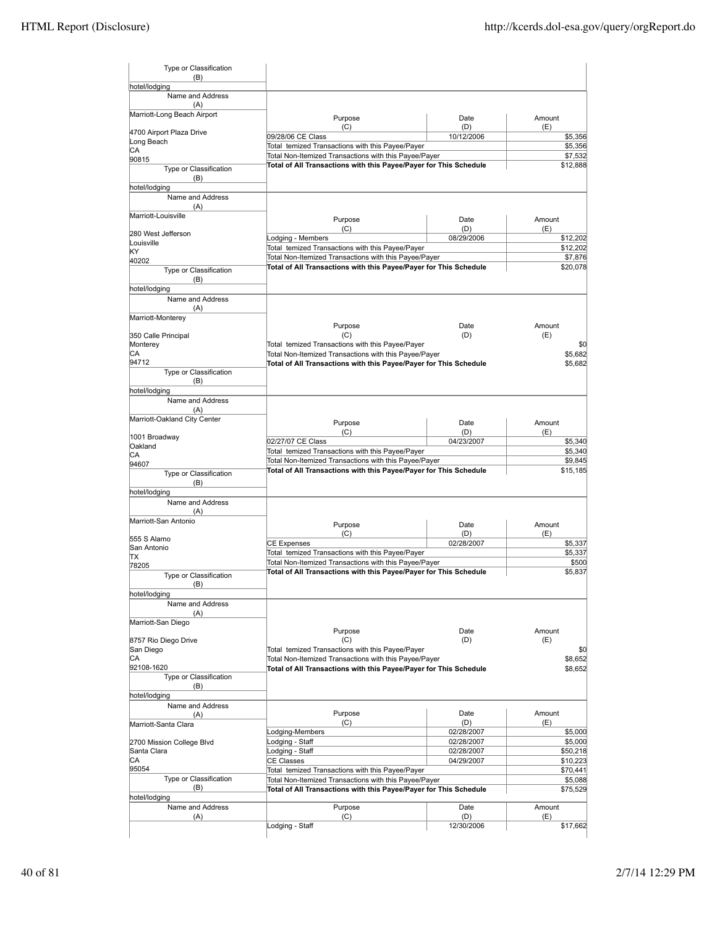| Type or Classification<br>(B)     |                                                                                                                            |             |                      |
|-----------------------------------|----------------------------------------------------------------------------------------------------------------------------|-------------|----------------------|
| hotel/lodging                     |                                                                                                                            |             |                      |
| Name and Address<br>(A)           |                                                                                                                            |             |                      |
| Marriott-Long Beach Airport       | Purpose<br>(C)                                                                                                             | Date<br>(D) | Amount<br>(E)        |
| 4700 Airport Plaza Drive          | 09/28/06 CE Class                                                                                                          | 10/12/2006  | \$5,356              |
| Long Beach<br>СA                  | Total temized Transactions with this Payee/Payer                                                                           |             | \$5,356              |
| 90815                             | Total Non-Itemized Transactions with this Payee/Payer                                                                      |             | \$7,532              |
| Type or Classification<br>(B)     | Total of All Transactions with this Payee/Payer for This Schedule                                                          |             | \$12,888             |
| hotel/lodging                     |                                                                                                                            |             |                      |
| Name and Address                  |                                                                                                                            |             |                      |
| (A)                               |                                                                                                                            |             |                      |
| Marriott-Louisville               | Purpose                                                                                                                    | Date        | Amount               |
| 280 West Jefferson                | (C)                                                                                                                        | (D)         | (E)                  |
| Louisville                        | Lodging - Members<br>Total temized Transactions with this Payee/Payer                                                      | 08/29/2006  | \$12,202<br>\$12,202 |
| KY                                | Total Non-Itemized Transactions with this Payee/Payer                                                                      |             | \$7,876              |
| 40202<br>Type or Classification   | Total of All Transactions with this Payee/Payer for This Schedule                                                          |             | \$20,078             |
| (B)                               |                                                                                                                            |             |                      |
| hotel/lodging                     |                                                                                                                            |             |                      |
| Name and Address<br>(A)           |                                                                                                                            |             |                      |
| Marriott-Monterey                 |                                                                                                                            |             |                      |
| 350 Calle Principal               | Purpose<br>(C)                                                                                                             | Date<br>(D) | Amount<br>(E)        |
| Monterey                          | Total temized Transactions with this Payee/Payer                                                                           |             | \$0                  |
| СA                                | Total Non-Itemized Transactions with this Payee/Payer                                                                      |             | \$5,682              |
| 94712                             | Total of All Transactions with this Payee/Payer for This Schedule                                                          |             | \$5,682              |
| Type or Classification            |                                                                                                                            |             |                      |
| (B)                               |                                                                                                                            |             |                      |
| hotel/lodging<br>Name and Address |                                                                                                                            |             |                      |
| (A)                               |                                                                                                                            |             |                      |
| Marriott-Oakland City Center      | Purpose                                                                                                                    | Date        | Amount               |
|                                   | (C)                                                                                                                        | (D)         | (E)                  |
| 1001 Broadway                     | 02/27/07 CE Class                                                                                                          | 04/23/2007  | \$5,340              |
| Oakland<br>СA                     | Total temized Transactions with this Payee/Payer                                                                           |             | \$5,340              |
| 94607                             | Total Non-Itemized Transactions with this Payee/Payer                                                                      |             | \$9,845              |
| Type or Classification<br>(B)     | Total of All Transactions with this Payee/Payer for This Schedule                                                          |             | \$15,185             |
| hotel/lodging                     |                                                                                                                            |             |                      |
| Name and Address<br>(A)           |                                                                                                                            |             |                      |
| Marriott-San Antonio              | Purpose                                                                                                                    | Date        | Amount               |
|                                   | (C)                                                                                                                        | (D)         | (E)                  |
| 555 S Alamo<br>San Antonio        | <b>CE Expenses</b>                                                                                                         | 02/28/2007  | \$5,337              |
| ТX                                | Total temized Transactions with this Payee/Payer                                                                           |             | \$5,337              |
| 78205                             | Total Non-Itemized Transactions with this Payee/Payer<br>Total of All Transactions with this Payee/Payer for This Schedule |             | \$500                |
| Type or Classification<br>(B)     |                                                                                                                            |             | \$5,837              |
| hotel/lodging                     |                                                                                                                            |             |                      |
| Name and Address<br>(A)           |                                                                                                                            |             |                      |
| Marriott-San Diego                |                                                                                                                            |             |                      |
|                                   | Purpose                                                                                                                    | Date        | Amount               |
| 8757 Rio Diego Drive              | (C)                                                                                                                        | (D)         | (E)                  |
| San Diego                         | Total temized Transactions with this Payee/Payer                                                                           |             | \$0                  |
| СA<br>92108-1620                  | Total Non-Itemized Transactions with this Payee/Payer<br>Total of All Transactions with this Payee/Payer for This Schedule |             | \$8,652              |
| Type or Classification            |                                                                                                                            |             | \$8,652              |
| (B)                               |                                                                                                                            |             |                      |
| hotel/lodging                     |                                                                                                                            |             |                      |
| Name and Address                  |                                                                                                                            |             |                      |
| (A)                               | Purpose<br>(C)                                                                                                             | Date<br>(D) | Amount<br>(E)        |
| Marriott-Santa Clara              | Lodging-Members                                                                                                            | 02/28/2007  | \$5,000              |
| 2700 Mission College Blvd         | Lodging - Staff                                                                                                            | 02/28/2007  | \$5,000              |
| Santa Clara                       | Lodging - Staff                                                                                                            | 02/28/2007  | \$50,218             |
| СA                                | <b>CE Classes</b>                                                                                                          | 04/29/2007  | \$10,223             |
| 95054                             | Total temized Transactions with this Payee/Payer                                                                           |             | \$70,441             |
| Type or Classification<br>(B)     | Total Non-Itemized Transactions with this Payee/Payer                                                                      |             | \$5,088              |
| hotel/lodging                     | Total of All Transactions with this Payee/Payer for This Schedule                                                          |             | \$75,529             |
| Name and Address                  | Purpose                                                                                                                    | Date        | Amount               |
| (A)                               | (C)                                                                                                                        | (D)         | (E)                  |
|                                   | Lodging - Staff                                                                                                            | 12/30/2006  | \$17,662             |
|                                   |                                                                                                                            |             |                      |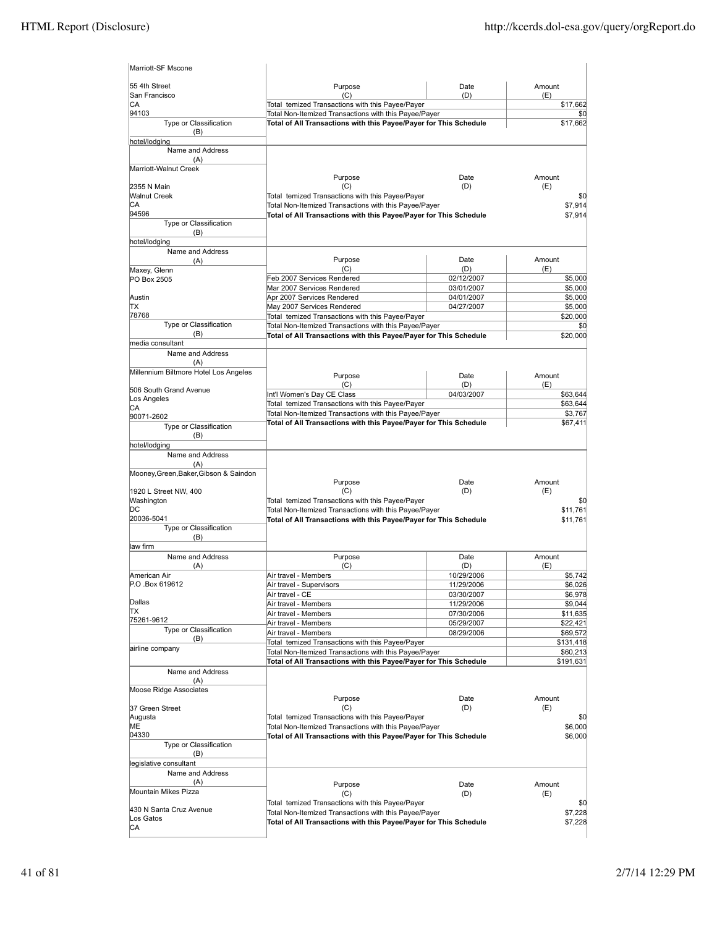| Marriott-SF Mscone                     |                                                                                                                            |                          |                       |
|----------------------------------------|----------------------------------------------------------------------------------------------------------------------------|--------------------------|-----------------------|
| 55 4th Street                          | Purpose                                                                                                                    | Date                     | Amount                |
| San Francisco<br>CA                    | (C)<br>Total temized Transactions with this Payee/Payer                                                                    | (D)                      | (E)<br>\$17,662       |
| 94103                                  | Total Non-Itemized Transactions with this Payee/Payer                                                                      |                          | \$0                   |
| Type or Classification<br>(B)          | Total of All Transactions with this Payee/Payer for This Schedule                                                          |                          | \$17,662              |
| hotel/lodging                          |                                                                                                                            |                          |                       |
| Name and Address<br>(A)                |                                                                                                                            |                          |                       |
| Marriott-Walnut Creek                  |                                                                                                                            |                          |                       |
| 2355 N Main                            | Purpose<br>(C)                                                                                                             | Date<br>(D)              | Amount<br>(E)         |
| <b>Walnut Creek</b>                    | Total temized Transactions with this Payee/Payer                                                                           |                          | \$0                   |
| CА                                     | Total Non-Itemized Transactions with this Payee/Payer                                                                      |                          | \$7,914               |
| 94596<br>Type or Classification        | Total of All Transactions with this Payee/Payer for This Schedule                                                          |                          | \$7,914               |
| (B)                                    |                                                                                                                            |                          |                       |
| hotel/lodging                          |                                                                                                                            |                          |                       |
| Name and Address<br>(A)                | Purpose                                                                                                                    | Date                     | Amount                |
| Maxey, Glenn                           | (C)                                                                                                                        | (D)                      | (E)                   |
| PO Box 2505                            | Feb 2007 Services Rendered                                                                                                 | 02/12/2007               | \$5,000               |
| Austin                                 | Mar 2007 Services Rendered<br>Apr 2007 Services Rendered                                                                   | 03/01/2007<br>04/01/2007 | \$5,000<br>\$5,000    |
| TХ                                     | May 2007 Services Rendered                                                                                                 | 04/27/2007               | \$5,000               |
| 78768                                  | Total temized Transactions with this Payee/Payer                                                                           |                          | \$20,000              |
| Type or Classification                 | Total Non-Itemized Transactions with this Payee/Payer                                                                      |                          | \$0                   |
| (B)<br>media consultant                | Total of All Transactions with this Payee/Payer for This Schedule                                                          |                          | \$20,000              |
| Name and Address                       |                                                                                                                            |                          |                       |
| (A)                                    |                                                                                                                            |                          |                       |
| Millennium Biltmore Hotel Los Angeles  | Purpose                                                                                                                    | Date                     | Amount                |
| 506 South Grand Avenue                 | (C)<br>Int'l Women's Day CE Class                                                                                          | (D)<br>04/03/2007        | (E)<br>\$63,644       |
| Los Angeles                            | Total temized Transactions with this Payee/Payer                                                                           |                          | \$63,644              |
| CА<br>90071-2602                       | Total Non-Itemized Transactions with this Payee/Payer                                                                      |                          | \$3,767               |
| Type or Classification                 | Total of All Transactions with this Payee/Payer for This Schedule                                                          |                          | \$67,411              |
| (B)                                    |                                                                                                                            |                          |                       |
| hotel/lodging<br>Name and Address      |                                                                                                                            |                          |                       |
| (A)                                    |                                                                                                                            |                          |                       |
| Mooney, Green, Baker, Gibson & Saindon |                                                                                                                            |                          |                       |
| 1920 L Street NW, 400                  | Purpose<br>(C)                                                                                                             | Date<br>(D)              | Amount<br>(E)         |
| Washington                             | Total temized Transactions with this Payee/Payer                                                                           |                          | \$0                   |
| DС                                     | Total Non-Itemized Transactions with this Payee/Payer                                                                      |                          | \$11,761              |
| 20036-5041<br>Type or Classification   | Total of All Transactions with this Payee/Payer for This Schedule                                                          |                          | \$11,761              |
| (B)                                    |                                                                                                                            |                          |                       |
| law firm                               |                                                                                                                            |                          |                       |
| Name and Address                       | Purpose                                                                                                                    | Date                     | Amount                |
| (A)<br>American Air                    | (C)<br>Air travel - Members                                                                                                | (D)<br>10/29/2006        | (E)<br>\$5,742        |
| P.O.Box 619612                         | Air travel - Supervisors                                                                                                   | 11/29/2006               | \$6,026               |
|                                        | Air travel - CE                                                                                                            | 03/30/2007               | \$6,978               |
| Dallas<br>ΠX                           | Air travel - Members<br>Air travel - Members                                                                               | 11/29/2006<br>07/30/2006 | \$9,044<br>\$11,635   |
| 75261-9612                             | Air travel - Members                                                                                                       | 05/29/2007               | \$22,421              |
| Type or Classification                 | Air travel - Members                                                                                                       | 08/29/2006               | \$69,572              |
| (B)<br>airline company                 | Total temized Transactions with this Payee/Payer                                                                           |                          | \$131,418             |
|                                        | Total Non-Itemized Transactions with this Payee/Payer<br>Total of All Transactions with this Payee/Payer for This Schedule |                          | \$60,213<br>\$191,631 |
| Name and Address                       |                                                                                                                            |                          |                       |
| (A)                                    |                                                                                                                            |                          |                       |
| Moose Ridge Associates                 | Purpose                                                                                                                    | Date                     | Amount                |
| 37 Green Street                        | (C)                                                                                                                        | (D)                      | (E)                   |
| Augusta                                | Total temized Transactions with this Payee/Payer                                                                           |                          | \$0                   |
| MЕ<br>04330                            | Total Non-Itemized Transactions with this Payee/Payer                                                                      |                          | \$6,000               |
| Type or Classification                 | Total of All Transactions with this Payee/Payer for This Schedule                                                          |                          | \$6,000               |
| (B)                                    |                                                                                                                            |                          |                       |
| legislative consultant                 |                                                                                                                            |                          |                       |
| Name and Address<br>(A)                |                                                                                                                            |                          |                       |
| Mountain Mikes Pizza                   | Purpose<br>(C)                                                                                                             | Date<br>(D)              | Amount<br>(E)         |
|                                        | Total temized Transactions with this Payee/Payer                                                                           |                          | \$0                   |
| 430 N Santa Cruz Avenue<br>Los Gatos   | Total Non-Itemized Transactions with this Payee/Payer                                                                      |                          | \$7,228               |
| CA                                     | Total of All Transactions with this Payee/Payer for This Schedule                                                          |                          | \$7,228               |
|                                        |                                                                                                                            |                          |                       |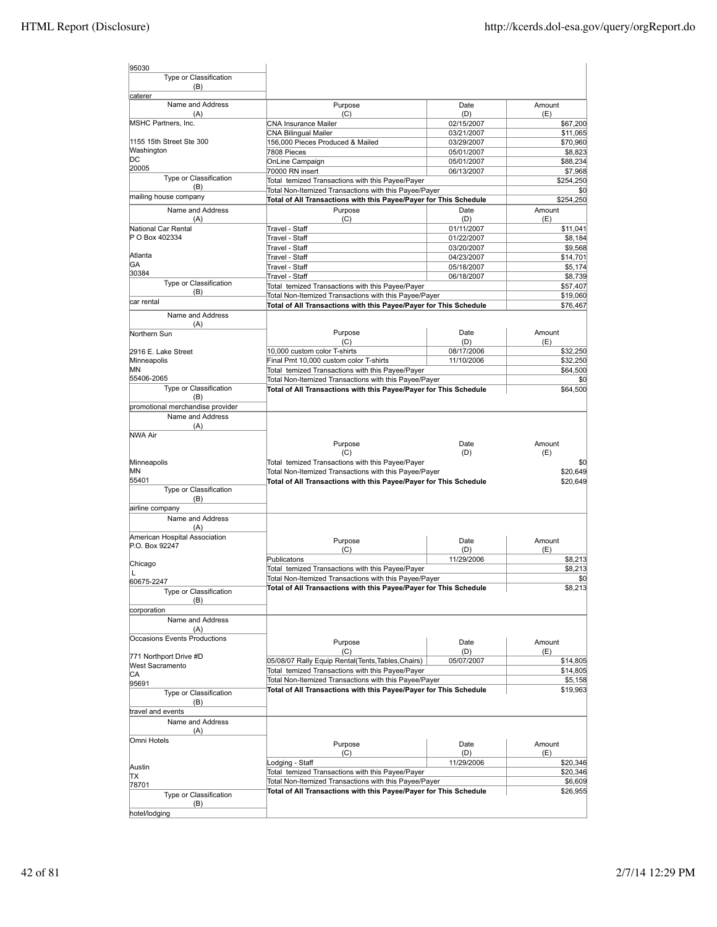| 95030                                            |                                                                                                                            |            |                      |
|--------------------------------------------------|----------------------------------------------------------------------------------------------------------------------------|------------|----------------------|
| Type or Classification                           |                                                                                                                            |            |                      |
| (B)                                              |                                                                                                                            |            |                      |
| caterer<br>Name and Address                      | Purpose                                                                                                                    | Date       | Amount               |
| (A)                                              | (C)                                                                                                                        | (D)        | (E)                  |
| MSHC Partners, Inc.                              | <b>CNA Insurance Mailer</b>                                                                                                | 02/15/2007 | \$67,200             |
|                                                  | <b>CNA Bilingual Mailer</b>                                                                                                | 03/21/2007 | \$11,065             |
| 1155 15th Street Ste 300                         | 156,000 Pieces Produced & Mailed                                                                                           | 03/29/2007 | \$70,960             |
| Washington<br>DС                                 | 7808 Pieces                                                                                                                | 05/01/2007 | \$8,823              |
| 20005                                            | OnLine Campaign                                                                                                            | 05/01/2007 | \$88,234             |
| Type or Classification                           | 70000 RN insert<br>Total temized Transactions with this Payee/Payer                                                        | 06/13/2007 | \$7,968<br>\$254,250 |
| (B)                                              | Total Non-Itemized Transactions with this Payee/Payer                                                                      |            | \$0                  |
| mailing house company                            | Total of All Transactions with this Payee/Payer for This Schedule                                                          |            | \$254,250            |
| Name and Address                                 | Purpose                                                                                                                    | Date       | Amount               |
| (A)                                              | (C)                                                                                                                        | (D)        | (E)                  |
| National Car Rental                              | Travel - Staff                                                                                                             | 01/11/2007 | \$11,041             |
| P O Box 402334                                   | Travel - Staff                                                                                                             | 01/22/2007 | \$8,184              |
|                                                  | Travel - Staff                                                                                                             | 03/20/2007 | \$9,568              |
| Atlanta                                          | Travel - Staff                                                                                                             | 04/23/2007 | \$14,701             |
| GA<br>30384                                      | Travel - Staff                                                                                                             | 05/18/2007 | \$5,174              |
| Type or Classification                           | Travel - Staff                                                                                                             | 06/18/2007 | \$8,739              |
| (B)                                              | Total temized Transactions with this Payee/Payer                                                                           |            | \$57,407             |
| car rental                                       | Total Non-Itemized Transactions with this Payee/Payer<br>Total of All Transactions with this Payee/Payer for This Schedule |            | \$19,060             |
| Name and Address                                 |                                                                                                                            |            | \$76,467             |
| (A)                                              |                                                                                                                            |            |                      |
| Northern Sun                                     | Purpose                                                                                                                    | Date       | Amount               |
|                                                  | (C)                                                                                                                        | (D)        | (E)                  |
| 2916 E. Lake Street                              | 10,000 custom color T-shirts                                                                                               | 08/17/2006 | \$32,250             |
| Minneapolis                                      | Final Pmt 10,000 custom color T-shirts                                                                                     | 11/10/2006 | \$32,250             |
| ΜN                                               | Total temized Transactions with this Payee/Payer                                                                           |            | \$64,500             |
| 55406-2065                                       | Total Non-Itemized Transactions with this Payee/Payer                                                                      |            | \$0                  |
| Type or Classification<br>(B)                    | Total of All Transactions with this Payee/Payer for This Schedule                                                          |            | \$64,500             |
| promotional merchandise provider                 |                                                                                                                            |            |                      |
| Name and Address                                 |                                                                                                                            |            |                      |
| (A)                                              |                                                                                                                            |            |                      |
| <b>NWA Air</b>                                   |                                                                                                                            |            |                      |
|                                                  | Purpose                                                                                                                    | Date       | Amount               |
|                                                  | (C)                                                                                                                        | (D)        | (E)                  |
| Minneapolis                                      | Total temized Transactions with this Payee/Payer                                                                           |            | \$0                  |
| MN<br>55401                                      | Total Non-Itemized Transactions with this Payee/Payer                                                                      |            | \$20,649             |
| Type or Classification                           | Total of All Transactions with this Payee/Payer for This Schedule                                                          |            | \$20,649             |
| (B)                                              |                                                                                                                            |            |                      |
| airline company                                  |                                                                                                                            |            |                      |
| Name and Address                                 |                                                                                                                            |            |                      |
| (A)                                              |                                                                                                                            |            |                      |
| American Hospital Association                    | Purpose                                                                                                                    | Date       | Amount               |
| P.O. Box 92247                                   | (C)                                                                                                                        | (D)        | (E)                  |
|                                                  | Publicatons                                                                                                                | 11/29/2006 | \$8,213              |
| Chicago<br>L                                     | Total temized Transactions with this Payee/Payer                                                                           |            | \$8,213              |
| 60675-2247                                       | Total Non-Itemized Transactions with this Payee/Payer                                                                      |            | \$0                  |
| Type or Classification                           | Total of All Transactions with this Payee/Payer for This Schedule                                                          |            | \$8,213              |
| (B)                                              |                                                                                                                            |            |                      |
| corporation                                      |                                                                                                                            |            |                      |
| Name and Address                                 |                                                                                                                            |            |                      |
| (A)                                              |                                                                                                                            |            |                      |
| Occasions Events Productions                     | Purpose                                                                                                                    | Date       | Amount               |
|                                                  | (C)                                                                                                                        | (D)        | (E)                  |
| 771 Northport Drive #D<br><b>West Sacramento</b> | 05/08/07 Rally Equip Rental(Tents, Tables, Chairs)                                                                         | 05/07/2007 | \$14,805             |
| IСA                                              | Total temized Transactions with this Payee/Payer                                                                           |            | \$14,805             |
| 95691                                            | Total Non-Itemized Transactions with this Payee/Payer                                                                      |            | \$5,158              |
| Type or Classification                           | Total of All Transactions with this Payee/Payer for This Schedule                                                          |            | \$19,963             |
| (B)                                              |                                                                                                                            |            |                      |
| travel and events                                |                                                                                                                            |            |                      |
| Name and Address                                 |                                                                                                                            |            |                      |
| (A)                                              |                                                                                                                            |            |                      |
| Omni Hotels                                      | Purpose                                                                                                                    | Date       | Amount               |
|                                                  | (C)                                                                                                                        | (D)        | (E)                  |
| Austin                                           | Lodging - Staff                                                                                                            | 11/29/2006 | \$20,346             |
| IΤX                                              | Total temized Transactions with this Payee/Payer                                                                           |            | \$20,346             |
| 78701                                            | Total Non-Itemized Transactions with this Payee/Payer                                                                      |            | \$6,609              |
| Type or Classification                           | Total of All Transactions with this Payee/Payer for This Schedule                                                          |            | \$26,955             |
| (B)                                              |                                                                                                                            |            |                      |
| hotel/lodging                                    |                                                                                                                            |            |                      |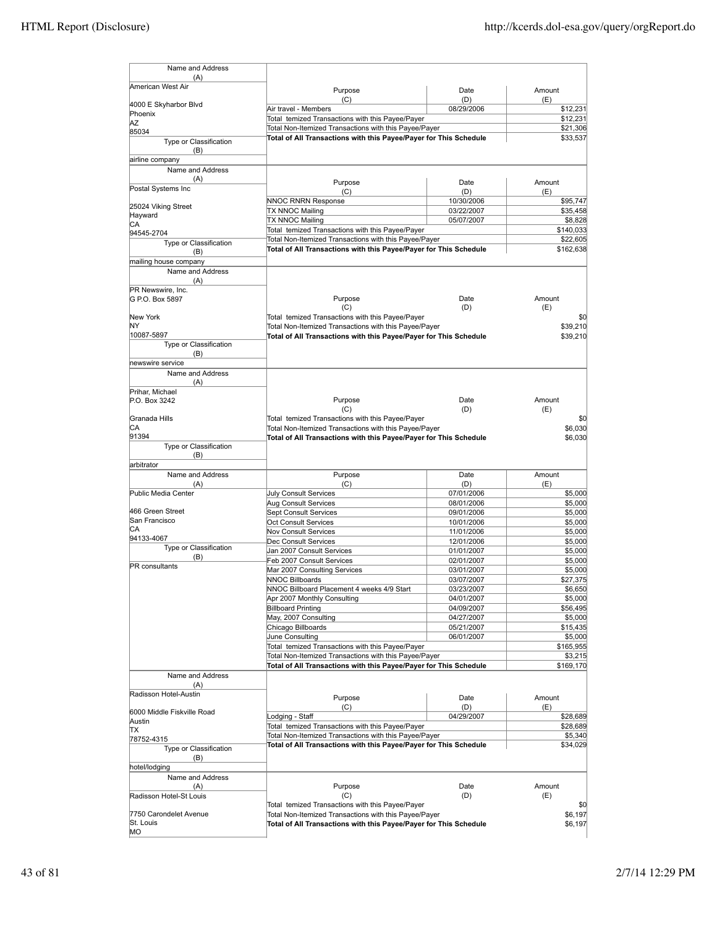| Name and Address                |                                                                                                                            |                          |                      |
|---------------------------------|----------------------------------------------------------------------------------------------------------------------------|--------------------------|----------------------|
| (A)                             |                                                                                                                            |                          |                      |
| American West Air               | Purpose                                                                                                                    | Date                     | Amount               |
| 4000 E Skyharbor Blvd           | (C)<br>Air travel - Members                                                                                                | (D)<br>08/29/2006        | (E)<br>\$12,231      |
| Phoenix                         | Total temized Transactions with this Payee/Payer                                                                           |                          | \$12,231             |
| ΑZ<br>85034                     | Total Non-Itemized Transactions with this Payee/Payer                                                                      |                          | \$21,306             |
| Type or Classification          | Total of All Transactions with this Payee/Payer for This Schedule                                                          |                          | \$33,537             |
| (B)                             |                                                                                                                            |                          |                      |
| airline company                 |                                                                                                                            |                          |                      |
| Name and Address<br>(A)         |                                                                                                                            |                          |                      |
| Postal Systems Inc              | Purpose                                                                                                                    | Date                     | Amount               |
|                                 | (C)<br>NNOC RNRN Response                                                                                                  | (D)<br>10/30/2006        | (E)<br>\$95,747      |
| 25024 Viking Street             | TX NNOC Mailing                                                                                                            | 03/22/2007               | \$35,458             |
| Hayward<br>CА                   | TX NNOC Mailing                                                                                                            | 05/07/2007               | \$8,828              |
| 94545-2704                      | Total temized Transactions with this Payee/Payer                                                                           |                          | \$140,033            |
| Type or Classification          | Total Non-Itemized Transactions with this Payee/Payer                                                                      |                          | \$22,605             |
| (B)                             | Total of All Transactions with this Payee/Payer for This Schedule                                                          |                          | \$162,638            |
| mailing house company           |                                                                                                                            |                          |                      |
| Name and Address<br>(A)         |                                                                                                                            |                          |                      |
| PR Newswire, Inc.               |                                                                                                                            |                          |                      |
| G P.O. Box 5897                 | Purpose                                                                                                                    | Date                     | Amount               |
|                                 | (C)                                                                                                                        | (D)                      | (E)                  |
| New York<br>NΥ                  | Total temized Transactions with this Payee/Payer                                                                           |                          | \$0                  |
| 10087-5897                      | Total Non-Itemized Transactions with this Payee/Payer<br>Total of All Transactions with this Payee/Payer for This Schedule |                          | \$39,210<br>\$39,210 |
| Type or Classification          |                                                                                                                            |                          |                      |
| (B)                             |                                                                                                                            |                          |                      |
| hewswire service                |                                                                                                                            |                          |                      |
| Name and Address                |                                                                                                                            |                          |                      |
| (A)<br>Prihar, Michael          |                                                                                                                            |                          |                      |
| P.O. Box 3242                   | Purpose                                                                                                                    | Date                     | Amount               |
|                                 | (C)                                                                                                                        | (D)                      | (E)                  |
| Granada Hills                   | Total temized Transactions with this Payee/Payer                                                                           |                          | \$0                  |
| СA                              | Total Non-Itemized Transactions with this Payee/Payer                                                                      |                          | \$6,030              |
| 91394<br>Type or Classification | Total of All Transactions with this Payee/Payer for This Schedule                                                          |                          | \$6,030              |
| (B)                             |                                                                                                                            |                          |                      |
| arbitrator                      |                                                                                                                            |                          |                      |
| Name and Address                | Purpose                                                                                                                    | Date                     | Amount               |
| (A)                             | (C)                                                                                                                        | (D)                      | (E)                  |
| Public Media Center             | July Consult Services                                                                                                      | 07/01/2006               | \$5,000              |
| 466 Green Street                | Aug Consult Services<br><b>Sept Consult Services</b>                                                                       | 08/01/2006<br>09/01/2006 | \$5,000<br>\$5,000   |
| San Francisco                   | Oct Consult Services                                                                                                       | 10/01/2006               | \$5,000              |
| СA                              | <b>Nov Consult Services</b>                                                                                                | 11/01/2006               | \$5,000              |
| 94133-4067                      | Dec Consult Services                                                                                                       | 12/01/2006               | \$5,000              |
| <b>Type or Classification</b>   | Jan 2007 Consult Services                                                                                                  | 01/01/2007               | \$5,000              |
| (B)<br><b>PR</b> consultants    | Feb 2007 Consult Services                                                                                                  | 02/01/2007               | \$5,000              |
|                                 | Mar 2007 Consulting Services                                                                                               | 03/01/2007               | \$5,000              |
|                                 | <b>NNOC Billboards</b><br>NNOC Billboard Placement 4 weeks 4/9 Start                                                       | 03/07/2007<br>03/23/2007 | \$27,375<br>\$6,650  |
|                                 | Apr 2007 Monthly Consulting                                                                                                | 04/01/2007               | \$5,000              |
|                                 | <b>Billboard Printing</b>                                                                                                  | 04/09/2007               | \$56,495             |
|                                 | May, 2007 Consulting                                                                                                       | 04/27/2007               | \$5,000              |
|                                 | Chicago Billboards                                                                                                         | 05/21/2007               | \$15,435             |
|                                 | June Consulting                                                                                                            | 06/01/2007               | \$5,000              |
|                                 | Total temized Transactions with this Payee/Payer                                                                           |                          | \$165,955            |
|                                 | Total Non-Itemized Transactions with this Payee/Payer<br>Total of All Transactions with this Payee/Payer for This Schedule |                          | \$3,215<br>\$169,170 |
| Name and Address                |                                                                                                                            |                          |                      |
| (A)                             |                                                                                                                            |                          |                      |
| Radisson Hotel-Austin           | Purpose                                                                                                                    | Date                     | Amount               |
|                                 | (C)                                                                                                                        | (D)                      | (E)                  |
| 6000 Middle Fiskville Road      | Lodging - Staff                                                                                                            | 04/29/2007               | \$28,689             |
| Austin<br>lΤX                   | Total temized Transactions with this Payee/Payer                                                                           |                          | \$28,689             |
| 78752-4315                      | Total Non-Itemized Transactions with this Payee/Payer                                                                      |                          | \$5,340              |
| Type or Classification          | Total of All Transactions with this Payee/Payer for This Schedule                                                          |                          | \$34,029             |
| (B)                             |                                                                                                                            |                          |                      |
| hotel/lodging                   |                                                                                                                            |                          |                      |
| Name and Address                |                                                                                                                            |                          |                      |
| (A)<br>Radisson Hotel-St Louis  | Purpose<br>(C)                                                                                                             | Date<br>(D)              | Amount<br>(E)        |
|                                 | Total temized Transactions with this Payee/Payer                                                                           |                          | \$0                  |
| 7750 Carondelet Avenue          | Total Non-Itemized Transactions with this Payee/Payer                                                                      |                          | \$6,197              |
| St. Louis                       | Total of All Transactions with this Payee/Payer for This Schedule                                                          |                          | \$6,197              |
| MO                              |                                                                                                                            |                          |                      |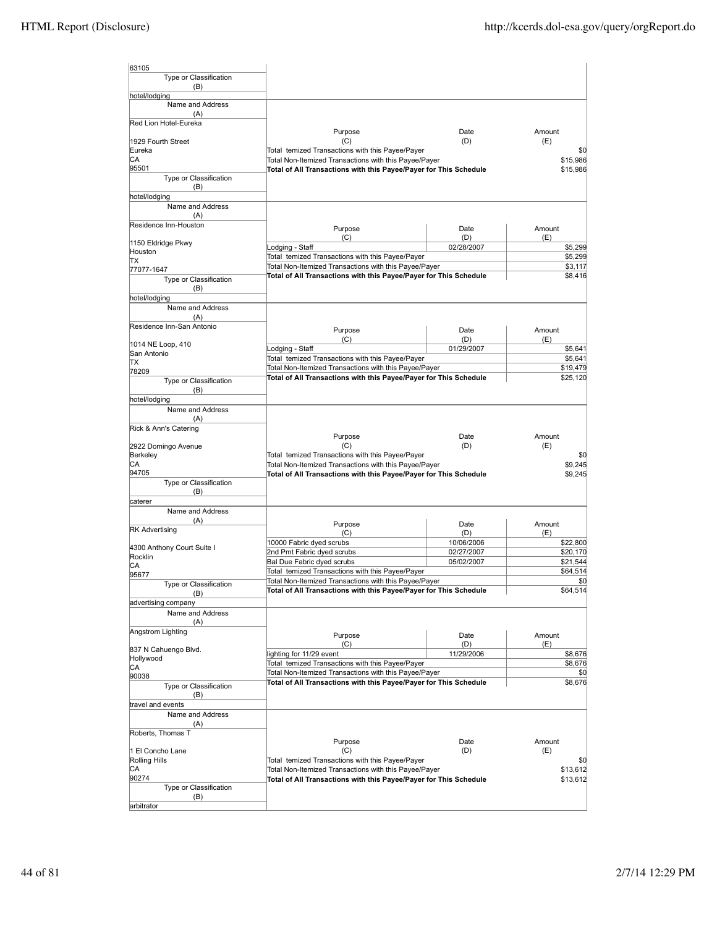| 63105                             |                                                                                                           |             |                      |
|-----------------------------------|-----------------------------------------------------------------------------------------------------------|-------------|----------------------|
| Type or Classification            |                                                                                                           |             |                      |
| (B)                               |                                                                                                           |             |                      |
| hotel/lodging<br>Name and Address |                                                                                                           |             |                      |
| (A)                               |                                                                                                           |             |                      |
| Red Lion Hotel-Eureka             |                                                                                                           |             |                      |
|                                   | Purpose                                                                                                   | Date        | Amount               |
| 1929 Fourth Street<br>Eureka      | (C)                                                                                                       | (D)         | (E)<br>\$0           |
| CА                                | Total temized Transactions with this Payee/Payer<br>Total Non-Itemized Transactions with this Payee/Payer |             | \$15,986             |
| 95501                             | Total of All Transactions with this Payee/Payer for This Schedule                                         |             | \$15,986             |
| Type or Classification            |                                                                                                           |             |                      |
| (B)                               |                                                                                                           |             |                      |
| hotel/lodging<br>Name and Address |                                                                                                           |             |                      |
| (A)                               |                                                                                                           |             |                      |
| Residence Inn-Houston             | Purpose                                                                                                   | Date        | Amount               |
|                                   | (C)                                                                                                       | (D)         | (E)                  |
| 1150 Eldridge Pkwy                | odging - Staff                                                                                            | 02/28/2007  | \$5,299              |
| Houston<br>ΠX                     | Total temized Transactions with this Payee/Payer                                                          |             | \$5,299              |
| 77077-1647                        | Total Non-Itemized Transactions with this Payee/Payer                                                     |             | \$3,117              |
| Type or Classification            | Total of All Transactions with this Payee/Payer for This Schedule                                         |             | \$8,416              |
| (B)                               |                                                                                                           |             |                      |
| hotel/lodging                     |                                                                                                           |             |                      |
| Name and Address<br>(A)           |                                                                                                           |             |                      |
| Residence Inn-San Antonio         |                                                                                                           |             |                      |
|                                   | Purpose<br>(C)                                                                                            | Date<br>(D) | Amount<br>(E)        |
| 1014 NE Loop, 410                 | odging - Staff                                                                                            | 01/29/2007  | \$5,641              |
| San Antonio                       | Total temized Transactions with this Payee/Payer                                                          |             | \$5,641              |
| ΠX<br>78209                       | Total Non-Itemized Transactions with this Payee/Payer                                                     |             | \$19,479             |
| Type or Classification            | Total of All Transactions with this Payee/Payer for This Schedule                                         |             | \$25,120             |
| (B)                               |                                                                                                           |             |                      |
| hotel/lodging                     |                                                                                                           |             |                      |
| Name and Address                  |                                                                                                           |             |                      |
| (A)<br>Rick & Ann's Catering      |                                                                                                           |             |                      |
|                                   | Purpose                                                                                                   | Date        | Amount               |
| 2922 Domingo Avenue               | (C)                                                                                                       | (D)         | (E)                  |
| Berkeley                          | Total temized Transactions with this Payee/Payer                                                          |             | \$0                  |
| СA                                | Total Non-Itemized Transactions with this Payee/Payer                                                     |             | \$9,245              |
| 94705<br>Type or Classification   | Total of All Transactions with this Payee/Payer for This Schedule                                         |             | \$9,245              |
| (B)                               |                                                                                                           |             |                      |
| caterer                           |                                                                                                           |             |                      |
| Name and Address                  |                                                                                                           |             |                      |
| (A)                               | Purpose                                                                                                   | Date        | Amount               |
| <b>RK Advertising</b>             | (C)                                                                                                       | (D)         | (E)                  |
| 4300 Anthony Court Suite I        | 10000 Fabric dyed scrubs                                                                                  | 10/06/2006  | \$22,800             |
| Rocklin                           | 2nd Pmt Fabric dyed scrubs                                                                                | 02/27/2007  | \$20,170             |
| СA                                | Bal Due Fabric dyed scrubs<br>Total temized Transactions with this Payee/Payer                            | 05/02/2007  | \$21,544<br>\$64,514 |
| 95677                             | Total Non-Itemized Transactions with this Payee/Payer                                                     |             | \$0                  |
| Type or Classification            | Total of All Transactions with this Payee/Payer for This Schedule                                         |             | \$64,514             |
| (B)<br>advertising company        |                                                                                                           |             |                      |
| Name and Address                  |                                                                                                           |             |                      |
| (A)                               |                                                                                                           |             |                      |
| Angstrom Lighting                 | Purpose                                                                                                   | Date        | Amount               |
|                                   | (C)                                                                                                       | (D)         | (E)                  |
| 837 N Cahuengo Blvd.<br>Hollywood | lighting for 11/29 event                                                                                  | 11/29/2006  | \$8,676              |
| СA                                | Total temized Transactions with this Payee/Payer                                                          |             | \$8,676              |
| 90038                             | Total Non-Itemized Transactions with this Payee/Payer                                                     |             | \$0                  |
| Type or Classification            | Total of All Transactions with this Payee/Payer for This Schedule                                         |             | \$8,676              |
| (B)                               |                                                                                                           |             |                      |
| travel and events                 |                                                                                                           |             |                      |
| Name and Address<br>(A)           |                                                                                                           |             |                      |
| Roberts, Thomas T                 |                                                                                                           |             |                      |
|                                   | Purpose                                                                                                   | Date        | Amount               |
| 1 El Concho Lane                  | (C)                                                                                                       | (D)         | (E)                  |
| Rolling Hills                     | Total temized Transactions with this Payee/Payer                                                          |             | \$0                  |
| СA                                | Total Non-Itemized Transactions with this Payee/Payer                                                     |             | \$13,612             |
| 90274<br>Type or Classification   | Total of All Transactions with this Payee/Payer for This Schedule                                         |             | \$13,612             |
| (B)                               |                                                                                                           |             |                      |
|                                   |                                                                                                           |             |                      |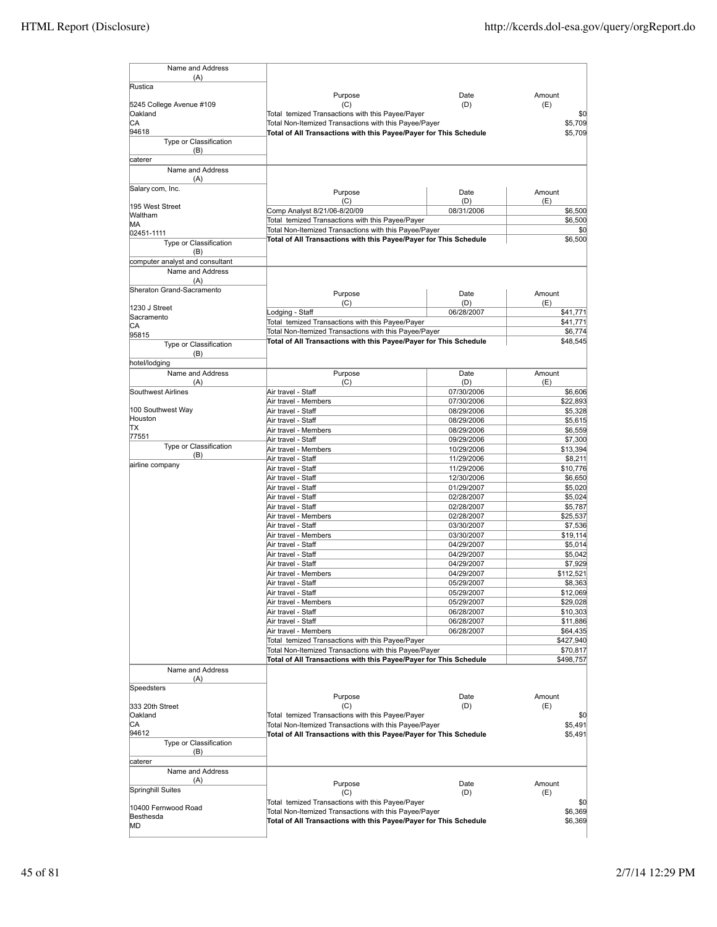| Name and Address                 |                                                                     |                          |                      |
|----------------------------------|---------------------------------------------------------------------|--------------------------|----------------------|
| (A)<br>Rustica                   |                                                                     |                          |                      |
|                                  | Purpose                                                             | Date                     | Amount               |
| 5245 College Avenue #109         | (C)                                                                 | (D)                      | (E)                  |
| Oakland                          | Total temized Transactions with this Payee/Payer                    |                          | \$0                  |
| CА                               | Total Non-Itemized Transactions with this Payee/Payer               |                          | \$5,709              |
| 94618<br>Type or Classification  | Total of All Transactions with this Payee/Payer for This Schedule   |                          | \$5,709              |
| (B)                              |                                                                     |                          |                      |
| caterer                          |                                                                     |                          |                      |
| Name and Address                 |                                                                     |                          |                      |
| (A)                              |                                                                     |                          |                      |
| Salary com, Inc.                 | Purpose                                                             | Date                     | Amount               |
|                                  | (C)                                                                 | (D)                      | (E)                  |
| 195 West Street<br>Waltham       | Comp Analyst 8/21/06-8/20/09                                        | 08/31/2006               | \$6,500              |
| MА                               | Total temized Transactions with this Payee/Payer                    |                          | \$6,500              |
| 02451-1111                       | Total Non-Itemized Transactions with this Payee/Payer               |                          | \$0                  |
| Type or Classification           | Total of All Transactions with this Payee/Payer for This Schedule   |                          | \$6,500              |
| (B)                              |                                                                     |                          |                      |
| computer analyst and consultant  |                                                                     |                          |                      |
| Name and Address                 |                                                                     |                          |                      |
| (A)<br>Sheraton Grand-Sacramento |                                                                     |                          |                      |
|                                  | Purpose                                                             | Date                     | Amount               |
| 1230 J Street                    | (C)                                                                 | (D)                      | (E)                  |
| Sacramento                       | Lodging - Staff<br>Total temized Transactions with this Payee/Payer | 06/28/2007               | \$41,771<br>\$41,771 |
| CА                               | Total Non-Itemized Transactions with this Payee/Payer               |                          | \$6,774              |
| 95815                            | Total of All Transactions with this Payee/Payer for This Schedule   |                          | \$48,545             |
| Type or Classification           |                                                                     |                          |                      |
| (B)<br>hotel/lodging             |                                                                     |                          |                      |
| Name and Address                 | Purpose                                                             | Date                     | Amount               |
| (A)                              | (C)                                                                 | (D)                      | (E)                  |
| Southwest Airlines               | Air travel - Staff                                                  | 07/30/2006               | \$6,606              |
|                                  | Air travel - Members                                                | 07/30/2006               | \$22,893             |
| 100 Southwest Way                | Air travel - Staff                                                  | 08/29/2006               | \$5,328              |
| Houston                          | Air travel - Staff                                                  | 08/29/2006               | \$5,615              |
| ΠX<br>77551                      | Air travel - Members                                                | 08/29/2006               | \$6,559              |
| Type or Classification           | Air travel - Staff                                                  | 09/29/2006               | \$7,300              |
| (B)                              | Air travel - Members<br>Air travel - Staff                          | 10/29/2006<br>11/29/2006 | \$13,394<br>\$8,211  |
| airline company                  | Air travel - Staff                                                  | 11/29/2006               | \$10,776             |
|                                  | Air travel - Staff                                                  | 12/30/2006               | \$6,650              |
|                                  | Air travel - Staff                                                  | 01/29/2007               | \$5,020              |
|                                  | Air travel - Staff                                                  | 02/28/2007               | \$5,024              |
|                                  | Air travel - Staff                                                  | 02/28/2007               | \$5,787              |
|                                  | Air travel - Members                                                | 02/28/2007               | \$25,537             |
|                                  | Air travel - Staff                                                  | 03/30/2007               | \$7,536              |
|                                  | Air travel - Members                                                | 03/30/2007               | \$19,114             |
|                                  | Air travel - Staff                                                  | 04/29/2007               | \$5,014              |
|                                  | Air travel - Staff<br>Air travel - Staff                            | 04/29/2007<br>04/29/2007 | \$5,042<br>\$7,929   |
|                                  | Air travel - Members                                                | 04/29/2007               | \$112,521            |
|                                  | Air travel - Staff                                                  | 05/29/2007               | \$8,363              |
|                                  | Air travel - Staff                                                  | 05/29/2007               | \$12,069             |
|                                  | Air travel - Members                                                | 05/29/2007               | \$29,028             |
|                                  | Air travel - Staff                                                  | 06/28/2007               | \$10,303             |
|                                  | Air travel - Staff                                                  | 06/28/2007               | \$11,886             |
|                                  | Air travel - Members                                                | 06/28/2007               | \$64,435             |
|                                  | Total temized Transactions with this Payee/Payer                    |                          | \$427,940            |
|                                  | Total Non-Itemized Transactions with this Payee/Payer               |                          | \$70,817             |
|                                  | Total of All Transactions with this Payee/Payer for This Schedule   |                          | \$498,757            |
| Name and Address<br>(A)          |                                                                     |                          |                      |
| Speedsters                       |                                                                     |                          |                      |
|                                  | Purpose                                                             | Date                     | Amount               |
| 333 20th Street                  | (C)                                                                 | (D)                      | (E)                  |
| Oakland                          | Total temized Transactions with this Payee/Payer                    |                          | \$0                  |
| СA<br>94612                      | Total Non-Itemized Transactions with this Payee/Payer               |                          | \$5,491              |
| Type or Classification           | Total of All Transactions with this Payee/Payer for This Schedule   |                          | \$5,491              |
| (B)                              |                                                                     |                          |                      |
| caterer                          |                                                                     |                          |                      |
| Name and Address                 |                                                                     |                          |                      |
| (A)                              | Purpose                                                             | Date                     | Amount               |
| Springhill Suites                | (C)                                                                 | (D)                      | (E)                  |
|                                  | Total temized Transactions with this Payee/Payer                    |                          | \$0                  |
| 10400 Fernwood Road<br>Besthesda | Total Non-Itemized Transactions with this Payee/Payer               |                          | \$6,369              |
| MD                               | Total of All Transactions with this Payee/Payer for This Schedule   |                          | \$6,369              |
|                                  |                                                                     |                          |                      |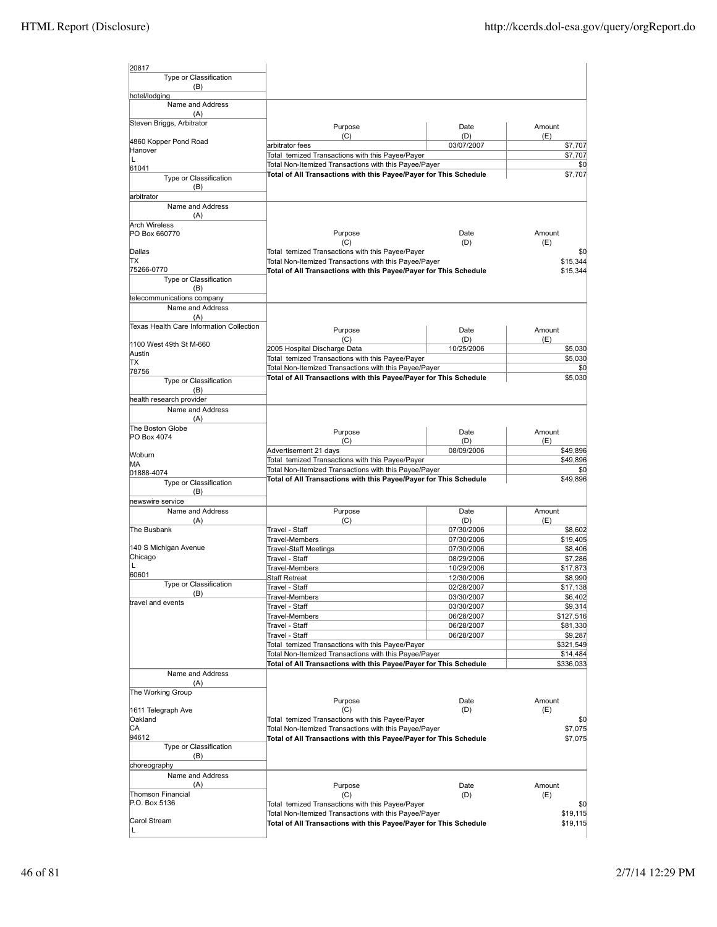| 20817                                    |                                                                                                                            |                          |                       |
|------------------------------------------|----------------------------------------------------------------------------------------------------------------------------|--------------------------|-----------------------|
| Type or Classification                   |                                                                                                                            |                          |                       |
| (B)<br>hotel/lodging                     |                                                                                                                            |                          |                       |
| Name and Address                         |                                                                                                                            |                          |                       |
| (A)                                      |                                                                                                                            |                          |                       |
| Steven Briggs, Arbitrator                | Purpose                                                                                                                    | Date                     | Amount                |
|                                          | (C)                                                                                                                        | (D)                      | (E)                   |
| 4860 Kopper Pond Road<br>Hanover         | arbitrator fees                                                                                                            | 03/07/2007               | \$7,707               |
| Г                                        | Total temized Transactions with this Payee/Payer                                                                           |                          | \$7,707               |
| 61041                                    | Total Non-Itemized Transactions with this Payee/Payer                                                                      |                          | \$0                   |
| Type or Classification                   | Total of All Transactions with this Payee/Payer for This Schedule                                                          |                          | \$7,707               |
| (B)                                      |                                                                                                                            |                          |                       |
| arbitrator                               |                                                                                                                            |                          |                       |
| Name and Address                         |                                                                                                                            |                          |                       |
| (A)<br><b>Arch Wireless</b>              |                                                                                                                            |                          |                       |
| PO Box 660770                            | Purpose                                                                                                                    | Date                     | Amount                |
|                                          | (C)                                                                                                                        | (D)                      | (E)                   |
| Dallas                                   | Total temized Transactions with this Payee/Payer                                                                           |                          | \$0                   |
| lΤX                                      | Total Non-Itemized Transactions with this Payee/Payer                                                                      |                          | \$15,344              |
| 75266-0770                               | Total of All Transactions with this Payee/Payer for This Schedule                                                          |                          | \$15,344              |
| Type or Classification<br>(B)            |                                                                                                                            |                          |                       |
| telecommunications company               |                                                                                                                            |                          |                       |
| Name and Address                         |                                                                                                                            |                          |                       |
| (A)                                      |                                                                                                                            |                          |                       |
| Texas Health Care Information Collection | Purpose                                                                                                                    | Date                     | Amount                |
|                                          | (C)                                                                                                                        | (D)                      | (E)                   |
| 1100 West 49th St M-660                  | 2005 Hospital Discharge Data                                                                                               | 10/25/2006               | \$5,030               |
| Austin<br>ΠX                             | Total temized Transactions with this Payee/Payer                                                                           |                          | \$5,030               |
| 78756                                    | Total Non-Itemized Transactions with this Payee/Payer                                                                      |                          | \$0                   |
| Type or Classification                   | Total of All Transactions with this Payee/Payer for This Schedule                                                          |                          | \$5,030               |
| (B)                                      |                                                                                                                            |                          |                       |
| health research provider                 |                                                                                                                            |                          |                       |
| Name and Address                         |                                                                                                                            |                          |                       |
| (A)                                      |                                                                                                                            |                          |                       |
| The Boston Globe                         | Purpose                                                                                                                    | Date                     | Amount                |
| PO Box 4074                              | (C)                                                                                                                        | (D)                      | (E)                   |
| Woburn                                   | Advertisement 21 days                                                                                                      | 08/09/2006               | \$49,896              |
| MА                                       | Total temized Transactions with this Payee/Payer                                                                           |                          | \$49,896              |
| 01888-4074                               | Total Non-Itemized Transactions with this Payee/Payer                                                                      |                          | \$0                   |
| Type or Classification                   | Total of All Transactions with this Payee/Payer for This Schedule                                                          |                          | \$49,896              |
| (B)                                      |                                                                                                                            |                          |                       |
| newswire service                         |                                                                                                                            |                          |                       |
| Name and Address                         | Purpose<br>(C)                                                                                                             | Date<br>(D)              | Amount<br>(E)         |
| (A)<br>The Busbank                       | Travel - Staff                                                                                                             | 07/30/2006               | \$8,602               |
|                                          | Travel-Members                                                                                                             | 07/30/2006               | \$19,405              |
| 140 S Michigan Avenue                    | <b>Travel-Staff Meetings</b>                                                                                               | 07/30/2006               | \$8,406               |
| Chicago                                  | Travel - Staff                                                                                                             | 08/29/2006               | \$7,286               |
| L                                        | <b>Travel-Members</b>                                                                                                      | 10/29/2006               | \$17,873              |
| 60601                                    | <b>Staff Retreat</b>                                                                                                       | 12/30/2006               | \$8,990               |
| Type or Classification<br>(B)            | Travel - Staff                                                                                                             | 02/28/2007               | \$17,138              |
| travel and events                        | Travel-Members                                                                                                             | 03/30/2007               | \$6,402               |
|                                          | Travel - Staff                                                                                                             | 03/30/2007               | \$9,314               |
|                                          | Travel-Members<br>Travel - Staff                                                                                           | 06/28/2007<br>06/28/2007 | \$127,516<br>\$81,330 |
|                                          | Travel - Staff                                                                                                             | 06/28/2007               | \$9,287               |
|                                          | Total temized Transactions with this Payee/Payer                                                                           |                          | \$321,549             |
|                                          | Total Non-Itemized Transactions with this Payee/Payer                                                                      |                          | \$14,484              |
|                                          | Total of All Transactions with this Payee/Payer for This Schedule                                                          |                          | \$336,033             |
| Name and Address                         |                                                                                                                            |                          |                       |
| (A)                                      |                                                                                                                            |                          |                       |
| The Working Group                        |                                                                                                                            |                          |                       |
|                                          | Purpose                                                                                                                    | Date                     | Amount                |
| 1611 Telegraph Ave<br>Oakland            | (C)<br>Total temized Transactions with this Payee/Payer                                                                    | (D)                      | (E)<br>\$0            |
| CА                                       | Total Non-Itemized Transactions with this Payee/Payer                                                                      |                          | \$7,075               |
| 94612                                    | Total of All Transactions with this Payee/Payer for This Schedule                                                          |                          | \$7,075               |
| Type or Classification                   |                                                                                                                            |                          |                       |
| (B)                                      |                                                                                                                            |                          |                       |
| choreography                             |                                                                                                                            |                          |                       |
| Name and Address                         |                                                                                                                            |                          |                       |
| (A)                                      | Purpose                                                                                                                    | Date                     | Amount                |
| Thomson Financial<br>P.O. Box 5136       | (C)                                                                                                                        | (D)                      | (E)                   |
|                                          | Total temized Transactions with this Payee/Payer                                                                           |                          | \$0                   |
| Carol Stream                             | Total Non-Itemized Transactions with this Payee/Payer<br>Total of All Transactions with this Payee/Payer for This Schedule |                          | \$19,115<br>\$19,115  |
| L                                        |                                                                                                                            |                          |                       |
|                                          |                                                                                                                            |                          |                       |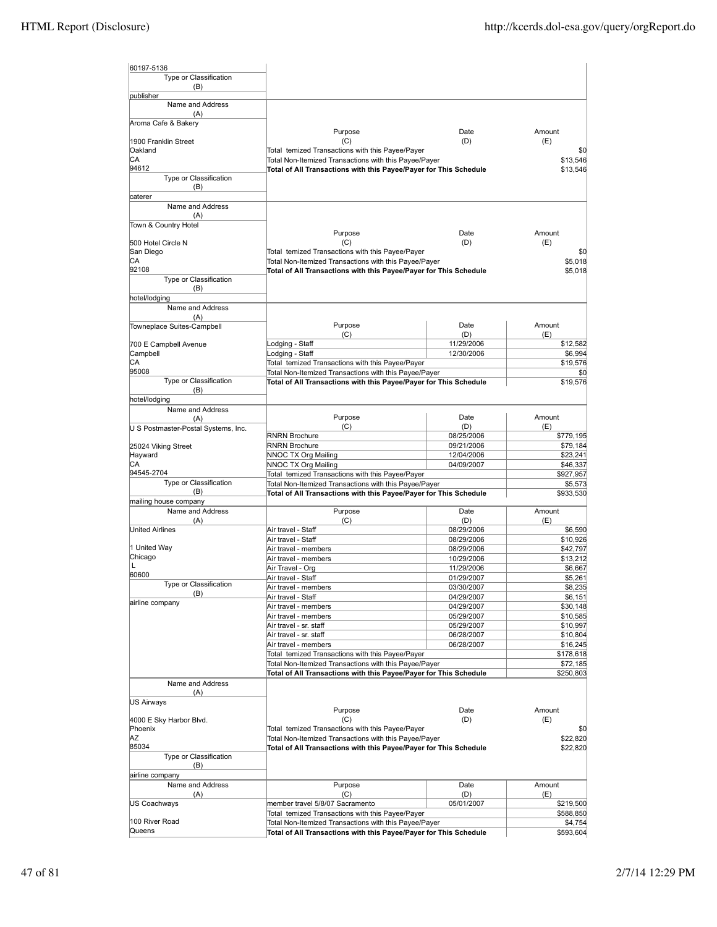| 60197-5136                          |                                                                                                                            |                          |                       |
|-------------------------------------|----------------------------------------------------------------------------------------------------------------------------|--------------------------|-----------------------|
| Type or Classification              |                                                                                                                            |                          |                       |
| (B)                                 |                                                                                                                            |                          |                       |
| publisher                           |                                                                                                                            |                          |                       |
| Name and Address                    |                                                                                                                            |                          |                       |
| (A)<br>Aroma Cafe & Bakery          |                                                                                                                            |                          |                       |
|                                     | Purpose                                                                                                                    | Date                     | Amount                |
| 1900 Franklin Street                | (C)                                                                                                                        | (D)                      | (E)                   |
| Oakland                             | Total temized Transactions with this Payee/Payer                                                                           |                          | \$0                   |
| СA<br>94612                         | Total Non-Itemized Transactions with this Payee/Payer                                                                      |                          | \$13,546              |
| Type or Classification              | Total of All Transactions with this Payee/Payer for This Schedule                                                          |                          | \$13,546              |
| (B)                                 |                                                                                                                            |                          |                       |
| caterer                             |                                                                                                                            |                          |                       |
| Name and Address                    |                                                                                                                            |                          |                       |
| (A)                                 |                                                                                                                            |                          |                       |
| Town & Country Hotel                | Purpose                                                                                                                    | Date                     | Amount                |
| 500 Hotel Circle N                  | (C)                                                                                                                        | (D)                      | (E)                   |
| San Diego                           | Total temized Transactions with this Payee/Payer                                                                           |                          | \$0                   |
| CА                                  | Total Non-Itemized Transactions with this Payee/Payer                                                                      |                          | \$5,018               |
| 92108                               | Total of All Transactions with this Payee/Payer for This Schedule                                                          |                          | \$5,018               |
| Type or Classification<br>(B)       |                                                                                                                            |                          |                       |
| hotel/lodging                       |                                                                                                                            |                          |                       |
| Name and Address                    |                                                                                                                            |                          |                       |
| (A)                                 |                                                                                                                            |                          |                       |
| Towneplace Suites-Campbell          | Purpose                                                                                                                    | Date                     | Amount                |
|                                     | (C)                                                                                                                        | (D)<br>11/29/2006        | (E)                   |
| 700 E Campbell Avenue<br>Campbell   | odging - Staff<br>Lodging - Staff                                                                                          | 12/30/2006               | \$12,582<br>\$6,994   |
| СA                                  | Total temized Transactions with this Payee/Payer                                                                           |                          | \$19,576              |
| 95008                               | Total Non-Itemized Transactions with this Payee/Payer                                                                      |                          | \$0                   |
| <b>Type or Classification</b>       | Total of All Transactions with this Payee/Payer for This Schedule                                                          |                          | \$19,576              |
| (B)                                 |                                                                                                                            |                          |                       |
| hotel/lodging<br>Name and Address   |                                                                                                                            |                          |                       |
| (A)                                 | Purpose                                                                                                                    | Date                     | Amount                |
| U S Postmaster-Postal Systems, Inc. | (C)                                                                                                                        | (D)                      | (E)                   |
|                                     | <b>RNRN Brochure</b>                                                                                                       | 08/25/2006               | \$779,195             |
| 25024 Viking Street                 | <b>RNRN Brochure</b>                                                                                                       | 09/21/2006               | \$79,184              |
| Hayward<br>СA                       | NNOC TX Org Mailing<br>NNOC TX Org Mailing                                                                                 | 12/04/2006<br>04/09/2007 | \$23,241<br>\$46,337  |
| 94545-2704                          | Total temized Transactions with this Payee/Payer                                                                           |                          | \$927,957             |
| Type or Classification              | Total Non-Itemized Transactions with this Payee/Payer                                                                      |                          | \$5,573               |
| (B)                                 | Total of All Transactions with this Payee/Payer for This Schedule                                                          |                          | \$933,530             |
| mailing house company               |                                                                                                                            |                          |                       |
| Name and Address<br>(A)             | Purpose<br>(C)                                                                                                             | Date<br>(D)              | Amount<br>(E)         |
| <b>United Airlines</b>              | Air travel - Staff                                                                                                         | 08/29/2006               | \$6,590               |
|                                     | Air travel - Staff                                                                                                         | 08/29/2006               | \$10,926              |
| 1 United Way                        | Air travel - members                                                                                                       | 08/29/2006               | \$42,797              |
| Chicago                             | Air travel - members                                                                                                       | 10/29/2006               | \$13,212              |
| IL.<br>60600                        | Air Travel - Org                                                                                                           | 11/29/2006               | \$6,667               |
| Type or Classification              | Air travel - Staff                                                                                                         | 01/29/2007               | \$5,261               |
| (B)                                 | Air travel - members<br>Air travel - Staff                                                                                 | 03/30/2007<br>04/29/2007 | \$8,235<br>\$6,151    |
| airline company                     | Air travel - members                                                                                                       | 04/29/2007               | \$30,148              |
|                                     | Air travel - members                                                                                                       | 05/29/2007               | \$10,585              |
|                                     | Air travel - sr. staff                                                                                                     | 05/29/2007               | \$10,997              |
|                                     | Air travel - sr. staff                                                                                                     | 06/28/2007               | \$10,804              |
|                                     | Air travel - members                                                                                                       | 06/28/2007               | \$16,245              |
|                                     | Total temized Transactions with this Payee/Payer                                                                           |                          | \$178,618             |
|                                     | Total Non-Itemized Transactions with this Payee/Payer<br>Total of All Transactions with this Payee/Payer for This Schedule |                          | \$72,185<br>\$250,803 |
| Name and Address                    |                                                                                                                            |                          |                       |
| (A)                                 |                                                                                                                            |                          |                       |
| <b>US Airways</b>                   |                                                                                                                            |                          |                       |
|                                     | Purpose                                                                                                                    | Date                     | Amount                |
| 4000 E Sky Harbor Blvd.             | (C)                                                                                                                        | (D)                      | (E)                   |
| Phoenix<br>ΑZ                       | Total temized Transactions with this Payee/Payer<br>Total Non-Itemized Transactions with this Payee/Payer                  |                          | \$0<br>\$22,820       |
| 85034                               | Total of All Transactions with this Payee/Payer for This Schedule                                                          |                          | \$22,820              |
| Type or Classification              |                                                                                                                            |                          |                       |
| (B)                                 |                                                                                                                            |                          |                       |
| airline company                     |                                                                                                                            |                          |                       |
| Name and Address                    | Purpose                                                                                                                    | Date                     | Amount                |
| (A)<br><b>US Coachways</b>          | (C)<br>member travel 5/8/07 Sacramento                                                                                     | (D)<br>05/01/2007        | (E)<br>\$219,500      |
|                                     | Total temized Transactions with this Payee/Payer                                                                           |                          | \$588,850             |
| 100 River Road                      | Total Non-Itemized Transactions with this Payee/Payer                                                                      |                          | \$4,754               |
| Queens                              | Total of All Transactions with this Payee/Payer for This Schedule                                                          |                          | \$593,604             |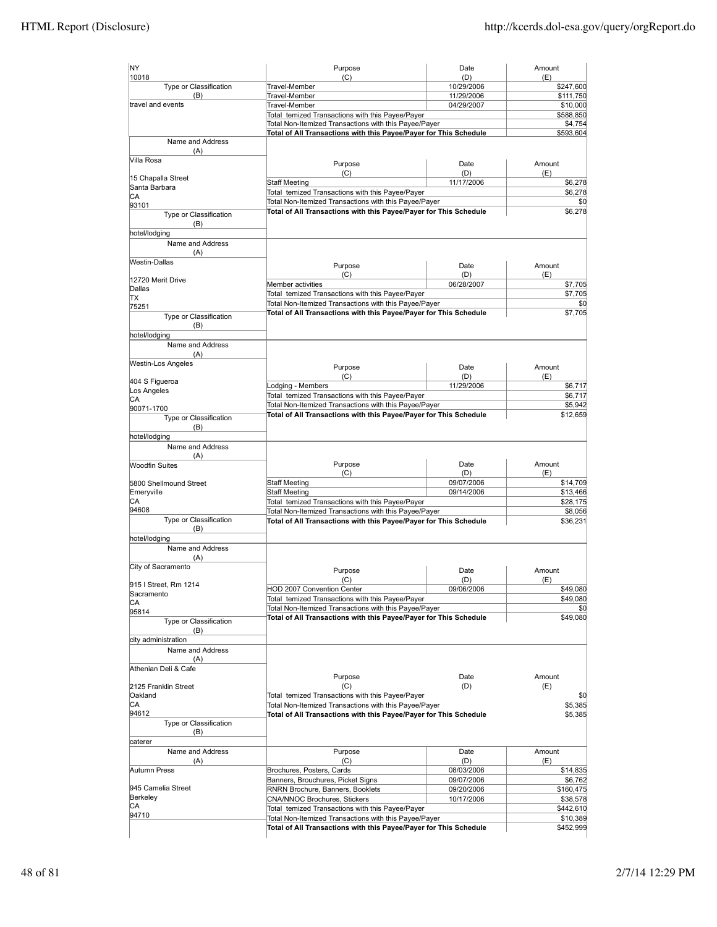| NY                                                                 | Purpose                                                                                                   | Date                     | Amount                                                                                                                                      |
|--------------------------------------------------------------------|-----------------------------------------------------------------------------------------------------------|--------------------------|---------------------------------------------------------------------------------------------------------------------------------------------|
| 10018                                                              | (C)                                                                                                       | (D)                      | (E)                                                                                                                                         |
| Type or Classification<br>(B)                                      | Travel-Member<br>Travel-Member                                                                            | 10/29/2006<br>11/29/2006 | \$247,600<br>\$111,750                                                                                                                      |
| travel and events                                                  | Travel-Member                                                                                             | 04/29/2007               | \$10,000                                                                                                                                    |
|                                                                    | Total temized Transactions with this Payee/Payer                                                          |                          | \$588,850                                                                                                                                   |
|                                                                    | Total Non-Itemized Transactions with this Payee/Payer                                                     |                          | \$4,754                                                                                                                                     |
|                                                                    | Total of All Transactions with this Payee/Payer for This Schedule                                         |                          | \$593,604                                                                                                                                   |
| Name and Address<br>(A)                                            |                                                                                                           |                          |                                                                                                                                             |
| Villa Rosa                                                         | Purpose                                                                                                   | Date                     | Amount                                                                                                                                      |
| 15 Chapalla Street                                                 | (C)                                                                                                       | (D)                      | (E)                                                                                                                                         |
| Santa Barbara                                                      | <b>Staff Meeting</b>                                                                                      | 11/17/2006               | \$6,278                                                                                                                                     |
| СA                                                                 | Total temized Transactions with this Payee/Payer<br>Total Non-Itemized Transactions with this Payee/Payer |                          | \$6,278<br>\$0                                                                                                                              |
| 93101                                                              | Total of All Transactions with this Payee/Payer for This Schedule                                         |                          | \$6,278                                                                                                                                     |
| Type or Classification<br>(B)                                      |                                                                                                           |                          |                                                                                                                                             |
| hotel/lodging                                                      |                                                                                                           |                          |                                                                                                                                             |
| Name and Address                                                   |                                                                                                           |                          |                                                                                                                                             |
| (A)                                                                |                                                                                                           |                          |                                                                                                                                             |
| Westin-Dallas                                                      | Purpose                                                                                                   | Date                     | Amount                                                                                                                                      |
| 12720 Merit Drive                                                  | (C)                                                                                                       | (D)                      | (E)                                                                                                                                         |
| Dallas                                                             | Member activities                                                                                         | 06/28/2007               | \$7,705                                                                                                                                     |
| ΠX                                                                 | Total temized Transactions with this Payee/Payer                                                          |                          | \$7,705                                                                                                                                     |
| 75251                                                              | Total Non-Itemized Transactions with this Payee/Payer                                                     |                          | \$0                                                                                                                                         |
| Type or Classification                                             | Total of All Transactions with this Payee/Payer for This Schedule                                         |                          | \$7,705                                                                                                                                     |
| (B)                                                                |                                                                                                           |                          |                                                                                                                                             |
| hotel/lodging                                                      |                                                                                                           |                          |                                                                                                                                             |
| Name and Address                                                   |                                                                                                           |                          |                                                                                                                                             |
| (A)<br><b>Westin-Los Angeles</b>                                   |                                                                                                           |                          |                                                                                                                                             |
|                                                                    | Purpose                                                                                                   | Date                     | Amount                                                                                                                                      |
| 404 S Figueroa                                                     | (C)                                                                                                       | (D)                      | (E)                                                                                                                                         |
| Los Angeles                                                        | Lodging - Members<br>Total temized Transactions with this Payee/Payer                                     | 11/29/2006               | \$6,717<br>\$6,717                                                                                                                          |
| CА                                                                 | Total Non-Itemized Transactions with this Payee/Payer                                                     |                          | \$5,942                                                                                                                                     |
| 90071-1700                                                         | Total of All Transactions with this Payee/Payer for This Schedule                                         |                          | \$12,659                                                                                                                                    |
| Type or Classification                                             |                                                                                                           |                          |                                                                                                                                             |
| (B)                                                                |                                                                                                           |                          |                                                                                                                                             |
| hotel/lodging<br>Name and Address                                  |                                                                                                           |                          |                                                                                                                                             |
| (A)                                                                |                                                                                                           |                          |                                                                                                                                             |
| <b>Woodfin Suites</b>                                              | Purpose                                                                                                   | Date                     | Amount                                                                                                                                      |
|                                                                    | (C)                                                                                                       | (D)                      | (E)                                                                                                                                         |
| 5800 Shellmound Street                                             | <b>Staff Meeting</b>                                                                                      | 09/07/2006               | \$14,709                                                                                                                                    |
| Emeryville                                                         | <b>Staff Meeting</b>                                                                                      | 09/14/2006               | \$13,466                                                                                                                                    |
| СA                                                                 | Total temized Transactions with this Payee/Payer                                                          |                          | \$28,175                                                                                                                                    |
|                                                                    |                                                                                                           |                          |                                                                                                                                             |
| 94608                                                              | Total Non-Itemized Transactions with this Payee/Payer                                                     |                          |                                                                                                                                             |
| Type or Classification                                             | Total of All Transactions with this Payee/Payer for This Schedule                                         |                          |                                                                                                                                             |
| (B)                                                                |                                                                                                           |                          |                                                                                                                                             |
| hotel/lodging                                                      |                                                                                                           |                          |                                                                                                                                             |
| Name and Address<br>(A)                                            |                                                                                                           |                          |                                                                                                                                             |
| City of Sacramento                                                 |                                                                                                           |                          |                                                                                                                                             |
|                                                                    | Purpose                                                                                                   | Date<br>(D)              | Amount                                                                                                                                      |
| 915 I Street, Rm 1214                                              | (C)                                                                                                       | 09/06/2006               | (E)                                                                                                                                         |
| Sacramento                                                         | HOD 2007 Convention Center<br>Total temized Transactions with this Payee/Payer                            |                          |                                                                                                                                             |
| CА                                                                 | Total Non-Itemized Transactions with this Payee/Payer                                                     |                          |                                                                                                                                             |
| 95814                                                              | Total of All Transactions with this Payee/Payer for This Schedule                                         |                          |                                                                                                                                             |
| Type or Classification<br>(B)                                      |                                                                                                           |                          |                                                                                                                                             |
| city administration                                                |                                                                                                           |                          |                                                                                                                                             |
| Name and Address                                                   |                                                                                                           |                          |                                                                                                                                             |
| (A)                                                                |                                                                                                           |                          |                                                                                                                                             |
| Athenian Deli & Cafe                                               |                                                                                                           |                          |                                                                                                                                             |
|                                                                    | Purpose                                                                                                   | Date                     | Amount                                                                                                                                      |
|                                                                    | (C)                                                                                                       | (D)                      | (E)                                                                                                                                         |
|                                                                    | Total temized Transactions with this Payee/Payer                                                          |                          |                                                                                                                                             |
| СA                                                                 | Total Non-Itemized Transactions with this Payee/Payer                                                     |                          |                                                                                                                                             |
| 2125 Franklin Street<br>Oakland<br>94612<br>Type or Classification | Total of All Transactions with this Payee/Payer for This Schedule                                         |                          |                                                                                                                                             |
| (B)                                                                |                                                                                                           |                          |                                                                                                                                             |
| caterer                                                            |                                                                                                           |                          |                                                                                                                                             |
| Name and Address                                                   | Purpose                                                                                                   | Date                     | Amount                                                                                                                                      |
| (A)                                                                | (C)                                                                                                       | (D)                      | (E)                                                                                                                                         |
| Autumn Press                                                       | Brochures, Posters, Cards                                                                                 | 08/03/2006               |                                                                                                                                             |
|                                                                    | Banners, Brouchures, Picket Signs                                                                         | 09/07/2006               |                                                                                                                                             |
| 945 Camelia Street                                                 | RNRN Brochure, Banners, Booklets                                                                          | 09/20/2006               |                                                                                                                                             |
| Berkeley<br>СA                                                     | CNA/NNOC Brochures, Stickers                                                                              | 10/17/2006               | \$8,056<br>\$36,231<br>\$49,080<br>\$49,080<br>\$0<br>\$49,080<br>\$0<br>\$5,385<br>\$5,385<br>\$14,835<br>\$6,762<br>\$160,475<br>\$38,578 |
| 94710                                                              | Total temized Transactions with this Payee/Payer<br>Total Non-Itemized Transactions with this Payee/Payer |                          | \$442,610<br>\$10,389                                                                                                                       |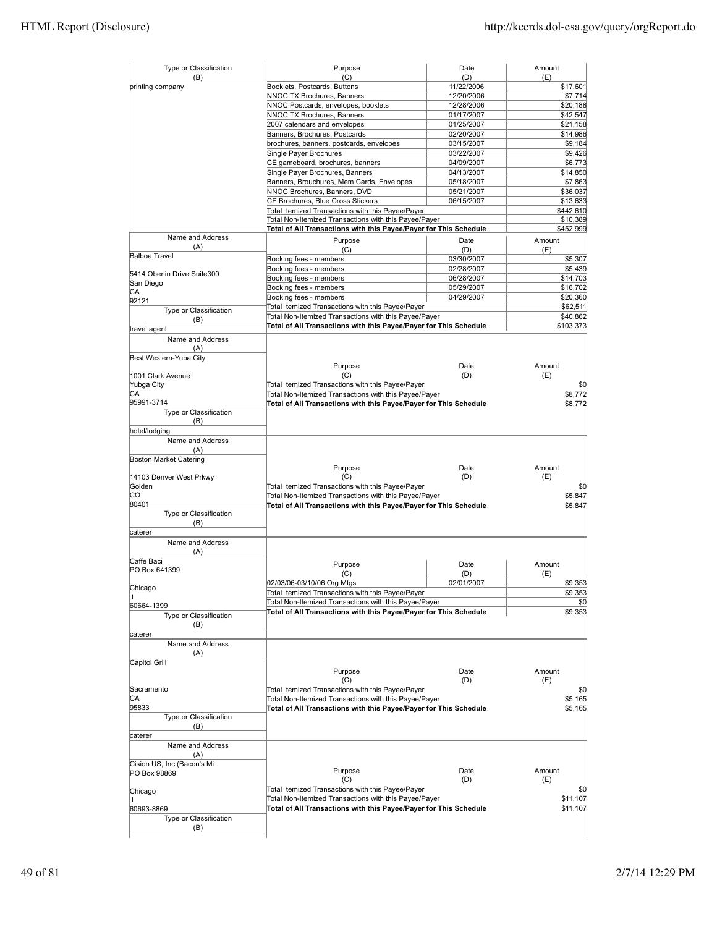| Type or Classification<br>(B) | Purpose<br>(C)                                                                                            | Date<br>(D) | Amount<br>(E)         |
|-------------------------------|-----------------------------------------------------------------------------------------------------------|-------------|-----------------------|
| printing company              | Booklets, Postcards, Buttons                                                                              | 11/22/2006  | \$17,601              |
|                               | NNOC TX Brochures, Banners                                                                                | 12/20/2006  | \$7,714               |
|                               | NNOC Postcards, envelopes, booklets                                                                       | 12/28/2006  | \$20,188              |
|                               | NNOC TX Brochures, Banners                                                                                | 01/17/2007  | \$42,547              |
|                               | 2007 calendars and envelopes                                                                              | 01/25/2007  | \$21,158              |
|                               | Banners, Brochures, Postcards                                                                             | 02/20/2007  | \$14,986              |
|                               | brochures, banners, postcards, envelopes                                                                  | 03/15/2007  | \$9,184               |
|                               | Single Payer Brochures                                                                                    | 03/22/2007  | \$9,426               |
|                               | CE gameboard, brochures, banners                                                                          | 04/09/2007  | \$6,773               |
|                               | Single Payer Brochures, Banners                                                                           | 04/13/2007  | \$14,850              |
|                               | Banners, Brouchures, Mem Cards, Envelopes                                                                 | 05/18/2007  | \$7,863               |
|                               | NNOC Brochures, Banners, DVD                                                                              | 05/21/2007  | \$36,037              |
|                               | CE Brochures, Blue Cross Stickers                                                                         | 06/15/2007  |                       |
|                               |                                                                                                           |             | \$13,633              |
|                               | Total temized Transactions with this Payee/Payer<br>Total Non-Itemized Transactions with this Payee/Payer |             | \$442,610             |
|                               | Total of All Transactions with this Payee/Payer for This Schedule                                         |             | \$10,389<br>\$452,999 |
| Name and Address              |                                                                                                           |             |                       |
| (A)                           | Purpose                                                                                                   | Date        | Amount                |
| <b>Balboa Travel</b>          | (C)                                                                                                       | (D)         | (E)                   |
|                               | Booking fees - members                                                                                    | 03/30/2007  | \$5,307               |
| 5414 Oberlin Drive Suite300   | Booking fees - members                                                                                    | 02/28/2007  | \$5,439               |
| San Diego                     | Booking fees - members                                                                                    | 06/28/2007  | \$14,703              |
| СA                            | Booking fees - members                                                                                    | 05/29/2007  | \$16,702              |
| 92121                         | Booking fees - members                                                                                    | 04/29/2007  | \$20,360              |
| Type or Classification        | Total temized Transactions with this Payee/Payer                                                          |             | \$62,511              |
| (B)                           | Total Non-Itemized Transactions with this Payee/Payer                                                     |             | \$40,862              |
| travel agent                  | Total of All Transactions with this Payee/Payer for This Schedule                                         |             | \$103,373             |
|                               |                                                                                                           |             |                       |
| Name and Address              |                                                                                                           |             |                       |
| (A)                           |                                                                                                           |             |                       |
| Best Western-Yuba City        | Purpose                                                                                                   | Date        | Amount                |
| 1001 Clark Avenue             | (C)                                                                                                       | (D)         | (E)                   |
| Yubga City                    |                                                                                                           |             | \$0                   |
| СA                            | Total temized Transactions with this Payee/Payer                                                          |             |                       |
| 95991-3714                    | Total Non-Itemized Transactions with this Payee/Payer                                                     |             | \$8,772               |
|                               | Total of All Transactions with this Payee/Payer for This Schedule                                         |             | \$8,772               |
| Type or Classification<br>(B) |                                                                                                           |             |                       |
|                               |                                                                                                           |             |                       |
| hotel/lodging                 |                                                                                                           |             |                       |
| Name and Address              |                                                                                                           |             |                       |
| (A)                           |                                                                                                           |             |                       |
| Boston Market Catering        |                                                                                                           |             |                       |
|                               | Purpose                                                                                                   | Date        | Amount                |
| 14103 Denver West Prkwy       | (C)                                                                                                       | (D)         | (E)                   |
| Golden                        | Total temized Transactions with this Payee/Payer                                                          |             | \$0                   |
| CО                            | Total Non-Itemized Transactions with this Payee/Payer                                                     |             | \$5,847               |
| 80401                         | Total of All Transactions with this Payee/Payer for This Schedule                                         |             | \$5,847               |
| Type or Classification        |                                                                                                           |             |                       |
| (B)                           |                                                                                                           |             |                       |
| caterer                       |                                                                                                           |             |                       |
| Name and Address              |                                                                                                           |             |                       |
| (A)                           |                                                                                                           |             |                       |
| Caffe Baci                    | Purpose                                                                                                   | Date        | Amount                |
| PO Box 641399                 | (C)                                                                                                       | (D)         | (E)                   |
|                               | 02/03/06-03/10/06 Org Mtgs                                                                                | 02/01/2007  | \$9,353               |
| Chicago                       | Total temized Transactions with this Payee/Payer                                                          |             | \$9,353               |
| L                             | Total Non-Itemized Transactions with this Payee/Payer                                                     |             | \$0                   |
| 60664-1399                    | Total of All Transactions with this Payee/Payer for This Schedule                                         |             | \$9,353               |
| Type or Classification        |                                                                                                           |             |                       |
| (B)                           |                                                                                                           |             |                       |
| caterer                       |                                                                                                           |             |                       |
| Name and Address              |                                                                                                           |             |                       |
| (A)                           |                                                                                                           |             |                       |
| Capitol Grill                 |                                                                                                           |             |                       |
|                               | Purpose                                                                                                   | Date        | Amount                |
|                               | (C)                                                                                                       | (D)         | (E)                   |
| Sacramento                    | Total temized Transactions with this Payee/Payer                                                          |             | \$0                   |
| СA                            | Total Non-Itemized Transactions with this Payee/Payer                                                     |             | \$5,165               |
| 95833                         | Total of All Transactions with this Payee/Payer for This Schedule                                         |             | \$5,165               |
| Type or Classification        |                                                                                                           |             |                       |
| (B)                           |                                                                                                           |             |                       |
| caterer                       |                                                                                                           |             |                       |
| Name and Address              |                                                                                                           |             |                       |
| (A)                           |                                                                                                           |             |                       |
| Cision US, Inc.(Bacon's Mi    |                                                                                                           |             |                       |
| PO Box 98869                  | Purpose                                                                                                   | Date        | Amount                |
|                               | (C)                                                                                                       | (D)         | (E)                   |
| Chicago                       | Total temized Transactions with this Payee/Payer                                                          |             | \$0                   |
| L                             | Total Non-Itemized Transactions with this Payee/Payer                                                     |             | \$11,107              |
| 60693-8869                    | Total of All Transactions with this Payee/Payer for This Schedule                                         |             | \$11,107              |
| Type or Classification        |                                                                                                           |             |                       |
| (B)                           |                                                                                                           |             |                       |
|                               |                                                                                                           |             |                       |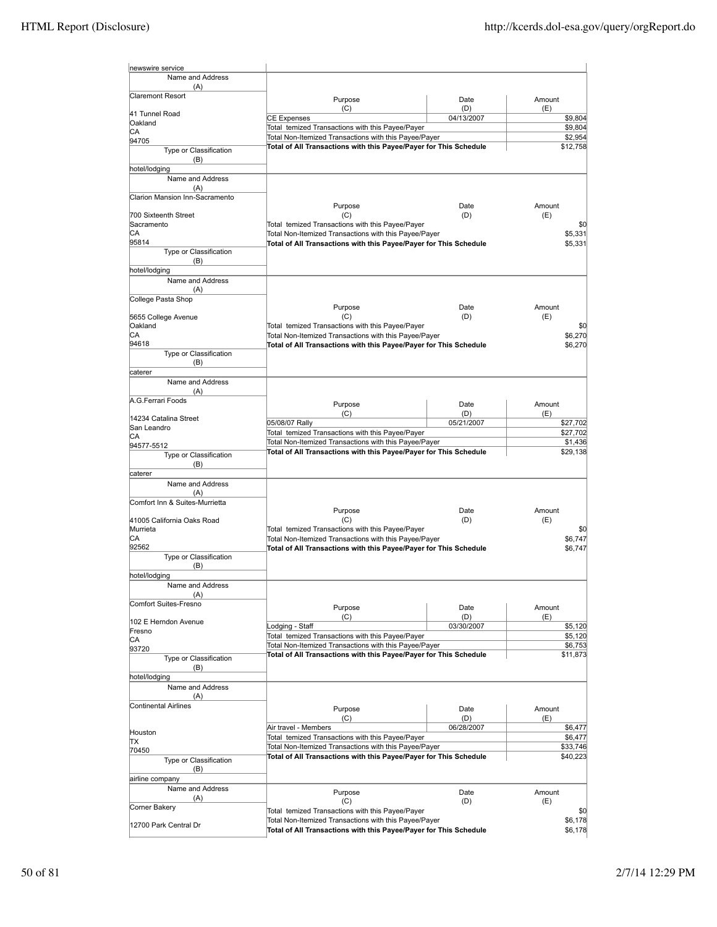| newswire service                      |                                                                          |                   |                      |
|---------------------------------------|--------------------------------------------------------------------------|-------------------|----------------------|
| Name and Address                      |                                                                          |                   |                      |
| (A)<br>Claremont Resort               |                                                                          |                   |                      |
|                                       | Purpose                                                                  | Date              | Amount               |
| 41 Tunnel Road                        | (C)<br><b>CE Expenses</b>                                                | (D)<br>04/13/2007 | (E)<br>\$9,804       |
| Oakland                               | Total temized Transactions with this Payee/Payer                         |                   | \$9,804              |
| IСA<br>94705                          | Total Non-Itemized Transactions with this Payee/Payer                    |                   | \$2,954              |
| Type or Classification                | Total of All Transactions with this Payee/Payer for This Schedule        |                   | \$12,758             |
| (B)                                   |                                                                          |                   |                      |
| hotel/lodging                         |                                                                          |                   |                      |
| Name and Address                      |                                                                          |                   |                      |
| (A)<br>Clarion Mansion Inn-Sacramento |                                                                          |                   |                      |
|                                       | Purpose                                                                  | Date              | Amount               |
| 700 Sixteenth Street                  | (C)                                                                      | (D)               | (E)                  |
| Sacramento                            | Total temized Transactions with this Payee/Payer                         |                   | \$0                  |
| CА                                    | Total Non-Itemized Transactions with this Payee/Payer                    |                   | \$5,331              |
| 95814<br>Type or Classification       | Total of All Transactions with this Payee/Payer for This Schedule        |                   | \$5,331              |
| (B)                                   |                                                                          |                   |                      |
| hotel/lodging                         |                                                                          |                   |                      |
| Name and Address                      |                                                                          |                   |                      |
| (A)                                   |                                                                          |                   |                      |
| College Pasta Shop                    | Purpose                                                                  | Date              | Amount               |
| 5655 College Avenue                   | (C)                                                                      | (D)               | (E)                  |
| Oakland                               | Total temized Transactions with this Payee/Payer                         |                   | \$C                  |
| CА                                    | Total Non-Itemized Transactions with this Payee/Payer                    |                   | \$6,270              |
| 94618<br>Type or Classification       | Total of All Transactions with this Payee/Payer for This Schedule        |                   | \$6,270              |
| (B)                                   |                                                                          |                   |                      |
| caterer                               |                                                                          |                   |                      |
| Name and Address                      |                                                                          |                   |                      |
| (A)<br>A.G.Ferrari Foods              |                                                                          |                   |                      |
|                                       | Purpose                                                                  | Date              | Amount               |
| 14234 Catalina Street                 | (C)                                                                      | (D)               | (E)                  |
| San Leandro                           | 05/08/07 Rally<br>Total temized Transactions with this Payee/Payer       | 05/21/2007        | \$27,702<br>\$27,702 |
| CА<br>94577-5512                      | Total Non-Itemized Transactions with this Payee/Payer                    |                   | \$1,436              |
| Type or Classification                | Total of All Transactions with this Payee/Payer for This Schedule        |                   | \$29,138             |
| (B)                                   |                                                                          |                   |                      |
| caterer                               |                                                                          |                   |                      |
| Name and Address                      |                                                                          |                   |                      |
| (A)                                   |                                                                          |                   |                      |
| Comfort Inn & Suites-Murrietta        | Purpose                                                                  | Date              | Amount               |
| 41005 California Oaks Road            | (C)                                                                      | (D)               | (E)                  |
| Murrieta                              | Total temized Transactions with this Payee/Payer                         |                   | \$0                  |
| CA                                    | Total Non-Itemized Transactions with this Payee/Payer                    |                   | \$6,747              |
| 92562<br>Type or Classification       | Total of All Transactions with this Payee/Payer for This Schedule        |                   | \$6,747              |
| (B)                                   |                                                                          |                   |                      |
| hotel/lodging                         |                                                                          |                   |                      |
| Name and Address                      |                                                                          |                   |                      |
| (A)<br>Comfort Suites-Fresno          |                                                                          |                   |                      |
|                                       | Purpose                                                                  | Date              | Amount               |
| 102 E Herndon Avenue                  | (C)<br>Lodging - Staff                                                   | (D)<br>03/30/2007 | (E)<br>\$5,120       |
| Fresno                                | Total temized Transactions with this Payee/Payer                         |                   | \$5,120              |
| CA<br>93720                           | Total Non-Itemized Transactions with this Payee/Payer                    |                   | \$6,753              |
| Type or Classification                | Total of All Transactions with this Payee/Payer for This Schedule        |                   | \$11,873             |
| (B)                                   |                                                                          |                   |                      |
| hotel/lodging                         |                                                                          |                   |                      |
| Name and Address                      |                                                                          |                   |                      |
| (A)                                   |                                                                          |                   |                      |
| <b>Continental Airlines</b>           | Purpose                                                                  | Date              | Amount               |
|                                       | (C)                                                                      | (D)               | (E)                  |
| Houston                               | Air travel - Members<br>Total temized Transactions with this Payee/Payer | 06/28/2007        | \$6,477<br>\$6,477   |
| ΠX                                    | Total Non-Itemized Transactions with this Payee/Payer                    |                   | \$33,746             |
| 70450<br>Type or Classification       | Total of All Transactions with this Payee/Payer for This Schedule        |                   | \$40,223             |
| (B)                                   |                                                                          |                   |                      |
| airline company                       |                                                                          |                   |                      |
| Name and Address                      | Purpose                                                                  | Date              | Amount               |
| (A)                                   | (C)                                                                      | (D)               | (E)                  |
| Corner Bakery                         | Total temized Transactions with this Payee/Payer                         |                   | \$C                  |
| 12700 Park Central Dr                 | Total Non-Itemized Transactions with this Payee/Payer                    |                   | \$6,178              |
|                                       | Total of All Transactions with this Payee/Payer for This Schedule        |                   | \$6,178              |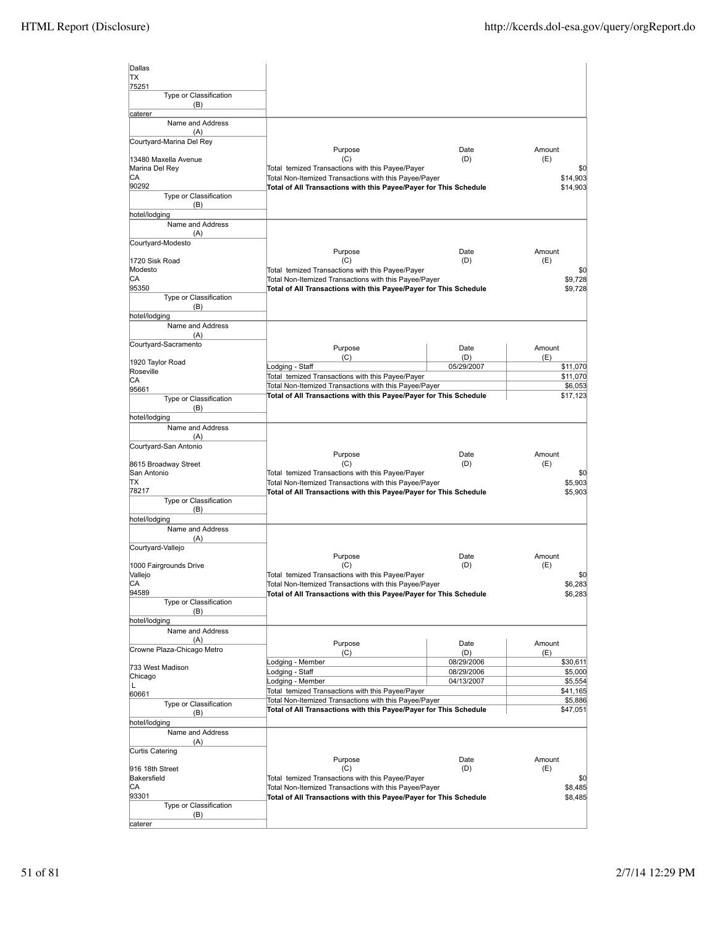| Dallas                                 |                                                                                                                            |            |                     |
|----------------------------------------|----------------------------------------------------------------------------------------------------------------------------|------------|---------------------|
| <b>TX</b>                              |                                                                                                                            |            |                     |
| 75251<br>Type or Classification        |                                                                                                                            |            |                     |
| (B)                                    |                                                                                                                            |            |                     |
| caterer                                |                                                                                                                            |            |                     |
| Name and Address                       |                                                                                                                            |            |                     |
| (A)<br>Courtyard-Marina Del Rey        |                                                                                                                            |            |                     |
|                                        | Purpose                                                                                                                    | Date       | Amount              |
| 13480 Maxella Avenue<br>Marina Del Rey | (C)<br>Total temized Transactions with this Payee/Payer                                                                    | (D)        | (E)<br>\$0          |
| СA                                     | Total Non-Itemized Transactions with this Payee/Payer                                                                      |            | \$14,903            |
| 90292                                  | Total of All Transactions with this Payee/Payer for This Schedule                                                          |            | \$14,903            |
| Type or Classification<br>(B)          |                                                                                                                            |            |                     |
| hotel/lodging                          |                                                                                                                            |            |                     |
| Name and Address                       |                                                                                                                            |            |                     |
| (A)<br>Courtyard-Modesto               |                                                                                                                            |            |                     |
|                                        | Purpose                                                                                                                    | Date       | Amount              |
| 1720 Sisk Road                         | (C)                                                                                                                        | (D)        | (E)                 |
| Modesto<br>СA                          | Total temized Transactions with this Payee/Payer                                                                           |            | \$0                 |
| 95350                                  | Total Non-Itemized Transactions with this Payee/Payer<br>Total of All Transactions with this Payee/Payer for This Schedule |            | \$9,728<br>\$9,728  |
| Type or Classification                 |                                                                                                                            |            |                     |
| (B)                                    |                                                                                                                            |            |                     |
| hotel/lodging<br>Name and Address      |                                                                                                                            |            |                     |
| (A)                                    |                                                                                                                            |            |                     |
| Courtyard-Sacramento                   | Purpose                                                                                                                    | Date       | Amount              |
|                                        | (C)                                                                                                                        | (D)        | (E)                 |
| 1920 Taylor Road<br>Roseville          | Lodging - Staff                                                                                                            | 05/29/2007 | \$11,070            |
| СA                                     | Total temized Transactions with this Payee/Payer                                                                           |            | \$11,070            |
| 95661                                  | Total Non-Itemized Transactions with this Payee/Payer<br>Total of All Transactions with this Payee/Payer for This Schedule |            | \$6,053<br>\$17,123 |
| Type or Classification                 |                                                                                                                            |            |                     |
| (B)<br>hotel/lodging                   |                                                                                                                            |            |                     |
| Name and Address                       |                                                                                                                            |            |                     |
| (A)                                    |                                                                                                                            |            |                     |
| Courtyard-San Antonio                  | Purpose                                                                                                                    | Date       | Amount              |
| 8615 Broadway Street                   | (C)                                                                                                                        | (D)        | (E)                 |
| San Antonio                            | Total temized Transactions with this Payee/Payer                                                                           |            | \$0                 |
| ΠX<br>78217                            | Total Non-Itemized Transactions with this Payee/Payer                                                                      |            | \$5,903             |
| Type or Classification                 | Total of All Transactions with this Payee/Payer for This Schedule                                                          |            | \$5,903             |
| (B)                                    |                                                                                                                            |            |                     |
| hotel/lodging                          |                                                                                                                            |            |                     |
| Name and Address<br>(A)                |                                                                                                                            |            |                     |
| Courtyard-Vallejo                      |                                                                                                                            |            |                     |
|                                        | Purpose                                                                                                                    | Date       | Amount              |
| 1000 Fairgrounds Drive                 | (C)                                                                                                                        | (D)        | (E)                 |
| Vallejo<br>СA                          | Total temized Transactions with this Payee/Payer<br>Total Non-Itemized Transactions with this Payee/Payer                  |            | \$0<br>\$6,283      |
| 94589                                  | Total of All Transactions with this Payee/Payer for This Schedule                                                          |            | \$6,283             |
| Type or Classification                 |                                                                                                                            |            |                     |
| (B)<br>hotel/lodging                   |                                                                                                                            |            |                     |
| Name and Address                       |                                                                                                                            |            |                     |
| (A)                                    | Purpose                                                                                                                    | Date       | Amount              |
| Crowne Plaza-Chicago Metro             | (C)                                                                                                                        | (D)        | (E)                 |
| 733 West Madison                       | odging - Member                                                                                                            | 08/29/2006 | \$30,611            |
| Chicago                                | Lodging - Staff<br>Lodging - Member                                                                                        | 08/29/2006 | \$5,000             |
| L                                      | Total temized Transactions with this Payee/Payer                                                                           | 04/13/2007 | \$5,554<br>\$41,165 |
| 60661<br>Type or Classification        | Total Non-Itemized Transactions with this Payee/Payer                                                                      |            | \$5,886             |
| (B)                                    | Total of All Transactions with this Payee/Payer for This Schedule                                                          |            | \$47,051            |
| hotel/lodging                          |                                                                                                                            |            |                     |
| Name and Address                       |                                                                                                                            |            |                     |
| (A)                                    |                                                                                                                            |            |                     |
| Curtis Catering                        | Purpose                                                                                                                    | Date       | Amount              |
| 916 18th Street                        | (C)                                                                                                                        | (D)        | (E)                 |
| Bakersfield                            | Total temized Transactions with this Payee/Payer                                                                           |            | \$0                 |
| СA<br>93301                            | Total Non-Itemized Transactions with this Payee/Payer                                                                      |            | \$8,485<br>\$8,485  |
| Type or Classification                 |                                                                                                                            |            |                     |
|                                        | Total of All Transactions with this Payee/Payer for This Schedule                                                          |            |                     |
| (B)<br>caterer                         |                                                                                                                            |            |                     |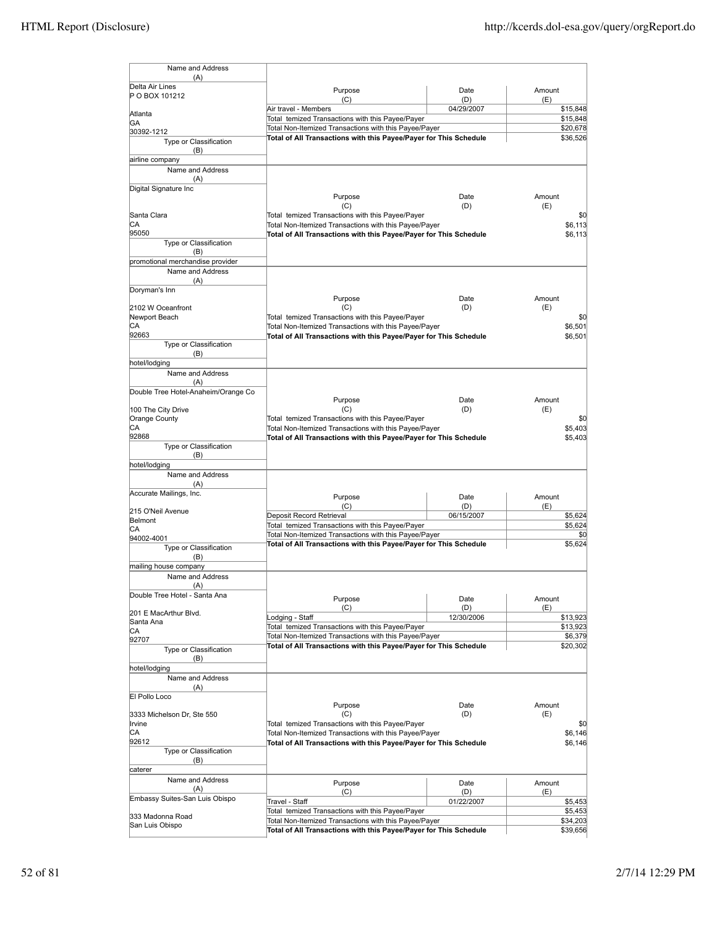| Name and Address                     |                                                                                                                            |             |                      |
|--------------------------------------|----------------------------------------------------------------------------------------------------------------------------|-------------|----------------------|
| (A)<br>Delta Air Lines               | Purpose                                                                                                                    | Date        | Amount               |
| P O BOX 101212                       | (C)                                                                                                                        | (D)         | (E)                  |
| Atlanta                              | Air travel - Members                                                                                                       | 04/29/2007  | \$15,848             |
| GA                                   | Total temized Transactions with this Payee/Payer<br>Total Non-Itemized Transactions with this Payee/Payer                  |             | \$15,848<br>\$20,678 |
| 30392-1212<br>Type or Classification | Total of All Transactions with this Payee/Payer for This Schedule                                                          |             | \$36,526             |
| (B)                                  |                                                                                                                            |             |                      |
| airline company                      |                                                                                                                            |             |                      |
| Name and Address                     |                                                                                                                            |             |                      |
| (A)                                  |                                                                                                                            |             |                      |
| Digital Signature Inc                | Purpose                                                                                                                    | Date        | Amount               |
|                                      | (C)                                                                                                                        | (D)         | (E)                  |
| Santa Clara                          | Total temized Transactions with this Payee/Payer                                                                           |             | \$0                  |
| СA                                   | Total Non-Itemized Transactions with this Payee/Payer                                                                      |             | \$6.113              |
| 95050                                | Total of All Transactions with this Payee/Payer for This Schedule                                                          |             | \$6,113              |
| Type or Classification<br>(B)        |                                                                                                                            |             |                      |
| promotional merchandise provider     |                                                                                                                            |             |                      |
| Name and Address                     |                                                                                                                            |             |                      |
| (A)                                  |                                                                                                                            |             |                      |
| Doryman's Inn                        |                                                                                                                            |             |                      |
| 2102 W Oceanfront                    | Purpose<br>(C)                                                                                                             | Date<br>(D) | Amount<br>(E)        |
| Newport Beach                        | Total temized Transactions with this Payee/Payer                                                                           |             | \$0                  |
| СA                                   | Total Non-Itemized Transactions with this Payee/Payer                                                                      |             | \$6,501              |
| 92663                                | Total of All Transactions with this Payee/Payer for This Schedule                                                          |             | \$6,501              |
| Type or Classification               |                                                                                                                            |             |                      |
| (B)<br>hotel/lodging                 |                                                                                                                            |             |                      |
| Name and Address                     |                                                                                                                            |             |                      |
| (A)                                  |                                                                                                                            |             |                      |
| Double Tree Hotel-Anaheim/Orange Co  |                                                                                                                            |             |                      |
|                                      | Purpose                                                                                                                    | Date        | Amount               |
| 100 The City Drive<br>Orange County  | (C)<br>Total temized Transactions with this Payee/Payer                                                                    | (D)         | (E)<br>\$0           |
| СA                                   | Total Non-Itemized Transactions with this Payee/Payer                                                                      |             | \$5,403              |
| 92868                                | Total of All Transactions with this Payee/Payer for This Schedule                                                          |             | \$5,403              |
| Type or Classification               |                                                                                                                            |             |                      |
| (B)                                  |                                                                                                                            |             |                      |
| hotel/lodging<br>Name and Address    |                                                                                                                            |             |                      |
| (A)                                  |                                                                                                                            |             |                      |
| Accurate Mailings, Inc.              | Purpose                                                                                                                    | Date        | Amount               |
|                                      | (C)                                                                                                                        | (D)         | (E)                  |
| 215 O'Neil Avenue<br>Belmont         | Deposit Record Retrieval                                                                                                   | 06/15/2007  | \$5,624              |
| СA                                   | Total temized Transactions with this Payee/Payer                                                                           |             | \$5,624              |
| 94002-4001                           | Total Non-Itemized Transactions with this Payee/Payer                                                                      |             | \$0                  |
| Type or Classification               | Total of All Transactions with this Payee/Payer for This Schedule                                                          |             | \$5,624              |
| (B)                                  |                                                                                                                            |             |                      |
| mailing house company                |                                                                                                                            |             |                      |
| Name and Address<br>(A)              |                                                                                                                            |             |                      |
| Double Tree Hotel - Santa Ana        |                                                                                                                            |             |                      |
|                                      | Purpose<br>(C)                                                                                                             | Date<br>(D) | Amount<br>(E)        |
| 201 E MacArthur Blvd.                | Lodging - Staff                                                                                                            | 12/30/2006  | \$13,923             |
| Santa Ana<br>CA                      | Total temized Transactions with this Payee/Payer                                                                           |             | \$13,923             |
| 92707                                | Total Non-Itemized Transactions with this Payee/Payer                                                                      |             | \$6,379              |
| Type or Classification               | Total of All Transactions with this Payee/Payer for This Schedule                                                          |             | \$20,302             |
| (B)                                  |                                                                                                                            |             |                      |
| hotel/lodging                        |                                                                                                                            |             |                      |
| Name and Address                     |                                                                                                                            |             |                      |
| (A)<br>El Pollo Loco                 |                                                                                                                            |             |                      |
|                                      | Purpose                                                                                                                    | Date        | Amount               |
| 3333 Michelson Dr, Ste 550           | (C)                                                                                                                        | (D)         | (E)                  |
| Irvine                               | Total temized Transactions with this Payee/Payer                                                                           |             | \$0                  |
| СA<br>92612                          | Total Non-Itemized Transactions with this Payee/Payer<br>Total of All Transactions with this Payee/Payer for This Schedule |             | \$6,146<br>\$6,146   |
| Type or Classification               |                                                                                                                            |             |                      |
| (B)                                  |                                                                                                                            |             |                      |
| caterer                              |                                                                                                                            |             |                      |
| Name and Address                     | Purpose                                                                                                                    | Date        | Amount               |
| (A)                                  | (C)                                                                                                                        | (D)         | (E)                  |
| Embassy Suites-San Luis Obispo       | Travel - Staff                                                                                                             | 01/22/2007  | \$5,453              |
| 333 Madonna Road                     | Total temized Transactions with this Payee/Payer                                                                           |             | \$5,453              |
| San Luis Obispo                      | Total Non-Itemized Transactions with this Payee/Payer<br>Total of All Transactions with this Payee/Payer for This Schedule |             | \$34,203<br>\$39,656 |
|                                      |                                                                                                                            |             |                      |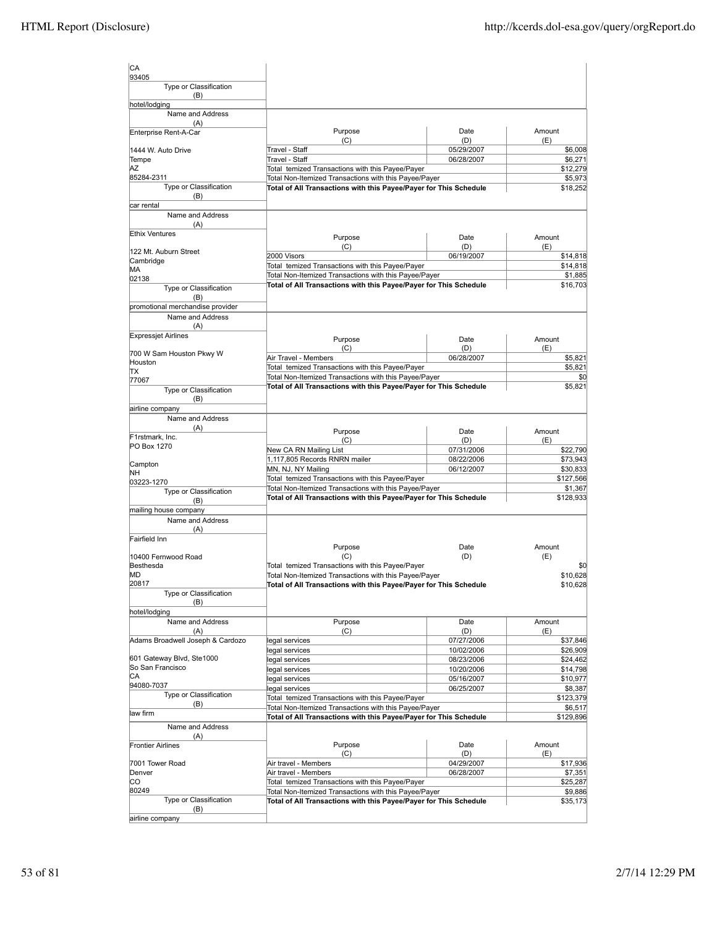| CA                                          |                                                                                                                            |                          |                      |
|---------------------------------------------|----------------------------------------------------------------------------------------------------------------------------|--------------------------|----------------------|
| 93405<br>Type or Classification<br>(B)      |                                                                                                                            |                          |                      |
| hotel/lodging                               |                                                                                                                            |                          |                      |
| Name and Address<br>(A)                     |                                                                                                                            |                          |                      |
| Enterprise Rent-A-Car                       | Purpose<br>(C)                                                                                                             | Date<br>(D)              | Amount<br>(E)        |
| 1444 W. Auto Drive                          | Travel - Staff                                                                                                             | 05/29/2007               | \$6,008              |
| Tempe                                       | Travel - Staff                                                                                                             | 06/28/2007               | \$6,271              |
| ΑZ                                          | Total temized Transactions with this Payee/Payer                                                                           |                          | \$12,279             |
| 85284-2311                                  | Total Non-Itemized Transactions with this Payee/Payer                                                                      |                          | \$5,973              |
| Type or Classification<br>(B)<br>car rental | Total of All Transactions with this Payee/Payer for This Schedule                                                          |                          | \$18,252             |
| Name and Address                            |                                                                                                                            |                          |                      |
| (A)                                         |                                                                                                                            |                          |                      |
| <b>Ethix Ventures</b>                       | Purpose                                                                                                                    | Date                     | Amount               |
| 122 Mt. Auburn Street                       | (C)                                                                                                                        | (D)                      | (E)                  |
| Cambridge                                   | 2000 Visors                                                                                                                | 06/19/2007               | \$14,818             |
| МA                                          | Total temized Transactions with this Payee/Payer                                                                           |                          | \$14,818             |
| 02138                                       | Total Non-Itemized Transactions with this Payee/Payer<br>Total of All Transactions with this Payee/Payer for This Schedule |                          | \$1,885<br>\$16,703  |
| Type or Classification                      |                                                                                                                            |                          |                      |
| (B)<br>promotional merchandise provider     |                                                                                                                            |                          |                      |
| Name and Address                            |                                                                                                                            |                          |                      |
| (A)                                         |                                                                                                                            |                          |                      |
| <b>Expressiet Airlines</b>                  |                                                                                                                            |                          |                      |
|                                             | Purpose<br>(C)                                                                                                             | Date<br>(D)              | Amount<br>(E)        |
| 700 W Sam Houston Pkwy W                    | Air Travel - Members                                                                                                       | 06/28/2007               | \$5,821              |
| Houston                                     | Total temized Transactions with this Payee/Payer                                                                           |                          | \$5,821              |
| ΠX<br>77067                                 | Total Non-Itemized Transactions with this Payee/Payer                                                                      |                          | \$0                  |
| Type or Classification                      | Total of All Transactions with this Payee/Payer for This Schedule                                                          |                          | \$5,821              |
| (B)                                         |                                                                                                                            |                          |                      |
| airline company                             |                                                                                                                            |                          |                      |
| Name and Address                            |                                                                                                                            |                          |                      |
| (A)                                         | Purpose                                                                                                                    | Date                     | Amount               |
| F1rstmark, Inc.                             | (C)                                                                                                                        | (D)                      | (E)                  |
| PO Box 1270                                 | New CA RN Mailing List                                                                                                     | 07/31/2006               | \$22,790             |
| Campton                                     | 1,117,805 Records RNRN mailer                                                                                              | 08/22/2006               | \$73,943             |
| NΗ                                          | MN, NJ, NY Mailing                                                                                                         | 06/12/2007               | \$30,833             |
| 03223-1270                                  | Total temized Transactions with this Payee/Payer                                                                           |                          | \$127,566            |
| Type or Classification                      | Total Non-Itemized Transactions with this Payee/Payer<br>Total of All Transactions with this Payee/Payer for This Schedule |                          | \$1,367<br>\$128,933 |
| (B)                                         |                                                                                                                            |                          |                      |
| mailing house company<br>Name and Address   |                                                                                                                            |                          |                      |
| (A)                                         |                                                                                                                            |                          |                      |
| Fairfield Inn                               |                                                                                                                            |                          |                      |
|                                             | Purpose                                                                                                                    | Date                     | Amount               |
| 10400 Fernwood Road                         | (C)                                                                                                                        | (D)                      | (E)                  |
| Besthesda<br>МD                             | Total temized Transactions with this Payee/Payer                                                                           |                          | \$0                  |
| 20817                                       | Total Non-Itemized Transactions with this Payee/Payer<br>Total of All Transactions with this Payee/Payer for This Schedule |                          | \$10,628             |
| Type or Classification                      |                                                                                                                            |                          | \$10,628             |
| (B)                                         |                                                                                                                            |                          |                      |
| hotel/lodging                               |                                                                                                                            |                          |                      |
| Name and Address                            | Purpose                                                                                                                    | Date                     | Amount               |
| (A)<br>Adams Broadwell Joseph & Cardozo     | (C)                                                                                                                        | (D)                      | (E)<br>\$37,846      |
|                                             | legal services<br>legal services                                                                                           | 07/27/2006<br>10/02/2006 | \$26,909             |
| 601 Gateway Blvd, Ste1000                   | legal services                                                                                                             | 08/23/2006               | \$24,462             |
| So San Francisco                            | legal services                                                                                                             | 10/20/2006               | \$14,798             |
| СA                                          | legal services                                                                                                             | 05/16/2007               | \$10,977             |
| 94080-7037                                  | legal services                                                                                                             | 06/25/2007               | \$8,387              |
| Type or Classification<br>(B)               | Total temized Transactions with this Payee/Payer                                                                           |                          | \$123,379            |
| law firm                                    | Total Non-Itemized Transactions with this Payee/Payer                                                                      |                          | \$6,517              |
|                                             | Total of All Transactions with this Payee/Payer for This Schedule                                                          |                          | \$129,896            |
| Name and Address                            |                                                                                                                            |                          |                      |
| (A)<br><b>Frontier Airlines</b>             | Purpose                                                                                                                    | Date                     | Amount               |
|                                             | (C)                                                                                                                        | (D)                      | (E)                  |
| 7001 Tower Road                             | Air travel - Members                                                                                                       | 04/29/2007               | \$17,936             |
| Denver                                      | Air travel - Members                                                                                                       | 06/28/2007               | \$7,351              |
| CО                                          | Total temized Transactions with this Payee/Payer                                                                           |                          | \$25,287             |
| 80249                                       | Total Non-Itemized Transactions with this Payee/Payer                                                                      |                          | \$9,886              |
| Type or Classification<br>(B)               | Total of All Transactions with this Payee/Payer for This Schedule                                                          |                          | \$35,173             |
| airline company                             |                                                                                                                            |                          |                      |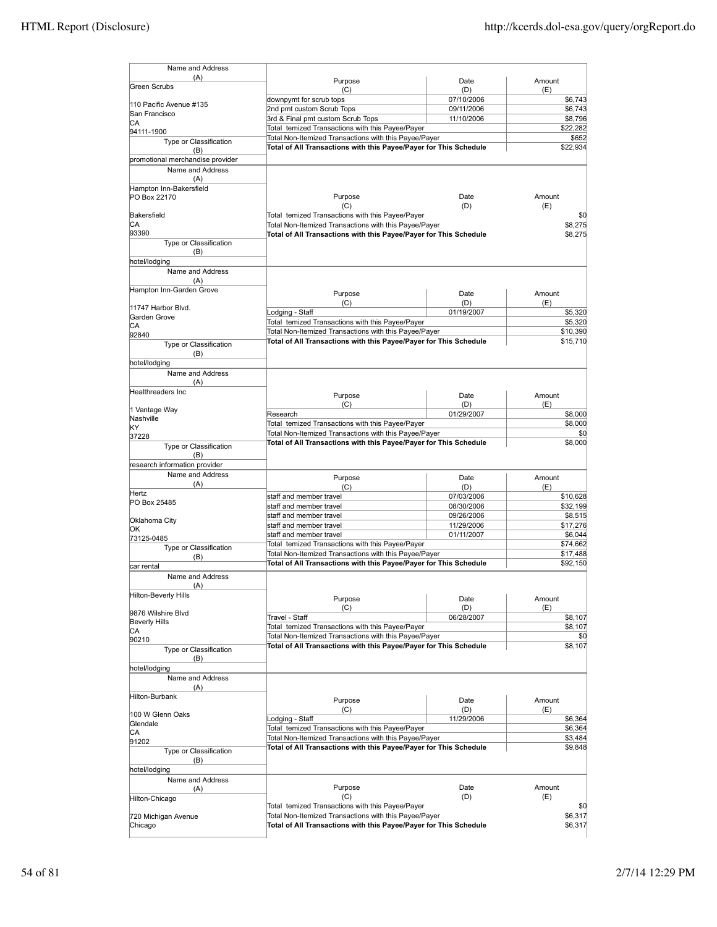| Name and Address                                     |                                                                                                                            |                   |                      |
|------------------------------------------------------|----------------------------------------------------------------------------------------------------------------------------|-------------------|----------------------|
| (A)                                                  | Purpose                                                                                                                    | Date              | Amount               |
| Green Scrubs                                         | (C)                                                                                                                        | (D)               | (E)                  |
| 110 Pacific Avenue #135                              | downpymt for scrub tops                                                                                                    | 07/10/2006        | \$6,743              |
| San Francisco                                        | 2nd pmt custom Scrub Tops                                                                                                  | 09/11/2006        | \$6,743              |
| IСA                                                  | 3rd & Final pmt custom Scrub Tops<br>Total temized Transactions with this Payee/Payer                                      | 11/10/2006        | \$8,796              |
| 94111-1900                                           | Total Non-Itemized Transactions with this Payee/Payer                                                                      |                   | \$22,282<br>\$652    |
| Type or Classification                               | Total of All Transactions with this Payee/Payer for This Schedule                                                          |                   | \$22,934             |
| (B)                                                  |                                                                                                                            |                   |                      |
| promotional merchandise provider<br>Name and Address |                                                                                                                            |                   |                      |
| (A)                                                  |                                                                                                                            |                   |                      |
| Hampton Inn-Bakersfield                              |                                                                                                                            |                   |                      |
| PO Box 22170                                         | Purpose                                                                                                                    | Date              | Amount               |
|                                                      | (C)                                                                                                                        | (D)               | (E)                  |
| Bakersfield                                          | Total temized Transactions with this Payee/Payer                                                                           |                   | \$0                  |
| СA                                                   | Total Non-Itemized Transactions with this Payee/Payer                                                                      |                   | \$8,275              |
| 93390                                                | Total of All Transactions with this Payee/Payer for This Schedule                                                          |                   | \$8,275              |
| Type or Classification<br>(B)                        |                                                                                                                            |                   |                      |
| hotel/lodging                                        |                                                                                                                            |                   |                      |
| Name and Address                                     |                                                                                                                            |                   |                      |
| (A)                                                  |                                                                                                                            |                   |                      |
| Hampton Inn-Garden Grove                             | Purpose                                                                                                                    | Date              | Amount               |
|                                                      | (C)                                                                                                                        | (D)               | (E)                  |
| 11747 Harbor Blvd.                                   | Lodging - Staff                                                                                                            | 01/19/2007        | \$5,320              |
| Garden Grove                                         | Total temized Transactions with this Payee/Payer                                                                           |                   | \$5,320              |
| CА                                                   | Total Non-Itemized Transactions with this Payee/Payer                                                                      |                   | \$10,390             |
| 92840<br>Type or Classification                      | Total of All Transactions with this Payee/Payer for This Schedule                                                          |                   | \$15,710             |
| (B)                                                  |                                                                                                                            |                   |                      |
| hotel/lodging                                        |                                                                                                                            |                   |                      |
| Name and Address                                     |                                                                                                                            |                   |                      |
| (A)                                                  |                                                                                                                            |                   |                      |
| Healthreaders Inc                                    | Purpose                                                                                                                    | Date              | Amount               |
|                                                      | (C)                                                                                                                        | (D)               | (E)                  |
| 1 Vantage Way                                        | Research                                                                                                                   | 01/29/2007        | \$8,000              |
| Nashville<br>KΥ                                      | Total temized Transactions with this Payee/Payer                                                                           |                   | \$8,000              |
| 37228                                                | Total Non-Itemized Transactions with this Payee/Payer                                                                      |                   | \$0                  |
| Type or Classification                               | Total of All Transactions with this Payee/Payer for This Schedule                                                          |                   | \$8,000              |
| (B)                                                  |                                                                                                                            |                   |                      |
| research information provider                        |                                                                                                                            |                   |                      |
| Name and Address                                     | Purpose                                                                                                                    | Date              | Amount               |
| (A)                                                  | (C)                                                                                                                        | (D)               | (E)                  |
| Hertz                                                | staff and member travel                                                                                                    | 07/03/2006        | \$10,628             |
| PO Box 25485                                         | staff and member travel                                                                                                    | 08/30/2006        | \$32,199             |
| Oklahoma City                                        | staff and member travel                                                                                                    | 09/26/2006        | \$8,515              |
| ЮK                                                   | staff and member travel                                                                                                    | 11/29/2006        | \$17,276             |
| 73125-0485                                           | staff and member travel                                                                                                    | 01/11/2007        | \$6,044              |
| Type or Classification                               | Total temized Transactions with this Payee/Payer                                                                           |                   | \$74,662             |
| (B)                                                  | Total Non-Itemized Transactions with this Payee/Payer<br>Total of All Transactions with this Payee/Payer for This Schedule |                   | \$17,488<br>\$92,150 |
| car rental                                           |                                                                                                                            |                   |                      |
| Name and Address                                     |                                                                                                                            |                   |                      |
| (A)                                                  |                                                                                                                            |                   |                      |
| Hilton-Beverly Hills                                 | Purpose                                                                                                                    | Date              | Amount               |
| 9876 Wilshire Blvd                                   | (C)                                                                                                                        | (D)               | (E)                  |
| <b>Beverly Hills</b>                                 | Travel - Staff                                                                                                             | 06/28/2007        | \$8,107              |
| СA                                                   | Total temized Transactions with this Payee/Payer<br>Total Non-Itemized Transactions with this Payee/Payer                  |                   | \$8,107<br>\$0       |
| 90210                                                | Total of All Transactions with this Payee/Payer for This Schedule                                                          |                   | \$8,107              |
| Type or Classification                               |                                                                                                                            |                   |                      |
| (B)                                                  |                                                                                                                            |                   |                      |
| hotel/lodging<br>Name and Address                    |                                                                                                                            |                   |                      |
| (A)                                                  |                                                                                                                            |                   |                      |
| Hilton-Burbank                                       |                                                                                                                            |                   |                      |
|                                                      | Purpose                                                                                                                    | Date              | Amount               |
| 100 W Glenn Oaks                                     | (C)<br>Lodging - Staff                                                                                                     | (D)<br>11/29/2006 | (E)<br>\$6,364       |
| Glendale                                             | Total temized Transactions with this Payee/Payer                                                                           |                   | \$6,364              |
| СA                                                   | Total Non-Itemized Transactions with this Payee/Payer                                                                      |                   | \$3,484              |
| 91202                                                | Total of All Transactions with this Payee/Payer for This Schedule                                                          |                   | \$9,848              |
| Type or Classification                               |                                                                                                                            |                   |                      |
| (B)<br>hotel/lodging                                 |                                                                                                                            |                   |                      |
| Name and Address                                     |                                                                                                                            |                   |                      |
| (A)                                                  | Purpose                                                                                                                    | Date              | Amount               |
| Hilton-Chicago                                       | (C)                                                                                                                        | (D)               | (E)                  |
|                                                      | Total temized Transactions with this Payee/Payer                                                                           |                   | \$0                  |
| 720 Michigan Avenue                                  | Total Non-Itemized Transactions with this Payee/Payer                                                                      |                   | \$6,317              |
| Chicago                                              | Total of All Transactions with this Payee/Payer for This Schedule                                                          |                   | \$6,317              |
|                                                      |                                                                                                                            |                   |                      |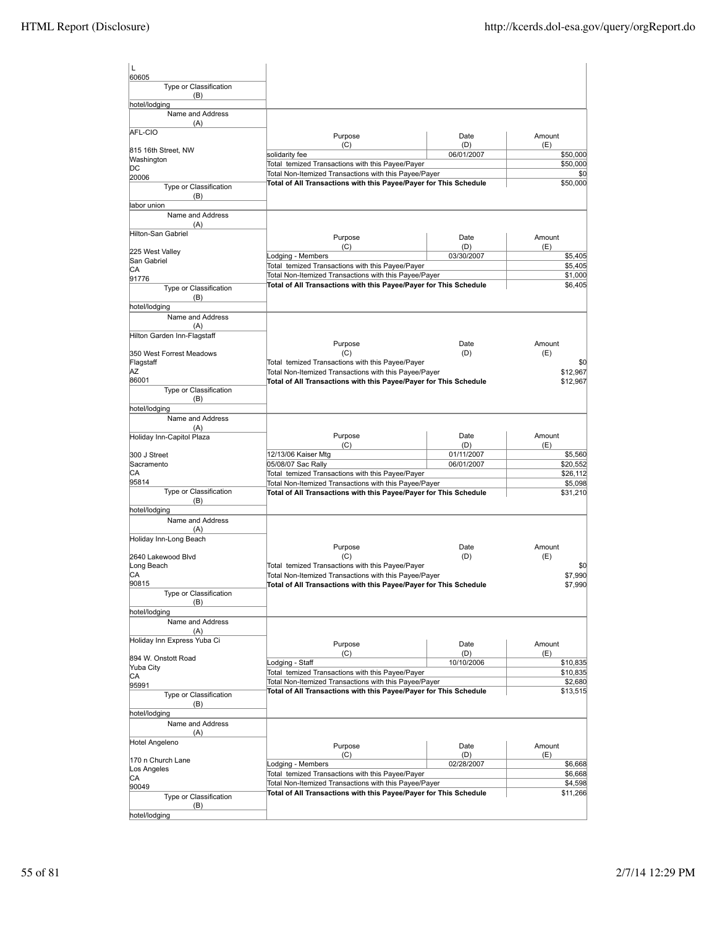| l L                                    |                                                                                                           |                   |                      |
|----------------------------------------|-----------------------------------------------------------------------------------------------------------|-------------------|----------------------|
| 60605<br>Type or Classification<br>(B) |                                                                                                           |                   |                      |
| hotel/lodging                          |                                                                                                           |                   |                      |
| Name and Address<br>(A)                |                                                                                                           |                   |                      |
| AFL-CIO                                | Purpose                                                                                                   | Date              | Amount               |
| 815 16th Street, NW                    | (C)<br>solidarity fee                                                                                     | (D)<br>06/01/2007 | (E)<br>\$50,000      |
| Washington                             | Total temized Transactions with this Payee/Payer                                                          |                   | \$50,000             |
| DС<br>20006                            | Total Non-Itemized Transactions with this Payee/Payer                                                     |                   | \$0                  |
| Type or Classification                 | Total of All Transactions with this Payee/Payer for This Schedule                                         |                   | \$50,000             |
| (B)                                    |                                                                                                           |                   |                      |
| labor union<br>Name and Address        |                                                                                                           |                   |                      |
| (A)                                    |                                                                                                           |                   |                      |
| Hilton-San Gabriel                     | Purpose                                                                                                   | Date              | Amount               |
| 225 West Valley                        | (C)                                                                                                       | (D)               | (E)                  |
| San Gabriel                            | Lodging - Members                                                                                         | 03/30/2007        | \$5,405              |
| IСA                                    | Total temized Transactions with this Payee/Payer<br>Total Non-Itemized Transactions with this Payee/Payer |                   | \$5,405<br>\$1,000   |
| 91776                                  | Total of All Transactions with this Payee/Payer for This Schedule                                         |                   | \$6,405              |
| Type or Classification<br>(B)          |                                                                                                           |                   |                      |
| hotel/lodging                          |                                                                                                           |                   |                      |
| Name and Address                       |                                                                                                           |                   |                      |
| (A)                                    |                                                                                                           |                   |                      |
| Hilton Garden Inn-Flagstaff            | Purpose                                                                                                   | Date              | Amount               |
| 350 West Forrest Meadows               | (C)                                                                                                       | (D)               | (E)                  |
| Flagstaff                              | Total temized Transactions with this Payee/Payer                                                          |                   | \$0                  |
| ΑZ<br>86001                            | Total Non-Itemized Transactions with this Payee/Payer                                                     |                   | \$12,967<br>\$12,967 |
| Type or Classification                 | Total of All Transactions with this Payee/Payer for This Schedule                                         |                   |                      |
| (B)                                    |                                                                                                           |                   |                      |
| hotel/lodging                          |                                                                                                           |                   |                      |
| Name and Address<br>(A)                |                                                                                                           |                   |                      |
| Holiday Inn-Capitol Plaza              | Purpose                                                                                                   | Date              | Amount               |
|                                        | (C)                                                                                                       | (D)               | (E)                  |
| 300 J Street<br>Sacramento             | 12/13/06 Kaiser Mtg                                                                                       | 01/11/2007        | \$5,560              |
| CА                                     | 05/08/07 Sac Rally<br>Total temized Transactions with this Payee/Payer                                    | 06/01/2007        | \$20,552<br>\$26,112 |
| 95814                                  | Total Non-Itemized Transactions with this Payee/Payer                                                     |                   | \$5,098              |
| Type or Classification                 | Total of All Transactions with this Payee/Payer for This Schedule                                         |                   | \$31,210             |
| (B)<br>hotel/lodging                   |                                                                                                           |                   |                      |
| Name and Address                       |                                                                                                           |                   |                      |
| (A)                                    |                                                                                                           |                   |                      |
| Holiday Inn-Long Beach                 |                                                                                                           |                   | Amount               |
| 2640 Lakewood Blvd                     | Purpose<br>(C)                                                                                            | Date<br>(D)       | (E)                  |
| Long Beach                             | Total temized Transactions with this Payee/Payer                                                          |                   | \$0                  |
| CА                                     | Total Non-Itemized Transactions with this Payee/Payer                                                     |                   | \$7,990              |
| 90815<br>Type or Classification        | Total of All Transactions with this Payee/Payer for This Schedule                                         |                   | \$7,990              |
| (B)                                    |                                                                                                           |                   |                      |
| hotel/lodging                          |                                                                                                           |                   |                      |
| Name and Address                       |                                                                                                           |                   |                      |
| (A)<br>Holiday Inn Express Yuba Ci     |                                                                                                           |                   |                      |
|                                        | Purpose<br>(C)                                                                                            | Date<br>(D)       | Amount<br>(E)        |
| 894 W. Onstott Road                    | Lodging - Staff                                                                                           | 10/10/2006        | \$10,835             |
| Yuba City<br>CA                        | Total temized Transactions with this Payee/Payer                                                          |                   | \$10,835             |
| 95991                                  | Total Non-Itemized Transactions with this Payee/Payer                                                     |                   | \$2,680              |
| Type or Classification                 | Total of All Transactions with this Payee/Payer for This Schedule                                         |                   | \$13,515             |
| (B)                                    |                                                                                                           |                   |                      |
| hotel/lodging<br>Name and Address      |                                                                                                           |                   |                      |
| (A)                                    |                                                                                                           |                   |                      |
| Hotel Angeleno                         | Purpose                                                                                                   | Date              | Amount               |
| 170 n Church Lane                      | (C)                                                                                                       | (D)               | (E)                  |
| Los Angeles                            | Lodging - Members                                                                                         | 02/28/2007        | \$6,668              |
| CA                                     | Total temized Transactions with this Payee/Payer<br>Total Non-Itemized Transactions with this Payee/Payer |                   | \$6,668<br>\$4,598   |
| 90049<br>Type or Classification        | Total of All Transactions with this Payee/Payer for This Schedule                                         |                   | \$11,266             |
| (B)                                    |                                                                                                           |                   |                      |
| hotel/lodging                          |                                                                                                           |                   |                      |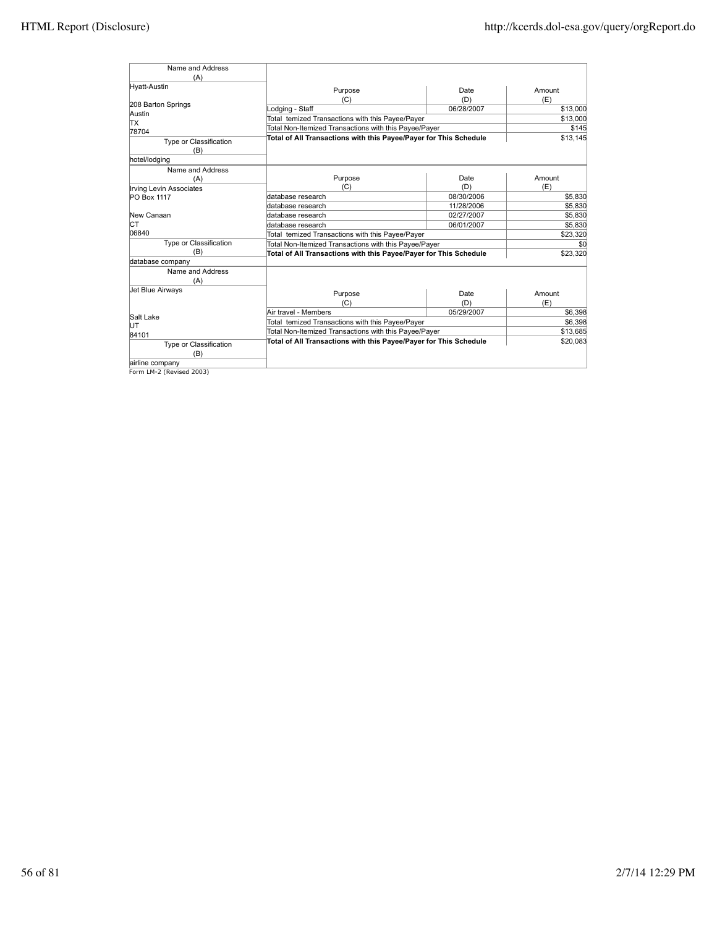| Name and Address<br>(A)                              |                                                                   |            |                    |
|------------------------------------------------------|-------------------------------------------------------------------|------------|--------------------|
| Hyatt-Austin                                         | Purpose                                                           | Date       | Amount             |
|                                                      | (C)                                                               | (D)        | (E)                |
| 208 Barton Springs                                   | Lodging - Staff                                                   | 06/28/2007 | \$13,000           |
| Austin<br>TХ                                         | Total temized Transactions with this Payee/Payer                  |            | \$13,000           |
| 78704                                                | Total Non-Itemized Transactions with this Payee/Payer             |            | \$145              |
| Type or Classification                               | Total of All Transactions with this Payee/Payer for This Schedule |            | \$13.145           |
| (B)                                                  |                                                                   |            |                    |
| hotel/lodging                                        |                                                                   |            |                    |
| Name and Address                                     | Purpose                                                           | Date       | Amount             |
| (A)                                                  | (C)                                                               | (D)        | (E)                |
| <b>Irving Levin Associates</b><br><b>PO Box 1117</b> | database research                                                 | 08/30/2006 | \$5,830            |
|                                                      | database research                                                 | 11/28/2006 | \$5,830            |
| New Canaan                                           |                                                                   | 02/27/2007 |                    |
| IСТ                                                  | database research                                                 |            | \$5,830<br>\$5.830 |
| 06840                                                | database research                                                 | 06/01/2007 |                    |
|                                                      | Total temized Transactions with this Payee/Payer                  |            | \$23,320           |
| Type or Classification<br>(B)                        | Total Non-Itemized Transactions with this Payee/Payer             |            | \$0                |
|                                                      | Total of All Transactions with this Payee/Payer for This Schedule |            | \$23,320           |
| database company<br>Name and Address                 |                                                                   |            |                    |
|                                                      |                                                                   |            |                    |
| (A)                                                  |                                                                   |            |                    |
| Jet Blue Airways                                     | Purpose                                                           | Date       | Amount             |
|                                                      | (C)                                                               | (D)        | (E)                |
| Salt Lake                                            | Air travel - Members                                              | 05/29/2007 | \$6,398            |
| IJТ                                                  | Total temized Transactions with this Payee/Payer                  |            | \$6,398            |
| 84101                                                | Total Non-Itemized Transactions with this Payee/Payer             |            | \$13,685           |
| Type or Classification                               | Total of All Transactions with this Payee/Payer for This Schedule |            | \$20,083           |
| (B)                                                  |                                                                   |            |                    |
| airline company                                      |                                                                   |            |                    |

airline company Form LM-2 (Revised 2003)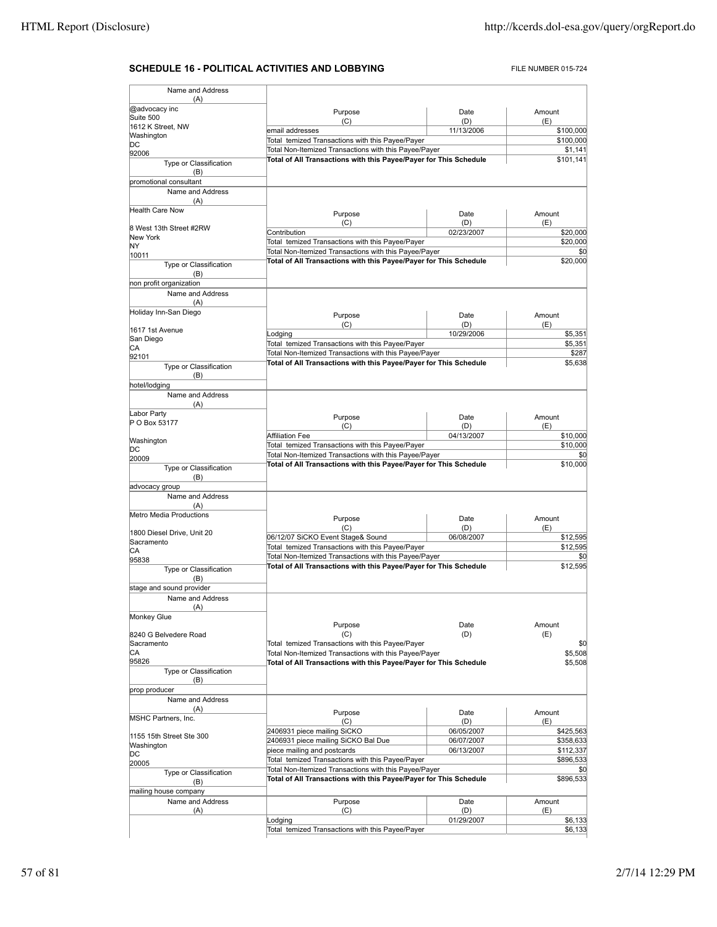# **SCHEDULE 16 - POLITICAL ACTIVITIES AND LOBBYING** FILE NUMBER 015-724

| Name and Address                                                                                     |                                                                                                                            |            |                                                                                                                                                        |
|------------------------------------------------------------------------------------------------------|----------------------------------------------------------------------------------------------------------------------------|------------|--------------------------------------------------------------------------------------------------------------------------------------------------------|
|                                                                                                      |                                                                                                                            |            |                                                                                                                                                        |
| (A)                                                                                                  |                                                                                                                            |            |                                                                                                                                                        |
| @advocacy inc<br>Suite 500                                                                           | Purpose                                                                                                                    | Date       | Amount                                                                                                                                                 |
| 1612 K Street, NW                                                                                    | (C)                                                                                                                        | (D)        | (E)                                                                                                                                                    |
| Washington                                                                                           | email addresses                                                                                                            | 11/13/2006 | \$100,000                                                                                                                                              |
| DC                                                                                                   | Total temized Transactions with this Payee/Payer                                                                           |            | \$100,000                                                                                                                                              |
| 92006                                                                                                | Total Non-Itemized Transactions with this Payee/Payer<br>Total of All Transactions with this Payee/Payer for This Schedule |            | \$1,141                                                                                                                                                |
| Type or Classification                                                                               |                                                                                                                            |            | \$101,141                                                                                                                                              |
| (B)                                                                                                  |                                                                                                                            |            |                                                                                                                                                        |
| promotional consultant                                                                               |                                                                                                                            |            |                                                                                                                                                        |
| Name and Address                                                                                     |                                                                                                                            |            |                                                                                                                                                        |
| (A)                                                                                                  |                                                                                                                            |            |                                                                                                                                                        |
| <b>Health Care Now</b>                                                                               | Purpose                                                                                                                    | Date       | Amount                                                                                                                                                 |
| 8 West 13th Street #2RW                                                                              | (C)                                                                                                                        | (D)        | (E)                                                                                                                                                    |
| New York                                                                                             | Contribution                                                                                                               | 02/23/2007 | \$20,000                                                                                                                                               |
| NY                                                                                                   | Total temized Transactions with this Payee/Payer                                                                           |            | \$20,000<br>\$0                                                                                                                                        |
| 10011                                                                                                | Total Non-Itemized Transactions with this Payee/Payer                                                                      |            |                                                                                                                                                        |
| Type or Classification                                                                               | Total of All Transactions with this Payee/Payer for This Schedule                                                          |            | \$20,000                                                                                                                                               |
| (B)                                                                                                  |                                                                                                                            |            |                                                                                                                                                        |
| non profit organization                                                                              |                                                                                                                            |            |                                                                                                                                                        |
| Name and Address                                                                                     |                                                                                                                            |            |                                                                                                                                                        |
| (A)                                                                                                  |                                                                                                                            |            |                                                                                                                                                        |
| Holiday Inn-San Diego                                                                                | Purpose                                                                                                                    | Date       | Amount                                                                                                                                                 |
|                                                                                                      | (C)                                                                                                                        | (D)        | (E)                                                                                                                                                    |
| 1617 1st Avenue                                                                                      | Lodging                                                                                                                    | 10/29/2006 | \$5,351                                                                                                                                                |
| San Diego                                                                                            | Total temized Transactions with this Payee/Payer                                                                           |            | \$5,351                                                                                                                                                |
| СA<br>92101                                                                                          | Total Non-Itemized Transactions with this Payee/Payer                                                                      |            | \$287                                                                                                                                                  |
| Type or Classification                                                                               | Total of All Transactions with this Payee/Payer for This Schedule                                                          |            | \$5,638                                                                                                                                                |
| (B)                                                                                                  |                                                                                                                            |            |                                                                                                                                                        |
| hotel/lodging                                                                                        |                                                                                                                            |            |                                                                                                                                                        |
| Name and Address                                                                                     |                                                                                                                            |            |                                                                                                                                                        |
| (A)                                                                                                  |                                                                                                                            |            |                                                                                                                                                        |
| Labor Party                                                                                          |                                                                                                                            |            |                                                                                                                                                        |
| P O Box 53177                                                                                        | Purpose                                                                                                                    | Date       | Amount                                                                                                                                                 |
|                                                                                                      | (C)                                                                                                                        | (D)        | (E)                                                                                                                                                    |
| Washington                                                                                           | <b>Affiliation Fee</b>                                                                                                     | 04/13/2007 | \$10,000                                                                                                                                               |
| DС                                                                                                   | Total temized Transactions with this Payee/Payer                                                                           |            | \$10,000                                                                                                                                               |
| 20009                                                                                                | Total Non-Itemized Transactions with this Payee/Payer                                                                      |            | \$0<br>\$10,000                                                                                                                                        |
| Type or Classification                                                                               | Total of All Transactions with this Payee/Payer for This Schedule                                                          |            |                                                                                                                                                        |
| (B)                                                                                                  |                                                                                                                            |            |                                                                                                                                                        |
| advocacy group                                                                                       |                                                                                                                            |            |                                                                                                                                                        |
| Name and Address                                                                                     |                                                                                                                            |            |                                                                                                                                                        |
| (A)                                                                                                  |                                                                                                                            |            |                                                                                                                                                        |
| Metro Media Productions                                                                              | Purpose                                                                                                                    | Date       | Amount                                                                                                                                                 |
|                                                                                                      | (C)                                                                                                                        | (D)        |                                                                                                                                                        |
|                                                                                                      |                                                                                                                            |            | (E)                                                                                                                                                    |
|                                                                                                      | 06/12/07 SiCKO Event Stage& Sound                                                                                          | 06/08/2007 |                                                                                                                                                        |
|                                                                                                      | Total temized Transactions with this Payee/Payer                                                                           |            |                                                                                                                                                        |
| 1800 Diesel Drive, Unit 20<br>Sacramento<br>СA                                                       | Total Non-Itemized Transactions with this Payee/Payer                                                                      |            |                                                                                                                                                        |
| 95838                                                                                                | Total of All Transactions with this Payee/Payer for This Schedule                                                          |            |                                                                                                                                                        |
| Type or Classification<br>(B)                                                                        |                                                                                                                            |            |                                                                                                                                                        |
|                                                                                                      |                                                                                                                            |            |                                                                                                                                                        |
| stage and sound provider<br>Name and Address                                                         |                                                                                                                            |            |                                                                                                                                                        |
| (A)                                                                                                  |                                                                                                                            |            |                                                                                                                                                        |
|                                                                                                      |                                                                                                                            |            |                                                                                                                                                        |
|                                                                                                      | Purpose                                                                                                                    | Date       | Amount                                                                                                                                                 |
|                                                                                                      | (C)                                                                                                                        | (D)        | (E)                                                                                                                                                    |
|                                                                                                      | Total temized Transactions with this Payee/Payer                                                                           |            |                                                                                                                                                        |
| Monkey Glue<br>8240 G Belvedere Road<br>Sacramento<br>СA                                             | Total Non-Itemized Transactions with this Payee/Payer                                                                      |            |                                                                                                                                                        |
| 95826                                                                                                | Total of All Transactions with this Payee/Payer for This Schedule                                                          |            |                                                                                                                                                        |
| Type or Classification                                                                               |                                                                                                                            |            |                                                                                                                                                        |
| (B)                                                                                                  |                                                                                                                            |            |                                                                                                                                                        |
|                                                                                                      |                                                                                                                            |            |                                                                                                                                                        |
| Name and Address                                                                                     |                                                                                                                            |            |                                                                                                                                                        |
| (A)                                                                                                  | Purpose                                                                                                                    | Date       | Amount                                                                                                                                                 |
|                                                                                                      | (C)                                                                                                                        | (D)        | (E)                                                                                                                                                    |
|                                                                                                      | 2406931 piece mailing SiCKO                                                                                                | 06/05/2007 |                                                                                                                                                        |
|                                                                                                      | 2406931 piece mailing SiCKO Bal Due                                                                                        | 06/07/2007 |                                                                                                                                                        |
|                                                                                                      | piece mailing and postcards                                                                                                | 06/13/2007 |                                                                                                                                                        |
| prop producer<br><b>MSHC Partners, Inc.</b><br>1155 15th Street Ste 300<br>Washington<br>DC<br>20005 | Total temized Transactions with this Payee/Payer                                                                           |            |                                                                                                                                                        |
|                                                                                                      | Total Non-Itemized Transactions with this Payee/Payer                                                                      |            |                                                                                                                                                        |
| Type or Classification<br>(B)                                                                        | Total of All Transactions with this Payee/Payer for This Schedule                                                          |            |                                                                                                                                                        |
|                                                                                                      |                                                                                                                            |            |                                                                                                                                                        |
| mailing house company<br>Name and Address                                                            | Purpose                                                                                                                    | Date       | \$12,595<br>\$12,595<br>\$0<br>\$12,595<br>\$0<br>\$5,508<br>\$5,508<br>\$425,563<br>\$358,633<br>\$112,337<br>\$896,533<br>\$0<br>\$896,533<br>Amount |
| (A)                                                                                                  | (C)                                                                                                                        | (D)        | (E)                                                                                                                                                    |
|                                                                                                      | Lodging                                                                                                                    | 01/29/2007 | \$6,133                                                                                                                                                |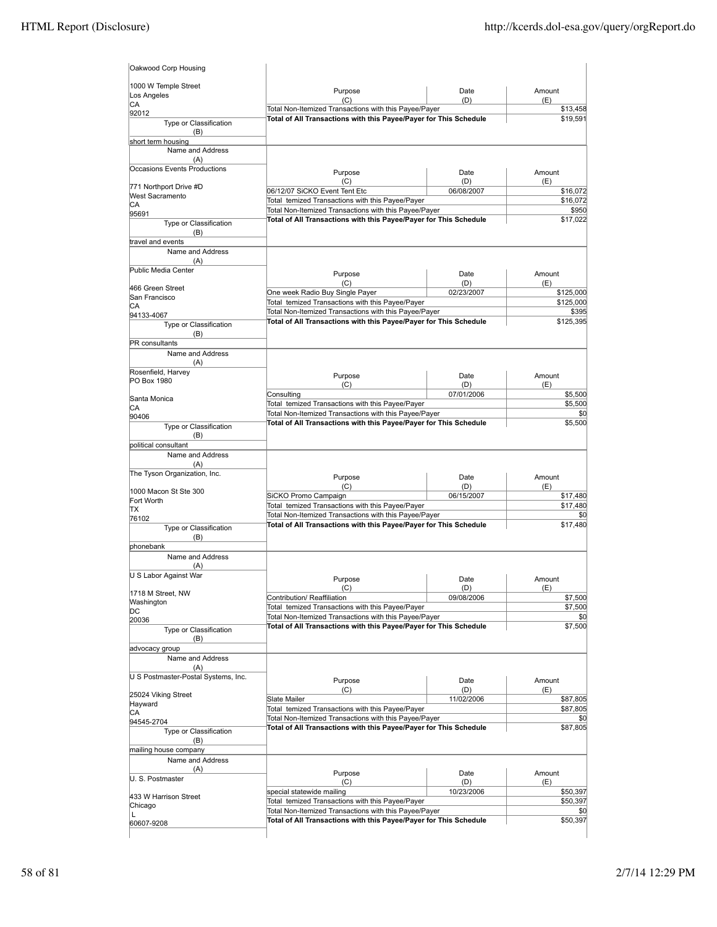| Purpose                                                                                                                    | Date                                                                                                                                                                                                                                   | Amount                                                                                                                                                                                                                                                                                                                                                                                                                                                                                                                                                                                                                                                                                                                                                                                                                                                                 |
|----------------------------------------------------------------------------------------------------------------------------|----------------------------------------------------------------------------------------------------------------------------------------------------------------------------------------------------------------------------------------|------------------------------------------------------------------------------------------------------------------------------------------------------------------------------------------------------------------------------------------------------------------------------------------------------------------------------------------------------------------------------------------------------------------------------------------------------------------------------------------------------------------------------------------------------------------------------------------------------------------------------------------------------------------------------------------------------------------------------------------------------------------------------------------------------------------------------------------------------------------------|
|                                                                                                                            |                                                                                                                                                                                                                                        | (E)<br>\$13,458                                                                                                                                                                                                                                                                                                                                                                                                                                                                                                                                                                                                                                                                                                                                                                                                                                                        |
|                                                                                                                            |                                                                                                                                                                                                                                        | \$19,591                                                                                                                                                                                                                                                                                                                                                                                                                                                                                                                                                                                                                                                                                                                                                                                                                                                               |
|                                                                                                                            |                                                                                                                                                                                                                                        |                                                                                                                                                                                                                                                                                                                                                                                                                                                                                                                                                                                                                                                                                                                                                                                                                                                                        |
|                                                                                                                            |                                                                                                                                                                                                                                        |                                                                                                                                                                                                                                                                                                                                                                                                                                                                                                                                                                                                                                                                                                                                                                                                                                                                        |
|                                                                                                                            |                                                                                                                                                                                                                                        |                                                                                                                                                                                                                                                                                                                                                                                                                                                                                                                                                                                                                                                                                                                                                                                                                                                                        |
|                                                                                                                            |                                                                                                                                                                                                                                        | Amount                                                                                                                                                                                                                                                                                                                                                                                                                                                                                                                                                                                                                                                                                                                                                                                                                                                                 |
| (C)                                                                                                                        | (D)                                                                                                                                                                                                                                    | (E)                                                                                                                                                                                                                                                                                                                                                                                                                                                                                                                                                                                                                                                                                                                                                                                                                                                                    |
| 06/12/07 SiCKO Event Tent Etc                                                                                              | 06/08/2007                                                                                                                                                                                                                             | \$16,072                                                                                                                                                                                                                                                                                                                                                                                                                                                                                                                                                                                                                                                                                                                                                                                                                                                               |
|                                                                                                                            |                                                                                                                                                                                                                                        | \$16,072                                                                                                                                                                                                                                                                                                                                                                                                                                                                                                                                                                                                                                                                                                                                                                                                                                                               |
|                                                                                                                            |                                                                                                                                                                                                                                        | \$950<br>\$17,022                                                                                                                                                                                                                                                                                                                                                                                                                                                                                                                                                                                                                                                                                                                                                                                                                                                      |
|                                                                                                                            |                                                                                                                                                                                                                                        |                                                                                                                                                                                                                                                                                                                                                                                                                                                                                                                                                                                                                                                                                                                                                                                                                                                                        |
|                                                                                                                            |                                                                                                                                                                                                                                        |                                                                                                                                                                                                                                                                                                                                                                                                                                                                                                                                                                                                                                                                                                                                                                                                                                                                        |
|                                                                                                                            |                                                                                                                                                                                                                                        |                                                                                                                                                                                                                                                                                                                                                                                                                                                                                                                                                                                                                                                                                                                                                                                                                                                                        |
|                                                                                                                            |                                                                                                                                                                                                                                        |                                                                                                                                                                                                                                                                                                                                                                                                                                                                                                                                                                                                                                                                                                                                                                                                                                                                        |
| Purpose                                                                                                                    | Date                                                                                                                                                                                                                                   | Amount                                                                                                                                                                                                                                                                                                                                                                                                                                                                                                                                                                                                                                                                                                                                                                                                                                                                 |
|                                                                                                                            |                                                                                                                                                                                                                                        | (E)<br>\$125,000                                                                                                                                                                                                                                                                                                                                                                                                                                                                                                                                                                                                                                                                                                                                                                                                                                                       |
| Total temized Transactions with this Payee/Payer                                                                           |                                                                                                                                                                                                                                        | \$125,000                                                                                                                                                                                                                                                                                                                                                                                                                                                                                                                                                                                                                                                                                                                                                                                                                                                              |
|                                                                                                                            |                                                                                                                                                                                                                                        | \$395                                                                                                                                                                                                                                                                                                                                                                                                                                                                                                                                                                                                                                                                                                                                                                                                                                                                  |
|                                                                                                                            |                                                                                                                                                                                                                                        | \$125,395                                                                                                                                                                                                                                                                                                                                                                                                                                                                                                                                                                                                                                                                                                                                                                                                                                                              |
|                                                                                                                            |                                                                                                                                                                                                                                        |                                                                                                                                                                                                                                                                                                                                                                                                                                                                                                                                                                                                                                                                                                                                                                                                                                                                        |
|                                                                                                                            |                                                                                                                                                                                                                                        |                                                                                                                                                                                                                                                                                                                                                                                                                                                                                                                                                                                                                                                                                                                                                                                                                                                                        |
|                                                                                                                            |                                                                                                                                                                                                                                        |                                                                                                                                                                                                                                                                                                                                                                                                                                                                                                                                                                                                                                                                                                                                                                                                                                                                        |
| Purpose                                                                                                                    | Date                                                                                                                                                                                                                                   | Amount                                                                                                                                                                                                                                                                                                                                                                                                                                                                                                                                                                                                                                                                                                                                                                                                                                                                 |
| (C)                                                                                                                        | (D)                                                                                                                                                                                                                                    | (E)                                                                                                                                                                                                                                                                                                                                                                                                                                                                                                                                                                                                                                                                                                                                                                                                                                                                    |
|                                                                                                                            |                                                                                                                                                                                                                                        | \$5,500                                                                                                                                                                                                                                                                                                                                                                                                                                                                                                                                                                                                                                                                                                                                                                                                                                                                |
|                                                                                                                            |                                                                                                                                                                                                                                        | \$5,500<br>\$0                                                                                                                                                                                                                                                                                                                                                                                                                                                                                                                                                                                                                                                                                                                                                                                                                                                         |
|                                                                                                                            |                                                                                                                                                                                                                                        | \$5,500                                                                                                                                                                                                                                                                                                                                                                                                                                                                                                                                                                                                                                                                                                                                                                                                                                                                |
|                                                                                                                            |                                                                                                                                                                                                                                        |                                                                                                                                                                                                                                                                                                                                                                                                                                                                                                                                                                                                                                                                                                                                                                                                                                                                        |
|                                                                                                                            |                                                                                                                                                                                                                                        |                                                                                                                                                                                                                                                                                                                                                                                                                                                                                                                                                                                                                                                                                                                                                                                                                                                                        |
|                                                                                                                            |                                                                                                                                                                                                                                        |                                                                                                                                                                                                                                                                                                                                                                                                                                                                                                                                                                                                                                                                                                                                                                                                                                                                        |
|                                                                                                                            |                                                                                                                                                                                                                                        |                                                                                                                                                                                                                                                                                                                                                                                                                                                                                                                                                                                                                                                                                                                                                                                                                                                                        |
|                                                                                                                            |                                                                                                                                                                                                                                        | Amount<br>(E)                                                                                                                                                                                                                                                                                                                                                                                                                                                                                                                                                                                                                                                                                                                                                                                                                                                          |
| SiCKO Promo Campaign                                                                                                       | 06/15/2007                                                                                                                                                                                                                             | \$17,480                                                                                                                                                                                                                                                                                                                                                                                                                                                                                                                                                                                                                                                                                                                                                                                                                                                               |
| Total temized Transactions with this Payee/Payer                                                                           |                                                                                                                                                                                                                                        | \$17,480                                                                                                                                                                                                                                                                                                                                                                                                                                                                                                                                                                                                                                                                                                                                                                                                                                                               |
|                                                                                                                            |                                                                                                                                                                                                                                        | \$0<br>\$17,480                                                                                                                                                                                                                                                                                                                                                                                                                                                                                                                                                                                                                                                                                                                                                                                                                                                        |
|                                                                                                                            |                                                                                                                                                                                                                                        |                                                                                                                                                                                                                                                                                                                                                                                                                                                                                                                                                                                                                                                                                                                                                                                                                                                                        |
|                                                                                                                            |                                                                                                                                                                                                                                        |                                                                                                                                                                                                                                                                                                                                                                                                                                                                                                                                                                                                                                                                                                                                                                                                                                                                        |
|                                                                                                                            |                                                                                                                                                                                                                                        |                                                                                                                                                                                                                                                                                                                                                                                                                                                                                                                                                                                                                                                                                                                                                                                                                                                                        |
|                                                                                                                            |                                                                                                                                                                                                                                        |                                                                                                                                                                                                                                                                                                                                                                                                                                                                                                                                                                                                                                                                                                                                                                                                                                                                        |
| Purpose                                                                                                                    | Date                                                                                                                                                                                                                                   | Amount                                                                                                                                                                                                                                                                                                                                                                                                                                                                                                                                                                                                                                                                                                                                                                                                                                                                 |
|                                                                                                                            |                                                                                                                                                                                                                                        | (F)<br>\$7,500                                                                                                                                                                                                                                                                                                                                                                                                                                                                                                                                                                                                                                                                                                                                                                                                                                                         |
| Total temized Transactions with this Payee/Payer                                                                           |                                                                                                                                                                                                                                        | \$7,500                                                                                                                                                                                                                                                                                                                                                                                                                                                                                                                                                                                                                                                                                                                                                                                                                                                                |
|                                                                                                                            |                                                                                                                                                                                                                                        | \$0                                                                                                                                                                                                                                                                                                                                                                                                                                                                                                                                                                                                                                                                                                                                                                                                                                                                    |
|                                                                                                                            |                                                                                                                                                                                                                                        | \$7,500                                                                                                                                                                                                                                                                                                                                                                                                                                                                                                                                                                                                                                                                                                                                                                                                                                                                |
|                                                                                                                            |                                                                                                                                                                                                                                        |                                                                                                                                                                                                                                                                                                                                                                                                                                                                                                                                                                                                                                                                                                                                                                                                                                                                        |
|                                                                                                                            |                                                                                                                                                                                                                                        |                                                                                                                                                                                                                                                                                                                                                                                                                                                                                                                                                                                                                                                                                                                                                                                                                                                                        |
|                                                                                                                            |                                                                                                                                                                                                                                        |                                                                                                                                                                                                                                                                                                                                                                                                                                                                                                                                                                                                                                                                                                                                                                                                                                                                        |
| Purpose                                                                                                                    | Date                                                                                                                                                                                                                                   | Amount                                                                                                                                                                                                                                                                                                                                                                                                                                                                                                                                                                                                                                                                                                                                                                                                                                                                 |
| (C)                                                                                                                        | (D)                                                                                                                                                                                                                                    | (E)                                                                                                                                                                                                                                                                                                                                                                                                                                                                                                                                                                                                                                                                                                                                                                                                                                                                    |
| Slate Mailer                                                                                                               |                                                                                                                                                                                                                                        | \$87,805                                                                                                                                                                                                                                                                                                                                                                                                                                                                                                                                                                                                                                                                                                                                                                                                                                                               |
|                                                                                                                            | 11/02/2006                                                                                                                                                                                                                             |                                                                                                                                                                                                                                                                                                                                                                                                                                                                                                                                                                                                                                                                                                                                                                                                                                                                        |
| Total temized Transactions with this Payee/Payer                                                                           |                                                                                                                                                                                                                                        | \$87,805                                                                                                                                                                                                                                                                                                                                                                                                                                                                                                                                                                                                                                                                                                                                                                                                                                                               |
| Total Non-Itemized Transactions with this Payee/Payer<br>Total of All Transactions with this Payee/Payer for This Schedule |                                                                                                                                                                                                                                        | \$0<br>\$87,805                                                                                                                                                                                                                                                                                                                                                                                                                                                                                                                                                                                                                                                                                                                                                                                                                                                        |
|                                                                                                                            |                                                                                                                                                                                                                                        |                                                                                                                                                                                                                                                                                                                                                                                                                                                                                                                                                                                                                                                                                                                                                                                                                                                                        |
|                                                                                                                            |                                                                                                                                                                                                                                        |                                                                                                                                                                                                                                                                                                                                                                                                                                                                                                                                                                                                                                                                                                                                                                                                                                                                        |
|                                                                                                                            |                                                                                                                                                                                                                                        |                                                                                                                                                                                                                                                                                                                                                                                                                                                                                                                                                                                                                                                                                                                                                                                                                                                                        |
| Purpose                                                                                                                    | Date                                                                                                                                                                                                                                   | Amount                                                                                                                                                                                                                                                                                                                                                                                                                                                                                                                                                                                                                                                                                                                                                                                                                                                                 |
| (C)                                                                                                                        | (D)                                                                                                                                                                                                                                    | (E)                                                                                                                                                                                                                                                                                                                                                                                                                                                                                                                                                                                                                                                                                                                                                                                                                                                                    |
| special statewide mailing                                                                                                  | 10/23/2006                                                                                                                                                                                                                             | \$50,397                                                                                                                                                                                                                                                                                                                                                                                                                                                                                                                                                                                                                                                                                                                                                                                                                                                               |
| Total temized Transactions with this Payee/Payer<br>Total Non-Itemized Transactions with this Payee/Payer                  |                                                                                                                                                                                                                                        | \$50,397<br>\$0                                                                                                                                                                                                                                                                                                                                                                                                                                                                                                                                                                                                                                                                                                                                                                                                                                                        |
|                                                                                                                            | (C)<br>Purpose<br>Total temized Transactions with this Payee/Payer<br>(C)<br>One week Radio Buy Single Payer<br>Consulting<br>Total temized Transactions with this Payee/Payer<br>Purpose<br>(C)<br>(C)<br>Contribution/ Reaffiliation | (D)<br>Total Non-Itemized Transactions with this Payee/Payer<br>Total of All Transactions with this Payee/Payer for This Schedule<br>Date<br>Total Non-Itemized Transactions with this Payee/Payer<br>Total of All Transactions with this Payee/Payer for This Schedule<br>(D)<br>02/23/2007<br>Total Non-Itemized Transactions with this Payee/Payer<br>Total of All Transactions with this Payee/Payer for This Schedule<br>07/01/2006<br>Total Non-Itemized Transactions with this Payee/Payer<br>Total of All Transactions with this Payee/Payer for This Schedule<br>Date<br>(D)<br>Total Non-Itemized Transactions with this Payee/Payer<br>Total of All Transactions with this Payee/Payer for This Schedule<br>(D)<br>09/08/2006<br>Total Non-Itemized Transactions with this Payee/Payer<br>Total of All Transactions with this Payee/Payer for This Schedule |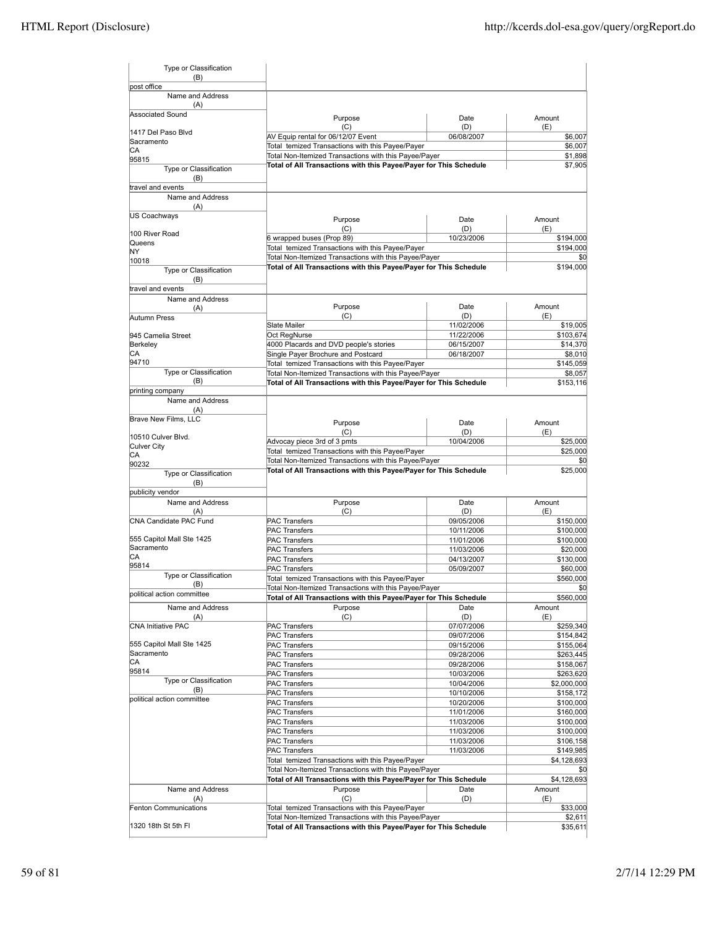| Type or Classification<br>(B)           |                                                                                                           |                          |                        |
|-----------------------------------------|-----------------------------------------------------------------------------------------------------------|--------------------------|------------------------|
| post office                             |                                                                                                           |                          |                        |
| Name and Address<br>(A)                 |                                                                                                           |                          |                        |
| Associated Sound                        | Purpose<br>(C)                                                                                            | Date<br>(D)              | Amount<br>(E)          |
| 1417 Del Paso Blvd                      | AV Equip rental for 06/12/07 Event                                                                        | 06/08/2007               | \$6,007                |
| Sacramento                              | Total temized Transactions with this Payee/Payer                                                          |                          | \$6,007                |
| СA<br>95815                             | Total Non-Itemized Transactions with this Payee/Payer                                                     |                          | \$1,898                |
| Type or Classification                  | Total of All Transactions with this Payee/Payer for This Schedule                                         |                          | \$7,905                |
| (B)<br>travel and events                |                                                                                                           |                          |                        |
| Name and Address                        |                                                                                                           |                          |                        |
| (A)                                     |                                                                                                           |                          |                        |
| US Coachways                            | Purpose                                                                                                   | Date                     | Amount                 |
|                                         | (C)                                                                                                       | (D)                      | (E)                    |
| 100 River Road                          | 6 wrapped buses (Prop 89)                                                                                 | 10/23/2006               | \$194,000              |
| Queens<br>ΝY                            | Total temized Transactions with this Payee/Payer                                                          |                          | \$194,000              |
| 10018                                   | Total Non-Itemized Transactions with this Payee/Payer                                                     |                          | \$0                    |
| Type or Classification                  | Total of All Transactions with this Payee/Payer for This Schedule                                         |                          | \$194,000              |
| (B)                                     |                                                                                                           |                          |                        |
| travel and events                       |                                                                                                           |                          |                        |
| Name and Address                        |                                                                                                           |                          |                        |
| (A)                                     | Purpose                                                                                                   | Date                     | Amount                 |
| Autumn Press                            | (C)                                                                                                       | (D)                      | (E)                    |
|                                         | Slate Mailer                                                                                              | 11/02/2006               | \$19,005               |
| 945 Camelia Street                      | Oct RegNurse                                                                                              | 11/22/2006               | \$103,674              |
| Berkeley                                | 4000 Placards and DVD people's stories                                                                    | 06/15/2007               | \$14,370               |
| CА<br>94710                             | Single Payer Brochure and Postcard                                                                        | 06/18/2007               | \$8,010                |
| Type or Classification                  | Total temized Transactions with this Payee/Payer<br>Total Non-Itemized Transactions with this Payee/Payer |                          | \$145,059<br>\$8,057   |
| (B)                                     | Total of All Transactions with this Payee/Payer for This Schedule                                         |                          | \$153.116              |
| printing company                        |                                                                                                           |                          |                        |
| Name and Address<br>(A)                 |                                                                                                           |                          |                        |
| <b>Brave New Films, LLC</b>             | Purpose                                                                                                   | Date                     | Amount                 |
| l10510 Culver Blvd.                     | (C)                                                                                                       | (D)                      | (E)                    |
| Culver City                             | Advocay piece 3rd of 3 pmts                                                                               | 10/04/2006               | \$25,000               |
| СA                                      | Total temized Transactions with this Payee/Payer<br>Total Non-Itemized Transactions with this Payee/Payer |                          | \$25,000               |
| 90232                                   | Total of All Transactions with this Payee/Payer for This Schedule                                         |                          | \$25,000               |
| Type or Classification<br>(B)           |                                                                                                           |                          |                        |
| publicity vendor                        |                                                                                                           |                          |                        |
| Name and Address                        | Purpose                                                                                                   | Date                     | Amount                 |
| (A)                                     | (C)                                                                                                       | (D)                      | (E)                    |
| CNA Candidate PAC Fund                  | <b>PAC Transfers</b>                                                                                      | 09/05/2006               | \$150,000              |
| 555 Capitol Mall Ste 1425               | <b>PAC Transfers</b><br><b>PAC Transfers</b>                                                              | 10/11/2006<br>11/01/2006 | \$100,000<br>\$100,000 |
| Sacramento                              | <b>PAC Transfers</b>                                                                                      | 11/03/2006               | \$20,000               |
| CА                                      | <b>PAC Transfers</b>                                                                                      | 04/13/2007               | \$130,000              |
| 95814                                   | <b>PAC Transfers</b>                                                                                      | 05/09/2007               | \$60,000               |
| Type or Classification                  | Total temized Transactions with this Payee/Payer                                                          |                          | \$560,000              |
| (B)                                     | Total Non-Itemized Transactions with this Payee/Payer                                                     |                          | \$0                    |
| political action committee              | Total of All Transactions with this Payee/Payer for This Schedule                                         |                          | \$560,000              |
| Name and Address                        | Purpose                                                                                                   | Date                     | Amount                 |
| (A)                                     | (C)                                                                                                       | (D)                      | (E)                    |
| <b>CNA Initiative PAC</b>               | <b>PAC Transfers</b>                                                                                      | 07/07/2006               | \$259,340              |
|                                         | <b>PAC Transfers</b>                                                                                      | 09/07/2006               | \$154,842              |
| 555 Capitol Mall Ste 1425<br>Sacramento | <b>PAC Transfers</b>                                                                                      | 09/15/2006               | \$155,064              |
| СA                                      | <b>PAC Transfers</b>                                                                                      | 09/28/2006               | \$263,445              |
| 95814                                   | <b>PAC Transfers</b><br><b>PAC Transfers</b>                                                              | 09/28/2006<br>10/03/2006 | \$158,067<br>\$263,620 |
| Type or Classification                  | <b>PAC Transfers</b>                                                                                      | 10/04/2006               | \$2,000,000            |
| (B)                                     | PAC Transfers                                                                                             | 10/10/2006               | \$158,172              |
| political action committee              | PAC Transfers                                                                                             | 10/20/2006               | \$100,000              |
|                                         | <b>PAC Transfers</b>                                                                                      | 11/01/2006               | \$160,000              |
|                                         | <b>PAC Transfers</b>                                                                                      | 11/03/2006               | \$100,000              |
|                                         | <b>PAC Transfers</b>                                                                                      | 11/03/2006               | \$100,000              |
|                                         | <b>PAC Transfers</b>                                                                                      | 11/03/2006               | \$106,158              |
|                                         | PAC Transfers                                                                                             | 11/03/2006               | \$149,985              |
|                                         | Total temized Transactions with this Payee/Payer                                                          |                          | \$4,128,693            |
|                                         | Total Non-Itemized Transactions with this Payee/Payer                                                     |                          | \$0                    |
|                                         | Total of All Transactions with this Payee/Payer for This Schedule                                         |                          | \$4,128,693            |
| Name and Address                        | Purpose                                                                                                   | Date                     | Amount                 |
| (A)                                     | (C)                                                                                                       | (D)                      | (E)                    |
| <b>Fenton Communications</b>            | Total temized Transactions with this Payee/Payer<br>Total Non-Itemized Transactions with this Payee/Payer |                          | \$33,000<br>\$2,611    |
| 1320 18th St 5th FI                     | Total of All Transactions with this Payee/Payer for This Schedule                                         |                          | \$35,611               |
|                                         |                                                                                                           |                          |                        |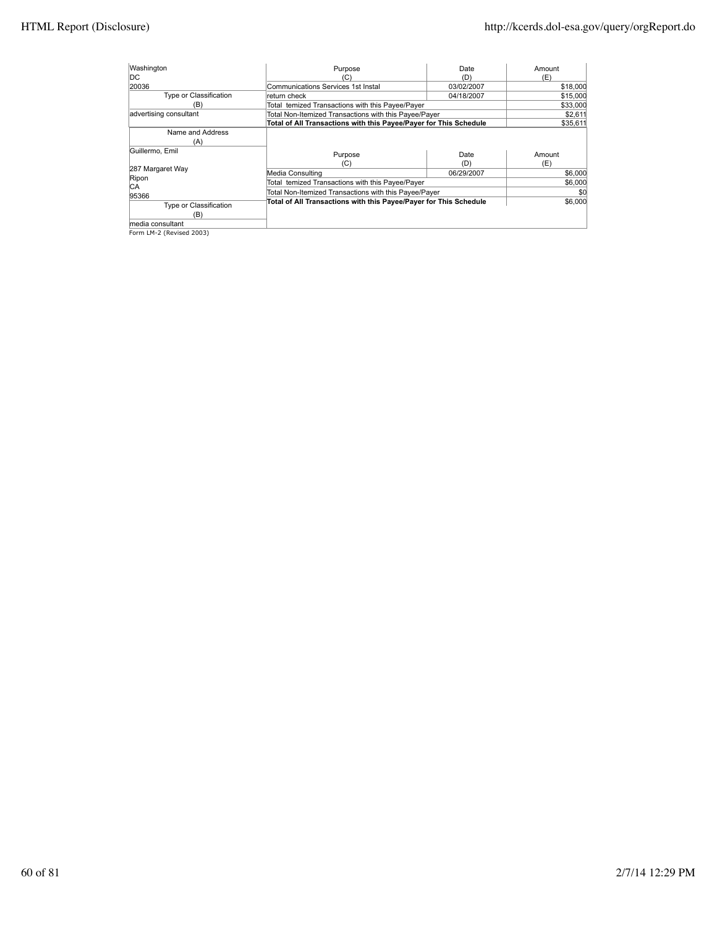| Washington             | Purpose                                                           | Date       | Amount   |
|------------------------|-------------------------------------------------------------------|------------|----------|
| IDC.                   | (C)                                                               | (D)        | (E)      |
| 20036                  | <b>Communications Services 1st Instal</b>                         | 03/02/2007 | \$18,000 |
| Type or Classification | return check                                                      | 04/18/2007 | \$15,000 |
| (B'                    | Total temized Transactions with this Payee/Payer                  |            | \$33,000 |
| advertising consultant | Total Non-Itemized Transactions with this Payee/Payer             |            | \$2,611  |
|                        | Total of All Transactions with this Payee/Payer for This Schedule |            | \$35,611 |
| Name and Address       |                                                                   |            |          |
| (A)                    |                                                                   |            |          |
| Guillermo, Emil        | Purpose                                                           | Date       | Amount   |
|                        | (C)                                                               | (D)        | (E)      |
| 287 Margaret Way       | Media Consulting                                                  | 06/29/2007 | \$6,000  |
| Ripon<br><b>CA</b>     | Total temized Transactions with this Payee/Payer                  |            | \$6,000  |
| 95366                  | Total Non-Itemized Transactions with this Payee/Payer             |            | \$0      |
| Type or Classification | Total of All Transactions with this Payee/Payer for This Schedule |            | \$6,000  |
| (B)                    |                                                                   |            |          |
| media consultant       |                                                                   |            |          |

media consultant Form LM-2 (Revised 2003)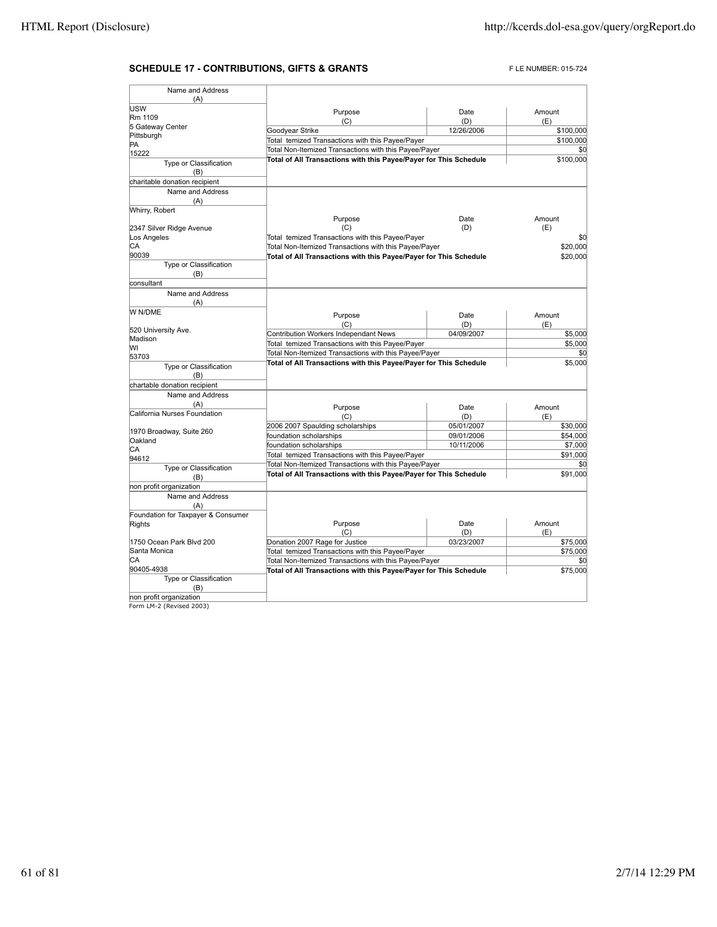## **SCHEDULE 17 - CONTRIBUTIONS, GIFTS & GRANTS** FLE NUMBER: 015-724

| Name and Address                                    |                                                                   |            |           |
|-----------------------------------------------------|-------------------------------------------------------------------|------------|-----------|
| (A)<br>USW                                          |                                                                   |            |           |
| Rm 1109                                             | Purpose                                                           | Date       | Amount    |
| 5 Gateway Center                                    | (C)                                                               | (D)        | (E)       |
| Pittsburgh                                          | Goodyear Strike                                                   | 12/26/2006 | \$100,000 |
| PA                                                  | Total temized Transactions with this Payee/Payer                  |            | \$100,000 |
| 15222                                               | Total Non-Itemized Transactions with this Payee/Payer             |            | \$0       |
| Type or Classification                              | Total of All Transactions with this Payee/Payer for This Schedule |            | \$100,000 |
| (B)                                                 |                                                                   |            |           |
| charitable donation recipient                       |                                                                   |            |           |
| Name and Address<br>(A)                             |                                                                   |            |           |
| Whirry, Robert                                      |                                                                   |            |           |
|                                                     | Purpose                                                           | Date       | Amount    |
| 2347 Silver Ridge Avenue                            | (C)                                                               | (D)        | (E)       |
| Los Angeles                                         | Total temized Transactions with this Payee/Payer                  |            | \$0       |
| СA                                                  | Total Non-Itemized Transactions with this Payee/Payer             |            | \$20,000  |
| 90039                                               | Total of All Transactions with this Payee/Payer for This Schedule |            | \$20,000  |
| Type or Classification                              |                                                                   |            |           |
| (B)                                                 |                                                                   |            |           |
| consultant                                          |                                                                   |            |           |
| Name and Address                                    |                                                                   |            |           |
| (A)                                                 |                                                                   |            |           |
| W N/DME                                             | Purpose                                                           | Date       | Amount    |
|                                                     | (C)                                                               | (D)        | (E)       |
| 520 University Ave.                                 | Contribution Workers Independant News                             | 04/09/2007 | \$5,000   |
| Madison                                             | Total temized Transactions with this Payee/Payer                  |            | \$5,000   |
| lw                                                  | Total Non-Itemized Transactions with this Payee/Payer             |            | \$0       |
| 53703                                               | Total of All Transactions with this Payee/Payer for This Schedule |            | \$5,000   |
| Type or Classification                              |                                                                   |            |           |
| (B)                                                 |                                                                   |            |           |
| chartable donation recipient                        |                                                                   |            |           |
| Name and Address                                    |                                                                   |            |           |
| (A)                                                 | Purpose                                                           | Date       | Amount    |
| California Nurses Foundation                        | (C)                                                               | (D)        | (E)       |
|                                                     | 2006 2007 Spaulding scholarships                                  | 05/01/2007 | \$30,000  |
| 1970 Broadway, Suite 260                            | foundation scholarships                                           | 09/01/2006 | \$54,000  |
| Oakland                                             | foundation scholarships                                           | 10/11/2006 | \$7,000   |
| СA<br>94612                                         | Total temized Transactions with this Payee/Payer                  |            | \$91,000  |
| Type or Classification                              | Total Non-Itemized Transactions with this Payee/Payer             |            | \$0       |
| (B)                                                 | Total of All Transactions with this Payee/Payer for This Schedule |            | \$91,000  |
| non profit organization                             |                                                                   |            |           |
| Name and Address                                    |                                                                   |            |           |
| (A)                                                 |                                                                   |            |           |
| Foundation for Taxpayer & Consumer                  |                                                                   |            |           |
| Rights                                              | Purpose                                                           | Date       | Amount    |
|                                                     | (C)                                                               | (D)        | (E)       |
| 1750 Ocean Park Blvd 200                            | Donation 2007 Rage for Justice                                    | 03/23/2007 | \$75,000  |
| Santa Monica                                        | Total temized Transactions with this Payee/Payer                  |            | \$75,000  |
| СA                                                  | Total Non-Itemized Transactions with this Payee/Payer             |            | \$0       |
| 90405-4938                                          | Total of All Transactions with this Payee/Payer for This Schedule |            | \$75,000  |
| Type or Classification                              |                                                                   |            |           |
| (B)                                                 |                                                                   |            |           |
| non profit organization<br>Form LM-2 (Revised 2003) |                                                                   |            |           |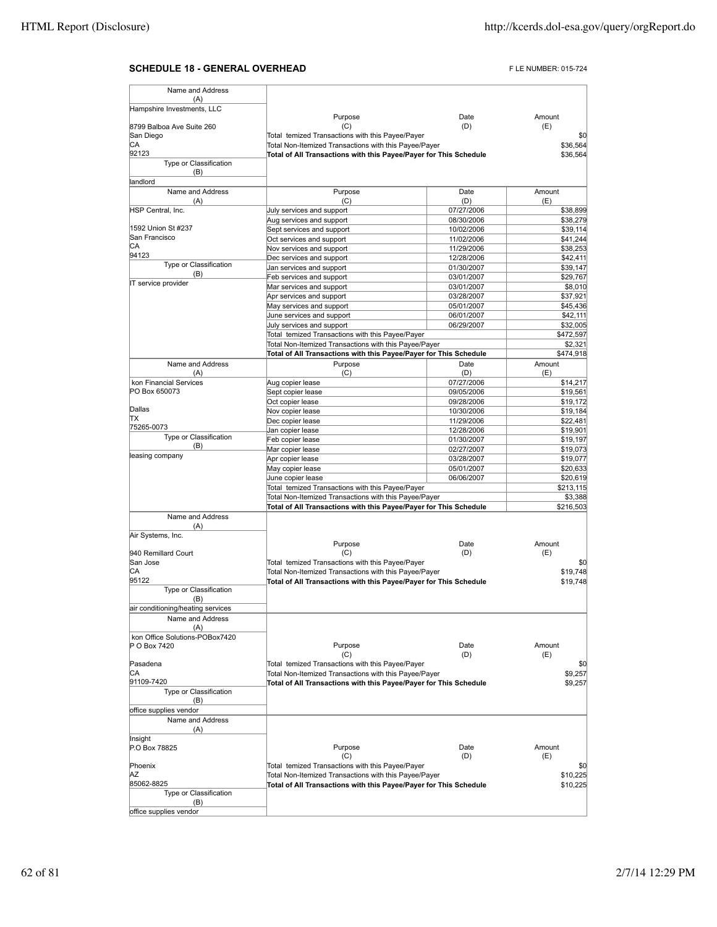## **SCHEDULE 18 - GENERAL OVERHEAD FLE NUMBER: 015-724**

| Name and Address                    |                                                                                                           |                          |                      |
|-------------------------------------|-----------------------------------------------------------------------------------------------------------|--------------------------|----------------------|
| (A)                                 |                                                                                                           |                          |                      |
| Hampshire Investments, LLC          | Purpose                                                                                                   | Date                     | Amount               |
| 8799 Balboa Ave Suite 260           | (C)                                                                                                       | (D)                      | (E)                  |
| San Diego                           | Total temized Transactions with this Payee/Payer                                                          |                          | \$0                  |
| СA                                  | Total Non-Itemized Transactions with this Payee/Payer                                                     |                          | \$36,564             |
| 92123                               | Total of All Transactions with this Payee/Payer for This Schedule                                         |                          | \$36,564             |
| Type or Classification              |                                                                                                           |                          |                      |
| (B)                                 |                                                                                                           |                          |                      |
| landlord                            |                                                                                                           |                          |                      |
| Name and Address                    | Purpose                                                                                                   | Date                     | Amount               |
| (A)                                 | (C)                                                                                                       | (D)                      | (E)                  |
| HSP Central, Inc.                   | July services and support                                                                                 | 07/27/2006               | \$38,899             |
|                                     | Aug services and support                                                                                  | 08/30/2006               | \$38,279             |
| 1592 Union St #237<br>San Francisco | Sept services and support                                                                                 | 10/02/2006               | \$39,114             |
| СA                                  | Oct services and support                                                                                  | 11/02/2006               | \$41,244             |
| 94123                               | Nov services and support                                                                                  | 11/29/2006               | \$38,253             |
| Type or Classification              | Dec services and support                                                                                  | 12/28/2006               | \$42,411             |
| (B)                                 | Jan services and support                                                                                  | 01/30/2007               | \$39,147             |
| IT service provider                 | Feb services and support                                                                                  | 03/01/2007               | \$29,767             |
|                                     | Mar services and support                                                                                  | 03/01/2007<br>03/28/2007 | \$8,010<br>\$37,921  |
|                                     | Apr services and support                                                                                  |                          |                      |
|                                     | May services and support                                                                                  | 05/01/2007<br>06/01/2007 | \$45,436             |
|                                     | June services and support<br>July services and support                                                    | 06/29/2007               | \$42,111<br>\$32,005 |
|                                     | Total temized Transactions with this Payee/Payer                                                          |                          | \$472,597            |
|                                     | Total Non-Itemized Transactions with this Payee/Payer                                                     |                          | \$2,321              |
|                                     | Total of All Transactions with this Payee/Payer for This Schedule                                         |                          | \$474,918            |
| Name and Address                    | Purpose                                                                                                   | Date                     | Amount               |
| (A)                                 | (C)                                                                                                       | (D)                      | (E)                  |
| kon Financial Services              | Aug copier lease                                                                                          | 07/27/2006               | \$14,217             |
| PO Box 650073                       | Sept copier lease                                                                                         | 09/05/2006               | \$19,561             |
|                                     | Oct copier lease                                                                                          | 09/28/2006               | \$19,172             |
| Dallas                              | Nov copier lease                                                                                          | 10/30/2006               | \$19,184             |
| ΠX                                  | Dec copier lease                                                                                          | 11/29/2006               | \$22,481             |
| 75265-0073                          | Jan copier lease                                                                                          | 12/28/2006               | \$19,901             |
| Type or Classification              | Feb copier lease                                                                                          | 01/30/2007               | \$19,197             |
| (B)                                 | Mar copier lease                                                                                          | 02/27/2007               | \$19,073             |
| leasing company                     | Apr copier lease                                                                                          | 03/28/2007               | \$19,077             |
|                                     | May copier lease                                                                                          | 05/01/2007               | \$20,633             |
|                                     | June copier lease                                                                                         | 06/06/2007               | \$20,619             |
|                                     | Total temized Transactions with this Payee/Payer                                                          |                          | \$213,115            |
|                                     | Total Non-Itemized Transactions with this Payee/Payer                                                     |                          | \$3,388              |
|                                     | Total of All Transactions with this Payee/Payer for This Schedule                                         |                          | \$216,503            |
| Name and Address                    |                                                                                                           |                          |                      |
| (A)                                 |                                                                                                           |                          |                      |
| Air Systems, Inc.                   |                                                                                                           |                          |                      |
|                                     | Purpose                                                                                                   | Date                     | Amount               |
| 940 Remillard Court                 | (C)                                                                                                       | (D)                      | (E)                  |
| San Jose                            | Total temized Transactions with this Payee/Payer                                                          |                          | \$0                  |
| CА<br>95122                         | Total Non-Itemized Transactions with this Payee/Payer                                                     |                          | \$19,748             |
| Type or Classification              | Total of All Transactions with this Payee/Payer for This Schedule                                         |                          | \$19,748             |
| (B)                                 |                                                                                                           |                          |                      |
| air conditioning/heating services   |                                                                                                           |                          |                      |
| Name and Address                    |                                                                                                           |                          |                      |
| (A)                                 |                                                                                                           |                          |                      |
| kon Office Solutions-POBox7420      |                                                                                                           |                          |                      |
| P O Box 7420                        | Purpose                                                                                                   | Date                     | Amount               |
|                                     | (C)                                                                                                       | (D)                      | (E)                  |
| Pasadena                            | Total temized Transactions with this Payee/Payer                                                          |                          | \$0                  |
| СA                                  | Total Non-Itemized Transactions with this Payee/Payer                                                     |                          | \$9,257              |
| 91109-7420                          | Total of All Transactions with this Payee/Payer for This Schedule                                         |                          | \$9,257              |
| Type or Classification              |                                                                                                           |                          |                      |
| (B)                                 |                                                                                                           |                          |                      |
| office supplies vendor              |                                                                                                           |                          |                      |
| Name and Address                    |                                                                                                           |                          |                      |
| (A)                                 |                                                                                                           |                          |                      |
| Insight                             |                                                                                                           |                          |                      |
| P.O Box 78825                       | Purpose                                                                                                   | Date                     | Amount               |
| Phoenix                             | (C)                                                                                                       | (D)                      | (E)                  |
| ΑZ                                  | Total temized Transactions with this Payee/Payer<br>Total Non-Itemized Transactions with this Payee/Payer |                          | \$0<br>\$10,225      |
| 85062-8825                          | Total of All Transactions with this Payee/Payer for This Schedule                                         |                          | \$10,225             |
| Type or Classification              |                                                                                                           |                          |                      |
| (B)                                 |                                                                                                           |                          |                      |
| office supplies vendor              |                                                                                                           |                          |                      |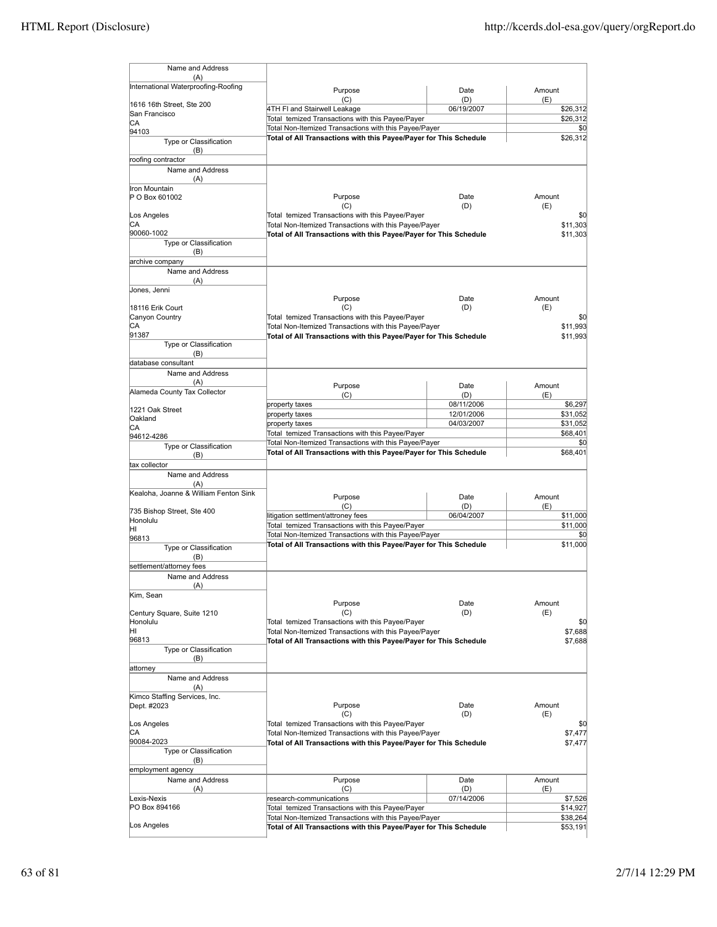| Name and Address                           |                                                                                                           |             |                      |
|--------------------------------------------|-----------------------------------------------------------------------------------------------------------|-------------|----------------------|
| (A)<br>International Waterproofing-Roofing |                                                                                                           |             |                      |
|                                            | Purpose<br>(C)                                                                                            | Date<br>(D) | Amount               |
| 1616 16th Street, Ste 200                  | 4TH FI and Stairwell Leakage                                                                              | 06/19/2007  | (E)<br>\$26,312      |
| San Francisco<br>СA                        | Total temized Transactions with this Payee/Payer                                                          |             | \$26,312             |
| 94103                                      | Total Non-Itemized Transactions with this Payee/Payer                                                     |             | \$0                  |
| Type or Classification                     | Total of All Transactions with this Payee/Payer for This Schedule                                         |             | \$26,312             |
| (B)                                        |                                                                                                           |             |                      |
| roofing contractor<br>Name and Address     |                                                                                                           |             |                      |
| (A)<br>Iron Mountain                       |                                                                                                           |             |                      |
| P O Box 601002                             | Purpose<br>(C)                                                                                            | Date<br>(D) | Amount<br>(E)        |
| Los Angeles                                | Total temized Transactions with this Payee/Payer                                                          |             | \$0                  |
| СA                                         | Total Non-Itemized Transactions with this Payee/Payer                                                     |             | \$11,303             |
| 90060-1002                                 | Total of All Transactions with this Payee/Payer for This Schedule                                         |             | \$11,303             |
| Type or Classification<br>(B)              |                                                                                                           |             |                      |
| archive company                            |                                                                                                           |             |                      |
| Name and Address                           |                                                                                                           |             |                      |
| (A)                                        |                                                                                                           |             |                      |
| Jones, Jenni                               | Purpose                                                                                                   | Date        | Amount               |
| 18116 Erik Court                           | (C)                                                                                                       | (D)         | (E)                  |
| Canyon Country                             | Total temized Transactions with this Payee/Payer                                                          |             | \$0                  |
| СA                                         | Total Non-Itemized Transactions with this Payee/Payer                                                     |             | \$11,993             |
| 91387                                      | Total of All Transactions with this Payee/Payer for This Schedule                                         |             | \$11,993             |
| Type or Classification<br>(B)              |                                                                                                           |             |                      |
| database consultant                        |                                                                                                           |             |                      |
| Name and Address                           |                                                                                                           |             |                      |
| (A)                                        | Purpose                                                                                                   | Date        | Amount               |
| Alameda County Tax Collector               | (C)                                                                                                       | (D)         | (E)                  |
| 1221 Oak Street                            | property taxes                                                                                            | 08/11/2006  | \$6,297              |
| Oakland                                    | property taxes                                                                                            | 12/01/2006  | \$31,052             |
| СA                                         | property taxes                                                                                            | 04/03/2007  | \$31,052             |
| 94612-4286                                 | Total temized Transactions with this Payee/Payer<br>Total Non-Itemized Transactions with this Payee/Payer |             | \$68,401             |
| Type or Classification                     | Total of All Transactions with this Payee/Payer for This Schedule                                         |             | \$0<br>\$68,401      |
| (B)<br>tax collector                       |                                                                                                           |             |                      |
| Name and Address                           |                                                                                                           |             |                      |
| (A)                                        |                                                                                                           |             |                      |
| Kealoha, Joanne & William Fenton Sink      | Purpose                                                                                                   | Date        | Amount               |
|                                            | (C)                                                                                                       | (D)         | (E)                  |
| 735 Bishop Street, Ste 400<br>Honolulu     | litigation settlment/attroney fees                                                                        | 06/04/2007  | \$11,000             |
| ΗI                                         | Total temized Transactions with this Payee/Payer                                                          |             | \$11,000             |
| 96813                                      | Total Non-Itemized Transactions with this Payee/Payer                                                     |             | \$0                  |
| Type or Classification                     | Total of All Transactions with this Payee/Payer for This Schedule                                         |             | \$11,000             |
| (B)                                        |                                                                                                           |             |                      |
| settlement/attorney fees                   |                                                                                                           |             |                      |
| Name and Address<br>$(\Delta)$             |                                                                                                           |             |                      |
| Kim, Sean                                  |                                                                                                           |             |                      |
|                                            | Purpose                                                                                                   | Date        | Amount               |
| Century Square, Suite 1210                 | (C)                                                                                                       | (D)         | (E)                  |
| Honolulu                                   | Total temized Transactions with this Payee/Payer                                                          |             | \$0                  |
| ΗI<br>96813                                | Total Non-Itemized Transactions with this Payee/Payer                                                     |             | \$7,688              |
| Type or Classification                     | Total of All Transactions with this Payee/Payer for This Schedule                                         |             | \$7,688              |
| (B)                                        |                                                                                                           |             |                      |
| attorney                                   |                                                                                                           |             |                      |
| Name and Address                           |                                                                                                           |             |                      |
| (A)<br>Kimco Staffing Services, Inc.       |                                                                                                           |             |                      |
| Dept. #2023                                | Purpose                                                                                                   | Date        | Amount               |
|                                            | (C)                                                                                                       | (D)         | (E)                  |
| Los Angeles                                | Total temized Transactions with this Payee/Payer                                                          |             | \$0                  |
| СA                                         | Total Non-Itemized Transactions with this Payee/Payer                                                     |             | \$7,477              |
| 90084-2023<br>Type or Classification       | Total of All Transactions with this Payee/Payer for This Schedule                                         |             | \$7,477              |
| (B)                                        |                                                                                                           |             |                      |
| employment agency                          |                                                                                                           |             |                      |
| Name and Address                           | Purpose                                                                                                   | Date        | Amount               |
| (A)                                        | (C)                                                                                                       | (D)         | (E)                  |
| Lexis-Nexis                                | research-communications                                                                                   | 07/14/2006  | \$7,526              |
| PO Box 894166                              | Total temized Transactions with this Payee/Payer<br>Total Non-Itemized Transactions with this Payee/Payer |             | \$14,927             |
| Los Angeles                                | Total of All Transactions with this Payee/Payer for This Schedule                                         |             | \$38,264<br>\$53,191 |
|                                            |                                                                                                           |             |                      |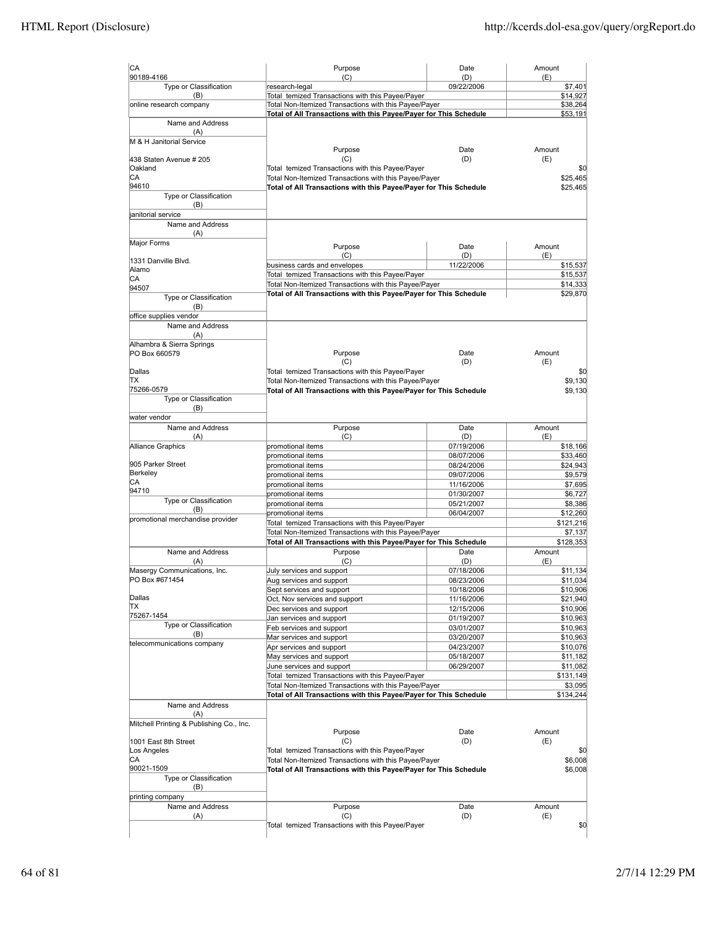| CA                                       | Purpose                                                                                                                    | Date                     | Amount               |
|------------------------------------------|----------------------------------------------------------------------------------------------------------------------------|--------------------------|----------------------|
| 90189-4166                               | (C)                                                                                                                        | (D)                      | (E)                  |
| Type or Classification<br>(B)            | research-legal<br>Total temized Transactions with this Payee/Payer                                                         | 09/22/2006               | \$7,401<br>\$14,927  |
| online research company                  | Total Non-Itemized Transactions with this Payee/Payer                                                                      |                          | \$38,264             |
|                                          | Total of All Transactions with this Payee/Payer for This Schedule                                                          | \$53,191                 |                      |
| Name and Address                         |                                                                                                                            |                          |                      |
| (A)                                      |                                                                                                                            |                          |                      |
| M & H Janitorial Service                 | Purpose                                                                                                                    | Date                     | Amount               |
| 438 Staten Avenue # 205                  | (C)                                                                                                                        | (D)                      | (E)                  |
| Oakland                                  | Total temized Transactions with this Payee/Payer                                                                           |                          | \$0                  |
| СA                                       | Total Non-Itemized Transactions with this Payee/Payer                                                                      |                          | \$25,465             |
| 94610                                    | Total of All Transactions with this Payee/Payer for This Schedule                                                          |                          | \$25,465             |
| Type or Classification                   |                                                                                                                            |                          |                      |
| (B)                                      |                                                                                                                            |                          |                      |
| janitorial service<br>Name and Address   |                                                                                                                            |                          |                      |
| (A)                                      |                                                                                                                            |                          |                      |
| Major Forms                              |                                                                                                                            |                          |                      |
|                                          | Purpose<br>(C)                                                                                                             | Date<br>(D)              | Amount<br>(E)        |
| 1331 Danville Blvd.                      | business cards and envelopes                                                                                               | 11/22/2006               | \$15,537             |
| Alamo                                    | Total temized Transactions with this Payee/Payer                                                                           |                          | \$15,537             |
| СA<br>94507                              | Total Non-Itemized Transactions with this Payee/Payer                                                                      |                          | \$14,333             |
| Type or Classification                   | Total of All Transactions with this Payee/Payer for This Schedule                                                          |                          | \$29,870             |
| (B)                                      |                                                                                                                            |                          |                      |
| office supplies vendor                   |                                                                                                                            |                          |                      |
| Name and Address                         |                                                                                                                            |                          |                      |
| (A)                                      |                                                                                                                            |                          |                      |
| Alhambra & Sierra Springs                |                                                                                                                            |                          |                      |
| PO Box 660579                            | Purpose<br>(C)                                                                                                             | Date<br>(D)              | Amount<br>(E)        |
| Dallas                                   | Total temized Transactions with this Payee/Payer                                                                           |                          | \$0                  |
| TХ                                       | Total Non-Itemized Transactions with this Payee/Payer                                                                      |                          | \$9,130              |
| 75266-0579                               | Total of All Transactions with this Payee/Payer for This Schedule                                                          |                          | \$9.130              |
| Type or Classification                   |                                                                                                                            |                          |                      |
| (B)                                      |                                                                                                                            |                          |                      |
| water vendor                             |                                                                                                                            |                          |                      |
| Name and Address                         | Purpose<br>(C)                                                                                                             | Date                     | Amount               |
| (A)<br>Alliance Graphics                 | promotional items                                                                                                          | (D)<br>07/19/2006        | (E)<br>\$18,166      |
|                                          | promotional items                                                                                                          | 08/07/2006               | \$33,460             |
| 905 Parker Street                        | promotional items                                                                                                          | 08/24/2006               | \$24,943             |
| Berkeley                                 | promotional items                                                                                                          | 09/07/2006               | \$9,579              |
| СA                                       | promotional items                                                                                                          | 11/16/2006               | \$7,695              |
| 94710                                    | promotional items                                                                                                          | 01/30/2007               | \$6,727              |
| Type or Classification<br>(B)            | promotional items                                                                                                          | 05/21/2007               | \$8,386              |
| promotional merchandise provider         | promotional items                                                                                                          | 06/04/2007               | \$12,260             |
|                                          | Total temized Transactions with this Payee/Payer                                                                           |                          | \$121,216            |
|                                          | Total Non-Itemized Transactions with this Payee/Payer<br>Total of All Transactions with this Payee/Payer for This Schedule |                          | \$7,137<br>\$128,353 |
| Name and Address                         | Purpose                                                                                                                    | Date                     | Amount               |
| (A)                                      | (C)                                                                                                                        | (D)                      | (E)                  |
| Masergy Communications, Inc.             | July services and support                                                                                                  | 07/18/2006               | \$11,134             |
| PO Box #671454                           | Aug services and support                                                                                                   | 08/23/2006               | \$11,034             |
|                                          | Sept services and support                                                                                                  | 10/18/2006               | \$10,906             |
| Dallas                                   | Oct, Nov services and support                                                                                              | 11/16/2006               | \$21,940             |
| ΙTΧ<br>75267-1454                        | Dec services and support                                                                                                   | 12/15/2006               | \$10,906             |
| Type or Classification                   | Jan services and support                                                                                                   | 01/19/2007               | \$10,963             |
| (B)                                      | Feb services and support                                                                                                   | 03/01/2007               | \$10,963             |
| telecommunications company               | Mar services and support<br>Apr services and support                                                                       | 03/20/2007<br>04/23/2007 | \$10,963<br>\$10,076 |
|                                          | May services and support                                                                                                   | 05/18/2007               | \$11,182             |
|                                          | June services and support                                                                                                  | 06/29/2007               | \$11,082             |
|                                          | Total temized Transactions with this Payee/Payer                                                                           |                          | \$131,149            |
|                                          | Total Non-Itemized Transactions with this Payee/Payer                                                                      |                          | \$3,095              |
|                                          | Total of All Transactions with this Payee/Payer for This Schedule                                                          |                          | \$134,244            |
| Name and Address                         |                                                                                                                            |                          |                      |
| (A)                                      |                                                                                                                            |                          |                      |
| Mitchell Printing & Publishing Co., Inc. | Purpose                                                                                                                    | Date                     | Amount               |
| 1001 East 8th Street                     | (C)                                                                                                                        | (D)                      | (E)                  |
| Los Angeles                              | Total temized Transactions with this Payee/Payer                                                                           |                          | \$0                  |
| СA                                       | Total Non-Itemized Transactions with this Payee/Payer                                                                      |                          | \$6,008              |
| 90021-1509                               | Total of All Transactions with this Payee/Payer for This Schedule                                                          |                          | \$6,008              |
| Type or Classification                   |                                                                                                                            |                          |                      |
| (B)                                      |                                                                                                                            |                          |                      |
| printing company                         |                                                                                                                            |                          |                      |
| Name and Address<br>(A)                  | Purpose<br>(C)                                                                                                             | Date<br>(D)              | Amount<br>(E)        |
|                                          | Total temized Transactions with this Payee/Payer                                                                           |                          | \$0                  |
|                                          |                                                                                                                            |                          |                      |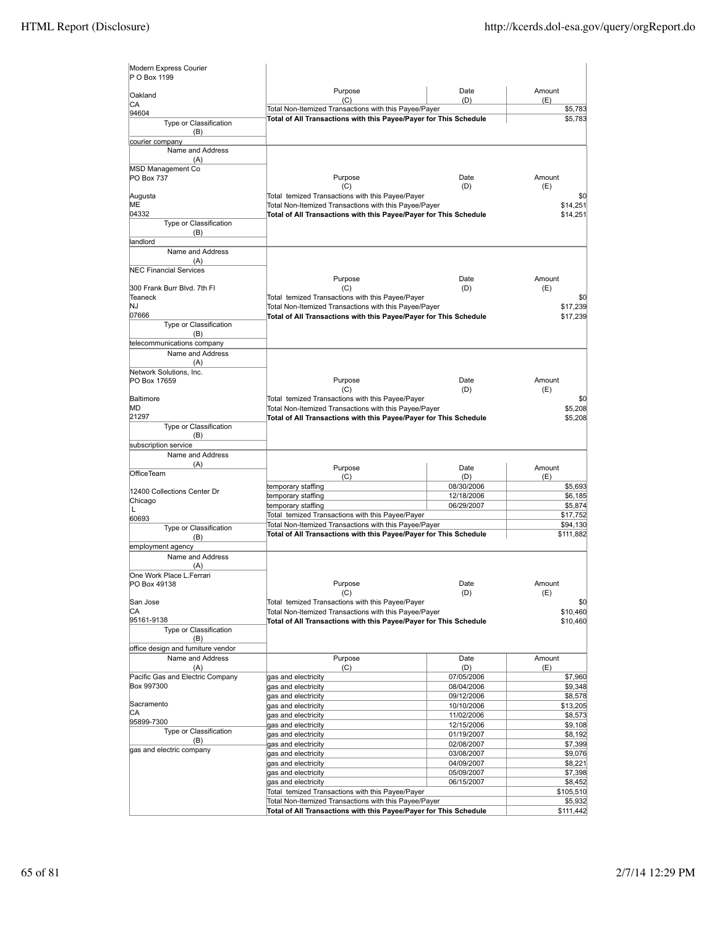| Modern Express Courier<br>P O Box 1199   |                                                                   |                          |                       |
|------------------------------------------|-------------------------------------------------------------------|--------------------------|-----------------------|
| Oakland                                  | Purpose<br>(C)                                                    | Date<br>(D)              | Amount<br>(E)         |
| CA<br>94604                              | Total Non-Itemized Transactions with this Payee/Payer             |                          | \$5,783               |
| Type or Classification<br>(B)            | Total of All Transactions with this Payee/Payer for This Schedule | \$5,783                  |                       |
| courier company                          |                                                                   |                          |                       |
| Name and Address                         |                                                                   |                          |                       |
| (A)                                      |                                                                   |                          |                       |
| MSD Management Co<br>PO Box 737          | Purpose<br>(C)                                                    | Date<br>(D)              | Amount<br>(E)         |
| Augusta                                  | Total temized Transactions with this Payee/Payer                  |                          | \$0                   |
| MЕ                                       | Total Non-Itemized Transactions with this Payee/Payer             |                          | \$14,251              |
| 04332                                    | Total of All Transactions with this Payee/Payer for This Schedule |                          | \$14,251              |
| Type or Classification<br>(B)            |                                                                   |                          |                       |
| landlord                                 |                                                                   |                          |                       |
| Name and Address                         |                                                                   |                          |                       |
| (A)                                      |                                                                   |                          |                       |
| <b>NEC Financial Services</b>            |                                                                   |                          |                       |
|                                          | Purpose                                                           | Date                     | Amount                |
| 300 Frank Burr Blvd. 7th Fl              | (C)                                                               | (D)                      | (E)                   |
| Teaneck                                  | Total temized Transactions with this Payee/Payer                  |                          | \$0                   |
| NJ                                       | Total Non-Itemized Transactions with this Payee/Payer             |                          | \$17,239              |
| 07666                                    | Total of All Transactions with this Payee/Payer for This Schedule |                          | \$17,239              |
| Type or Classification                   |                                                                   |                          |                       |
| (B)                                      |                                                                   |                          |                       |
| telecommunications company               |                                                                   |                          |                       |
| Name and Address                         |                                                                   |                          |                       |
| (A)<br>Network Solutions, Inc.           |                                                                   |                          |                       |
| PO Box 17659                             | Purpose                                                           | Date                     | Amount                |
|                                          | (C)                                                               | (D)                      | (E)                   |
| Baltimore                                | Total temized Transactions with this Payee/Payer                  |                          | \$0                   |
| МD                                       | Total Non-Itemized Transactions with this Payee/Payer             |                          | \$5,208               |
| 21297                                    | Total of All Transactions with this Payee/Payer for This Schedule |                          | \$5,208               |
| Type or Classification                   |                                                                   |                          |                       |
| (B)                                      |                                                                   |                          |                       |
| subscription service                     |                                                                   |                          |                       |
| Name and Address                         |                                                                   |                          |                       |
| (A)                                      | Purpose                                                           | Date                     | Amount                |
| <b>OfficeTeam</b>                        | (C)                                                               | (D)                      | (E)                   |
| 12400 Collections Center Dr              | temporary staffing                                                | 08/30/2006               | \$5,693               |
| Chicago                                  | temporary staffing                                                | 12/18/2006               | \$6,185               |
| L                                        | temporary staffing                                                | 06/29/2007               | \$5,874               |
| 60693                                    | Total temized Transactions with this Payee/Payer                  |                          | \$17,752              |
| Type or Classification                   | Total Non-Itemized Transactions with this Payee/Payer             |                          | \$94,130<br>\$111,882 |
| (B)                                      | Total of All Transactions with this Payee/Payer for This Schedule |                          |                       |
| employment agency                        |                                                                   |                          |                       |
| Name and Address                         |                                                                   |                          |                       |
| (A)                                      |                                                                   |                          |                       |
| One Work Place L.Ferrari<br>PO Box 49138 | Purpose                                                           | Date                     | Amount                |
|                                          | (C)                                                               | (D)                      | (E)                   |
| San Jose                                 | Total temized Transactions with this Payee/Payer                  |                          | \$0                   |
| CА                                       | Total Non-Itemized Transactions with this Payee/Payer             |                          | \$10,460              |
| 95161-9138                               | Total of All Transactions with this Payee/Payer for This Schedule |                          | \$10,460              |
| Type or Classification                   |                                                                   |                          |                       |
| (B)                                      |                                                                   |                          |                       |
| office design and furniture vendor       |                                                                   |                          |                       |
| Name and Address                         | Purpose                                                           | Date                     | Amount                |
| (A)                                      | (C)                                                               | (D)                      | (E)                   |
| Pacific Gas and Electric Company         | gas and electricity                                               | 07/05/2006               | \$7,960               |
| Box 997300                               | gas and electricity                                               | 08/04/2006               | \$9,348               |
| Sacramento                               | gas and electricity                                               | 09/12/2006               | \$8,578               |
| CА                                       | gas and electricity                                               | 10/10/2006               | \$13,205              |
| 95899-7300                               | gas and electricity                                               | 11/02/2006               | \$8,573               |
| Type or Classification                   | gas and electricity<br>gas and electricity                        | 12/15/2006<br>01/19/2007 | \$9,108<br>\$8,192    |
| (B)                                      | gas and electricity                                               | 02/08/2007               | \$7,399               |
| gas and electric company                 | gas and electricity                                               | 03/08/2007               | \$9,076               |
|                                          | gas and electricity                                               | 04/09/2007               | \$8,221               |
|                                          | gas and electricity                                               | 05/09/2007               | \$7,398               |
|                                          | gas and electricity                                               | 06/15/2007               | \$8,452               |
|                                          | Total temized Transactions with this Payee/Payer                  |                          | \$105,510             |
|                                          | Total Non-Itemized Transactions with this Payee/Payer             |                          | \$5,932               |
|                                          | Total of All Transactions with this Payee/Payer for This Schedule |                          | \$111,442             |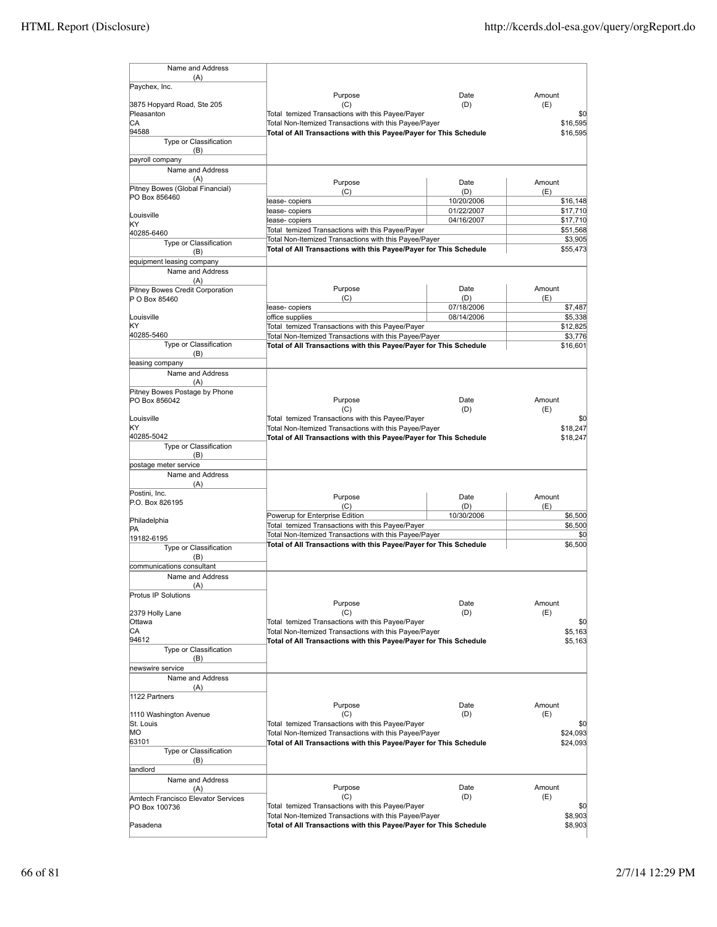| Name and Address                              |                                                                   |                   |                 |
|-----------------------------------------------|-------------------------------------------------------------------|-------------------|-----------------|
| (A)<br>Paychex, Inc.                          |                                                                   |                   |                 |
|                                               | Purpose                                                           | Date              | Amount          |
| 3875 Hopyard Road, Ste 205                    | (C)                                                               | (D)               | (E)             |
| Pleasanton                                    | Total temized Transactions with this Payee/Payer                  | \$0               |                 |
| CА                                            | Total Non-Itemized Transactions with this Payee/Payer             |                   | \$16,595        |
| 94588<br>Type or Classification               | Total of All Transactions with this Payee/Payer for This Schedule |                   | \$16,595        |
| (B)                                           |                                                                   |                   |                 |
| payroll company                               |                                                                   |                   |                 |
| Name and Address                              |                                                                   |                   |                 |
| (A)                                           |                                                                   |                   |                 |
| Pitney Bowes (Global Financial)               | Purpose                                                           | Date              | Amount          |
| PO Box 856460                                 | (C)<br>lease- copiers                                             | (D)<br>10/20/2006 | (E)<br>\$16,148 |
|                                               | lease- copiers                                                    | 01/22/2007        | \$17,710        |
| Louisville                                    | lease-copiers                                                     | 04/16/2007        | \$17,710        |
| KΥ                                            | Total temized Transactions with this Payee/Payer                  |                   | \$51,568        |
| 40285-6460                                    | Total Non-Itemized Transactions with this Payee/Payer             |                   | \$3,905         |
| Type or Classification                        | Total of All Transactions with this Payee/Payer for This Schedule |                   | \$55,473        |
| (B)                                           |                                                                   |                   |                 |
| equipment leasing company<br>Name and Address |                                                                   |                   |                 |
| (A)                                           |                                                                   |                   |                 |
| Pitney Bowes Credit Corporation               | Purpose                                                           | Date              | Amount          |
| P O Box 85460                                 | (C)                                                               | (D)               | (E)             |
|                                               | lease- copiers                                                    | 07/18/2006        | \$7,487         |
| Louisville                                    | office supplies                                                   | 08/14/2006        | \$5,338         |
| KΥ                                            | Total temized Transactions with this Payee/Payer                  |                   | \$12,825        |
| 40285-5460                                    | Total Non-Itemized Transactions with this Payee/Payer             |                   | \$3,776         |
| Type or Classification                        | Total of All Transactions with this Payee/Payer for This Schedule |                   | \$16,601        |
| (B)                                           |                                                                   |                   |                 |
| leasing company                               |                                                                   |                   |                 |
| Name and Address                              |                                                                   |                   |                 |
| (A)                                           |                                                                   |                   |                 |
| Pitney Bowes Postage by Phone                 |                                                                   |                   | Amount          |
| PO Box 856042                                 | Purpose<br>(C)                                                    | Date<br>(D)       | (E)             |
| Louisville                                    | Total temized Transactions with this Payee/Payer                  |                   | \$0             |
| KΥ                                            | Total Non-Itemized Transactions with this Payee/Payer             |                   | \$18,247        |
| 40285-5042                                    | Total of All Transactions with this Payee/Payer for This Schedule |                   | \$18,247        |
| Type or Classification                        |                                                                   |                   |                 |
| (B)                                           |                                                                   |                   |                 |
| postage meter service                         |                                                                   |                   |                 |
| Name and Address                              |                                                                   |                   |                 |
| (A)                                           |                                                                   |                   |                 |
| Postini, Inc.                                 | Purpose                                                           | Date              | Amount          |
| P.O. Box 826195                               | (C)                                                               | (D)               | (E)             |
|                                               | Powerup for Enterprise Edition                                    | 10/30/2006        | \$6,500         |
| Philadelphia                                  | Total temized Transactions with this Payee/Payer                  |                   | \$6,500         |
| PA<br>19182-6195                              | Total Non-Itemized Transactions with this Payee/Payer             |                   | \$0             |
| Type or Classification                        | Total of All Transactions with this Payee/Payer for This Schedule |                   | \$6,500         |
| (B)                                           |                                                                   |                   |                 |
| communications consultant                     |                                                                   |                   |                 |
| Name and Address                              |                                                                   |                   |                 |
| (A)                                           |                                                                   |                   |                 |
| Protus IP Solutions                           |                                                                   |                   |                 |
|                                               | Purpose                                                           | Date              | Amount          |
| 2379 Holly Lane                               | (C)                                                               | (D)               | (E)             |
| Ottawa                                        | Total temized Transactions with this Payee/Payer                  |                   | \$0             |
| СA                                            | Total Non-Itemized Transactions with this Payee/Payer             |                   | \$5,163         |
| 94612                                         | Total of All Transactions with this Payee/Payer for This Schedule |                   | \$5,163         |
| Type or Classification                        |                                                                   |                   |                 |
| (B)                                           |                                                                   |                   |                 |
| newswire service                              |                                                                   |                   |                 |
| Name and Address                              |                                                                   |                   |                 |
| (A)                                           |                                                                   |                   |                 |
| 1122 Partners                                 | Purpose                                                           | Date              | Amount          |
| 1110 Washington Avenue                        | (C)                                                               | (D)               | (E)             |
| St. Louis                                     | Total temized Transactions with this Payee/Payer                  |                   | \$0             |
| МO                                            | Total Non-Itemized Transactions with this Payee/Payer             |                   | \$24,093        |
| 63101                                         | Total of All Transactions with this Payee/Payer for This Schedule |                   | \$24,093        |
| Type or Classification                        |                                                                   |                   |                 |
| (B)                                           |                                                                   |                   |                 |
| landlord                                      |                                                                   |                   |                 |
| Name and Address                              |                                                                   |                   |                 |
| (A)                                           | Purpose                                                           | Date              | Amount          |
| Amtech Francisco Elevator Services            | (C)                                                               | (D)               | (E)             |
| PO Box 100736                                 | Total temized Transactions with this Payee/Payer                  |                   | \$0             |
|                                               | Total Non-Itemized Transactions with this Payee/Payer             |                   | \$8,903         |
| Pasadena                                      | Total of All Transactions with this Payee/Payer for This Schedule |                   | \$8,903         |
|                                               |                                                                   |                   |                 |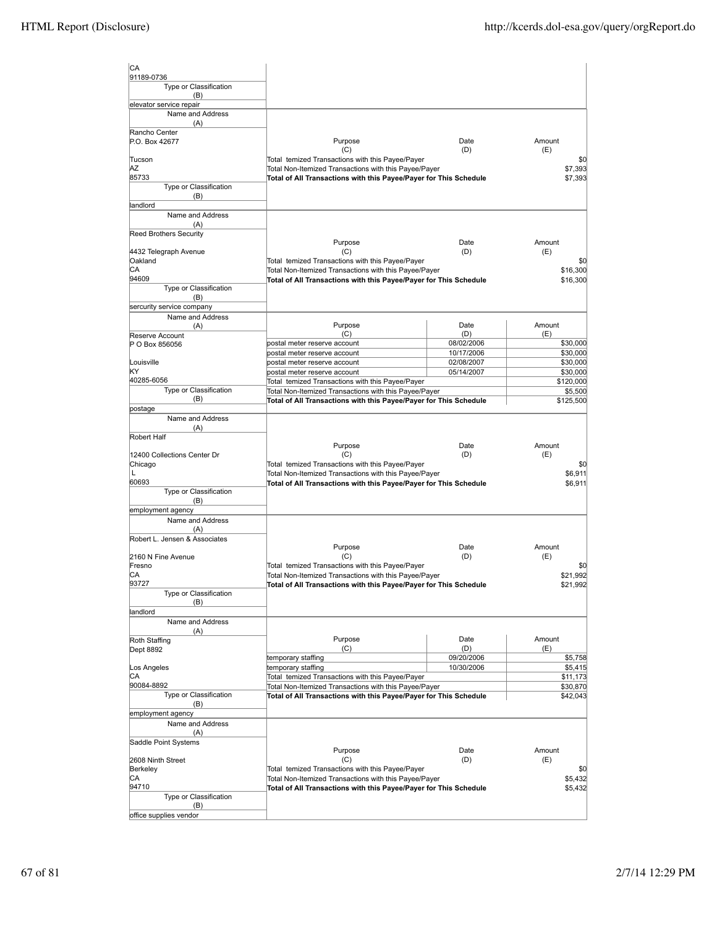| <b>CA</b><br>91189-0736              |                                                                                                                            |                          |                      |
|--------------------------------------|----------------------------------------------------------------------------------------------------------------------------|--------------------------|----------------------|
| Type or Classification<br>(B)        |                                                                                                                            |                          |                      |
| elevator service repair              |                                                                                                                            |                          |                      |
| Name and Address<br>(A)              |                                                                                                                            |                          |                      |
| Rancho Center<br>P.O. Box 42677      | Purpose                                                                                                                    | Date                     | Amount               |
| Tucson                               | (C)<br>Total temized Transactions with this Payee/Payer                                                                    | (D)                      | (E)<br>\$0           |
| ΑZ                                   | Total Non-Itemized Transactions with this Payee/Payer                                                                      |                          | \$7,393              |
| 85733                                | Total of All Transactions with this Payee/Payer for This Schedule                                                          |                          | \$7,393              |
| Type or Classification<br>(B)        |                                                                                                                            |                          |                      |
| landlord                             |                                                                                                                            |                          |                      |
| Name and Address                     |                                                                                                                            |                          |                      |
| (A)                                  |                                                                                                                            |                          |                      |
| <b>Reed Brothers Security</b>        | Purpose                                                                                                                    | Date                     | Amount               |
| 4432 Telegraph Avenue                | (C)                                                                                                                        | (D)                      | (E)                  |
| Oakland                              | Total temized Transactions with this Payee/Payer                                                                           |                          | \$0                  |
| CА<br>94609                          | Total Non-Itemized Transactions with this Payee/Payer<br>Total of All Transactions with this Payee/Payer for This Schedule |                          | \$16,300<br>\$16,300 |
| Type or Classification               |                                                                                                                            |                          |                      |
| (B)                                  |                                                                                                                            |                          |                      |
| sercurity service company            |                                                                                                                            |                          |                      |
| Name and Address<br>(A)              | Purpose                                                                                                                    | Date                     | Amount               |
| Reserve Account                      | (C)                                                                                                                        | (D)                      | (E)                  |
| P O Box 856056                       | postal meter reserve account                                                                                               | 08/02/2006               | \$30,000             |
| Louisville                           | postal meter reserve account<br>postal meter reserve account                                                               | 10/17/2006<br>02/08/2007 | \$30,000<br>\$30,000 |
| kΥ                                   | postal meter reserve account                                                                                               | 05/14/2007               | \$30,000             |
| 40285-6056                           | Total temized Transactions with this Payee/Payer                                                                           |                          | \$120,000            |
| Type or Classification               | Total Non-Itemized Transactions with this Payee/Payer                                                                      |                          | \$5,500              |
| (B)<br>postage                       | Total of All Transactions with this Payee/Payer for This Schedule                                                          |                          | \$125,500            |
| Name and Address                     |                                                                                                                            |                          |                      |
| (A)                                  |                                                                                                                            |                          |                      |
| Robert Half                          | Purpose                                                                                                                    | Date                     | Amount               |
| 12400 Collections Center Dr          | (C)                                                                                                                        | (D)                      | (E)                  |
| Chicago                              | Total temized Transactions with this Payee/Payer                                                                           |                          | \$0                  |
| L                                    | Total Non-Itemized Transactions with this Payee/Payer                                                                      |                          | \$6,911              |
| 60693<br>Type or Classification      | Total of All Transactions with this Payee/Payer for This Schedule                                                          |                          | \$6,911              |
| (B)                                  |                                                                                                                            |                          |                      |
| employment agency                    |                                                                                                                            |                          |                      |
| Name and Address                     |                                                                                                                            |                          |                      |
| (A)<br>Robert L. Jensen & Associates |                                                                                                                            |                          |                      |
|                                      | Purpose                                                                                                                    | Date                     | Amount               |
| 2160 N Fine Avenue                   | (C)                                                                                                                        | (D)                      | (E)                  |
| Fresno<br>IСA                        | Total temized Transactions with this Payee/Payer<br>Total Non-Itemized Transactions with this Payee/Payer                  |                          | \$0<br>\$21,992      |
| 93727                                | Total of All Transactions with this Payee/Payer for This Schedule                                                          |                          | \$21,992             |
| Type or Classification               |                                                                                                                            |                          |                      |
| (B)<br>landlord                      |                                                                                                                            |                          |                      |
| Name and Address                     |                                                                                                                            |                          |                      |
| (A)                                  |                                                                                                                            |                          |                      |
| Roth Staffing<br><b>Dept 8892</b>    | Purpose<br>(C)                                                                                                             | Date<br>(D)              | Amount<br>(E)        |
|                                      | temporary staffing                                                                                                         | 09/20/2006               | \$5,758              |
| Los Angeles                          | temporary staffing                                                                                                         | 10/30/2006               | \$5,415              |
| CА                                   | Total temized Transactions with this Payee/Payer                                                                           |                          | \$11,173             |
| 90084-8892<br>Type or Classification | Total Non-Itemized Transactions with this Payee/Payer<br>Total of All Transactions with this Payee/Payer for This Schedule |                          | \$30,870<br>\$42,043 |
| (B)                                  |                                                                                                                            |                          |                      |
| employment agency                    |                                                                                                                            |                          |                      |
| Name and Address                     |                                                                                                                            |                          |                      |
| (A)<br>Saddle Point Systems          |                                                                                                                            |                          |                      |
|                                      | Purpose                                                                                                                    | Date                     | Amount               |
| 2608 Ninth Street                    | (C)                                                                                                                        | (D)                      | (E)                  |
| Berkeley<br>CА                       | Total temized Transactions with this Payee/Payer<br>Total Non-Itemized Transactions with this Payee/Payer                  |                          | \$0<br>\$5,432       |
| 94710                                | Total of All Transactions with this Payee/Payer for This Schedule                                                          |                          | \$5,432              |
| Type or Classification               |                                                                                                                            |                          |                      |
| (B)<br>office supplies vendor        |                                                                                                                            |                          |                      |
|                                      |                                                                                                                            |                          |                      |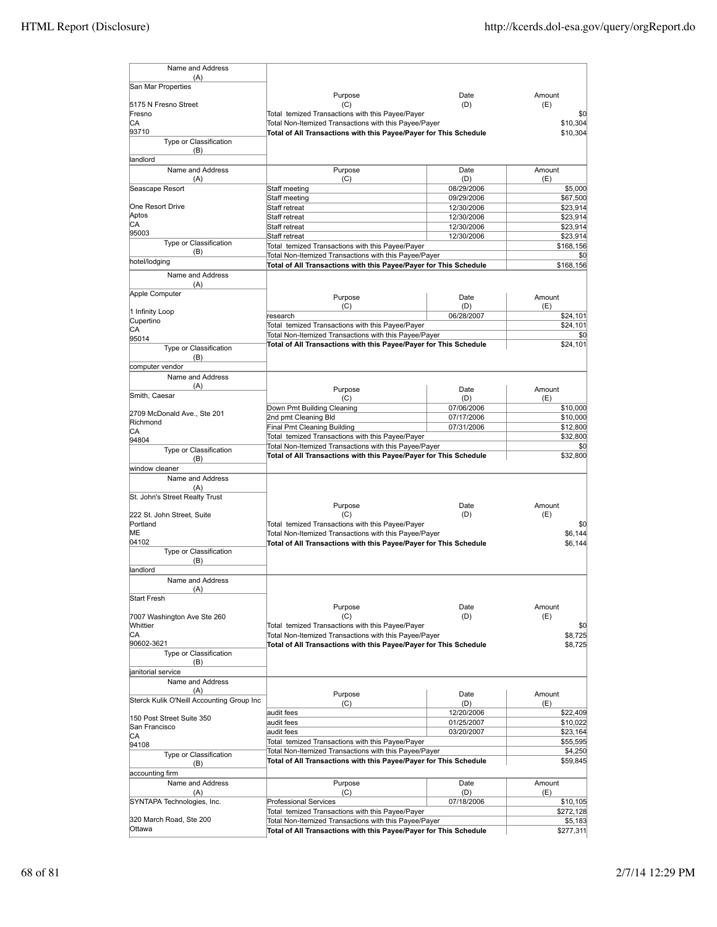| Name and Address                                 |                                                                                                           |                          |                       |
|--------------------------------------------------|-----------------------------------------------------------------------------------------------------------|--------------------------|-----------------------|
| (A)<br>San Mar Properties                        |                                                                                                           |                          |                       |
|                                                  | Purpose                                                                                                   | Date                     | Amount                |
| 5175 N Fresno Street<br>Fresno                   | (C)<br>Total temized Transactions with this Payee/Payer                                                   | (D)                      | (E)                   |
| СA                                               | Total Non-Itemized Transactions with this Payee/Payer                                                     |                          | \$0<br>\$10,304       |
| 93710                                            | Total of All Transactions with this Payee/Payer for This Schedule                                         |                          | \$10.304              |
| Type or Classification                           |                                                                                                           |                          |                       |
| (B)<br>landlord                                  |                                                                                                           |                          |                       |
| Name and Address                                 | Purpose                                                                                                   | Date                     | Amount                |
| (A)                                              | (C)                                                                                                       | (D)                      | (E)                   |
| Seascape Resort                                  | Staff meeting                                                                                             | 08/29/2006               | \$5,000               |
| One Resort Drive                                 | Staff meeting                                                                                             | 09/29/2006               | \$67,500              |
| Aptos                                            | Staff retreat<br>Staff retreat                                                                            | 12/30/2006<br>12/30/2006 | \$23,914<br>\$23,914  |
| СA                                               | Staff retreat                                                                                             | 12/30/2006               | \$23,914              |
| 95003                                            | Staff retreat                                                                                             | 12/30/2006               | \$23,914              |
| Type or Classification<br>(B)                    | Total temized Transactions with this Payee/Payer                                                          |                          | \$168,156             |
| hotel/lodging                                    | Total Non-Itemized Transactions with this Payee/Payer                                                     |                          | \$0                   |
| Name and Address                                 | Total of All Transactions with this Payee/Payer for This Schedule                                         |                          | \$168,156             |
| (A)                                              |                                                                                                           |                          |                       |
| Apple Computer                                   | Purpose                                                                                                   | Date                     | Amount                |
|                                                  | (C)                                                                                                       | (D)                      | (E)                   |
| 1 Infinity Loop<br>Cupertino                     | research                                                                                                  | 06/28/2007               | \$24,101              |
| СA                                               | Total temized Transactions with this Payee/Payer                                                          |                          | \$24,101              |
| 95014                                            | Total Non-Itemized Transactions with this Payee/Payer                                                     |                          | \$0                   |
| Type or Classification                           | Total of All Transactions with this Payee/Payer for This Schedule                                         |                          | \$24,101              |
| (B)<br>computer vendor                           |                                                                                                           |                          |                       |
| Name and Address                                 |                                                                                                           |                          |                       |
| (A)                                              | Purpose                                                                                                   | Date                     | Amount                |
| Smith, Caesar                                    | (C)                                                                                                       | (D)                      | (E)                   |
| 2709 McDonald Ave., Ste 201                      | Down Pmt Building Cleaning                                                                                | 07/06/2006               | \$10,000              |
| Richmond                                         | 2nd pmt Cleaning Bld                                                                                      | 07/17/2006               | \$10,000              |
| CA                                               | Final Pmt Cleaning Building                                                                               | 07/31/2006               | \$12,800              |
| 94804                                            | Total temized Transactions with this Payee/Payer<br>Total Non-Itemized Transactions with this Payee/Payer |                          | \$32,800<br>\$0       |
| Type or Classification<br>(B)                    | Total of All Transactions with this Payee/Payer for This Schedule                                         |                          | \$32,800              |
| window cleaner                                   |                                                                                                           |                          |                       |
| Name and Address                                 |                                                                                                           |                          |                       |
| (A)                                              |                                                                                                           |                          |                       |
| St. John's Street Realty Trust                   | Purpose                                                                                                   | Date                     | Amount                |
| 222 St. John Street, Suite                       | (C)                                                                                                       | (D)                      | (E)                   |
| Portland                                         | Total temized Transactions with this Payee/Payer                                                          |                          | \$0                   |
| ME                                               | Total Non-Itemized Transactions with this Payee/Payer                                                     |                          | \$6.144               |
| 04102<br><b>Type or Classification</b>           | Total of All Transactions with this Payee/Payer for This Schedule                                         |                          | \$6,144               |
| (B)                                              |                                                                                                           |                          |                       |
| landlord                                         |                                                                                                           |                          |                       |
| Name and Address                                 |                                                                                                           |                          |                       |
| (A)                                              |                                                                                                           |                          |                       |
| Start Fresh                                      | Purpose                                                                                                   | Date                     | Amount                |
| 7007 Washington Ave Ste 260                      | (C)                                                                                                       | (D)                      | (E)                   |
| Whittier                                         | Total temized Transactions with this Payee/Payer                                                          |                          | \$0                   |
| СA<br>90602-3621                                 | Total Non-Itemized Transactions with this Payee/Payer                                                     |                          | \$8,725               |
| Type or Classification                           | Total of All Transactions with this Payee/Payer for This Schedule                                         |                          | \$8,725               |
| (B)                                              |                                                                                                           |                          |                       |
| janitorial service                               |                                                                                                           |                          |                       |
| Name and Address                                 |                                                                                                           |                          |                       |
| (A)<br>Sterck Kulik O'Neill Accounting Group Inc | Purpose                                                                                                   | Date                     | Amount                |
|                                                  | (C)                                                                                                       | (D)                      | (E)                   |
| 150 Post Street Suite 350                        | audit fees<br>audit fees                                                                                  | 12/20/2006<br>01/25/2007 | \$22,409<br>\$10,022  |
| San Francisco                                    | audit fees                                                                                                | 03/20/2007               | \$23,164              |
| СA<br>94108                                      | Total temized Transactions with this Payee/Payer                                                          |                          | \$55,595              |
| Type or Classification                           | Total Non-Itemized Transactions with this Payee/Payer                                                     |                          | \$4,250               |
| (B)                                              | Total of All Transactions with this Payee/Payer for This Schedule                                         |                          | \$59,845              |
| accounting firm                                  |                                                                                                           |                          |                       |
| Name and Address                                 | Purpose                                                                                                   | Date                     | Amount                |
| (A)                                              | (C)<br><b>Professional Services</b>                                                                       | (D)<br>07/18/2006        | (E)                   |
| SYNTAPA Technologies, Inc.                       | Total temized Transactions with this Payee/Payer                                                          |                          | \$10,105<br>\$272,128 |
| 320 March Road, Ste 200                          | Total Non-Itemized Transactions with this Payee/Payer                                                     |                          | \$5,183               |
| Ottawa                                           | Total of All Transactions with this Payee/Payer for This Schedule                                         |                          | \$277,311             |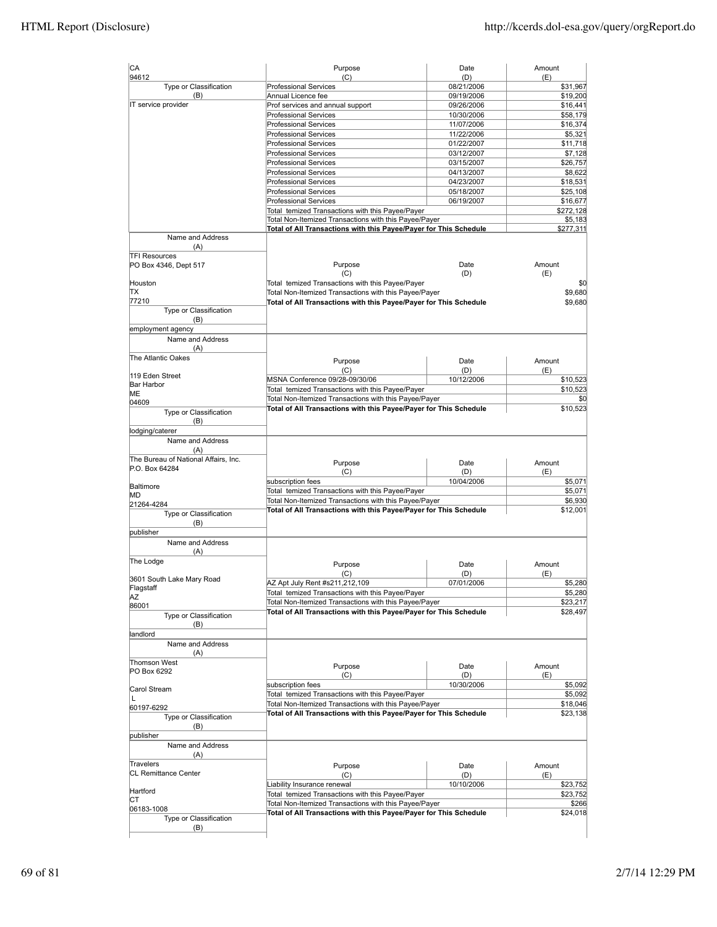| CA                                          | Purpose                                                                                                                    | Date                     | Amount              |
|---------------------------------------------|----------------------------------------------------------------------------------------------------------------------------|--------------------------|---------------------|
| 94612<br>Type or Classification             | (C)<br><b>Professional Services</b>                                                                                        | (D)<br>08/21/2006        | (E)<br>\$31,967     |
| (B)                                         | Annual Licence fee                                                                                                         | 09/19/2006               | \$19,200            |
| IT service provider                         | Prof services and annual support                                                                                           | 09/26/2006               | \$16,441            |
|                                             | <b>Professional Services</b>                                                                                               | 10/30/2006               | \$58,179            |
|                                             | <b>Professional Services</b>                                                                                               | 11/07/2006               | \$16,374            |
|                                             | <b>Professional Services</b>                                                                                               | 11/22/2006               | \$5,321             |
|                                             | <b>Professional Services</b>                                                                                               | 01/22/2007               | \$11,718            |
|                                             | <b>Professional Services</b>                                                                                               | 03/12/2007               | \$7,128             |
|                                             | <b>Professional Services</b><br><b>Professional Services</b>                                                               | 03/15/2007<br>04/13/2007 | \$26,757<br>\$8,622 |
|                                             | <b>Professional Services</b>                                                                                               | 04/23/2007               | \$18,531            |
|                                             | <b>Professional Services</b>                                                                                               | 05/18/2007               | \$25,108            |
|                                             | <b>Professional Services</b>                                                                                               | 06/19/2007               | \$16,677            |
|                                             | Total temized Transactions with this Payee/Payer                                                                           |                          | \$272,128           |
|                                             | Total Non-Itemized Transactions with this Payee/Payer                                                                      |                          | \$5,183             |
|                                             | Total of All Transactions with this Payee/Payer for This Schedule                                                          |                          | \$277,311           |
| Name and Address<br>(A)                     |                                                                                                                            |                          |                     |
| <b>TFI Resources</b>                        |                                                                                                                            |                          |                     |
| PO Box 4346, Dept 517                       | Purpose                                                                                                                    | Date                     | Amount              |
|                                             | (C)                                                                                                                        | (D)                      | (E)                 |
| Houston<br>ΙTΧ                              | Total temized Transactions with this Payee/Payer<br>Total Non-Itemized Transactions with this Payee/Payer                  |                          | \$0<br>\$9,680      |
| 77210                                       | Total of All Transactions with this Payee/Payer for This Schedule                                                          |                          | \$9,680             |
| Type or Classification                      |                                                                                                                            |                          |                     |
| (B)                                         |                                                                                                                            |                          |                     |
| employment agency                           |                                                                                                                            |                          |                     |
| Name and Address                            |                                                                                                                            |                          |                     |
| (A)                                         |                                                                                                                            |                          |                     |
| The Atlantic Oakes                          | Purpose                                                                                                                    | Date                     | Amount              |
| 119 Eden Street                             | (C)                                                                                                                        | (D)                      | (E)                 |
| Bar Harbor                                  | MSNA Conference 09/28-09/30/06                                                                                             | 10/12/2006               | \$10,523            |
| MЕ                                          | Total temized Transactions with this Payee/Payer                                                                           |                          | \$10,523            |
| 04609                                       | Total Non-Itemized Transactions with this Payee/Payer                                                                      |                          | \$0                 |
| Type or Classification                      | Total of All Transactions with this Payee/Payer for This Schedule                                                          |                          | \$10,523            |
| (B)                                         |                                                                                                                            |                          |                     |
| lodging/caterer                             |                                                                                                                            |                          |                     |
| Name and Address                            |                                                                                                                            |                          |                     |
| (A)<br>The Bureau of National Affairs, Inc. |                                                                                                                            |                          |                     |
| P.O. Box 64284                              | Purpose                                                                                                                    | Date                     | Amount              |
|                                             | (C)                                                                                                                        | (D)                      | (E)                 |
| Baltimore                                   | subscription fees                                                                                                          | 10/04/2006               | \$5,071             |
| МD                                          | Total temized Transactions with this Payee/Payer<br>Total Non-Itemized Transactions with this Payee/Payer                  |                          | \$5,071<br>\$6,930  |
| 21264-4284                                  | Total of All Transactions with this Payee/Payer for This Schedule                                                          |                          | \$12,001            |
| Type or Classification                      |                                                                                                                            |                          |                     |
| (B)<br>publisher                            |                                                                                                                            |                          |                     |
| Name and Address                            |                                                                                                                            |                          |                     |
| (A)                                         |                                                                                                                            |                          |                     |
| The Lodge                                   |                                                                                                                            |                          |                     |
|                                             | Purpose<br>(C)                                                                                                             | Date<br>(D)              | Amount<br>(E)       |
| 3601 South Lake Mary Road                   | AZ Apt July Rent #s211,212,109                                                                                             | 07/01/2006               | \$5,280             |
| Flagstaff                                   | Total temized Transactions with this Payee/Payer                                                                           |                          | \$5,280             |
| ΑZ<br>86001                                 | Total Non-Itemized Transactions with this Payee/Payer                                                                      |                          | \$23,217            |
| Type or Classification                      | Total of All Transactions with this Payee/Payer for This Schedule                                                          |                          | \$28,497            |
| (B)                                         |                                                                                                                            |                          |                     |
| landlord                                    |                                                                                                                            |                          |                     |
| Name and Address                            |                                                                                                                            |                          |                     |
| (A)                                         |                                                                                                                            |                          |                     |
| <b>Thomson West</b>                         | Purpose                                                                                                                    | Date                     | Amount              |
| PO Box 6292                                 | (C)                                                                                                                        | (D)                      | (E)                 |
| Carol Stream                                | subscription fees                                                                                                          | 10/30/2006               | \$5,092             |
| L                                           | Total temized Transactions with this Payee/Payer                                                                           |                          | \$5,092             |
| 60197-6292                                  | Total Non-Itemized Transactions with this Payee/Payer                                                                      |                          | \$18,046            |
| Type or Classification                      | Total of All Transactions with this Payee/Payer for This Schedule                                                          |                          | \$23,138            |
| (B)                                         |                                                                                                                            |                          |                     |
| publisher                                   |                                                                                                                            |                          |                     |
| Name and Address                            |                                                                                                                            |                          |                     |
| (A)                                         |                                                                                                                            |                          |                     |
| Travelers                                   | Purpose                                                                                                                    | Date                     | Amount              |
| <b>CL Remittance Center</b>                 | (C)                                                                                                                        | (D)                      | (E)                 |
| Hartford                                    | Liability Insurance renewal                                                                                                | 10/10/2006               | \$23,752            |
| СT                                          | Total temized Transactions with this Payee/Payer                                                                           |                          | \$23,752            |
| 06183-1008                                  | Total Non-Itemized Transactions with this Payee/Payer<br>Total of All Transactions with this Payee/Payer for This Schedule |                          | \$266<br>\$24,018   |
| Type or Classification                      |                                                                                                                            |                          |                     |
| (B)                                         |                                                                                                                            |                          |                     |
|                                             |                                                                                                                            |                          |                     |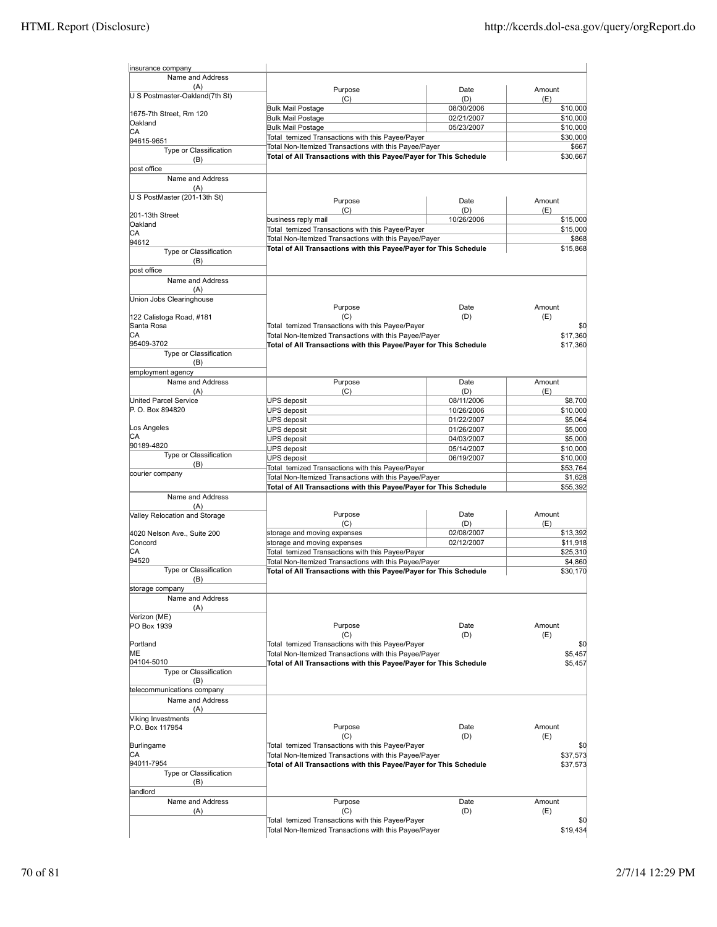| insurance company                     |                                                                   |            |          |
|---------------------------------------|-------------------------------------------------------------------|------------|----------|
| Name and Address                      |                                                                   |            |          |
| (A)<br>U S Postmaster-Oakland(7th St) | Purpose                                                           | Date       | Amount   |
|                                       | (C)                                                               | (D)        | (E)      |
| 1675-7th Street, Rm 120               | <b>Bulk Mail Postage</b>                                          | 08/30/2006 | \$10,000 |
| Oakland                               | <b>Bulk Mail Postage</b>                                          | 02/21/2007 | \$10,000 |
| СA                                    | <b>Bulk Mail Postage</b>                                          | 05/23/2007 | \$10,000 |
| 94615-9651                            | Total temized Transactions with this Payee/Payer                  |            | \$30,000 |
| Type or Classification                | Total Non-Itemized Transactions with this Payee/Payer             |            | \$667    |
| (B)                                   | Total of All Transactions with this Payee/Payer for This Schedule |            | \$30,667 |
| post office                           |                                                                   |            |          |
| Name and Address                      |                                                                   |            |          |
| (A)                                   |                                                                   |            |          |
| U S PostMaster (201-13th St)          | Purpose                                                           | Date       | Amount   |
|                                       | (C)                                                               | (D)        | (E)      |
| 201-13th Street                       | business reply mail                                               | 10/26/2006 | \$15,000 |
| Oakland                               | Total temized Transactions with this Payee/Payer                  |            | \$15,000 |
| CA                                    | Total Non-Itemized Transactions with this Payee/Payer             |            | \$868    |
| 94612                                 | Total of All Transactions with this Payee/Payer for This Schedule |            | \$15,868 |
| Type or Classification                |                                                                   |            |          |
| (B)                                   |                                                                   |            |          |
| post office                           |                                                                   |            |          |
| Name and Address                      |                                                                   |            |          |
| (A)                                   |                                                                   |            |          |
| Union Jobs Clearinghouse              |                                                                   |            |          |
|                                       | Purpose                                                           | Date       | Amount   |
| 122 Calistoga Road, #181              | (C)                                                               | (D)        | (E)      |
| Santa Rosa                            | Total temized Transactions with this Payee/Payer                  |            | \$0      |
| СA                                    | Total Non-Itemized Transactions with this Payee/Payer             |            | \$17,360 |
| 95409-3702                            | Total of All Transactions with this Payee/Payer for This Schedule |            | \$17,360 |
| Type or Classification                |                                                                   |            |          |
| (B)                                   |                                                                   |            |          |
| employment agency                     |                                                                   |            |          |
| Name and Address                      | Purpose                                                           | Date       | Amount   |
| (A)                                   | (C)                                                               | (D)        | (E)      |
| <b>United Parcel Service</b>          | <b>UPS</b> deposit                                                | 08/11/2006 | \$8,700  |
| P.O. Box 894820                       | <b>UPS</b> deposit                                                | 10/26/2006 | \$10,000 |
|                                       | <b>UPS</b> deposit                                                | 01/22/2007 | \$5,064  |
| Los Angeles                           | <b>UPS</b> deposit                                                | 01/26/2007 | \$5,000  |
| СA<br>90189-4820                      | <b>UPS</b> deposit                                                | 04/03/2007 | \$5,000  |
|                                       | UPS deposit                                                       | 05/14/2007 | \$10,000 |
| Type or Classification                | <b>UPS</b> deposit                                                | 06/19/2007 | \$10,000 |
| (B)                                   | Total temized Transactions with this Payee/Payer                  |            | \$53,764 |
| courier company                       | Total Non-Itemized Transactions with this Payee/Payer             |            | \$1,628  |
|                                       | Total of All Transactions with this Payee/Payer for This Schedule |            | \$55,392 |
| Name and Address                      |                                                                   |            |          |
| (A)                                   |                                                                   |            |          |
| Valley Relocation and Storage         | Purpose                                                           | Date       | Amount   |
|                                       | (C)                                                               | (D)        | (E)      |
| 4020 Nelson Ave., Suite 200           | storage and moving expenses                                       | 02/08/2007 | \$13,392 |
| Concord                               | storage and moving expenses                                       | 02/12/2007 | \$11,918 |
| СA                                    | Total temized Transactions with this Payee/Payer                  |            | \$25,310 |
| 94520                                 | Total Non-Itemized Transactions with this Payee/Payer             |            | \$4,860  |
| Type or Classification                | Total of All Transactions with this Payee/Payer for This Schedule |            | \$30.170 |
| (B)                                   |                                                                   |            |          |
| storage company                       |                                                                   |            |          |
| Name and Address                      |                                                                   |            |          |
| (A)                                   |                                                                   |            |          |
| Verizon (ME)                          |                                                                   |            |          |
| PO Box 1939                           | Purpose                                                           | Date       | Amount   |
|                                       | (C)                                                               | (D)        | (E)      |
| Portland                              | Total temized Transactions with this Payee/Payer                  |            | \$0      |
| MЕ                                    | Total Non-Itemized Transactions with this Payee/Payer             |            | \$5,457  |
| 04104-5010                            | Total of All Transactions with this Payee/Payer for This Schedule |            | \$5,457  |
| Type or Classification                |                                                                   |            |          |
| (B)                                   |                                                                   |            |          |
| telecommunications company            |                                                                   |            |          |
| Name and Address                      |                                                                   |            |          |
| (A)                                   |                                                                   |            |          |
| Viking Investments                    |                                                                   |            |          |
| P.O. Box 117954                       | Purpose                                                           | Date       | Amount   |
|                                       | (C)                                                               | (D)        | (E)      |
| Burlingame                            | Total temized Transactions with this Payee/Payer                  |            | \$0      |
| СA                                    | Total Non-Itemized Transactions with this Payee/Payer             |            | \$37,573 |
| 94011-7954                            | Total of All Transactions with this Payee/Payer for This Schedule |            | \$37,573 |
| Type or Classification                |                                                                   |            |          |
| (B)                                   |                                                                   |            |          |
| andlord                               |                                                                   |            |          |
| Name and Address                      | Purpose                                                           | Date       | Amount   |
| (A)                                   | (C)                                                               | (D)        | (E)      |
|                                       | Total temized Transactions with this Payee/Payer                  |            | \$0      |
|                                       | Total Non-Itemized Transactions with this Payee/Payer             |            | \$19,434 |
|                                       |                                                                   |            |          |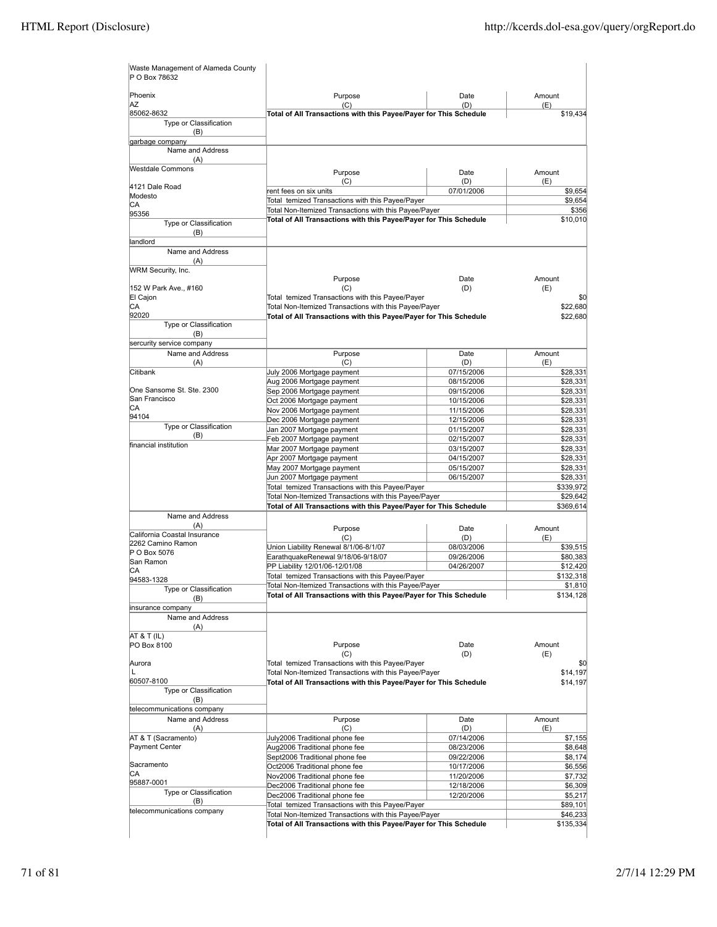| Waste Management of Alameda County<br>P O Box 78632 |                                                                             |                          |                      |
|-----------------------------------------------------|-----------------------------------------------------------------------------|--------------------------|----------------------|
| Phoenix<br>AZ                                       | Purpose<br>(C)                                                              | Date<br>(D)              | Amount<br>(E)        |
| 85062-8632                                          | Total of All Transactions with this Payee/Payer for This Schedule           |                          | \$19,434             |
| Type or Classification<br>(B)                       |                                                                             |                          |                      |
| garbage company                                     |                                                                             |                          |                      |
| Name and Address<br>(A)                             |                                                                             |                          |                      |
| Westdale Commons                                    | Purpose                                                                     | Date                     | Amount               |
| 4121 Dale Road                                      | (C)                                                                         | (D)                      | (E)                  |
| Modesto                                             | rent fees on six units<br>Total temized Transactions with this Payee/Payer  | 07/01/2006               | \$9,654              |
| CА                                                  | Total Non-Itemized Transactions with this Payee/Payer                       |                          | \$9,654<br>\$356     |
| 95356                                               | Total of All Transactions with this Payee/Payer for This Schedule           |                          | \$10,010             |
| Type or Classification<br>(B)                       |                                                                             |                          |                      |
| landlord<br>Name and Address                        |                                                                             |                          |                      |
| (A)                                                 |                                                                             |                          |                      |
| WRM Security, Inc.                                  | Purpose                                                                     | Date                     | Amount               |
| 152 W Park Ave., #160                               | (C)                                                                         | (D)                      | (E)                  |
| El Cajon                                            | Total temized Transactions with this Payee/Payer                            |                          | \$0                  |
| CА                                                  | Total Non-Itemized Transactions with this Payee/Payer                       |                          | \$22,680             |
| 92020                                               | Total of All Transactions with this Payee/Payer for This Schedule           |                          | \$22,680             |
| Type or Classification<br>(B)                       |                                                                             |                          |                      |
| sercurity service company                           |                                                                             |                          |                      |
| Name and Address                                    | Purpose                                                                     | Date                     | Amount               |
| (A)                                                 | (C)                                                                         | (D)                      | (E)                  |
| Citibank                                            | July 2006 Mortgage payment                                                  | 07/15/2006               | \$28,331             |
|                                                     | Aug 2006 Mortgage payment                                                   | 08/15/2006               | \$28,331             |
| One Sansome St. Ste. 2300                           | Sep 2006 Mortgage payment                                                   | 09/15/2006               | \$28,331             |
| San Francisco<br>CА                                 | Oct 2006 Mortgage payment                                                   | 10/15/2006               | \$28,331             |
| 94104                                               | Nov 2006 Mortgage payment                                                   | 11/15/2006               | \$28,331             |
| Type or Classification                              | Dec 2006 Mortgage payment                                                   | 12/15/2006               | \$28,331             |
| (B)                                                 | Jan 2007 Mortgage payment                                                   | 01/15/2007<br>02/15/2007 | \$28,331<br>\$28,331 |
| financial institution                               | Feb 2007 Mortgage payment<br>Mar 2007 Mortgage payment                      | 03/15/2007               | \$28,331             |
|                                                     | Apr 2007 Mortgage payment                                                   | 04/15/2007               | \$28,331             |
|                                                     | May 2007 Mortgage payment                                                   | 05/15/2007               | \$28,331             |
|                                                     | Jun 2007 Mortgage payment                                                   | 06/15/2007               | \$28,331             |
|                                                     | Total temized Transactions with this Payee/Payer                            |                          | \$339,972            |
|                                                     | Total Non-Itemized Transactions with this Payee/Payer                       |                          | \$29,642             |
|                                                     | Total of All Transactions with this Payee/Payer for This Schedule           |                          | \$369,614            |
| Name and Address<br>(A)                             |                                                                             |                          |                      |
| California Coastal Insurance                        | Purpose                                                                     | Date                     | Amount               |
| 2262 Camino Ramon                                   | (C)                                                                         | (D)                      | (E)                  |
| P O Box 5076                                        | Union Liability Renewal 8/1/06-8/1/07<br>EarathquakeRenewal 9/18/06-9/18/07 | 08/03/2006<br>09/26/2006 | \$39,515<br>\$80,383 |
| San Ramon                                           | PP Liability 12/01/06-12/01/08                                              | 04/26/2007               | \$12,420             |
| СA                                                  | Total temized Transactions with this Payee/Payer                            |                          | \$132,318            |
| 94583-1328                                          | Total Non-Itemized Transactions with this Payee/Payer                       |                          | \$1,810              |
| Type or Classification<br>(B)                       | Total of All Transactions with this Payee/Payer for This Schedule           |                          | \$134,128            |
| insurance company                                   |                                                                             |                          |                      |
| Name and Address                                    |                                                                             |                          |                      |
| (A)<br>AT & T (IL)                                  |                                                                             |                          |                      |
| PO Box 8100                                         | Purpose                                                                     | Date                     | Amount               |
|                                                     | (C)                                                                         | (D)                      | (E)                  |
| Aurora                                              | Total temized Transactions with this Payee/Payer                            |                          | \$0                  |
| L                                                   | Total Non-Itemized Transactions with this Payee/Payer                       |                          | \$14,197             |
| 60507-8100<br>Type or Classification                | Total of All Transactions with this Payee/Payer for This Schedule           |                          | \$14,197             |
| (B)                                                 |                                                                             |                          |                      |
| telecommunications company<br>Name and Address      |                                                                             |                          |                      |
| (A)                                                 | Purpose<br>(C)                                                              | Date<br>(D)              | Amount<br>(E)        |
| AT & T (Sacramento)                                 | July2006 Traditional phone fee                                              | 07/14/2006               | \$7,155              |
| Payment Center                                      | Aug2006 Traditional phone fee                                               | 08/23/2006               | \$8,648              |
|                                                     | Sept2006 Traditional phone fee                                              | 09/22/2006               | \$8,174              |
| Sacramento                                          | Oct2006 Traditional phone fee                                               | 10/17/2006               | \$6,556              |
| СA                                                  | Nov2006 Traditional phone fee                                               | 11/20/2006               | \$7,732              |
| 95887-0001                                          | Dec2006 Traditional phone fee                                               | 12/18/2006               | \$6,309              |
| Type or Classification<br>(B)                       | Dec2006 Traditional phone fee                                               | 12/20/2006               | \$5,217              |
| telecommunications company                          | Total temized Transactions with this Payee/Payer                            |                          | \$89,101             |
|                                                     | Total Non-Itemized Transactions with this Payee/Payer                       |                          | \$46,233             |
|                                                     | Total of All Transactions with this Payee/Payer for This Schedule           |                          | \$135,334            |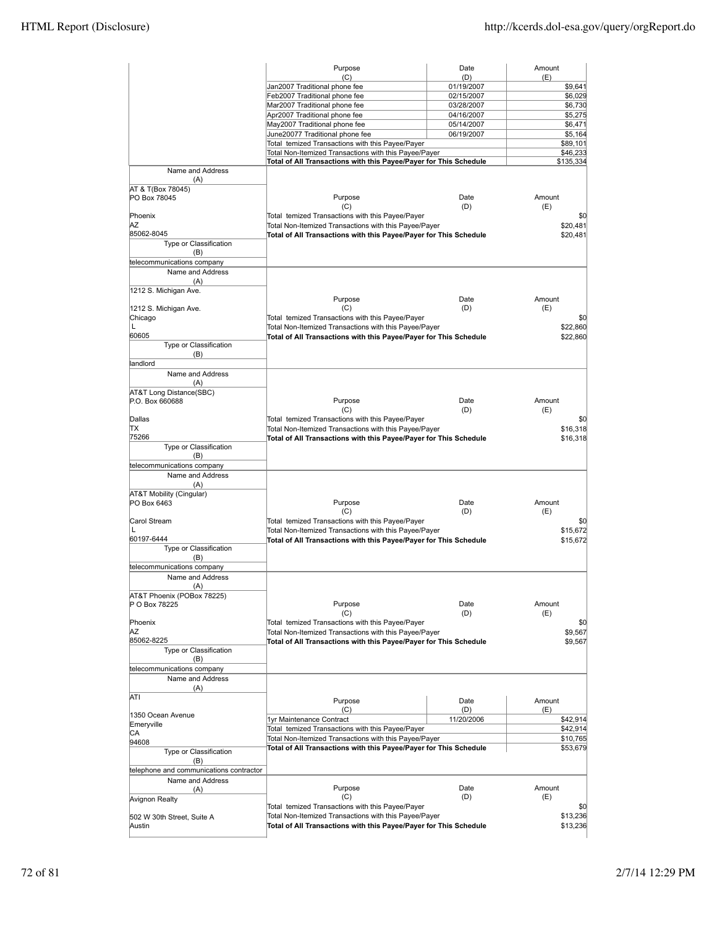|                                         | Purpose                                                                                                   | Date              | Amount               |
|-----------------------------------------|-----------------------------------------------------------------------------------------------------------|-------------------|----------------------|
|                                         | (C)<br>Jan2007 Traditional phone fee                                                                      | (D)<br>01/19/2007 | (E)<br>\$9,641       |
|                                         | Feb2007 Traditional phone fee                                                                             | 02/15/2007        | \$6,029              |
|                                         | Mar2007 Traditional phone fee                                                                             | 03/28/2007        | \$6,730              |
|                                         | Apr2007 Traditional phone fee                                                                             | 04/16/2007        | \$5,275              |
|                                         | May2007 Traditional phone fee                                                                             | 05/14/2007        | \$6,471              |
|                                         | June20077 Traditional phone fee                                                                           | 06/19/2007        | \$5,164              |
|                                         | Total temized Transactions with this Payee/Payer<br>Total Non-Itemized Transactions with this Payee/Payer |                   | \$89,101<br>\$46,233 |
|                                         | Total of All Transactions with this Payee/Payer for This Schedule                                         |                   | \$135,334            |
| Name and Address<br>(A)                 |                                                                                                           |                   |                      |
| AT & T(Box 78045)<br>PO Box 78045       | Purpose                                                                                                   | Date              | Amount               |
|                                         | (C)                                                                                                       | (D)               | (E)                  |
| Phoenix                                 | Total temized Transactions with this Payee/Payer                                                          |                   | \$0                  |
| ΑZ                                      | Total Non-Itemized Transactions with this Payee/Payer                                                     |                   | \$20,481             |
| 85062-8045<br>Type or Classification    | Total of All Transactions with this Payee/Payer for This Schedule                                         |                   | \$20,481             |
| (B)                                     |                                                                                                           |                   |                      |
| telecommunications company              |                                                                                                           |                   |                      |
| Name and Address                        |                                                                                                           |                   |                      |
| (A)                                     |                                                                                                           |                   |                      |
| 1212 S. Michigan Ave.                   |                                                                                                           |                   | Amount               |
| 1212 S. Michigan Ave.                   | Purpose<br>(C)                                                                                            | Date<br>(D)       | (E)                  |
| Chicago                                 | Total temized Transactions with this Payee/Payer                                                          |                   | \$0                  |
| L                                       | Total Non-Itemized Transactions with this Payee/Payer                                                     |                   | \$22,860             |
| 60605                                   | Total of All Transactions with this Payee/Payer for This Schedule                                         |                   | \$22,860             |
| Type or Classification                  |                                                                                                           |                   |                      |
| (B)                                     |                                                                                                           |                   |                      |
| landlord<br>Name and Address            |                                                                                                           |                   |                      |
| (A)                                     |                                                                                                           |                   |                      |
| AT&T Long Distance(SBC)                 |                                                                                                           |                   |                      |
| P.O. Box 660688                         | Purpose                                                                                                   | Date              | Amount               |
|                                         | (C)                                                                                                       | (D)               | (E)                  |
| Dallas                                  | Total temized Transactions with this Payee/Payer                                                          |                   | \$0                  |
| ΠX                                      | Total Non-Itemized Transactions with this Payee/Payer                                                     |                   | \$16,318             |
| 75266<br>Type or Classification         | Total of All Transactions with this Payee/Payer for This Schedule                                         |                   | \$16,318             |
| (B)                                     |                                                                                                           |                   |                      |
| telecommunications company              |                                                                                                           |                   |                      |
| Name and Address                        |                                                                                                           |                   |                      |
| (A)                                     |                                                                                                           |                   |                      |
| AT&T Mobility (Cingular)                |                                                                                                           |                   |                      |
| PO Box 6463                             | Purpose                                                                                                   | Date              | Amount               |
| Carol Stream                            | (C)<br>Total temized Transactions with this Payee/Payer                                                   | (D)               | (E)<br>\$0           |
| L                                       | Total Non-Itemized Transactions with this Payee/Payer                                                     |                   | \$15,672             |
| 60197-6444                              | Total of All Transactions with this Payee/Payer for This Schedule                                         |                   | \$15,672             |
| Type or Classification                  |                                                                                                           |                   |                      |
| (B)                                     |                                                                                                           |                   |                      |
| telecommunications company              |                                                                                                           |                   |                      |
| Name and Address                        |                                                                                                           |                   |                      |
| (A)<br>AT&T Phoenix (POBox 78225)       |                                                                                                           |                   |                      |
| P O Box 78225                           | Purpose                                                                                                   | Date              | Amount               |
|                                         | (C)                                                                                                       | (D)               | (E)                  |
| Phoenix                                 | Total temized Transactions with this Payee/Payer                                                          |                   | \$0                  |
| ΑZ                                      | Total Non-Itemized Transactions with this Payee/Payer                                                     |                   | \$9,567              |
| 85062-8225<br>Type or Classification    | Total of All Transactions with this Payee/Payer for This Schedule                                         |                   | \$9,567              |
| (B)                                     |                                                                                                           |                   |                      |
| telecommunications company              |                                                                                                           |                   |                      |
| Name and Address                        |                                                                                                           |                   |                      |
| (A)                                     |                                                                                                           |                   |                      |
| ATI                                     | Purpose                                                                                                   | Date              | Amount               |
|                                         | (C)                                                                                                       | (D)               | (E)                  |
| 1350 Ocean Avenue                       | 1yr Maintenance Contract                                                                                  | 11/20/2006        | \$42,914             |
| Emeryville<br>СA                        | Total temized Transactions with this Payee/Payer                                                          |                   | \$42,914             |
| 94608                                   | Total Non-Itemized Transactions with this Payee/Payer                                                     |                   | \$10,765             |
| Type or Classification                  | Total of All Transactions with this Payee/Payer for This Schedule                                         |                   | \$53,679             |
| (B)                                     |                                                                                                           |                   |                      |
| telephone and communications contractor |                                                                                                           |                   |                      |
| Name and Address                        |                                                                                                           |                   |                      |
| (A)                                     | Purpose<br>(C)                                                                                            | Date<br>(D)       | Amount<br>(E)        |
| Avignon Realty                          | Total temized Transactions with this Payee/Payer                                                          |                   | \$0                  |
| 502 W 30th Street, Suite A              | Total Non-Itemized Transactions with this Payee/Payer                                                     |                   | \$13,236             |
| Austin                                  | Total of All Transactions with this Payee/Payer for This Schedule                                         |                   | \$13,236             |
|                                         |                                                                                                           |                   |                      |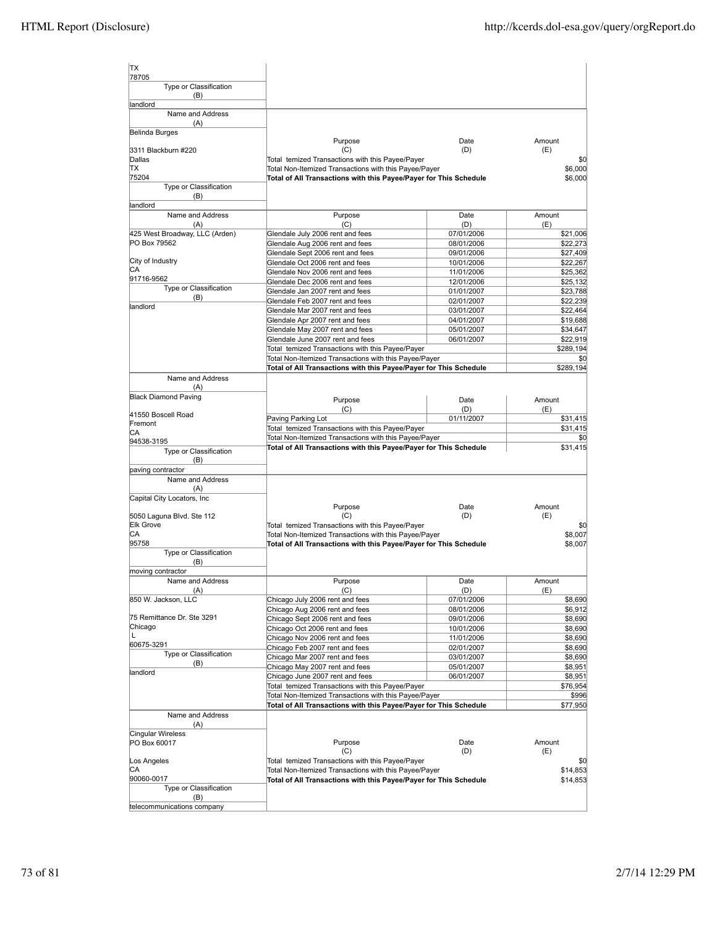| <b>TX</b><br>78705                             |                                                                                      |                          |                      |
|------------------------------------------------|--------------------------------------------------------------------------------------|--------------------------|----------------------|
| Type or Classification<br>(B)                  |                                                                                      |                          |                      |
| landlord                                       |                                                                                      |                          |                      |
| Name and Address                               |                                                                                      |                          |                      |
| (A)<br>Belinda Burges                          |                                                                                      |                          |                      |
|                                                | Purpose                                                                              | Date                     | Amount               |
| 3311 Blackburn #220                            | (C)                                                                                  | (D)                      | (E)                  |
| Dallas                                         | Total temized Transactions with this Payee/Payer                                     |                          | \$0                  |
| ΠX<br>75204                                    | Total Non-Itemized Transactions with this Payee/Payer                                |                          | \$6,000              |
| Type or Classification                         | Total of All Transactions with this Payee/Payer for This Schedule                    |                          | \$6,000              |
| (B)                                            |                                                                                      |                          |                      |
| landlord                                       |                                                                                      |                          |                      |
| Name and Address                               | Purpose                                                                              | Date                     | Amount               |
| (A)                                            | (C)                                                                                  | (D)                      | (E)                  |
| 425 West Broadway, LLC (Arden)<br>PO Box 79562 | Glendale July 2006 rent and fees                                                     | 07/01/2006               | \$21,006             |
|                                                | Glendale Aug 2006 rent and fees                                                      | 08/01/2006               | \$22,273             |
| City of Industry                               | Glendale Sept 2006 rent and fees<br>Glendale Oct 2006 rent and fees                  | 09/01/2006<br>10/01/2006 | \$27,409<br>\$22,267 |
| СA                                             | Glendale Nov 2006 rent and fees                                                      | 11/01/2006               | \$25,362             |
| 91716-9562                                     | Glendale Dec 2006 rent and fees                                                      | 12/01/2006               | \$25,132             |
| Type or Classification                         | Glendale Jan 2007 rent and fees                                                      | 01/01/2007               | \$23,788             |
| (B)                                            | Glendale Feb 2007 rent and fees                                                      | 02/01/2007               | \$22,239             |
| landlord                                       | Glendale Mar 2007 rent and fees                                                      | 03/01/2007               | \$22,464             |
|                                                | Glendale Apr 2007 rent and fees                                                      | 04/01/2007               | \$19,688             |
|                                                | Glendale May 2007 rent and fees                                                      | 05/01/2007               | \$34,647             |
|                                                | Glendale June 2007 rent and fees<br>Total temized Transactions with this Payee/Payer | 06/01/2007               | \$22,919             |
|                                                | Total Non-Itemized Transactions with this Payee/Payer                                |                          | \$289,194<br>\$0     |
|                                                | Total of All Transactions with this Payee/Payer for This Schedule                    |                          | \$289,194            |
| Name and Address                               |                                                                                      |                          |                      |
| (A)                                            |                                                                                      |                          |                      |
| <b>Black Diamond Paving</b>                    | Purpose                                                                              | Date                     | Amount               |
|                                                | (C)                                                                                  | (D)                      | (E)                  |
| 41550 Boscell Road                             | Paving Parking Lot                                                                   | 01/11/2007               | \$31,415             |
| Fremont<br>СA                                  | Total temized Transactions with this Payee/Payer                                     |                          | \$31,415             |
| 94538-3195                                     | Total Non-Itemized Transactions with this Payee/Payer                                |                          | \$0                  |
| Type or Classification                         | Total of All Transactions with this Payee/Payer for This Schedule                    |                          | \$31,415             |
| (B)                                            |                                                                                      |                          |                      |
| paving contractor                              |                                                                                      |                          |                      |
| Name and Address                               |                                                                                      |                          |                      |
| (A)<br>Capital City Locators, Inc              |                                                                                      |                          |                      |
|                                                | Purpose                                                                              | Date                     | Amount               |
| 5050 Laguna Blvd. Ste 112                      | (C)                                                                                  | (D)                      | (E)                  |
| <b>Elk Grove</b>                               | Total temized Transactions with this Payee/Payer                                     |                          | \$0                  |
| CА                                             | Total Non-Itemized Transactions with this Payee/Payer                                |                          | \$8,007              |
| 95758                                          | Total of All Transactions with this Payee/Payer for This Schedule                    |                          | \$8,007              |
| Type or Classification                         |                                                                                      |                          |                      |
| (B)<br>moving contractor                       |                                                                                      |                          |                      |
| Name and Address                               | Purpose                                                                              | Date                     | Amount               |
| (A)                                            | (C)                                                                                  | (D)                      | (E)                  |
| 850 W. Jackson, LLC                            | Chicago July 2006 rent and fees                                                      | 07/01/2006               | \$8,690              |
|                                                | Chicago Aug 2006 rent and fees                                                       | 08/01/2006               | \$6,912              |
| 75 Remittance Dr. Ste 3291                     | Chicago Sept 2006 rent and fees                                                      | 09/01/2006               | \$8,690              |
| Chicago                                        | Chicago Oct 2006 rent and fees                                                       | 10/01/2006               | \$8,690              |
| L<br>60675-3291                                | Chicago Nov 2006 rent and fees                                                       | 11/01/2006               | \$8,690              |
| Type or Classification                         | Chicago Feb 2007 rent and fees                                                       | 02/01/2007               | \$8,690              |
| (B)                                            | Chicago Mar 2007 rent and fees<br>Chicago May 2007 rent and fees                     | 03/01/2007               | \$8,690              |
| landlord                                       | Chicago June 2007 rent and fees                                                      | 05/01/2007<br>06/01/2007 | \$8,951<br>\$8,951   |
|                                                | Total temized Transactions with this Payee/Payer                                     |                          | \$76,954             |
|                                                | Total Non-Itemized Transactions with this Payee/Payer                                |                          | \$996                |
|                                                | Total of All Transactions with this Payee/Payer for This Schedule                    |                          | \$77,950             |
| Name and Address                               |                                                                                      |                          |                      |
| (A)                                            |                                                                                      |                          |                      |
| Cingular Wireless                              |                                                                                      |                          |                      |
| PO Box 60017                                   | Purpose<br>(C)                                                                       | Date                     | Amount               |
| Los Angeles                                    | Total temized Transactions with this Payee/Payer                                     | (D)                      | (E)<br>\$0           |
| СA                                             | Total Non-Itemized Transactions with this Payee/Payer                                |                          | \$14,853             |
| 90060-0017                                     | Total of All Transactions with this Payee/Payer for This Schedule                    |                          | \$14,853             |
| Type or Classification                         |                                                                                      |                          |                      |
| (B)                                            |                                                                                      |                          |                      |
| telecommunications company                     |                                                                                      |                          |                      |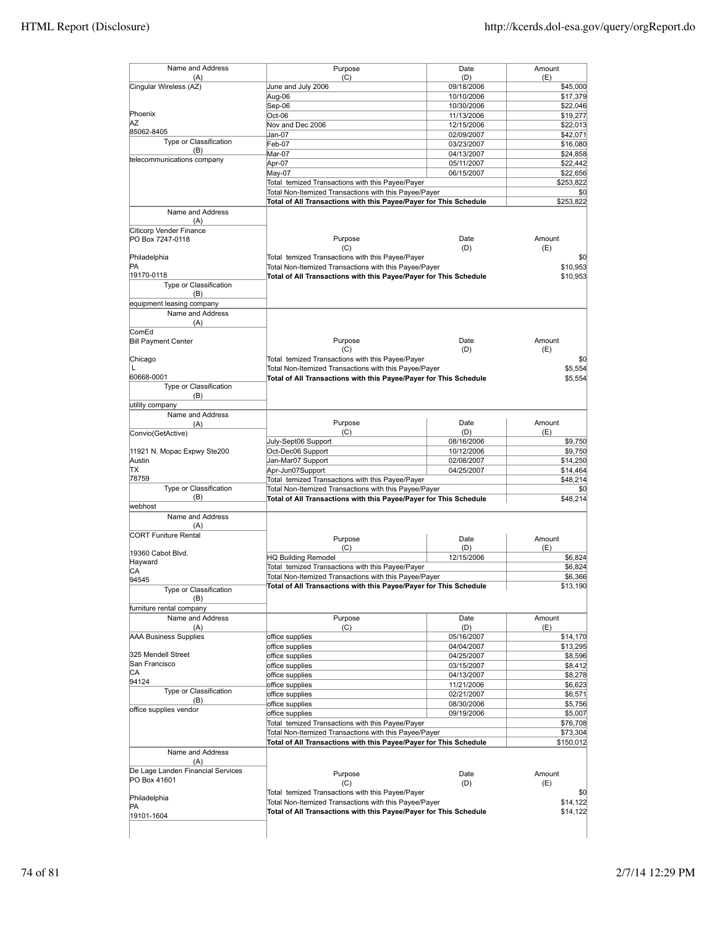| Name and Address                  |                                                                                                                            |             |                                                                                                                                                                                                                                       |
|-----------------------------------|----------------------------------------------------------------------------------------------------------------------------|-------------|---------------------------------------------------------------------------------------------------------------------------------------------------------------------------------------------------------------------------------------|
| (A)                               | Purpose<br>(C)                                                                                                             | Date<br>(D) | Amount<br>(E)                                                                                                                                                                                                                         |
| Cingular Wireless (AZ)            | June and July 2006                                                                                                         | 09/18/2006  | \$45,000                                                                                                                                                                                                                              |
|                                   |                                                                                                                            | 10/10/2006  |                                                                                                                                                                                                                                       |
|                                   | Aug-06                                                                                                                     |             | \$17,379                                                                                                                                                                                                                              |
| Phoenix                           | Sep-06                                                                                                                     | 10/30/2006  | \$22,046                                                                                                                                                                                                                              |
| ΑZ                                | Oct-06                                                                                                                     | 11/13/2006  | \$19,277                                                                                                                                                                                                                              |
| 85062-8405                        | Nov and Dec 2006                                                                                                           | 12/15/2006  | \$22,013                                                                                                                                                                                                                              |
| Type or Classification            | Jan-07                                                                                                                     | 02/09/2007  | \$42,071                                                                                                                                                                                                                              |
|                                   | Feb-07                                                                                                                     | 03/23/2007  | \$16,080                                                                                                                                                                                                                              |
| (B)                               | Mar-07                                                                                                                     | 04/13/2007  | \$24,858                                                                                                                                                                                                                              |
| telecommunications company        | Apr-07                                                                                                                     | 05/11/2007  | \$22,442                                                                                                                                                                                                                              |
|                                   | May-07                                                                                                                     | 06/15/2007  | \$22,656                                                                                                                                                                                                                              |
|                                   | Total temized Transactions with this Payee/Payer                                                                           |             | \$253,822                                                                                                                                                                                                                             |
|                                   | Total Non-Itemized Transactions with this Payee/Payer                                                                      |             | \$0                                                                                                                                                                                                                                   |
|                                   | Total of All Transactions with this Payee/Payer for This Schedule                                                          |             | \$253,822                                                                                                                                                                                                                             |
| Name and Address                  |                                                                                                                            |             |                                                                                                                                                                                                                                       |
|                                   |                                                                                                                            |             |                                                                                                                                                                                                                                       |
| (A)                               |                                                                                                                            |             |                                                                                                                                                                                                                                       |
| Citicorp Vender Finance           |                                                                                                                            |             |                                                                                                                                                                                                                                       |
| PO Box 7247-0118                  | Purpose                                                                                                                    | Date        | Amount                                                                                                                                                                                                                                |
|                                   | (C)                                                                                                                        | (D)         | (E)                                                                                                                                                                                                                                   |
| Philadelphia                      | Total temized Transactions with this Payee/Payer                                                                           |             | \$0                                                                                                                                                                                                                                   |
| <b>PA</b>                         | Total Non-Itemized Transactions with this Payee/Payer                                                                      |             | \$10,953                                                                                                                                                                                                                              |
| 19170-0118                        | Total of All Transactions with this Payee/Payer for This Schedule                                                          |             | \$10,953                                                                                                                                                                                                                              |
| Type or Classification            |                                                                                                                            |             |                                                                                                                                                                                                                                       |
| (B)                               |                                                                                                                            |             |                                                                                                                                                                                                                                       |
| equipment leasing company         |                                                                                                                            |             |                                                                                                                                                                                                                                       |
| Name and Address                  |                                                                                                                            |             |                                                                                                                                                                                                                                       |
| (A)                               |                                                                                                                            |             |                                                                                                                                                                                                                                       |
| ComEd                             |                                                                                                                            |             |                                                                                                                                                                                                                                       |
| <b>Bill Payment Center</b>        | Purpose                                                                                                                    | Date        | Amount                                                                                                                                                                                                                                |
|                                   | (C)                                                                                                                        | (D)         | (E)                                                                                                                                                                                                                                   |
|                                   |                                                                                                                            |             |                                                                                                                                                                                                                                       |
| Chicago                           | Total temized Transactions with this Payee/Payer                                                                           |             | \$0                                                                                                                                                                                                                                   |
| L                                 | Total Non-Itemized Transactions with this Payee/Payer                                                                      |             | \$5,554                                                                                                                                                                                                                               |
| 60668-0001                        | Total of All Transactions with this Payee/Payer for This Schedule                                                          |             | \$5,554                                                                                                                                                                                                                               |
| Type or Classification            |                                                                                                                            |             |                                                                                                                                                                                                                                       |
| (B)                               |                                                                                                                            |             |                                                                                                                                                                                                                                       |
| utility company                   |                                                                                                                            |             |                                                                                                                                                                                                                                       |
| Name and Address                  |                                                                                                                            |             |                                                                                                                                                                                                                                       |
| (A)                               | Purpose                                                                                                                    | Date        | Amount                                                                                                                                                                                                                                |
| Convio(GetActive)                 | (C)                                                                                                                        | (D)         | (E)                                                                                                                                                                                                                                   |
|                                   | July-Sept06 Support                                                                                                        | 08/16/2006  | \$9,750                                                                                                                                                                                                                               |
| 11921 N. Mopac Expwy Ste200       | Oct-Dec06 Support                                                                                                          | 10/12/2006  | \$9,750                                                                                                                                                                                                                               |
| Austin                            | Jan-Mar07 Support                                                                                                          | 02/08/2007  | \$14,250                                                                                                                                                                                                                              |
| ΠX                                | Apr-Jun07Support                                                                                                           | 04/25/2007  | \$14,464                                                                                                                                                                                                                              |
| 78759                             | Total temized Transactions with this Payee/Payer                                                                           |             | \$48,214                                                                                                                                                                                                                              |
| Type or Classification            |                                                                                                                            |             |                                                                                                                                                                                                                                       |
|                                   | Total Non-Itemized Transactions with this Payee/Payer                                                                      |             |                                                                                                                                                                                                                                       |
|                                   |                                                                                                                            |             |                                                                                                                                                                                                                                       |
| (B)                               | Total of All Transactions with this Payee/Payer for This Schedule                                                          |             |                                                                                                                                                                                                                                       |
| webhost                           |                                                                                                                            |             |                                                                                                                                                                                                                                       |
| Name and Address                  |                                                                                                                            |             |                                                                                                                                                                                                                                       |
| (A)                               |                                                                                                                            |             |                                                                                                                                                                                                                                       |
| <b>CORT Funiture Rental</b>       | Purpose                                                                                                                    | Date        | Amount                                                                                                                                                                                                                                |
|                                   | (C)                                                                                                                        | (D)         |                                                                                                                                                                                                                                       |
| 19360 Cabot Blvd.                 |                                                                                                                            |             | (E)                                                                                                                                                                                                                                   |
| Hayward                           | <b>HQ Building Remodel</b>                                                                                                 | 12/15/2006  |                                                                                                                                                                                                                                       |
| СA                                | Total temized Transactions with this Payee/Payer                                                                           |             |                                                                                                                                                                                                                                       |
| 94545                             | Total Non-Itemized Transactions with this Payee/Payer                                                                      |             |                                                                                                                                                                                                                                       |
| Type or Classification            | <b>Total of All Transactions with this Payee/Payer for This Schedule</b>                                                   |             |                                                                                                                                                                                                                                       |
| (B)                               |                                                                                                                            |             |                                                                                                                                                                                                                                       |
| furniture rental company          |                                                                                                                            |             |                                                                                                                                                                                                                                       |
| Name and Address                  | Purpose                                                                                                                    | Date        | Amount                                                                                                                                                                                                                                |
| (A)                               | (C)                                                                                                                        | (D)         | (E)                                                                                                                                                                                                                                   |
|                                   |                                                                                                                            |             |                                                                                                                                                                                                                                       |
| <b>AAA Business Supplies</b>      | office supplies                                                                                                            | 05/16/2007  |                                                                                                                                                                                                                                       |
|                                   | office supplies                                                                                                            | 04/04/2007  |                                                                                                                                                                                                                                       |
| 325 Mendell Street                | office supplies                                                                                                            | 04/25/2007  |                                                                                                                                                                                                                                       |
| San Francisco                     | office supplies                                                                                                            | 03/15/2007  |                                                                                                                                                                                                                                       |
| CA                                | office supplies                                                                                                            | 04/13/2007  |                                                                                                                                                                                                                                       |
| 94124                             | office supplies                                                                                                            | 11/21/2006  |                                                                                                                                                                                                                                       |
| Type or Classification            | office supplies                                                                                                            | 02/21/2007  |                                                                                                                                                                                                                                       |
| (B)                               | office supplies                                                                                                            | 08/30/2006  |                                                                                                                                                                                                                                       |
| office supplies vendor            | office supplies                                                                                                            | 09/19/2006  |                                                                                                                                                                                                                                       |
|                                   | Total temized Transactions with this Payee/Payer                                                                           |             |                                                                                                                                                                                                                                       |
|                                   | Total Non-Itemized Transactions with this Payee/Payer                                                                      |             |                                                                                                                                                                                                                                       |
|                                   |                                                                                                                            |             |                                                                                                                                                                                                                                       |
|                                   | Total of All Transactions with this Payee/Payer for This Schedule                                                          |             |                                                                                                                                                                                                                                       |
| Name and Address                  |                                                                                                                            |             |                                                                                                                                                                                                                                       |
| (A)                               |                                                                                                                            |             |                                                                                                                                                                                                                                       |
| De Lage Landen Financial Services | Purpose                                                                                                                    | Date        | Amount                                                                                                                                                                                                                                |
|                                   | (C)                                                                                                                        | (D)         | (E)                                                                                                                                                                                                                                   |
| PO Box 41601                      |                                                                                                                            |             |                                                                                                                                                                                                                                       |
| Philadelphia                      | Total temized Transactions with this Payee/Payer                                                                           |             |                                                                                                                                                                                                                                       |
| PA<br>19101-1604                  | Total Non-Itemized Transactions with this Payee/Payer<br>Total of All Transactions with this Payee/Payer for This Schedule |             | \$0<br>\$48,214<br>\$6,824<br>\$6,824<br>\$6,366<br>\$13,190<br>\$14,170<br>\$13,295<br>\$8,596<br>\$8,412<br>\$8,278<br>\$6,623<br>\$6,571<br>\$5,756<br>\$5,007<br>\$76,708<br>\$73,304<br>\$150,012<br>\$0<br>\$14,122<br>\$14,122 |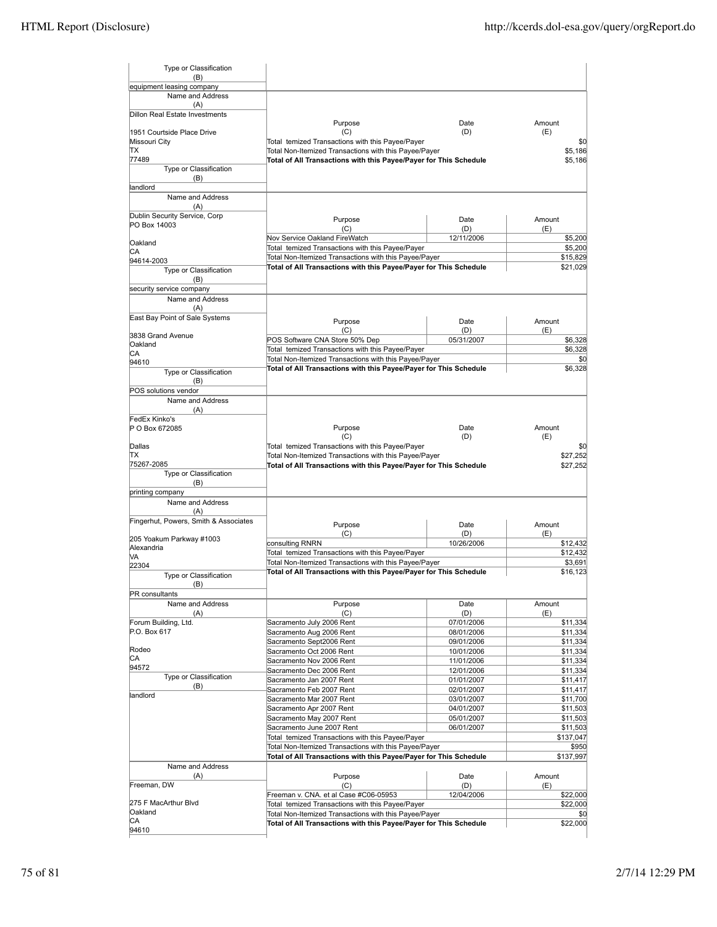| Type or Classification                |                                                                                                           |                          |                      |
|---------------------------------------|-----------------------------------------------------------------------------------------------------------|--------------------------|----------------------|
| (B)<br>equipment leasing company      |                                                                                                           |                          |                      |
| Name and Address                      |                                                                                                           |                          |                      |
| (A)                                   |                                                                                                           |                          |                      |
| Dillon Real Estate Investments        |                                                                                                           |                          |                      |
|                                       | Purpose                                                                                                   | Date                     | Amount               |
| 1951 Courtside Place Drive            | (C)                                                                                                       | (D)                      | (E)                  |
| Missouri City<br>ΠX                   | Total temized Transactions with this Payee/Payer<br>Total Non-Itemized Transactions with this Payee/Payer |                          | \$0<br>\$5,186       |
| 77489                                 | Total of All Transactions with this Payee/Payer for This Schedule                                         |                          | \$5,186              |
| Type or Classification                |                                                                                                           |                          |                      |
| (B)                                   |                                                                                                           |                          |                      |
| landlord                              |                                                                                                           |                          |                      |
| Name and Address                      |                                                                                                           |                          |                      |
| (A)                                   |                                                                                                           |                          |                      |
| Dublin Security Service, Corp         | Purpose                                                                                                   | Date                     | Amount               |
| PO Box 14003                          | (C)                                                                                                       | (D)                      | (E)                  |
| Oakland                               | Nov Service Oakland FireWatch                                                                             | 12/11/2006               | \$5,200              |
| CА                                    | Total temized Transactions with this Payee/Payer                                                          |                          | \$5,200              |
| 94614-2003                            | Total Non-Itemized Transactions with this Payee/Payer                                                     |                          | \$15,829             |
| Type or Classification                | Total of All Transactions with this Payee/Payer for This Schedule                                         |                          | \$21,029             |
| (B)                                   |                                                                                                           |                          |                      |
| security service company              |                                                                                                           |                          |                      |
| Name and Address                      |                                                                                                           |                          |                      |
| (A)                                   |                                                                                                           |                          |                      |
| East Bay Point of Sale Systems        | Purpose                                                                                                   | Date                     | Amount               |
|                                       | (C)                                                                                                       | (D)                      | (E)                  |
| 3838 Grand Avenue<br>Oakland          | POS Software CNA Store 50% Dep                                                                            | 05/31/2007               | \$6,328              |
| CА                                    | Total temized Transactions with this Payee/Payer                                                          |                          | \$6,328              |
| 94610                                 | Total Non-Itemized Transactions with this Payee/Payer                                                     |                          | \$0                  |
| Type or Classification                | Total of All Transactions with this Payee/Payer for This Schedule                                         |                          | \$6,328              |
| (B)                                   |                                                                                                           |                          |                      |
| POS solutions vendor                  |                                                                                                           |                          |                      |
| Name and Address                      |                                                                                                           |                          |                      |
| (A)                                   |                                                                                                           |                          |                      |
| FedEx Kinko's                         |                                                                                                           |                          |                      |
| P O Box 672085                        | Purpose                                                                                                   | Date                     | Amount               |
|                                       | (C)                                                                                                       | (D)                      | (E)                  |
| Dallas<br>ΠX                          | Total temized Transactions with this Payee/Payer<br>Total Non-Itemized Transactions with this Payee/Payer |                          | \$0<br>\$27,252      |
| 75267-2085                            | Total of All Transactions with this Payee/Payer for This Schedule                                         |                          | \$27,252             |
| Type or Classification                |                                                                                                           |                          |                      |
| (B)                                   |                                                                                                           |                          |                      |
| printing company                      |                                                                                                           |                          |                      |
| Name and Address                      |                                                                                                           |                          |                      |
| (A)                                   |                                                                                                           |                          |                      |
| Fingerhut, Powers, Smith & Associates | Purpose                                                                                                   | Date                     | Amount               |
|                                       | (C)                                                                                                       | (D)                      | (E)                  |
| 205 Yoakum Parkway #1003              | consulting RNRN                                                                                           | 10/26/2006               | \$12,432             |
| Alexandria<br>VА                      | Total temized Transactions with this Payee/Payer                                                          |                          | \$12,432             |
| 22304                                 | Total Non-Itemized Transactions with this Payee/Payer                                                     |                          | \$3,691              |
| Type or Classification                | Total of All Transactions with this Payee/Payer for This Schedule                                         |                          | \$16,123             |
| (B)                                   |                                                                                                           |                          |                      |
| PR consultants                        |                                                                                                           |                          |                      |
| Name and Address                      | Purpose                                                                                                   | Date                     | Amount               |
| (A)                                   | (C)                                                                                                       | (D)                      | (E)                  |
| Forum Building, Ltd.                  | Sacramento July 2006 Rent                                                                                 | 07/01/2006               | \$11,334             |
| P.O. Box 617                          | Sacramento Aug 2006 Rent                                                                                  | 08/01/2006               | \$11,334             |
|                                       | Sacramento Sept2006 Rent                                                                                  | 09/01/2006               | \$11,334             |
| Rodeo<br>СA                           | Sacramento Oct 2006 Rent                                                                                  | 10/01/2006               | \$11,334             |
| 94572                                 | Sacramento Nov 2006 Rent                                                                                  | 11/01/2006               | \$11,334             |
| Type or Classification                | Sacramento Dec 2006 Rent                                                                                  | 12/01/2006               | \$11,334             |
| (B)                                   | Sacramento Jan 2007 Rent                                                                                  | 01/01/2007               | \$11,417             |
| landlord                              | Sacramento Feb 2007 Rent                                                                                  | 02/01/2007               | \$11,417             |
|                                       | Sacramento Mar 2007 Rent<br>Sacramento Apr 2007 Rent                                                      | 03/01/2007               | \$11,700             |
|                                       | Sacramento May 2007 Rent                                                                                  | 04/01/2007<br>05/01/2007 | \$11,503<br>\$11,503 |
|                                       | Sacramento June 2007 Rent                                                                                 | 06/01/2007               | \$11,503             |
|                                       | Total temized Transactions with this Payee/Payer                                                          |                          | \$137,047            |
|                                       | Total Non-Itemized Transactions with this Payee/Payer                                                     |                          | \$950                |
|                                       | Total of All Transactions with this Payee/Payer for This Schedule                                         |                          | \$137,997            |
| Name and Address                      |                                                                                                           |                          |                      |
| (A)                                   | Purpose                                                                                                   | Date                     | Amount               |
| Freeman, DW                           | (C)                                                                                                       | (D)                      | (E)                  |
|                                       | Freeman v. CNA. et al Case #C06-05953                                                                     | 12/04/2006               | \$22,000             |
| 275 F MacArthur Blvd                  | Total temized Transactions with this Payee/Payer                                                          |                          | \$22,000             |
| Oakland                               | Total Non-Itemized Transactions with this Payee/Payer                                                     |                          | \$0                  |
| CА<br>94610                           | Total of All Transactions with this Payee/Payer for This Schedule                                         |                          | \$22,000             |
|                                       |                                                                                                           |                          |                      |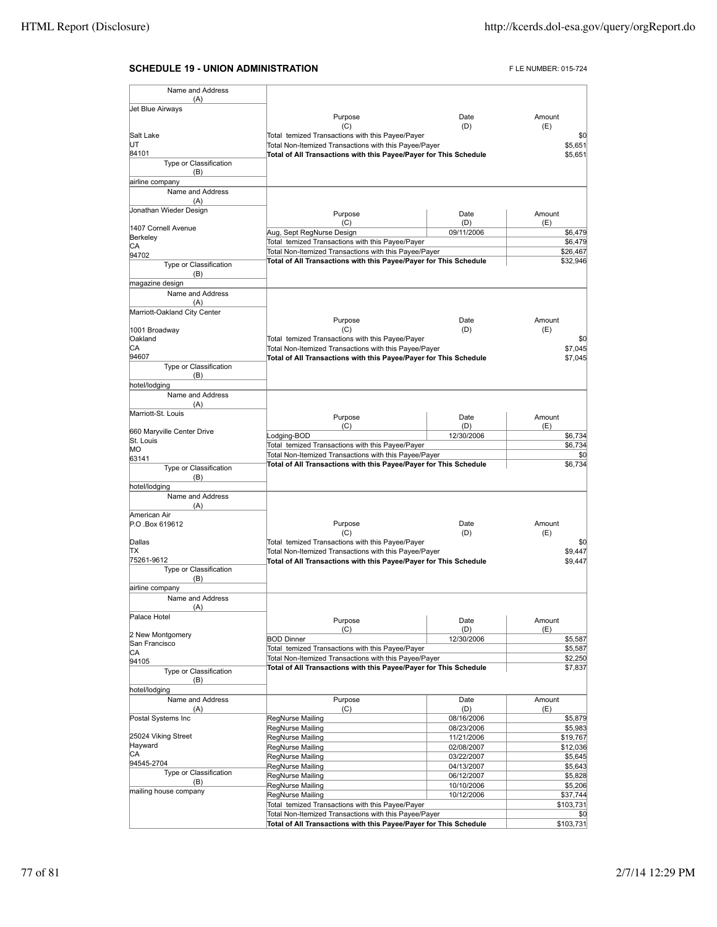## **SCHEDULE 19 - UNION ADMINISTRATION FLE NUMBER: 015-724**

| Name and Address                        |                                                                   |            |                  |
|-----------------------------------------|-------------------------------------------------------------------|------------|------------------|
| (A)                                     |                                                                   |            |                  |
| Jet Blue Airways                        | Purpose                                                           | Date       | Amount           |
|                                         | (C)                                                               | (D)        | (E)              |
| Salt Lake                               | Total temized Transactions with this Payee/Payer                  |            | \$0              |
| UT                                      | Total Non-Itemized Transactions with this Payee/Payer             |            | \$5,651          |
| 84101                                   | Total of All Transactions with this Payee/Payer for This Schedule |            | \$5,651          |
| Type or Classification                  |                                                                   |            |                  |
| (B)                                     |                                                                   |            |                  |
| airline company                         |                                                                   |            |                  |
| Name and Address                        |                                                                   |            |                  |
| (A)                                     |                                                                   |            |                  |
| Jonathan Wieder Design                  |                                                                   |            |                  |
|                                         | Purpose                                                           | Date       | Amount           |
| 1407 Cornell Avenue                     | (C)                                                               | (D)        | (E)              |
| Berkeley                                | Aug, Sept RegNurse Design                                         | 09/11/2006 | \$6,479          |
| СA                                      | Total temized Transactions with this Payee/Payer                  |            | \$6,479          |
| 94702                                   | Total Non-Itemized Transactions with this Payee/Payer             |            | \$26,467         |
| Type or Classification                  | Total of All Transactions with this Payee/Payer for This Schedule |            | \$32,946         |
| (B)                                     |                                                                   |            |                  |
| magazine design                         |                                                                   |            |                  |
| Name and Address                        |                                                                   |            |                  |
| (A)                                     |                                                                   |            |                  |
| Marriott-Oakland City Center            |                                                                   |            |                  |
|                                         | Purpose                                                           | Date       | Amount           |
| 1001 Broadway                           | (C)                                                               | (D)        | (E)              |
| Oakland                                 | Total temized Transactions with this Payee/Payer                  |            | \$0              |
| СA                                      | Total Non-Itemized Transactions with this Payee/Payer             |            | \$7,045          |
| 94607                                   | Total of All Transactions with this Payee/Payer for This Schedule |            | \$7,045          |
| Type or Classification                  |                                                                   |            |                  |
| (B)                                     |                                                                   |            |                  |
| hotel/lodging                           |                                                                   |            |                  |
| Name and Address                        |                                                                   |            |                  |
|                                         |                                                                   |            |                  |
| (A)                                     |                                                                   |            |                  |
| Marriott-St. Louis                      | Purpose                                                           | Date       | Amount           |
|                                         | (C)                                                               | (D)        | (E)              |
| 660 Maryville Center Drive<br>St. Louis | Lodging-BOD                                                       | 12/30/2006 | \$6,734          |
| MО                                      | Total temized Transactions with this Payee/Payer                  |            | \$6,734          |
| 63141                                   | Total Non-Itemized Transactions with this Payee/Payer             |            | \$0              |
|                                         | Total of All Transactions with this Payee/Payer for This Schedule |            | \$6,734          |
| Type or Classification                  |                                                                   |            |                  |
| (B)                                     |                                                                   |            |                  |
| hotel/lodging                           |                                                                   |            |                  |
| Name and Address                        |                                                                   |            |                  |
| (A)                                     |                                                                   |            |                  |
| American Air                            |                                                                   |            |                  |
| P.O.Box 619612                          | Purpose                                                           | Date       | Amount           |
|                                         | (C)                                                               | (D)        | (E)              |
| Dallas                                  | Total temized Transactions with this Payee/Payer                  |            | \$0              |
| lΤX                                     | Total Non-Itemized Transactions with this Payee/Payer             |            | \$9,447          |
| 75261-9612                              | Total of All Transactions with this Payee/Payer for This Schedule |            | \$9,447          |
| Type or Classification                  |                                                                   |            |                  |
| (B)                                     |                                                                   |            |                  |
| airline company                         |                                                                   |            |                  |
| Name and Address                        |                                                                   |            |                  |
| (A)                                     |                                                                   |            |                  |
| Palace Hotel                            | Purpose                                                           | Date       | Amount           |
|                                         | (C)                                                               | (D)        | (E)              |
| 2 New Montgomery                        | <b>BOD Dinner</b>                                                 | 12/30/2006 | \$5,587          |
| San Francisco                           | Total temized Transactions with this Payee/Payer                  |            | \$5,587          |
| СA                                      | Total Non-Itemized Transactions with this Payee/Payer             |            | \$2,250          |
| 94105                                   | Total of All Transactions with this Payee/Payer for This Schedule |            | \$7,837          |
| Type or Classification                  |                                                                   |            |                  |
| (B)                                     |                                                                   |            |                  |
| hotel/lodging                           |                                                                   |            |                  |
| Name and Address                        | Purpose                                                           | Date       | Amount           |
| (A)                                     | (C)                                                               | (D)        | (E)              |
| Postal Systems Inc                      | RegNurse Mailing                                                  | 08/16/2006 | \$5,879          |
|                                         | RegNurse Mailing                                                  | 08/23/2006 | \$5,983          |
| 25024 Viking Street                     | RegNurse Mailing                                                  | 11/21/2006 | \$19,767         |
| Hayward                                 | RegNurse Mailing                                                  | 02/08/2007 | \$12,036         |
| СA                                      | RegNurse Mailing                                                  | 03/22/2007 | \$5,645          |
| 94545-2704                              | RegNurse Mailing                                                  | 04/13/2007 | \$5,643          |
| Type or Classification                  | RegNurse Mailing                                                  | 06/12/2007 | \$5,828          |
| (B)                                     | RegNurse Mailing                                                  | 10/10/2006 | \$5,206          |
| mailing house company                   | RegNurse Mailing                                                  | 10/12/2006 | \$37,744         |
|                                         | Total temized Transactions with this Payee/Payer                  |            | \$103,731        |
|                                         | Total Non-Itemized Transactions with this Payee/Payer             |            |                  |
|                                         |                                                                   |            | \$0<br>\$103,731 |
|                                         | Total of All Transactions with this Payee/Payer for This Schedule |            |                  |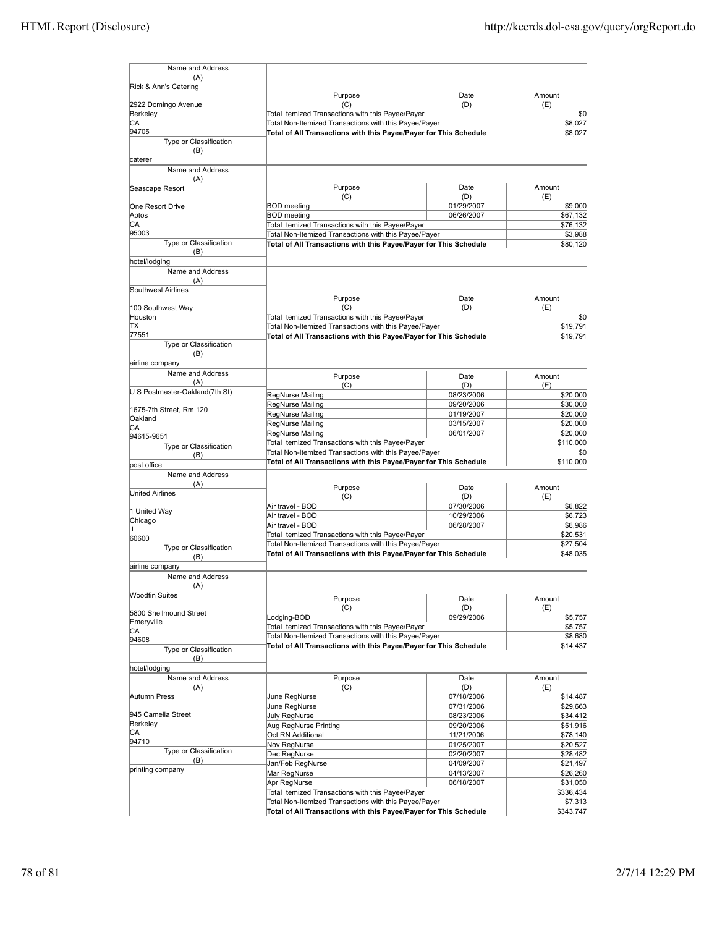| Name and Address                |                                                                                                                            |                          |                      |
|---------------------------------|----------------------------------------------------------------------------------------------------------------------------|--------------------------|----------------------|
| (A)<br>Rick & Ann's Catering    |                                                                                                                            |                          |                      |
|                                 | Purpose                                                                                                                    | Date                     | Amount               |
| 2922 Domingo Avenue             | (C)                                                                                                                        | (D)                      | (E)                  |
| Berkeley                        | Total temized Transactions with this Payee/Payer                                                                           |                          | \$0                  |
| СA<br>94705                     | Total Non-Itemized Transactions with this Payee/Payer<br>Total of All Transactions with this Payee/Payer for This Schedule |                          | \$8,027<br>\$8,027   |
| Type or Classification          |                                                                                                                            |                          |                      |
| (B)                             |                                                                                                                            |                          |                      |
| caterer                         |                                                                                                                            |                          |                      |
| Name and Address                |                                                                                                                            |                          |                      |
| (A)<br>Seascape Resort          | Purpose                                                                                                                    | Date                     | Amount               |
|                                 | (C)                                                                                                                        | (D)                      | (E)                  |
| One Resort Drive                | <b>BOD</b> meeting                                                                                                         | 01/29/2007               | \$9,000              |
| Aptos<br>CA                     | <b>BOD</b> meeting                                                                                                         | 06/26/2007               | \$67,132             |
| 95003                           | Total temized Transactions with this Payee/Payer<br>Total Non-Itemized Transactions with this Payee/Payer                  |                          | \$76,132<br>\$3,988  |
| Type or Classification          | Total of All Transactions with this Payee/Payer for This Schedule                                                          |                          | \$80,120             |
| (B)                             |                                                                                                                            |                          |                      |
| hotel/lodging                   |                                                                                                                            |                          |                      |
| Name and Address<br>(A)         |                                                                                                                            |                          |                      |
| Southwest Airlines              |                                                                                                                            |                          |                      |
|                                 | Purpose                                                                                                                    | Date                     | Amount               |
| 100 Southwest Way               | (C)                                                                                                                        | (D)                      | (E)                  |
| Houston<br>ΠX                   | Total temized Transactions with this Payee/Payer<br>Total Non-Itemized Transactions with this Payee/Payer                  |                          | \$0<br>\$19.791      |
| 77551                           | Total of All Transactions with this Payee/Payer for This Schedule                                                          |                          | \$19,791             |
| Type or Classification          |                                                                                                                            |                          |                      |
| (B)                             |                                                                                                                            |                          |                      |
| airline company                 |                                                                                                                            |                          |                      |
| Name and Address<br>(A)         | Purpose                                                                                                                    | Date                     | Amount               |
| U S Postmaster-Oakland(7th St)  | (C)<br>RegNurse Mailing                                                                                                    | (D)<br>08/23/2006        | (E)<br>\$20,000      |
|                                 | <b>RegNurse Mailing</b>                                                                                                    | 09/20/2006               | \$30,000             |
| 1675-7th Street, Rm 120         | RegNurse Mailing                                                                                                           | 01/19/2007               | \$20,000             |
| Oakland<br>СA                   | RegNurse Mailing                                                                                                           | 03/15/2007               | \$20,000             |
| 94615-9651                      | RegNurse Mailing                                                                                                           | 06/01/2007               | \$20,000             |
| Type or Classification          | Total temized Transactions with this Payee/Payer<br>Total Non-Itemized Transactions with this Payee/Payer                  |                          | \$110,000<br>\$0     |
| (B)                             | Total of All Transactions with this Payee/Payer for This Schedule                                                          |                          | \$110,000            |
| post office<br>Name and Address |                                                                                                                            |                          |                      |
| (A)                             |                                                                                                                            | Date                     | Amount               |
| <b>United Airlines</b>          | Purpose<br>(C)                                                                                                             | (D)                      | (E)                  |
|                                 | Air travel - BOD                                                                                                           | 07/30/2006               | \$6,822              |
| 1 United Way<br>Chicago         | Air travel - BOD                                                                                                           | 10/29/2006               | \$6,723              |
| L                               | Air travel - BOD                                                                                                           | 06/28/2007               | \$6,986              |
| 60600                           | Total temized Transactions with this Payee/Payer<br>Total Non-Itemized Transactions with this Payee/Payer                  |                          | \$20,531<br>\$27,504 |
| <b>Type or Classification</b>   | Total of All Transactions with this Payee/Payer for This Schedule                                                          |                          | \$48,035             |
| (B)<br>airline company          |                                                                                                                            |                          |                      |
| Name and Address                |                                                                                                                            |                          |                      |
| (A)                             |                                                                                                                            |                          |                      |
| <b>Woodfin Suites</b>           | Purpose                                                                                                                    | Date                     | Amount               |
| 5800 Shellmound Street          | (C)                                                                                                                        | (D)                      | (E)                  |
| Emeryville                      | Lodging-BOD                                                                                                                | 09/29/2006               | \$5,757              |
| CA                              | Total temized Transactions with this Payee/Payer                                                                           |                          | \$5,757<br>\$8,680   |
| 94608                           | Total Non-Itemized Transactions with this Payee/Payer<br>Total of All Transactions with this Payee/Payer for This Schedule |                          | \$14,437             |
| Type or Classification<br>(B)   |                                                                                                                            |                          |                      |
| hotel/lodging                   |                                                                                                                            |                          |                      |
| Name and Address                | Purpose                                                                                                                    | Date                     | Amount               |
| (A)                             | (C)                                                                                                                        | (D)                      | (E)                  |
| Autumn Press                    | June RegNurse                                                                                                              | 07/18/2006               | \$14,487             |
| 945 Camelia Street              | June RegNurse<br>July RegNurse                                                                                             | 07/31/2006<br>08/23/2006 | \$29,663<br>\$34,412 |
| Berkeley                        | Aug RegNurse Printing                                                                                                      | 09/20/2006               | \$51,916             |
| СA                              | Oct RN Additional                                                                                                          | 11/21/2006               | \$78,140             |
| 94710<br>Type or Classification | Nov RegNurse                                                                                                               | 01/25/2007               | \$20,527             |
| (B)                             | Dec RegNurse                                                                                                               | 02/20/2007               | \$28,482             |
| printing company                | Jan/Feb RegNurse<br>Mar RegNurse                                                                                           | 04/09/2007<br>04/13/2007 | \$21,497<br>\$26,260 |
|                                 | Apr RegNurse                                                                                                               | 06/18/2007               | \$31,050             |
|                                 | Total temized Transactions with this Payee/Payer                                                                           |                          | \$336,434            |
|                                 | Total Non-Itemized Transactions with this Payee/Payer                                                                      |                          | \$7,313              |
|                                 | Total of All Transactions with this Payee/Payer for This Schedule                                                          |                          | \$343,747            |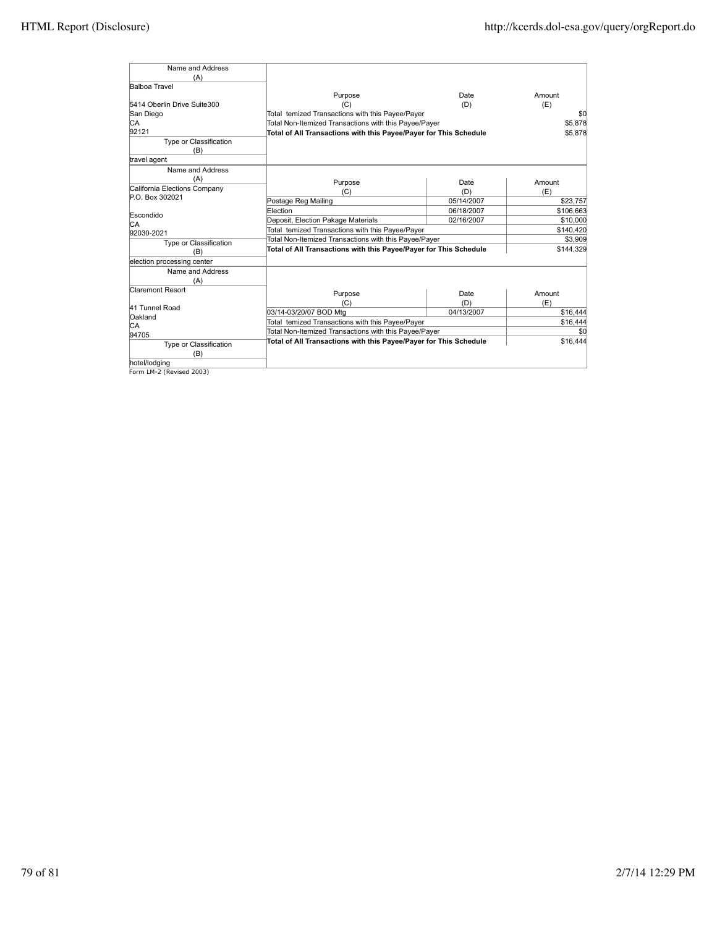| Name and Address              |                                                                   |            |           |
|-------------------------------|-------------------------------------------------------------------|------------|-----------|
| (A)                           |                                                                   |            |           |
| <b>Balboa Travel</b>          |                                                                   |            |           |
|                               | Purpose                                                           | Date       | Amount    |
| 5414 Oberlin Drive Suite300   | (C)                                                               | (D)        | (E)       |
| San Diego                     | Total temized Transactions with this Payee/Payer                  |            | \$0       |
| IСA                           | Total Non-Itemized Transactions with this Payee/Payer             |            | \$5.878   |
| 92121                         | Total of All Transactions with this Payee/Payer for This Schedule |            | \$5.878   |
| Type or Classification<br>(B) |                                                                   |            |           |
| travel agent                  |                                                                   |            |           |
| Name and Address              |                                                                   |            |           |
| (A)                           | Purpose                                                           | Date       | Amount    |
| California Elections Company  | (C)                                                               | (D)        | (E)       |
| P.O. Box 302021               | Postage Reg Mailing                                               | 05/14/2007 | \$23,757  |
|                               | Election                                                          | 06/18/2007 | \$106,663 |
| Escondido                     | Deposit, Election Pakage Materials                                | 02/16/2007 | \$10,000  |
| IСA                           | Total temized Transactions with this Payee/Payer                  |            | \$140,420 |
| 92030-2021                    | Total Non-Itemized Transactions with this Payee/Payer             |            | \$3,909   |
| Type or Classification<br>(B) | Total of All Transactions with this Payee/Payer for This Schedule |            | \$144,329 |
| election processing center    |                                                                   |            |           |
| Name and Address              |                                                                   |            |           |
| (A)                           |                                                                   |            |           |
| <b>Claremont Resort</b>       | Purpose                                                           | Date       | Amount    |
|                               | (C)                                                               | (D)        | (E)       |
| 41 Tunnel Road                | 03/14-03/20/07 BOD Mtg                                            | 04/13/2007 | \$16,444  |
| Oakland                       | Total temized Transactions with this Payee/Payer                  |            | \$16,444  |
| IСA                           | Total Non-Itemized Transactions with this Payee/Payer             |            | \$0       |
| 94705                         | Total of All Transactions with this Payee/Payer for This Schedule |            | \$16,444  |
| Type or Classification        |                                                                   |            |           |
| (B)                           |                                                                   |            |           |
| hotel/lodging                 |                                                                   |            |           |

hotel/lodging Form LM-2 (Revised 2003)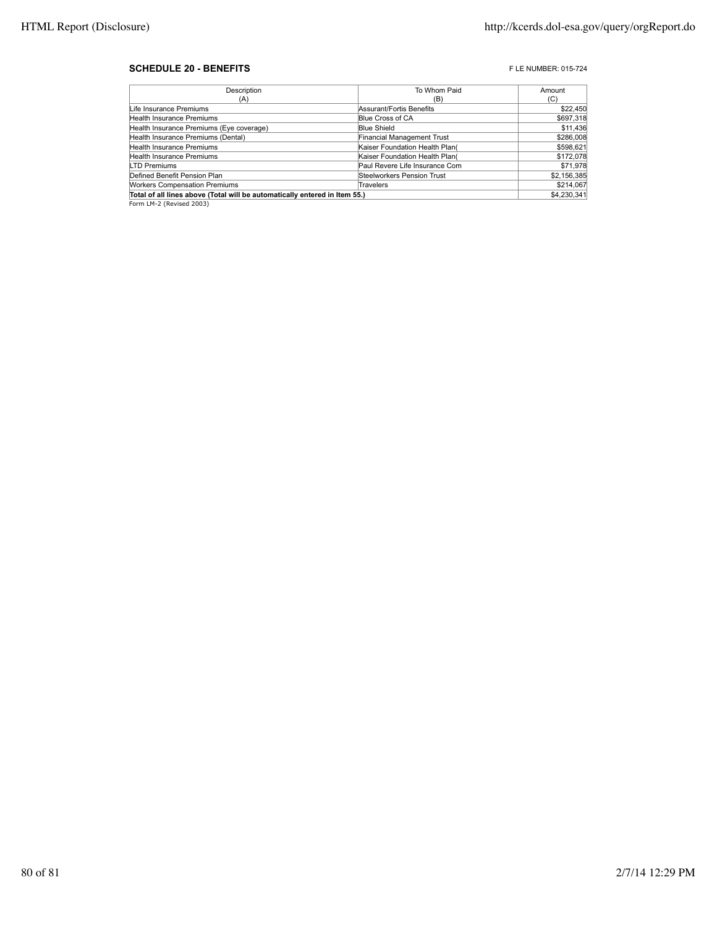## **SCHEDULE 20 - BENEFITS F** LE NUMBER: 015-724

| Description                                                                | To Whom Paid                   | Amount      |
|----------------------------------------------------------------------------|--------------------------------|-------------|
| (A)                                                                        | (B)                            | (C)         |
| Life Insurance Premiums                                                    | Assurant/Fortis Benefits       | \$22,450    |
| Health Insurance Premiums                                                  | Blue Cross of CA               | \$697,318   |
| Health Insurance Premiums (Eye coverage)                                   | <b>Blue Shield</b>             | \$11,436    |
| Health Insurance Premiums (Dental)                                         | Financial Management Trust     | \$286,008   |
| Health Insurance Premiums                                                  | Kaiser Foundation Health Plan( | \$598,621   |
| Health Insurance Premiums                                                  | Kaiser Foundation Health Plan( | \$172,078   |
| <b>LTD Premiums</b>                                                        | Paul Revere Life Insurance Com | \$71,978    |
| Defined Benefit Pension Plan                                               | Steelworkers Pension Trust     | \$2,156,385 |
| <b>Workers Compensation Premiums</b>                                       | Travelers                      | \$214,067   |
| Total of all lines above (Total will be automatically entered in Item 55.) |                                |             |

Form LM-2 (Revised 2003)